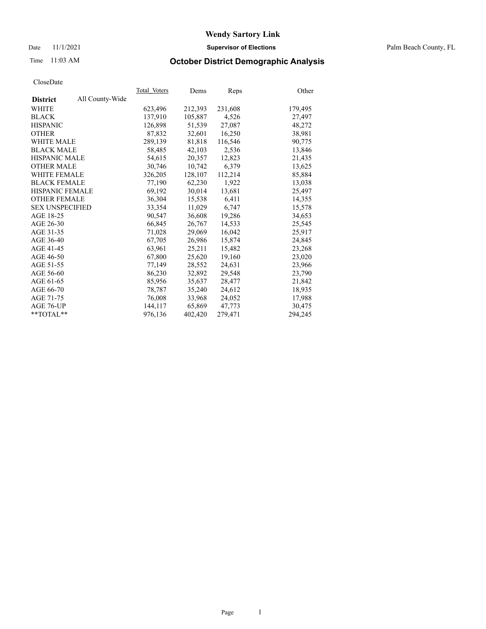### Date 11/1/2021 **Supervisor of Elections** Palm Beach County, FL

## Time 11:03 AM **October District Demographic Analysis**

| ClustDate              |                 |              |         |         |         |
|------------------------|-----------------|--------------|---------|---------|---------|
|                        |                 | Total Voters | Dems    | Reps    | Other   |
| <b>District</b>        | All County-Wide |              |         |         |         |
| WHITE                  |                 | 623,496      | 212,393 | 231,608 | 179,495 |
| <b>BLACK</b>           |                 | 137,910      | 105,887 | 4,526   | 27,497  |
| <b>HISPANIC</b>        |                 | 126,898      | 51,539  | 27,087  | 48,272  |
| <b>OTHER</b>           |                 | 87,832       | 32,601  | 16,250  | 38,981  |
| <b>WHITE MALE</b>      |                 | 289,139      | 81,818  | 116,546 | 90,775  |
| <b>BLACK MALE</b>      |                 | 58,485       | 42,103  | 2,536   | 13,846  |
| <b>HISPANIC MALE</b>   |                 | 54,615       | 20,357  | 12,823  | 21,435  |
| <b>OTHER MALE</b>      |                 | 30,746       | 10,742  | 6,379   | 13,625  |
| <b>WHITE FEMALE</b>    |                 | 326,205      | 128,107 | 112,214 | 85,884  |
| <b>BLACK FEMALE</b>    |                 | 77,190       | 62,230  | 1,922   | 13,038  |
| <b>HISPANIC FEMALE</b> |                 | 69,192       | 30,014  | 13,681  | 25,497  |
| <b>OTHER FEMALE</b>    |                 | 36,304       | 15,538  | 6,411   | 14,355  |
| <b>SEX UNSPECIFIED</b> |                 | 33,354       | 11,029  | 6,747   | 15,578  |
| AGE 18-25              |                 | 90,547       | 36,608  | 19,286  | 34,653  |
| AGE 26-30              |                 | 66,845       | 26,767  | 14,533  | 25,545  |
| AGE 31-35              |                 | 71,028       | 29,069  | 16,042  | 25,917  |
| AGE 36-40              |                 | 67.705       | 26,986  | 15,874  | 24,845  |
| AGE 41-45              |                 | 63,961       | 25,211  | 15,482  | 23,268  |
| AGE 46-50              |                 | 67,800       | 25,620  | 19,160  | 23,020  |
| AGE 51-55              |                 | 77,149       | 28,552  | 24,631  | 23,966  |
| AGE 56-60              |                 | 86,230       | 32,892  | 29,548  | 23,790  |
| AGE 61-65              |                 | 85,956       | 35,637  | 28,477  | 21,842  |
| AGE 66-70              |                 | 78,787       | 35,240  | 24,612  | 18,935  |
| AGE 71-75              |                 | 76,008       | 33,968  | 24,052  | 17,988  |
| AGE 76-UP              |                 | 144,117      | 65,869  | 47.773  | 30.475  |
| $*$ $TOTAL**$          |                 | 976,136      | 402,420 | 279,471 | 294,245 |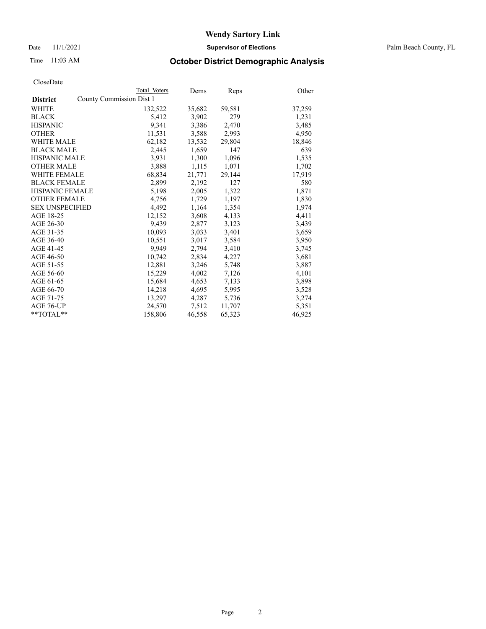Date 11/1/2021 **Supervisor of Elections** Palm Beach County, FL

## Time 11:03 AM **October District Demographic Analysis**

|                        | Total Voters             | Dems   | Reps   | Other  |
|------------------------|--------------------------|--------|--------|--------|
| <b>District</b>        | County Commission Dist 1 |        |        |        |
| <b>WHITE</b>           | 132,522                  | 35,682 | 59,581 | 37,259 |
| <b>BLACK</b>           | 5,412                    | 3,902  | 279    | 1,231  |
| <b>HISPANIC</b>        | 9,341                    | 3,386  | 2,470  | 3,485  |
| <b>OTHER</b>           | 11,531                   | 3,588  | 2,993  | 4,950  |
| <b>WHITE MALE</b>      | 62,182                   | 13,532 | 29,804 | 18,846 |
| <b>BLACK MALE</b>      | 2,445                    | 1,659  | 147    | 639    |
| <b>HISPANIC MALE</b>   | 3,931                    | 1,300  | 1,096  | 1,535  |
| <b>OTHER MALE</b>      | 3,888                    | 1,115  | 1,071  | 1,702  |
| <b>WHITE FEMALE</b>    | 68,834                   | 21,771 | 29,144 | 17,919 |
| <b>BLACK FEMALE</b>    | 2,899                    | 2,192  | 127    | 580    |
| <b>HISPANIC FEMALE</b> | 5,198                    | 2,005  | 1,322  | 1,871  |
| <b>OTHER FEMALE</b>    | 4,756                    | 1,729  | 1,197  | 1,830  |
| <b>SEX UNSPECIFIED</b> | 4,492                    | 1,164  | 1,354  | 1,974  |
| AGE 18-25              | 12,152                   | 3,608  | 4,133  | 4,411  |
| AGE 26-30              | 9,439                    | 2,877  | 3,123  | 3,439  |
| AGE 31-35              | 10,093                   | 3,033  | 3,401  | 3,659  |
| AGE 36-40              | 10,551                   | 3,017  | 3,584  | 3,950  |
| AGE 41-45              | 9.949                    | 2,794  | 3,410  | 3,745  |
| AGE 46-50              | 10,742                   | 2,834  | 4,227  | 3,681  |
| AGE 51-55              | 12,881                   | 3,246  | 5,748  | 3,887  |
| AGE 56-60              | 15,229                   | 4,002  | 7,126  | 4,101  |
| AGE 61-65              | 15,684                   | 4,653  | 7,133  | 3,898  |
| AGE 66-70              | 14,218                   | 4,695  | 5,995  | 3,528  |
| AGE 71-75              | 13,297                   | 4,287  | 5,736  | 3,274  |
| AGE 76-UP              | 24,570                   | 7,512  | 11,707 | 5,351  |
| $*$ $TOTAL**$          | 158,806                  | 46,558 | 65,323 | 46,925 |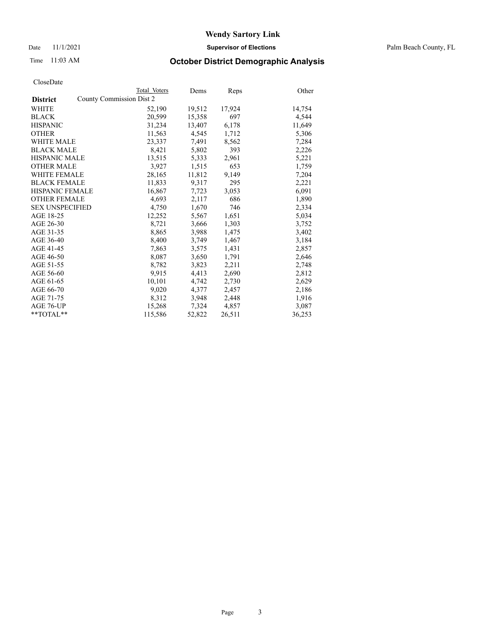Date 11/1/2021 **Supervisor of Elections** Palm Beach County, FL

## Time 11:03 AM **October District Demographic Analysis**

|                        | Total Voters             | Dems   | Reps   | Other  |
|------------------------|--------------------------|--------|--------|--------|
| <b>District</b>        | County Commission Dist 2 |        |        |        |
| WHITE                  | 52,190                   | 19,512 | 17,924 | 14,754 |
| <b>BLACK</b>           | 20,599                   | 15,358 | 697    | 4,544  |
| <b>HISPANIC</b>        | 31,234                   | 13,407 | 6,178  | 11,649 |
| <b>OTHER</b>           | 11,563                   | 4,545  | 1,712  | 5,306  |
| <b>WHITE MALE</b>      | 23,337                   | 7,491  | 8,562  | 7,284  |
| <b>BLACK MALE</b>      | 8,421                    | 5,802  | 393    | 2,226  |
| <b>HISPANIC MALE</b>   | 13,515                   | 5,333  | 2,961  | 5,221  |
| <b>OTHER MALE</b>      | 3,927                    | 1,515  | 653    | 1,759  |
| <b>WHITE FEMALE</b>    | 28,165                   | 11,812 | 9,149  | 7,204  |
| <b>BLACK FEMALE</b>    | 11,833                   | 9,317  | 295    | 2,221  |
| <b>HISPANIC FEMALE</b> | 16,867                   | 7,723  | 3,053  | 6,091  |
| <b>OTHER FEMALE</b>    | 4,693                    | 2,117  | 686    | 1,890  |
| <b>SEX UNSPECIFIED</b> | 4,750                    | 1,670  | 746    | 2,334  |
| AGE 18-25              | 12,252                   | 5,567  | 1,651  | 5,034  |
| AGE 26-30              | 8,721                    | 3,666  | 1,303  | 3,752  |
| AGE 31-35              | 8,865                    | 3,988  | 1,475  | 3,402  |
| AGE 36-40              | 8,400                    | 3,749  | 1,467  | 3,184  |
| AGE 41-45              | 7,863                    | 3,575  | 1,431  | 2,857  |
| AGE 46-50              | 8,087                    | 3,650  | 1,791  | 2,646  |
| AGE 51-55              | 8,782                    | 3,823  | 2,211  | 2,748  |
| AGE 56-60              | 9,915                    | 4,413  | 2,690  | 2,812  |
| AGE 61-65              | 10,101                   | 4,742  | 2,730  | 2,629  |
| AGE 66-70              | 9,020                    | 4,377  | 2,457  | 2,186  |
| AGE 71-75              | 8,312                    | 3,948  | 2,448  | 1,916  |
| AGE 76-UP              | 15,268                   | 7,324  | 4,857  | 3,087  |
| **TOTAL**              | 115,586                  | 52,822 | 26,511 | 36,253 |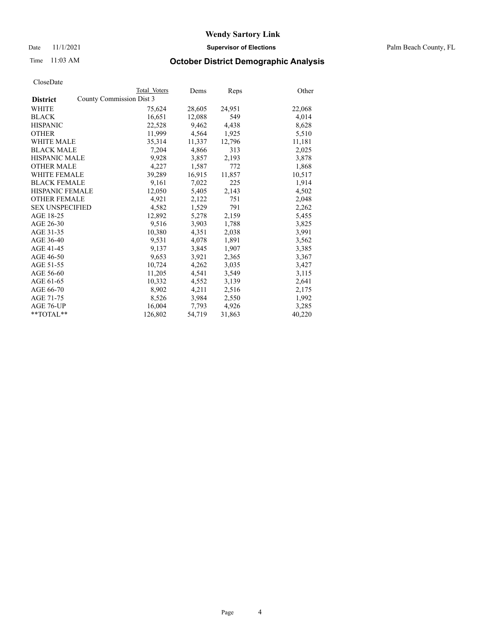Date 11/1/2021 **Supervisor of Elections** Palm Beach County, FL

## Time 11:03 AM **October District Demographic Analysis**

|                        | Total Voters             | Dems   | Reps   | Other  |
|------------------------|--------------------------|--------|--------|--------|
| <b>District</b>        | County Commission Dist 3 |        |        |        |
| <b>WHITE</b>           | 75,624                   | 28,605 | 24,951 | 22,068 |
| <b>BLACK</b>           | 16,651                   | 12,088 | 549    | 4,014  |
| <b>HISPANIC</b>        | 22,528                   | 9,462  | 4,438  | 8,628  |
| <b>OTHER</b>           | 11,999                   | 4,564  | 1,925  | 5,510  |
| <b>WHITE MALE</b>      | 35,314                   | 11,337 | 12,796 | 11,181 |
| <b>BLACK MALE</b>      | 7,204                    | 4,866  | 313    | 2,025  |
| <b>HISPANIC MALE</b>   | 9,928                    | 3,857  | 2,193  | 3,878  |
| <b>OTHER MALE</b>      | 4,227                    | 1,587  | 772    | 1,868  |
| <b>WHITE FEMALE</b>    | 39,289                   | 16,915 | 11,857 | 10,517 |
| <b>BLACK FEMALE</b>    | 9.161                    | 7,022  | 225    | 1,914  |
| <b>HISPANIC FEMALE</b> | 12,050                   | 5,405  | 2,143  | 4,502  |
| <b>OTHER FEMALE</b>    | 4,921                    | 2,122  | 751    | 2,048  |
| <b>SEX UNSPECIFIED</b> | 4,582                    | 1,529  | 791    | 2,262  |
| AGE 18-25              | 12,892                   | 5,278  | 2,159  | 5,455  |
| AGE 26-30              | 9,516                    | 3,903  | 1,788  | 3,825  |
| AGE 31-35              | 10,380                   | 4,351  | 2,038  | 3,991  |
| AGE 36-40              | 9,531                    | 4,078  | 1,891  | 3,562  |
| AGE 41-45              | 9,137                    | 3,845  | 1,907  | 3,385  |
| AGE 46-50              | 9,653                    | 3,921  | 2,365  | 3,367  |
| AGE 51-55              | 10,724                   | 4,262  | 3,035  | 3,427  |
| AGE 56-60              | 11,205                   | 4,541  | 3,549  | 3,115  |
| AGE 61-65              | 10,332                   | 4,552  | 3,139  | 2,641  |
| AGE 66-70              | 8,902                    | 4,211  | 2,516  | 2,175  |
| AGE 71-75              | 8,526                    | 3,984  | 2,550  | 1,992  |
| AGE 76-UP              | 16,004                   | 7,793  | 4,926  | 3,285  |
| $*$ $TOTAL**$          | 126,802                  | 54,719 | 31,863 | 40,220 |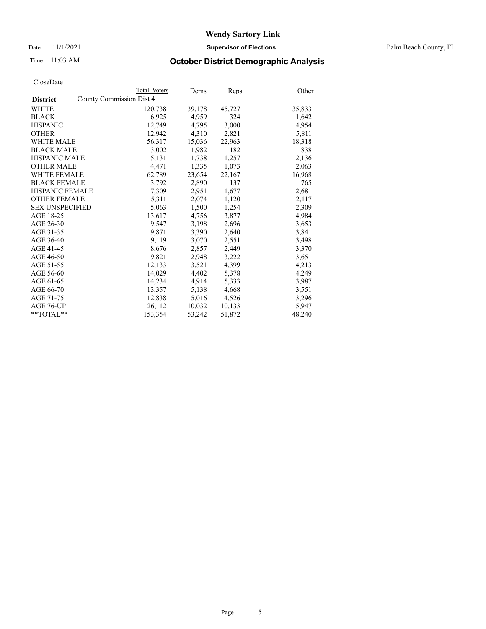Date 11/1/2021 **Supervisor of Elections** Palm Beach County, FL

## Time 11:03 AM **October District Demographic Analysis**

|                        | Total Voters             | Dems   | Reps   | Other  |
|------------------------|--------------------------|--------|--------|--------|
| <b>District</b>        | County Commission Dist 4 |        |        |        |
| <b>WHITE</b>           | 120,738                  | 39,178 | 45,727 | 35,833 |
| <b>BLACK</b>           | 6,925                    | 4,959  | 324    | 1,642  |
| <b>HISPANIC</b>        | 12,749                   | 4,795  | 3,000  | 4,954  |
| <b>OTHER</b>           | 12,942                   | 4,310  | 2,821  | 5,811  |
| <b>WHITE MALE</b>      | 56,317                   | 15,036 | 22,963 | 18,318 |
| <b>BLACK MALE</b>      | 3,002                    | 1,982  | 182    | 838    |
| <b>HISPANIC MALE</b>   | 5,131                    | 1,738  | 1,257  | 2,136  |
| <b>OTHER MALE</b>      | 4,471                    | 1,335  | 1,073  | 2,063  |
| <b>WHITE FEMALE</b>    | 62,789                   | 23,654 | 22,167 | 16,968 |
| <b>BLACK FEMALE</b>    | 3,792                    | 2,890  | 137    | 765    |
| HISPANIC FEMALE        | 7,309                    | 2,951  | 1,677  | 2,681  |
| <b>OTHER FEMALE</b>    | 5,311                    | 2,074  | 1,120  | 2,117  |
| <b>SEX UNSPECIFIED</b> | 5,063                    | 1,500  | 1,254  | 2,309  |
| AGE 18-25              | 13,617                   | 4,756  | 3,877  | 4,984  |
| AGE 26-30              | 9,547                    | 3,198  | 2,696  | 3,653  |
| AGE 31-35              | 9,871                    | 3,390  | 2,640  | 3,841  |
| AGE 36-40              | 9,119                    | 3,070  | 2,551  | 3,498  |
| AGE 41-45              | 8,676                    | 2,857  | 2,449  | 3,370  |
| AGE 46-50              | 9,821                    | 2,948  | 3,222  | 3,651  |
| AGE 51-55              | 12,133                   | 3,521  | 4,399  | 4,213  |
| AGE 56-60              | 14,029                   | 4,402  | 5,378  | 4,249  |
| AGE 61-65              | 14,234                   | 4,914  | 5,333  | 3,987  |
| AGE 66-70              | 13,357                   | 5,138  | 4,668  | 3,551  |
| AGE 71-75              | 12,838                   | 5,016  | 4,526  | 3,296  |
| AGE 76-UP              | 26,112                   | 10,032 | 10,133 | 5,947  |
| $*$ $TOTAL**$          | 153,354                  | 53,242 | 51,872 | 48,240 |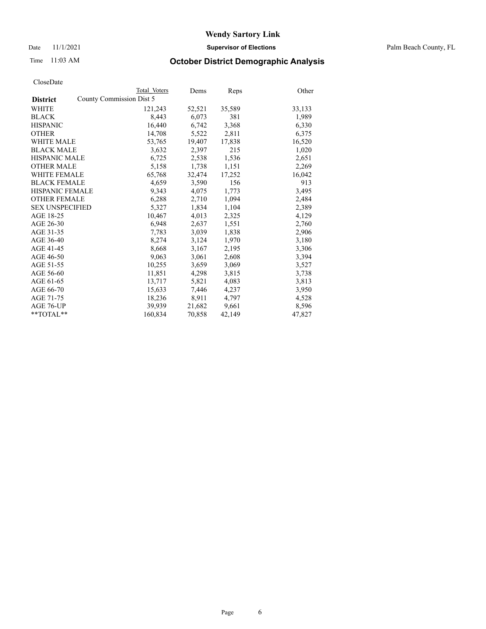Date 11/1/2021 **Supervisor of Elections** Palm Beach County, FL

## Time 11:03 AM **October District Demographic Analysis**

|                        | Total Voters             | Dems   | Reps   | Other  |
|------------------------|--------------------------|--------|--------|--------|
| <b>District</b>        | County Commission Dist 5 |        |        |        |
| <b>WHITE</b>           | 121,243                  | 52,521 | 35,589 | 33,133 |
| <b>BLACK</b>           | 8,443                    | 6,073  | 381    | 1,989  |
| <b>HISPANIC</b>        | 16,440                   | 6,742  | 3,368  | 6,330  |
| <b>OTHER</b>           | 14,708                   | 5,522  | 2,811  | 6,375  |
| <b>WHITE MALE</b>      | 53,765                   | 19,407 | 17,838 | 16,520 |
| <b>BLACK MALE</b>      | 3,632                    | 2,397  | 215    | 1,020  |
| <b>HISPANIC MALE</b>   | 6,725                    | 2,538  | 1,536  | 2,651  |
| <b>OTHER MALE</b>      | 5,158                    | 1,738  | 1,151  | 2,269  |
| <b>WHITE FEMALE</b>    | 65,768                   | 32,474 | 17,252 | 16,042 |
| <b>BLACK FEMALE</b>    | 4,659                    | 3,590  | 156    | 913    |
| <b>HISPANIC FEMALE</b> | 9,343                    | 4,075  | 1,773  | 3,495  |
| <b>OTHER FEMALE</b>    | 6,288                    | 2,710  | 1,094  | 2,484  |
| <b>SEX UNSPECIFIED</b> | 5,327                    | 1,834  | 1,104  | 2,389  |
| AGE 18-25              | 10,467                   | 4,013  | 2,325  | 4,129  |
| AGE 26-30              | 6,948                    | 2,637  | 1,551  | 2,760  |
| AGE 31-35              | 7,783                    | 3,039  | 1,838  | 2,906  |
| AGE 36-40              | 8,274                    | 3,124  | 1,970  | 3,180  |
| AGE 41-45              | 8,668                    | 3,167  | 2,195  | 3,306  |
| AGE 46-50              | 9,063                    | 3,061  | 2,608  | 3,394  |
| AGE 51-55              | 10,255                   | 3,659  | 3,069  | 3,527  |
| AGE 56-60              | 11,851                   | 4,298  | 3,815  | 3,738  |
| AGE 61-65              | 13,717                   | 5,821  | 4,083  | 3,813  |
| AGE 66-70              | 15,633                   | 7,446  | 4,237  | 3,950  |
| AGE 71-75              | 18,236                   | 8,911  | 4,797  | 4,528  |
| AGE 76-UP              | 39,939                   | 21,682 | 9,661  | 8,596  |
| $*$ $TOTAL**$          | 160,834                  | 70,858 | 42,149 | 47,827 |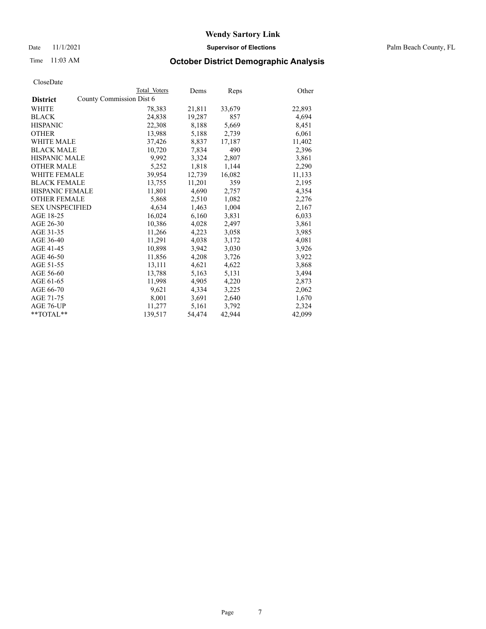Date 11/1/2021 **Supervisor of Elections** Palm Beach County, FL

## Time 11:03 AM **October District Demographic Analysis**

|                        | Total Voters             | Dems   | Reps   | Other  |
|------------------------|--------------------------|--------|--------|--------|
| <b>District</b>        | County Commission Dist 6 |        |        |        |
| <b>WHITE</b>           | 78,383                   | 21,811 | 33,679 | 22,893 |
| <b>BLACK</b>           | 24,838                   | 19,287 | 857    | 4,694  |
| <b>HISPANIC</b>        | 22,308                   | 8,188  | 5,669  | 8,451  |
| <b>OTHER</b>           | 13,988                   | 5,188  | 2,739  | 6,061  |
| <b>WHITE MALE</b>      | 37,426                   | 8,837  | 17,187 | 11,402 |
| <b>BLACK MALE</b>      | 10,720                   | 7,834  | 490    | 2,396  |
| <b>HISPANIC MALE</b>   | 9,992                    | 3,324  | 2,807  | 3,861  |
| <b>OTHER MALE</b>      | 5,252                    | 1,818  | 1,144  | 2,290  |
| <b>WHITE FEMALE</b>    | 39,954                   | 12,739 | 16,082 | 11,133 |
| <b>BLACK FEMALE</b>    | 13,755                   | 11,201 | 359    | 2,195  |
| HISPANIC FEMALE        | 11,801                   | 4,690  | 2,757  | 4,354  |
| <b>OTHER FEMALE</b>    | 5,868                    | 2,510  | 1,082  | 2,276  |
| <b>SEX UNSPECIFIED</b> | 4,634                    | 1,463  | 1,004  | 2,167  |
| AGE 18-25              | 16,024                   | 6,160  | 3,831  | 6,033  |
| AGE 26-30              | 10,386                   | 4,028  | 2,497  | 3,861  |
| AGE 31-35              | 11,266                   | 4,223  | 3,058  | 3,985  |
| AGE 36-40              | 11,291                   | 4,038  | 3,172  | 4,081  |
| AGE 41-45              | 10,898                   | 3,942  | 3,030  | 3,926  |
| AGE 46-50              | 11,856                   | 4,208  | 3,726  | 3,922  |
| AGE 51-55              | 13,111                   | 4,621  | 4,622  | 3,868  |
| AGE 56-60              | 13,788                   | 5,163  | 5,131  | 3,494  |
| AGE 61-65              | 11,998                   | 4,905  | 4,220  | 2,873  |
| AGE 66-70              | 9,621                    | 4,334  | 3,225  | 2,062  |
| AGE 71-75              | 8,001                    | 3,691  | 2,640  | 1,670  |
| AGE 76-UP              | 11,277                   | 5,161  | 3,792  | 2,324  |
| $*$ $TOTAL**$          | 139,517                  | 54,474 | 42,944 | 42,099 |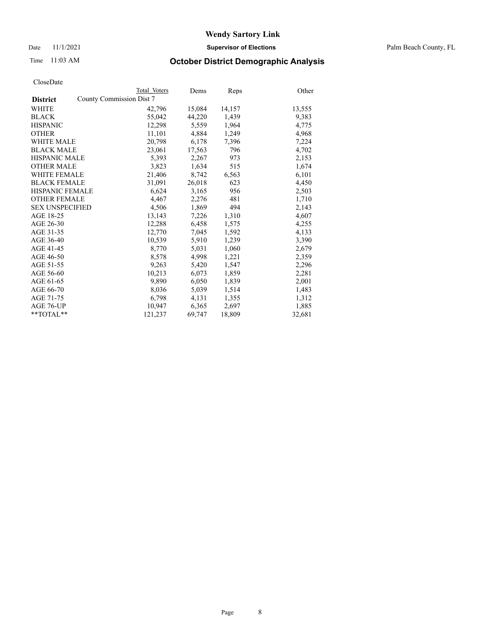Date 11/1/2021 **Supervisor of Elections** Palm Beach County, FL

## Time 11:03 AM **October District Demographic Analysis**

|                        |                          | Total Voters | Dems   | Reps   | Other  |
|------------------------|--------------------------|--------------|--------|--------|--------|
| <b>District</b>        | County Commission Dist 7 |              |        |        |        |
| WHITE                  |                          | 42,796       | 15,084 | 14,157 | 13,555 |
| <b>BLACK</b>           |                          | 55,042       | 44,220 | 1,439  | 9,383  |
| <b>HISPANIC</b>        |                          | 12,298       | 5,559  | 1,964  | 4,775  |
| <b>OTHER</b>           |                          | 11,101       | 4,884  | 1,249  | 4,968  |
| <b>WHITE MALE</b>      |                          | 20,798       | 6,178  | 7,396  | 7,224  |
| <b>BLACK MALE</b>      |                          | 23,061       | 17,563 | 796    | 4,702  |
| <b>HISPANIC MALE</b>   |                          | 5,393        | 2,267  | 973    | 2,153  |
| <b>OTHER MALE</b>      |                          | 3,823        | 1,634  | 515    | 1,674  |
| <b>WHITE FEMALE</b>    |                          | 21,406       | 8,742  | 6,563  | 6,101  |
| <b>BLACK FEMALE</b>    |                          | 31,091       | 26,018 | 623    | 4,450  |
| <b>HISPANIC FEMALE</b> |                          | 6,624        | 3,165  | 956    | 2,503  |
| <b>OTHER FEMALE</b>    |                          | 4,467        | 2,276  | 481    | 1,710  |
| <b>SEX UNSPECIFIED</b> |                          | 4,506        | 1,869  | 494    | 2,143  |
| AGE 18-25              |                          | 13,143       | 7,226  | 1,310  | 4,607  |
| AGE 26-30              |                          | 12,288       | 6,458  | 1,575  | 4,255  |
| AGE 31-35              |                          | 12,770       | 7,045  | 1,592  | 4,133  |
| AGE 36-40              |                          | 10,539       | 5,910  | 1,239  | 3,390  |
| AGE 41-45              |                          | 8,770        | 5,031  | 1,060  | 2,679  |
| AGE 46-50              |                          | 8,578        | 4,998  | 1,221  | 2,359  |
| AGE 51-55              |                          | 9,263        | 5,420  | 1,547  | 2,296  |
| AGE 56-60              |                          | 10,213       | 6,073  | 1,859  | 2,281  |
| AGE 61-65              |                          | 9,890        | 6,050  | 1,839  | 2,001  |
| AGE 66-70              |                          | 8,036        | 5,039  | 1,514  | 1,483  |
| AGE 71-75              |                          | 6,798        | 4,131  | 1,355  | 1,312  |
| AGE 76-UP              |                          | 10.947       | 6,365  | 2,697  | 1,885  |
| $*$ $TOTAL**$          |                          | 121,237      | 69,747 | 18,809 | 32,681 |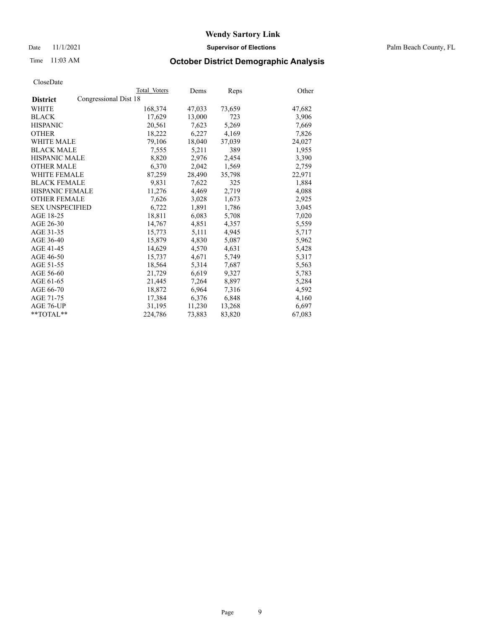Date 11/1/2021 **Supervisor of Elections** Palm Beach County, FL

## Time 11:03 AM **October District Demographic Analysis**

|                                          | Total Voters | Dems   | Reps   | Other  |
|------------------------------------------|--------------|--------|--------|--------|
| Congressional Dist 18<br><b>District</b> |              |        |        |        |
| WHITE                                    | 168,374      | 47,033 | 73,659 | 47,682 |
| <b>BLACK</b>                             | 17,629       | 13,000 | 723    | 3,906  |
| <b>HISPANIC</b>                          | 20.561       | 7,623  | 5,269  | 7,669  |
| <b>OTHER</b>                             | 18,222       | 6,227  | 4,169  | 7,826  |
| <b>WHITE MALE</b>                        | 79,106       | 18,040 | 37,039 | 24,027 |
| <b>BLACK MALE</b>                        | 7,555        | 5,211  | 389    | 1,955  |
| <b>HISPANIC MALE</b>                     | 8,820        | 2,976  | 2,454  | 3,390  |
| <b>OTHER MALE</b>                        | 6.370        | 2,042  | 1,569  | 2,759  |
| <b>WHITE FEMALE</b>                      | 87,259       | 28,490 | 35,798 | 22,971 |
| <b>BLACK FEMALE</b>                      | 9,831        | 7,622  | 325    | 1,884  |
| <b>HISPANIC FEMALE</b>                   | 11,276       | 4,469  | 2,719  | 4,088  |
| <b>OTHER FEMALE</b>                      | 7,626        | 3,028  | 1,673  | 2,925  |
| <b>SEX UNSPECIFIED</b>                   | 6,722        | 1,891  | 1,786  | 3,045  |
| AGE 18-25                                | 18,811       | 6,083  | 5,708  | 7,020  |
| AGE 26-30                                | 14,767       | 4,851  | 4,357  | 5,559  |
| AGE 31-35                                | 15,773       | 5,111  | 4,945  | 5,717  |
| AGE 36-40                                | 15,879       | 4,830  | 5,087  | 5,962  |
| AGE 41-45                                | 14,629       | 4,570  | 4,631  | 5,428  |
| AGE 46-50                                | 15,737       | 4,671  | 5,749  | 5,317  |
| AGE 51-55                                | 18,564       | 5,314  | 7,687  | 5,563  |
| AGE 56-60                                | 21,729       | 6,619  | 9,327  | 5,783  |
| AGE 61-65                                | 21.445       | 7,264  | 8,897  | 5,284  |
| AGE 66-70                                | 18,872       | 6,964  | 7,316  | 4,592  |
| AGE 71-75                                | 17,384       | 6,376  | 6,848  | 4,160  |
| AGE 76-UP                                | 31,195       | 11,230 | 13,268 | 6,697  |
| $*$ $TOTAL**$                            | 224,786      | 73,883 | 83,820 | 67,083 |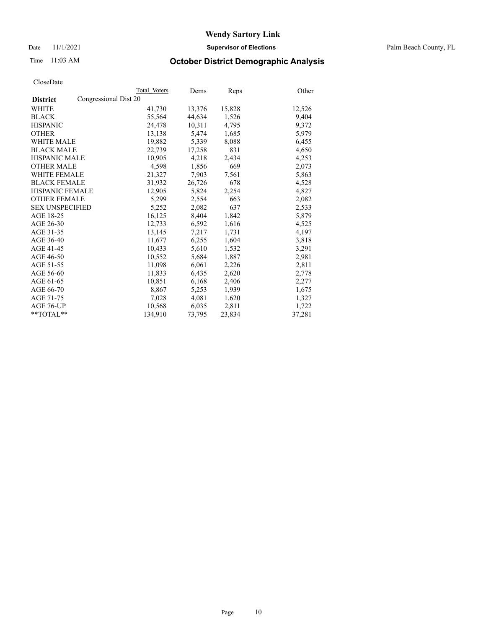Date 11/1/2021 **Supervisor of Elections** Palm Beach County, FL

## Time 11:03 AM **October District Demographic Analysis**

|                                          | Total Voters | Dems   | Reps   | Other  |
|------------------------------------------|--------------|--------|--------|--------|
| Congressional Dist 20<br><b>District</b> |              |        |        |        |
| <b>WHITE</b>                             | 41,730       | 13,376 | 15,828 | 12,526 |
| <b>BLACK</b>                             | 55,564       | 44,634 | 1,526  | 9,404  |
| <b>HISPANIC</b>                          | 24,478       | 10,311 | 4,795  | 9,372  |
| <b>OTHER</b>                             | 13,138       | 5,474  | 1,685  | 5,979  |
| <b>WHITE MALE</b>                        | 19,882       | 5,339  | 8,088  | 6,455  |
| <b>BLACK MALE</b>                        | 22,739       | 17,258 | 831    | 4,650  |
| <b>HISPANIC MALE</b>                     | 10,905       | 4,218  | 2,434  | 4,253  |
| <b>OTHER MALE</b>                        | 4,598        | 1,856  | 669    | 2,073  |
| <b>WHITE FEMALE</b>                      | 21,327       | 7,903  | 7,561  | 5,863  |
| <b>BLACK FEMALE</b>                      | 31,932       | 26,726 | 678    | 4,528  |
| HISPANIC FEMALE                          | 12,905       | 5,824  | 2,254  | 4,827  |
| <b>OTHER FEMALE</b>                      | 5,299        | 2,554  | 663    | 2,082  |
| <b>SEX UNSPECIFIED</b>                   | 5,252        | 2,082  | 637    | 2,533  |
| AGE 18-25                                | 16,125       | 8,404  | 1,842  | 5,879  |
| AGE 26-30                                | 12,733       | 6,592  | 1,616  | 4,525  |
| AGE 31-35                                | 13,145       | 7,217  | 1,731  | 4,197  |
| AGE 36-40                                | 11,677       | 6,255  | 1,604  | 3,818  |
| AGE 41-45                                | 10,433       | 5,610  | 1,532  | 3,291  |
| AGE 46-50                                | 10,552       | 5,684  | 1,887  | 2,981  |
| AGE 51-55                                | 11,098       | 6,061  | 2,226  | 2,811  |
| AGE 56-60                                | 11,833       | 6,435  | 2,620  | 2,778  |
| AGE 61-65                                | 10,851       | 6,168  | 2,406  | 2,277  |
| AGE 66-70                                | 8,867        | 5,253  | 1,939  | 1,675  |
| AGE 71-75                                | 7,028        | 4,081  | 1,620  | 1,327  |
| AGE 76-UP                                | 10,568       | 6,035  | 2,811  | 1,722  |
| $*$ $TOTAL**$                            | 134,910      | 73,795 | 23,834 | 37,281 |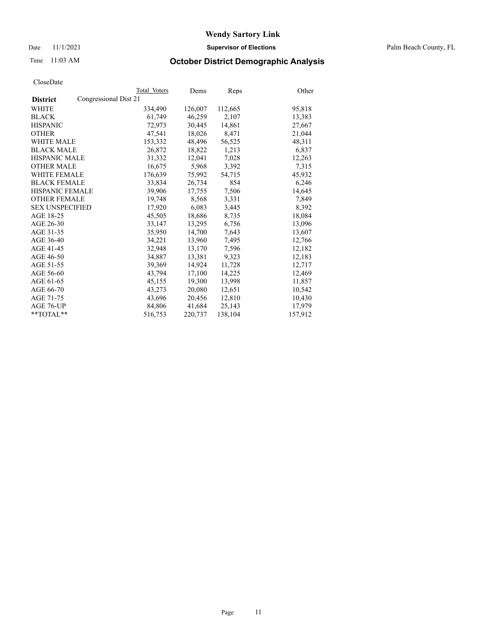Date 11/1/2021 **Supervisor of Elections** Palm Beach County, FL

## Time 11:03 AM **October District Demographic Analysis**

| Cioscizate             |                       |              |         |         |         |
|------------------------|-----------------------|--------------|---------|---------|---------|
|                        |                       | Total Voters | Dems    | Reps    | Other   |
| <b>District</b>        | Congressional Dist 21 |              |         |         |         |
| WHITE                  |                       | 334,490      | 126,007 | 112,665 | 95,818  |
| <b>BLACK</b>           |                       | 61,749       | 46,259  | 2,107   | 13,383  |
| <b>HISPANIC</b>        |                       | 72,973       | 30,445  | 14,861  | 27,667  |
| <b>OTHER</b>           |                       | 47,541       | 18,026  | 8,471   | 21,044  |
| <b>WHITE MALE</b>      |                       | 153,332      | 48,496  | 56,525  | 48,311  |
| <b>BLACK MALE</b>      |                       | 26,872       | 18,822  | 1,213   | 6,837   |
| <b>HISPANIC MALE</b>   |                       | 31,332       | 12,041  | 7,028   | 12,263  |
| <b>OTHER MALE</b>      |                       | 16,675       | 5,968   | 3,392   | 7,315   |
| <b>WHITE FEMALE</b>    |                       | 176,639      | 75,992  | 54,715  | 45,932  |
| <b>BLACK FEMALE</b>    |                       | 33,834       | 26,734  | 854     | 6,246   |
| <b>HISPANIC FEMALE</b> |                       | 39,906       | 17,755  | 7,506   | 14,645  |
| <b>OTHER FEMALE</b>    |                       | 19,748       | 8,568   | 3,331   | 7,849   |
| <b>SEX UNSPECIFIED</b> |                       | 17,920       | 6,083   | 3,445   | 8,392   |
| AGE 18-25              |                       | 45,505       | 18,686  | 8,735   | 18,084  |
| AGE 26-30              |                       | 33,147       | 13,295  | 6,756   | 13,096  |
| AGE 31-35              |                       | 35,950       | 14,700  | 7,643   | 13,607  |
| AGE 36-40              |                       | 34.221       | 13,960  | 7,495   | 12,766  |
| AGE 41-45              |                       | 32,948       | 13,170  | 7,596   | 12,182  |
| AGE 46-50              |                       | 34,887       | 13,381  | 9,323   | 12,183  |
| AGE 51-55              |                       | 39,369       | 14,924  | 11,728  | 12,717  |
| AGE 56-60              |                       | 43,794       | 17,100  | 14,225  | 12,469  |
| AGE 61-65              |                       | 45,155       | 19,300  | 13,998  | 11,857  |
| AGE 66-70              |                       | 43.273       | 20,080  | 12.651  | 10.542  |
| AGE 71-75              |                       | 43,696       | 20,456  | 12,810  | 10,430  |
| AGE 76-UP              |                       | 84.806       | 41,684  | 25,143  | 17,979  |
| $*$ $TOTAL**$          |                       | 516,753      | 220,737 | 138,104 | 157,912 |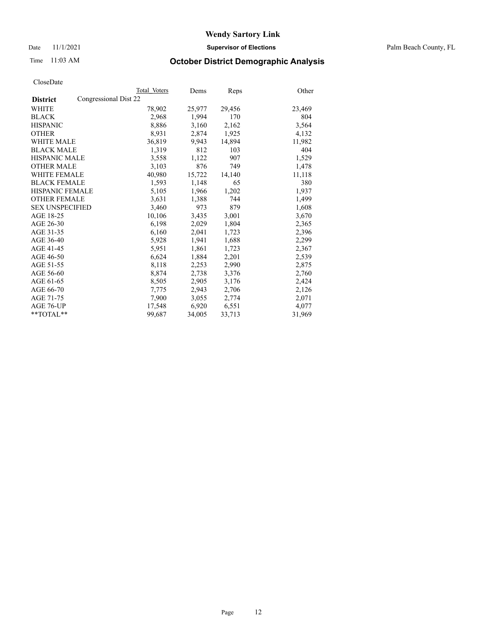Date 11/1/2021 **Supervisor of Elections** Palm Beach County, FL

## Time 11:03 AM **October District Demographic Analysis**

|                                          | Total Voters | Dems   | Reps   | Other  |
|------------------------------------------|--------------|--------|--------|--------|
| Congressional Dist 22<br><b>District</b> |              |        |        |        |
| <b>WHITE</b>                             | 78,902       | 25,977 | 29,456 | 23,469 |
| <b>BLACK</b>                             | 2,968        | 1,994  | 170    | 804    |
| <b>HISPANIC</b>                          | 8,886        | 3,160  | 2,162  | 3,564  |
| <b>OTHER</b>                             | 8,931        | 2,874  | 1,925  | 4,132  |
| <b>WHITE MALE</b>                        | 36,819       | 9,943  | 14,894 | 11,982 |
| <b>BLACK MALE</b>                        | 1,319        | 812    | 103    | 404    |
| <b>HISPANIC MALE</b>                     | 3,558        | 1,122  | 907    | 1,529  |
| <b>OTHER MALE</b>                        | 3.103        | 876    | 749    | 1,478  |
| <b>WHITE FEMALE</b>                      | 40.980       | 15,722 | 14,140 | 11,118 |
| <b>BLACK FEMALE</b>                      | 1,593        | 1,148  | 65     | 380    |
| <b>HISPANIC FEMALE</b>                   | 5,105        | 1,966  | 1,202  | 1,937  |
| <b>OTHER FEMALE</b>                      | 3,631        | 1,388  | 744    | 1,499  |
| <b>SEX UNSPECIFIED</b>                   | 3,460        | 973    | 879    | 1,608  |
| AGE 18-25                                | 10,106       | 3,435  | 3,001  | 3,670  |
| AGE 26-30                                | 6,198        | 2,029  | 1,804  | 2,365  |
| AGE 31-35                                | 6,160        | 2,041  | 1,723  | 2,396  |
| AGE 36-40                                | 5,928        | 1,941  | 1,688  | 2,299  |
| AGE 41-45                                | 5,951        | 1,861  | 1,723  | 2,367  |
| AGE 46-50                                | 6,624        | 1,884  | 2,201  | 2,539  |
| AGE 51-55                                | 8,118        | 2,253  | 2,990  | 2,875  |
| AGE 56-60                                | 8,874        | 2,738  | 3,376  | 2,760  |
| AGE 61-65                                | 8,505        | 2,905  | 3,176  | 2,424  |
| AGE 66-70                                | 7,775        | 2,943  | 2,706  | 2,126  |
| AGE 71-75                                | 7,900        | 3,055  | 2,774  | 2,071  |
| AGE 76-UP                                | 17.548       | 6,920  | 6,551  | 4,077  |
| $*$ $TOTAL**$                            | 99,687       | 34,005 | 33,713 | 31,969 |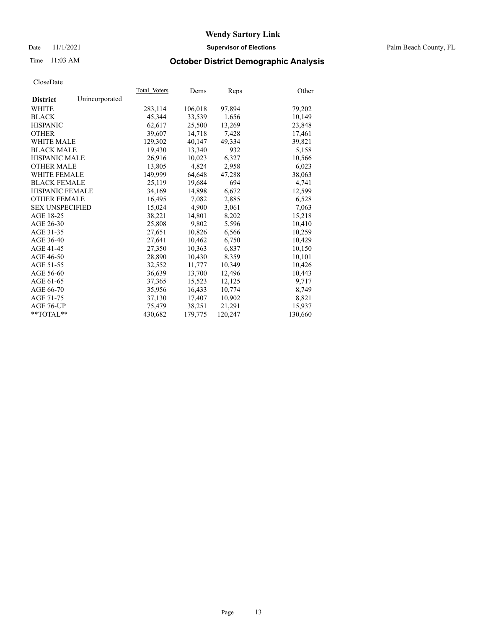Date 11/1/2021 **Supervisor of Elections** Palm Beach County, FL

## Time 11:03 AM **October District Demographic Analysis**

|                        |                | Total Voters | Dems    | Reps    | Other   |
|------------------------|----------------|--------------|---------|---------|---------|
| <b>District</b>        | Unincorporated |              |         |         |         |
| WHITE                  |                | 283,114      | 106,018 | 97,894  | 79,202  |
| <b>BLACK</b>           |                | 45,344       | 33,539  | 1,656   | 10,149  |
| <b>HISPANIC</b>        |                | 62,617       | 25,500  | 13,269  | 23,848  |
| <b>OTHER</b>           |                | 39,607       | 14,718  | 7,428   | 17,461  |
| <b>WHITE MALE</b>      |                | 129,302      | 40,147  | 49,334  | 39,821  |
| <b>BLACK MALE</b>      |                | 19,430       | 13,340  | 932     | 5,158   |
| <b>HISPANIC MALE</b>   |                | 26,916       | 10,023  | 6,327   | 10,566  |
| <b>OTHER MALE</b>      |                | 13,805       | 4,824   | 2,958   | 6,023   |
| <b>WHITE FEMALE</b>    |                | 149,999      | 64,648  | 47,288  | 38,063  |
| <b>BLACK FEMALE</b>    |                | 25,119       | 19,684  | 694     | 4,741   |
| <b>HISPANIC FEMALE</b> |                | 34,169       | 14,898  | 6,672   | 12,599  |
| <b>OTHER FEMALE</b>    |                | 16,495       | 7,082   | 2,885   | 6,528   |
| <b>SEX UNSPECIFIED</b> |                | 15,024       | 4,900   | 3,061   | 7,063   |
| AGE 18-25              |                | 38,221       | 14,801  | 8,202   | 15,218  |
| AGE 26-30              |                | 25,808       | 9,802   | 5,596   | 10,410  |
| AGE 31-35              |                | 27,651       | 10,826  | 6,566   | 10,259  |
| AGE 36-40              |                | 27,641       | 10,462  | 6,750   | 10,429  |
| AGE 41-45              |                | 27,350       | 10,363  | 6,837   | 10,150  |
| AGE 46-50              |                | 28,890       | 10,430  | 8,359   | 10,101  |
| AGE 51-55              |                | 32,552       | 11,777  | 10,349  | 10,426  |
| AGE 56-60              |                | 36,639       | 13,700  | 12,496  | 10,443  |
| AGE 61-65              |                | 37,365       | 15,523  | 12,125  | 9,717   |
| AGE 66-70              |                | 35,956       | 16,433  | 10,774  | 8,749   |
| AGE 71-75              |                | 37,130       | 17,407  | 10,902  | 8,821   |
| AGE 76-UP              |                | 75,479       | 38,251  | 21,291  | 15,937  |
| $*$ $TOTAL**$          |                | 430,682      | 179,775 | 120,247 | 130,660 |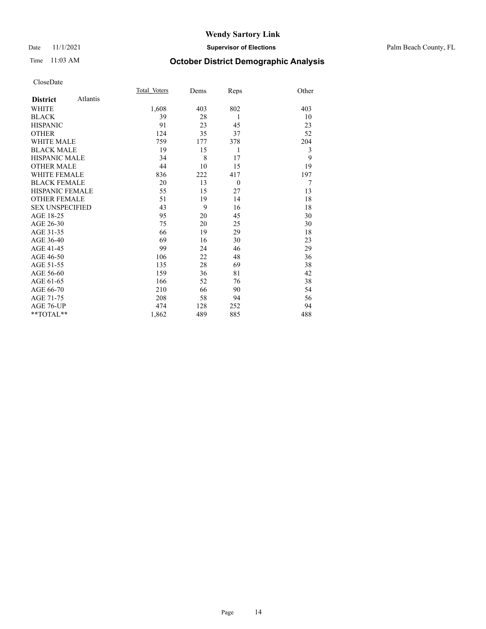### Date 11/1/2021 **Supervisor of Elections** Palm Beach County, FL

## Time 11:03 AM **October District Demographic Analysis**

|                        |          | Total Voters | Dems | Reps     | Other          |
|------------------------|----------|--------------|------|----------|----------------|
| <b>District</b>        | Atlantis |              |      |          |                |
| WHITE                  |          | 1,608        | 403  | 802      | 403            |
| <b>BLACK</b>           |          | 39           | 28   | 1        | 10             |
| <b>HISPANIC</b>        |          | 91           | 23   | 45       | 23             |
| <b>OTHER</b>           |          | 124          | 35   | 37       | 52             |
| <b>WHITE MALE</b>      |          | 759          | 177  | 378      | 204            |
| <b>BLACK MALE</b>      |          | 19           | 15   | 1        | 3              |
| <b>HISPANIC MALE</b>   |          | 34           | 8    | 17       | 9              |
| <b>OTHER MALE</b>      |          | 44           | 10   | 15       | 19             |
| <b>WHITE FEMALE</b>    |          | 836          | 222  | 417      | 197            |
| <b>BLACK FEMALE</b>    |          | 20           | 13   | $\theta$ | $\overline{7}$ |
| <b>HISPANIC FEMALE</b> |          | 55           | 15   | 27       | 13             |
| <b>OTHER FEMALE</b>    |          | 51           | 19   | 14       | 18             |
| <b>SEX UNSPECIFIED</b> |          | 43           | 9    | 16       | 18             |
| AGE 18-25              |          | 95           | 20   | 45       | 30             |
| AGE 26-30              |          | 75           | 20   | 25       | 30             |
| AGE 31-35              |          | 66           | 19   | 29       | 18             |
| AGE 36-40              |          | 69           | 16   | 30       | 23             |
| AGE 41-45              |          | 99           | 24   | 46       | 29             |
| AGE 46-50              |          | 106          | 22   | 48       | 36             |
| AGE 51-55              |          | 135          | 28   | 69       | 38             |
| AGE 56-60              |          | 159          | 36   | 81       | 42             |
| AGE 61-65              |          | 166          | 52   | 76       | 38             |
| AGE 66-70              |          | 210          | 66   | 90       | 54             |
| AGE 71-75              |          | 208          | 58   | 94       | 56             |
| AGE 76-UP              |          | 474          | 128  | 252      | 94             |
| **TOTAL**              |          | 1,862        | 489  | 885      | 488            |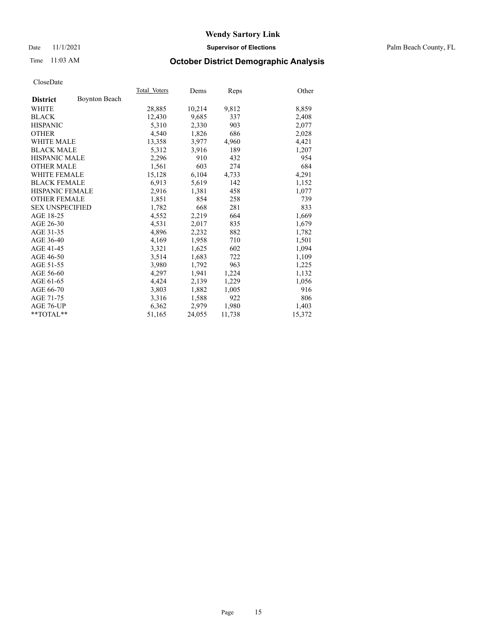### Date 11/1/2021 **Supervisor of Elections** Palm Beach County, FL

## Time 11:03 AM **October District Demographic Analysis**

|                        |                      | Total Voters | Dems   | <b>Reps</b> | Other  |
|------------------------|----------------------|--------------|--------|-------------|--------|
| <b>District</b>        | <b>Boynton Beach</b> |              |        |             |        |
| WHITE                  |                      | 28,885       | 10,214 | 9,812       | 8,859  |
| <b>BLACK</b>           |                      | 12,430       | 9.685  | 337         | 2,408  |
| <b>HISPANIC</b>        |                      | 5,310        | 2,330  | 903         | 2,077  |
| <b>OTHER</b>           |                      | 4,540        | 1,826  | 686         | 2,028  |
| <b>WHITE MALE</b>      |                      | 13,358       | 3,977  | 4,960       | 4,421  |
| <b>BLACK MALE</b>      |                      | 5,312        | 3,916  | 189         | 1,207  |
| <b>HISPANIC MALE</b>   |                      | 2,296        | 910    | 432         | 954    |
| <b>OTHER MALE</b>      |                      | 1,561        | 603    | 274         | 684    |
| <b>WHITE FEMALE</b>    |                      | 15,128       | 6,104  | 4,733       | 4,291  |
| <b>BLACK FEMALE</b>    |                      | 6,913        | 5,619  | 142         | 1,152  |
| <b>HISPANIC FEMALE</b> |                      | 2,916        | 1,381  | 458         | 1,077  |
| <b>OTHER FEMALE</b>    |                      | 1,851        | 854    | 258         | 739    |
| <b>SEX UNSPECIFIED</b> |                      | 1,782        | 668    | 281         | 833    |
| AGE 18-25              |                      | 4,552        | 2,219  | 664         | 1,669  |
| AGE 26-30              |                      | 4,531        | 2,017  | 835         | 1,679  |
| AGE 31-35              |                      | 4,896        | 2,232  | 882         | 1,782  |
| AGE 36-40              |                      | 4,169        | 1,958  | 710         | 1,501  |
| AGE 41-45              |                      | 3,321        | 1,625  | 602         | 1,094  |
| AGE 46-50              |                      | 3,514        | 1,683  | 722         | 1,109  |
| AGE 51-55              |                      | 3,980        | 1,792  | 963         | 1,225  |
| AGE 56-60              |                      | 4,297        | 1,941  | 1,224       | 1,132  |
| AGE 61-65              |                      | 4,424        | 2,139  | 1,229       | 1,056  |
| AGE 66-70              |                      | 3,803        | 1,882  | 1,005       | 916    |
| AGE 71-75              |                      | 3,316        | 1,588  | 922         | 806    |
| AGE 76-UP              |                      | 6,362        | 2,979  | 1,980       | 1,403  |
| **TOTAL**              |                      | 51,165       | 24,055 | 11,738      | 15,372 |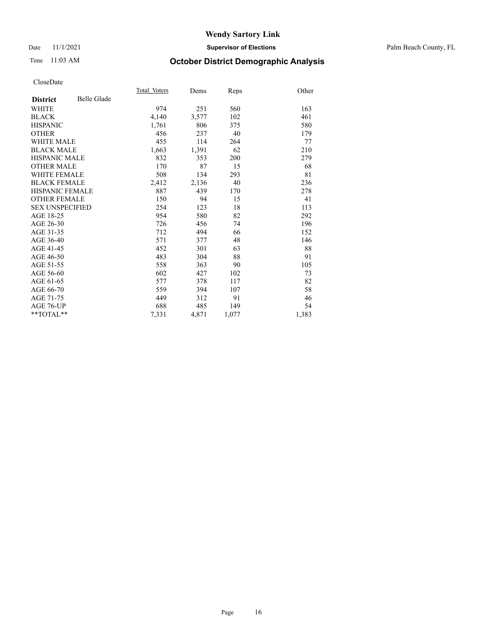### Date 11/1/2021 **Supervisor of Elections** Palm Beach County, FL

## Time 11:03 AM **October District Demographic Analysis**

|                        |                    | Total Voters | Dems  | Reps  | Other |
|------------------------|--------------------|--------------|-------|-------|-------|
| <b>District</b>        | <b>Belle Glade</b> |              |       |       |       |
| <b>WHITE</b>           |                    | 974          | 251   | 560   | 163   |
| <b>BLACK</b>           |                    | 4,140        | 3,577 | 102   | 461   |
| <b>HISPANIC</b>        |                    | 1,761        | 806   | 375   | 580   |
| <b>OTHER</b>           |                    | 456          | 237   | 40    | 179   |
| <b>WHITE MALE</b>      |                    | 455          | 114   | 264   | 77    |
| <b>BLACK MALE</b>      |                    | 1,663        | 1,391 | 62    | 210   |
| <b>HISPANIC MALE</b>   |                    | 832          | 353   | 200   | 279   |
| <b>OTHER MALE</b>      |                    | 170          | 87    | 15    | 68    |
| <b>WHITE FEMALE</b>    |                    | 508          | 134   | 293   | 81    |
| <b>BLACK FEMALE</b>    |                    | 2,412        | 2,136 | 40    | 236   |
| <b>HISPANIC FEMALE</b> |                    | 887          | 439   | 170   | 278   |
| <b>OTHER FEMALE</b>    |                    | 150          | 94    | 15    | 41    |
| <b>SEX UNSPECIFIED</b> |                    | 254          | 123   | 18    | 113   |
| AGE 18-25              |                    | 954          | 580   | 82    | 292   |
| AGE 26-30              |                    | 726          | 456   | 74    | 196   |
| AGE 31-35              |                    | 712          | 494   | 66    | 152   |
| AGE 36-40              |                    | 571          | 377   | 48    | 146   |
| AGE 41-45              |                    | 452          | 301   | 63    | 88    |
| AGE 46-50              |                    | 483          | 304   | 88    | 91    |
| AGE 51-55              |                    | 558          | 363   | 90    | 105   |
| AGE 56-60              |                    | 602          | 427   | 102   | 73    |
| AGE 61-65              |                    | 577          | 378   | 117   | 82    |
| AGE 66-70              |                    | 559          | 394   | 107   | 58    |
| AGE 71-75              |                    | 449          | 312   | 91    | 46    |
| AGE 76-UP              |                    | 688          | 485   | 149   | 54    |
| $*$ $TOTAL**$          |                    | 7,331        | 4,871 | 1,077 | 1,383 |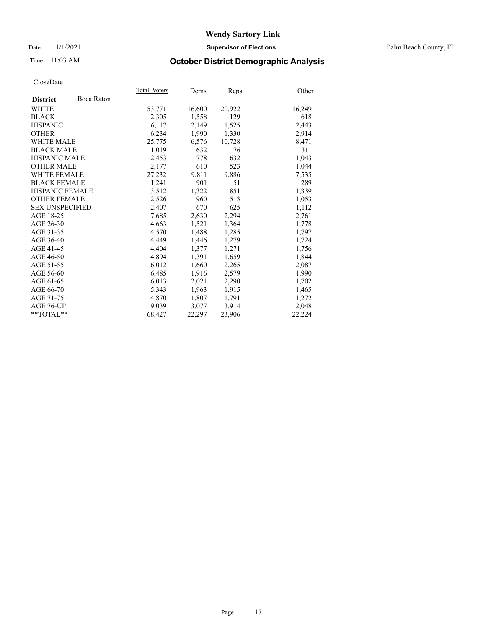### Date 11/1/2021 **Supervisor of Elections** Palm Beach County, FL

## Time 11:03 AM **October District Demographic Analysis**

|                        |            | Total Voters | Dems   | Reps   | Other  |
|------------------------|------------|--------------|--------|--------|--------|
| <b>District</b>        | Boca Raton |              |        |        |        |
| WHITE                  |            | 53,771       | 16,600 | 20,922 | 16,249 |
| <b>BLACK</b>           |            | 2,305        | 1,558  | 129    | 618    |
| <b>HISPANIC</b>        |            | 6,117        | 2,149  | 1,525  | 2,443  |
| <b>OTHER</b>           |            | 6,234        | 1,990  | 1,330  | 2,914  |
| <b>WHITE MALE</b>      |            | 25,775       | 6,576  | 10,728 | 8,471  |
| <b>BLACK MALE</b>      |            | 1,019        | 632    | 76     | 311    |
| <b>HISPANIC MALE</b>   |            | 2,453        | 778    | 632    | 1,043  |
| <b>OTHER MALE</b>      |            | 2,177        | 610    | 523    | 1,044  |
| <b>WHITE FEMALE</b>    |            | 27,232       | 9,811  | 9,886  | 7,535  |
| <b>BLACK FEMALE</b>    |            | 1,241        | 901    | 51     | 289    |
| <b>HISPANIC FEMALE</b> |            | 3,512        | 1,322  | 851    | 1,339  |
| <b>OTHER FEMALE</b>    |            | 2,526        | 960    | 513    | 1,053  |
| <b>SEX UNSPECIFIED</b> |            | 2,407        | 670    | 625    | 1,112  |
| AGE 18-25              |            | 7,685        | 2,630  | 2,294  | 2,761  |
| AGE 26-30              |            | 4,663        | 1,521  | 1,364  | 1,778  |
| AGE 31-35              |            | 4,570        | 1,488  | 1,285  | 1,797  |
| AGE 36-40              |            | 4.449        | 1,446  | 1,279  | 1,724  |
| AGE 41-45              |            | 4,404        | 1,377  | 1,271  | 1,756  |
| AGE 46-50              |            | 4,894        | 1,391  | 1,659  | 1,844  |
| AGE 51-55              |            | 6,012        | 1,660  | 2,265  | 2,087  |
| AGE 56-60              |            | 6,485        | 1,916  | 2,579  | 1,990  |
| AGE 61-65              |            | 6,013        | 2,021  | 2,290  | 1,702  |
| AGE 66-70              |            | 5,343        | 1,963  | 1,915  | 1,465  |
| AGE 71-75              |            | 4,870        | 1,807  | 1,791  | 1,272  |
| AGE 76-UP              |            | 9,039        | 3,077  | 3,914  | 2,048  |
| $*$ $TOTAL**$          |            | 68,427       | 22,297 | 23,906 | 22,224 |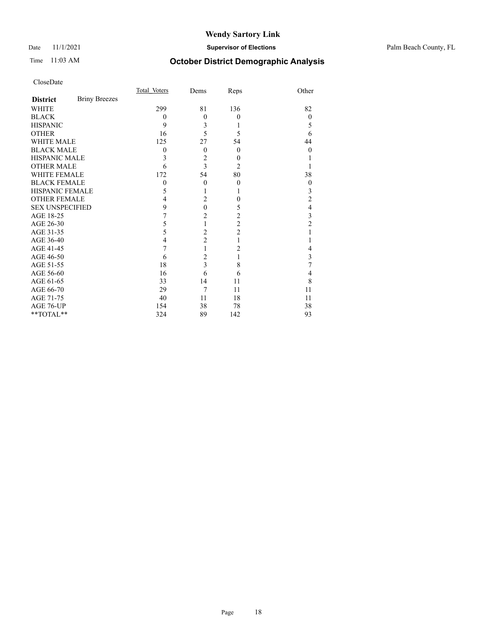### Date 11/1/2021 **Supervisor of Elections** Palm Beach County, FL

## Time 11:03 AM **October District Demographic Analysis**

|                        |                      | Total Voters | Dems                    | Reps             | Other          |
|------------------------|----------------------|--------------|-------------------------|------------------|----------------|
| <b>District</b>        | <b>Briny Breezes</b> |              |                         |                  |                |
| <b>WHITE</b>           |                      | 299          | 81                      | 136              | 82             |
| <b>BLACK</b>           |                      | $\theta$     | $\mathbf{0}$            | $\theta$         | $\theta$       |
| <b>HISPANIC</b>        |                      | 9            | 3                       | 1                | 5              |
| <b>OTHER</b>           |                      | 16           | 5                       | 5                | 6              |
| <b>WHITE MALE</b>      |                      | 125          | 27                      | 54               | 44             |
| <b>BLACK MALE</b>      |                      | 0            | $\overline{0}$          | $\theta$         | $\theta$       |
| <b>HISPANIC MALE</b>   |                      | 3            | $\overline{c}$          | $\boldsymbol{0}$ |                |
| <b>OTHER MALE</b>      |                      | 6            | 3                       | 2                |                |
| WHITE FEMALE           |                      | 172          | 54                      | 80               | 38             |
| <b>BLACK FEMALE</b>    |                      | $\mathbf{0}$ | $\theta$                | $\theta$         | $\theta$       |
| <b>HISPANIC FEMALE</b> |                      | 5            | 1                       | 1                | 3              |
| <b>OTHER FEMALE</b>    |                      | 4            | $\overline{2}$          | $\theta$         | $\overline{c}$ |
| <b>SEX UNSPECIFIED</b> |                      | 9            | $\mathbf{0}$            | 5                | 4              |
| AGE 18-25              |                      | 7            | $\overline{c}$          | $\overline{c}$   | 3              |
| AGE 26-30              |                      | 5            | 1                       | $\overline{c}$   | $\overline{c}$ |
| AGE 31-35              |                      | 5            | $\overline{2}$          | $\overline{2}$   |                |
| AGE 36-40              |                      | 4            | $\overline{c}$          | 1                |                |
| AGE 41-45              |                      | 7            | 1                       | 2                | 4              |
| AGE 46-50              |                      | 6            | $\overline{c}$          | 1                | 3              |
| AGE 51-55              |                      | 18           | $\overline{\mathbf{3}}$ | 8                | 7              |
| AGE 56-60              |                      | 16           | 6                       | 6                | 4              |
| AGE 61-65              |                      | 33           | 14                      | 11               | 8              |
| AGE 66-70              |                      | 29           | 7                       | 11               | 11             |
| AGE 71-75              |                      | 40           | 11                      | 18               | 11             |
| AGE 76-UP              |                      | 154          | 38                      | 78               | 38             |
| **TOTAL**              |                      | 324          | 89                      | 142              | 93             |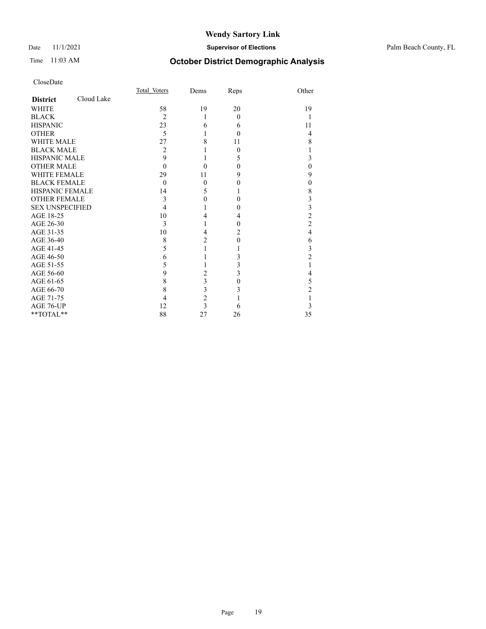### Date 11/1/2021 **Supervisor of Elections** Palm Beach County, FL

## Time 11:03 AM **October District Demographic Analysis**

|                               | Total Voters   | Dems                    | Reps     | Other          |
|-------------------------------|----------------|-------------------------|----------|----------------|
| Cloud Lake<br><b>District</b> |                |                         |          |                |
| <b>WHITE</b>                  | 58             | 19                      | 20       | 19             |
| <b>BLACK</b>                  | $\overline{2}$ | 1                       | $\theta$ | 1              |
| <b>HISPANIC</b>               | 23             | 6                       | 6        | 11             |
| <b>OTHER</b>                  | 5              |                         | 0        | $\overline{4}$ |
| <b>WHITE MALE</b>             | 27             | 8                       | 11       | 8              |
| <b>BLACK MALE</b>             | 2              |                         | 0        | l              |
| <b>HISPANIC MALE</b>          | 9              |                         | 5        | 3              |
| <b>OTHER MALE</b>             | $\theta$       | 0                       | 0        | $\overline{0}$ |
| WHITE FEMALE                  | 29             | 11                      | 9        | 9              |
| <b>BLACK FEMALE</b>           | $\theta$       | $\theta$                | 0        | $\overline{0}$ |
| <b>HISPANIC FEMALE</b>        | 14             | 5                       |          | 8              |
| <b>OTHER FEMALE</b>           | 3              | $\mathbf{0}$            | 0        | 3              |
| <b>SEX UNSPECIFIED</b>        | 4              |                         | 0        | 3              |
| AGE 18-25                     | 10             | 4                       | 4        | $\overline{c}$ |
| AGE 26-30                     | 3              | 1                       | 0        | $\overline{c}$ |
| AGE 31-35                     | 10             | 4                       | 2        | $\overline{4}$ |
| AGE 36-40                     | 8              | $\overline{2}$          | $\theta$ | 6              |
| AGE 41-45                     | 5              |                         |          | 3              |
| AGE 46-50                     | 6              |                         | 3        | $\overline{2}$ |
| AGE 51-55                     | 5              |                         | 3        | 1              |
| AGE 56-60                     | 9              | $\overline{c}$          | 3        | 4              |
| AGE 61-65                     | 8              | 3                       | 0        | 5              |
| AGE 66-70                     | 8              | 3                       | 3        | $\overline{c}$ |
| AGE 71-75                     | 4              | $\overline{c}$          |          | 1              |
| AGE 76-UP                     | 12             | $\overline{\mathbf{3}}$ | 6        | 3              |
| **TOTAL**                     | 88             | 27                      | 26       | 35             |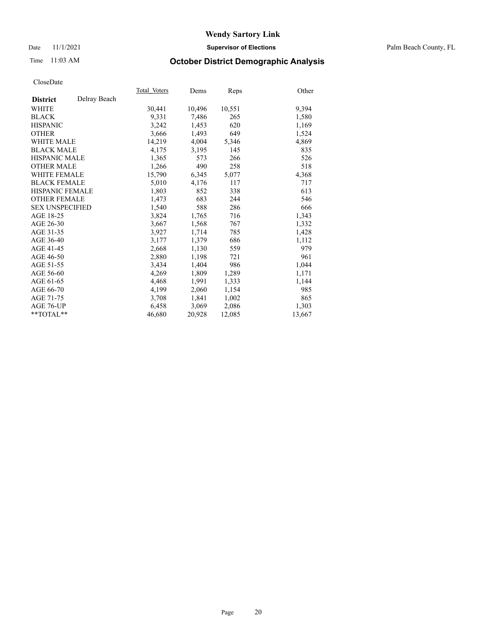Date 11/1/2021 **Supervisor of Elections** Palm Beach County, FL

## Time 11:03 AM **October District Demographic Analysis**

|                        |              | Total Voters | Dems   | <b>Reps</b> | Other  |
|------------------------|--------------|--------------|--------|-------------|--------|
| <b>District</b>        | Delray Beach |              |        |             |        |
| <b>WHITE</b>           |              | 30,441       | 10,496 | 10,551      | 9,394  |
| <b>BLACK</b>           |              | 9,331        | 7,486  | 265         | 1,580  |
| <b>HISPANIC</b>        |              | 3,242        | 1,453  | 620         | 1,169  |
| <b>OTHER</b>           |              | 3,666        | 1,493  | 649         | 1,524  |
| <b>WHITE MALE</b>      |              | 14,219       | 4,004  | 5,346       | 4,869  |
| <b>BLACK MALE</b>      |              | 4,175        | 3,195  | 145         | 835    |
| <b>HISPANIC MALE</b>   |              | 1,365        | 573    | 266         | 526    |
| <b>OTHER MALE</b>      |              | 1,266        | 490    | 258         | 518    |
| <b>WHITE FEMALE</b>    |              | 15,790       | 6,345  | 5,077       | 4,368  |
| <b>BLACK FEMALE</b>    |              | 5,010        | 4,176  | 117         | 717    |
| <b>HISPANIC FEMALE</b> |              | 1,803        | 852    | 338         | 613    |
| <b>OTHER FEMALE</b>    |              | 1,473        | 683    | 244         | 546    |
| <b>SEX UNSPECIFIED</b> |              | 1,540        | 588    | 286         | 666    |
| AGE 18-25              |              | 3,824        | 1,765  | 716         | 1,343  |
| AGE 26-30              |              | 3,667        | 1,568  | 767         | 1,332  |
| AGE 31-35              |              | 3,927        | 1,714  | 785         | 1,428  |
| AGE 36-40              |              | 3,177        | 1,379  | 686         | 1,112  |
| AGE 41-45              |              | 2,668        | 1,130  | 559         | 979    |
| AGE 46-50              |              | 2,880        | 1,198  | 721         | 961    |
| AGE 51-55              |              | 3,434        | 1,404  | 986         | 1,044  |
| AGE 56-60              |              | 4,269        | 1,809  | 1,289       | 1,171  |
| AGE 61-65              |              | 4,468        | 1,991  | 1,333       | 1,144  |
| AGE 66-70              |              | 4,199        | 2,060  | 1,154       | 985    |
| AGE 71-75              |              | 3,708        | 1,841  | 1,002       | 865    |
| AGE 76-UP              |              | 6,458        | 3,069  | 2,086       | 1,303  |
| $*$ $TOTAL**$          |              | 46,680       | 20,928 | 12,085      | 13,667 |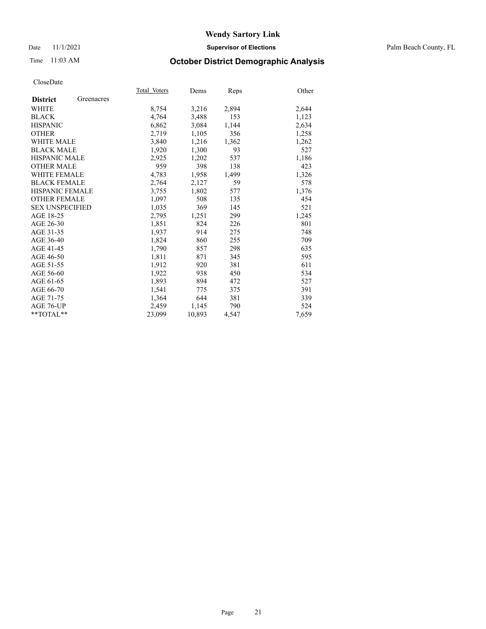### Date 11/1/2021 **Supervisor of Elections** Palm Beach County, FL

## Time 11:03 AM **October District Demographic Analysis**

|                        |            | Total Voters | Dems   | Reps  | Other |
|------------------------|------------|--------------|--------|-------|-------|
| <b>District</b>        | Greenacres |              |        |       |       |
| WHITE                  |            | 8,754        | 3,216  | 2,894 | 2,644 |
| <b>BLACK</b>           |            | 4,764        | 3,488  | 153   | 1,123 |
| <b>HISPANIC</b>        |            | 6,862        | 3,084  | 1,144 | 2,634 |
| <b>OTHER</b>           |            | 2,719        | 1,105  | 356   | 1,258 |
| <b>WHITE MALE</b>      |            | 3,840        | 1,216  | 1,362 | 1,262 |
| <b>BLACK MALE</b>      |            | 1,920        | 1,300  | 93    | 527   |
| <b>HISPANIC MALE</b>   |            | 2,925        | 1,202  | 537   | 1,186 |
| <b>OTHER MALE</b>      |            | 959          | 398    | 138   | 423   |
| <b>WHITE FEMALE</b>    |            | 4,783        | 1,958  | 1,499 | 1,326 |
| <b>BLACK FEMALE</b>    |            | 2,764        | 2,127  | 59    | 578   |
| <b>HISPANIC FEMALE</b> |            | 3,755        | 1,802  | 577   | 1,376 |
| <b>OTHER FEMALE</b>    |            | 1,097        | 508    | 135   | 454   |
| <b>SEX UNSPECIFIED</b> |            | 1,035        | 369    | 145   | 521   |
| AGE 18-25              |            | 2,795        | 1,251  | 299   | 1,245 |
| AGE 26-30              |            | 1,851        | 824    | 226   | 801   |
| AGE 31-35              |            | 1,937        | 914    | 275   | 748   |
| AGE 36-40              |            | 1,824        | 860    | 255   | 709   |
| AGE 41-45              |            | 1,790        | 857    | 298   | 635   |
| AGE 46-50              |            | 1,811        | 871    | 345   | 595   |
| AGE 51-55              |            | 1,912        | 920    | 381   | 611   |
| AGE 56-60              |            | 1,922        | 938    | 450   | 534   |
| AGE 61-65              |            | 1,893        | 894    | 472   | 527   |
| AGE 66-70              |            | 1,541        | 775    | 375   | 391   |
| AGE 71-75              |            | 1,364        | 644    | 381   | 339   |
| AGE 76-UP              |            | 2.459        | 1,145  | 790   | 524   |
| $*$ $TOTAL**$          |            | 23,099       | 10,893 | 4,547 | 7,659 |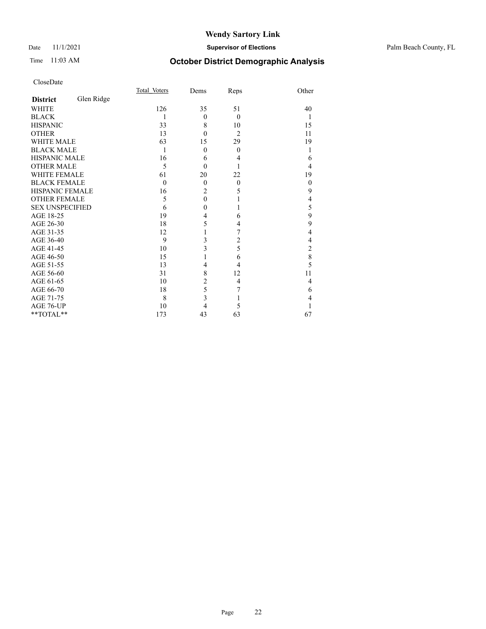### Date 11/1/2021 **Supervisor of Elections** Palm Beach County, FL

## Time 11:03 AM **October District Demographic Analysis**

|                        |            | Total Voters | Dems           | Reps           | Other          |
|------------------------|------------|--------------|----------------|----------------|----------------|
| <b>District</b>        | Glen Ridge |              |                |                |                |
| <b>WHITE</b>           |            | 126          | 35             | 51             | 40             |
| <b>BLACK</b>           |            | 1            | $\theta$       | $\theta$       | 1              |
| <b>HISPANIC</b>        |            | 33           | 8              | 10             | 15             |
| <b>OTHER</b>           |            | 13           | $\theta$       | $\overline{2}$ | 11             |
| WHITE MALE             |            | 63           | 15             | 29             | 19             |
| <b>BLACK MALE</b>      |            | 1            | $\theta$       | $\theta$       |                |
| HISPANIC MALE          |            | 16           | 6              | 4              | 6              |
| <b>OTHER MALE</b>      |            | 5            | $\theta$       |                | 4              |
| WHITE FEMALE           |            | 61           | 20             | 22             | 19             |
| <b>BLACK FEMALE</b>    |            | $\theta$     | $\theta$       | $\theta$       | $\theta$       |
| <b>HISPANIC FEMALE</b> |            | 16           | $\overline{c}$ | 5              | 9              |
| <b>OTHER FEMALE</b>    |            | 5            | $\overline{0}$ | 1              | 4              |
| <b>SEX UNSPECIFIED</b> |            | 6            | $\theta$       | 1              | 5              |
| AGE 18-25              |            | 19           | 4              | 6              | 9              |
| AGE 26-30              |            | 18           | 5              | 4              | 9              |
| AGE 31-35              |            | 12           | 1              | 7              | 4              |
| AGE 36-40              |            | 9            | 3              | 2              | 4              |
| AGE 41-45              |            | 10           | 3              | 5              | $\overline{2}$ |
| AGE 46-50              |            | 15           | 1              | 6              | 8              |
| AGE 51-55              |            | 13           | $\overline{4}$ | 4              | 5              |
| AGE 56-60              |            | 31           | 8              | 12             | 11             |
| AGE 61-65              |            | 10           | $\overline{2}$ | 4              | 4              |
| AGE 66-70              |            | 18           | 5              | 7              | 6              |
| AGE 71-75              |            | 8            | 3              |                | 4              |
| AGE 76-UP              |            | 10           | 4              | 5              |                |
| **TOTAL**              |            | 173          | 43             | 63             | 67             |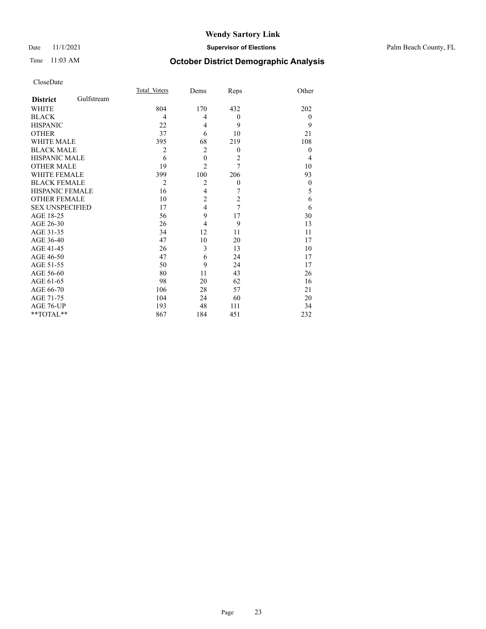### Date 11/1/2021 **Supervisor of Elections** Palm Beach County, FL

## Time 11:03 AM **October District Demographic Analysis**

|                        |            | Total Voters   | Dems             | Reps             | Other        |
|------------------------|------------|----------------|------------------|------------------|--------------|
| <b>District</b>        | Gulfstream |                |                  |                  |              |
| <b>WHITE</b>           |            | 804            | 170              | 432              | 202          |
| <b>BLACK</b>           |            | $\overline{4}$ | 4                | $\mathbf{0}$     | $\theta$     |
| <b>HISPANIC</b>        |            | 22             | 4                | 9                | 9            |
| <b>OTHER</b>           |            | 37             | 6                | 10               | 21           |
| <b>WHITE MALE</b>      |            | 395            | 68               | 219              | 108          |
| <b>BLACK MALE</b>      |            | $\overline{2}$ | $\overline{2}$   | $\mathbf{0}$     | $\theta$     |
| <b>HISPANIC MALE</b>   |            | 6              | $\boldsymbol{0}$ | $\overline{c}$   | 4            |
| <b>OTHER MALE</b>      |            | 19             | $\overline{2}$   | $\overline{7}$   | 10           |
| <b>WHITE FEMALE</b>    |            | 399            | 100              | 206              | 93           |
| <b>BLACK FEMALE</b>    |            | $\overline{2}$ | $\overline{2}$   | $\boldsymbol{0}$ | $\mathbf{0}$ |
| <b>HISPANIC FEMALE</b> |            | 16             | $\overline{4}$   | 7                | 5            |
| <b>OTHER FEMALE</b>    |            | 10             | $\overline{c}$   | $\overline{2}$   | 6            |
| <b>SEX UNSPECIFIED</b> |            | 17             | $\overline{4}$   | 7                | 6            |
| AGE 18-25              |            | 56             | 9                | 17               | 30           |
| AGE 26-30              |            | 26             | $\overline{4}$   | 9                | 13           |
| AGE 31-35              |            | 34             | 12               | 11               | 11           |
| AGE 36-40              |            | 47             | 10               | 20               | 17           |
| AGE 41-45              |            | 26             | 3                | 13               | 10           |
| AGE 46-50              |            | 47             | 6                | 24               | 17           |
| AGE 51-55              |            | 50             | 9                | 24               | 17           |
| AGE 56-60              |            | 80             | 11               | 43               | 26           |
| AGE 61-65              |            | 98             | 20               | 62               | 16           |
| AGE 66-70              |            | 106            | 28               | 57               | 21           |
| AGE 71-75              |            | 104            | 24               | 60               | 20           |
| AGE 76-UP              |            | 193            | 48               | 111              | 34           |
| **TOTAL**              |            | 867            | 184              | 451              | 232          |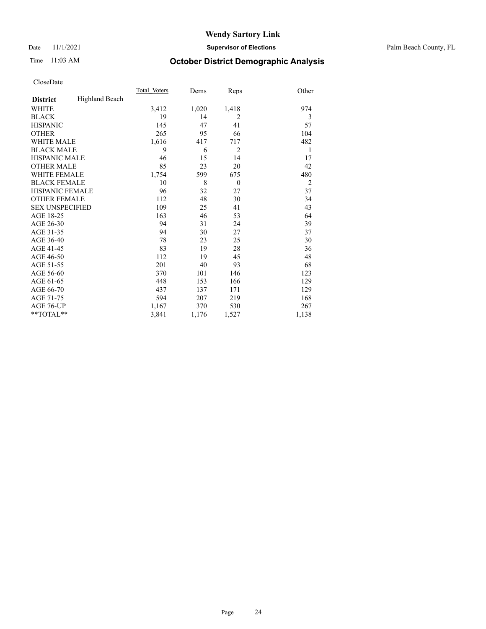Date 11/1/2021 **Supervisor of Elections** Palm Beach County, FL

## Time 11:03 AM **October District Demographic Analysis**

|                        |                       | Total Voters | Dems  | Reps           | Other          |
|------------------------|-----------------------|--------------|-------|----------------|----------------|
| <b>District</b>        | <b>Highland Beach</b> |              |       |                |                |
| <b>WHITE</b>           |                       | 3,412        | 1,020 | 1,418          | 974            |
| <b>BLACK</b>           |                       | 19           | 14    | 2              | 3              |
| <b>HISPANIC</b>        |                       | 145          | 47    | 41             | 57             |
| <b>OTHER</b>           |                       | 265          | 95    | 66             | 104            |
| WHITE MALE             |                       | 1,616        | 417   | 717            | 482            |
| <b>BLACK MALE</b>      |                       | 9            | 6     | $\overline{2}$ | 1              |
| <b>HISPANIC MALE</b>   |                       | 46           | 15    | 14             | 17             |
| <b>OTHER MALE</b>      |                       | 85           | 23    | 20             | 42             |
| WHITE FEMALE           |                       | 1,754        | 599   | 675            | 480            |
| <b>BLACK FEMALE</b>    |                       | 10           | 8     | $\theta$       | $\overline{2}$ |
| <b>HISPANIC FEMALE</b> |                       | 96           | 32    | 27             | 37             |
| <b>OTHER FEMALE</b>    |                       | 112          | 48    | 30             | 34             |
| <b>SEX UNSPECIFIED</b> |                       | 109          | 25    | 41             | 43             |
| AGE 18-25              |                       | 163          | 46    | 53             | 64             |
| AGE 26-30              |                       | 94           | 31    | 24             | 39             |
| AGE 31-35              |                       | 94           | 30    | 27             | 37             |
| AGE 36-40              |                       | 78           | 23    | 25             | 30             |
| AGE 41-45              |                       | 83           | 19    | 28             | 36             |
| AGE 46-50              |                       | 112          | 19    | 45             | 48             |
| AGE 51-55              |                       | 201          | 40    | 93             | 68             |
| AGE 56-60              |                       | 370          | 101   | 146            | 123            |
| AGE 61-65              |                       | 448          | 153   | 166            | 129            |
| AGE 66-70              |                       | 437          | 137   | 171            | 129            |
| AGE 71-75              |                       | 594          | 207   | 219            | 168            |
| AGE 76-UP              |                       | 1,167        | 370   | 530            | 267            |
| $*$ $TOTAL**$          |                       | 3,841        | 1,176 | 1,527          | 1,138          |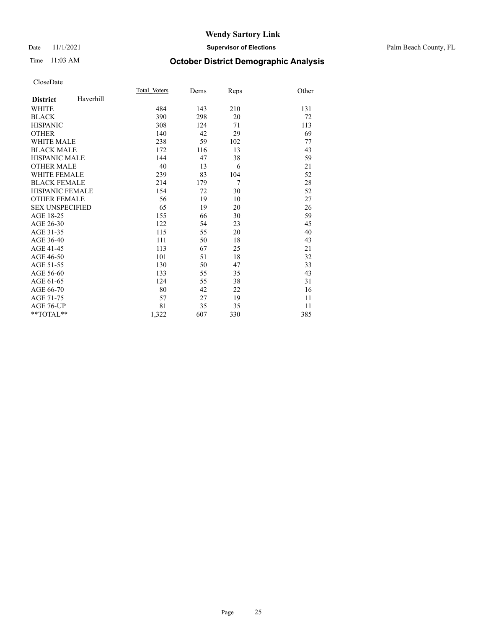### Date 11/1/2021 **Supervisor of Elections** Palm Beach County, FL

## Time 11:03 AM **October District Demographic Analysis**

|                              | Total Voters | Dems | Reps           | Other |
|------------------------------|--------------|------|----------------|-------|
| Haverhill<br><b>District</b> |              |      |                |       |
| <b>WHITE</b>                 | 484          | 143  | 210            | 131   |
| <b>BLACK</b>                 | 390          | 298  | 20             | 72    |
| <b>HISPANIC</b>              | 308          | 124  | 71             | 113   |
| <b>OTHER</b>                 | 140          | 42   | 29             | 69    |
| <b>WHITE MALE</b>            | 238          | 59   | 102            | 77    |
| <b>BLACK MALE</b>            | 172          | 116  | 13             | 43    |
| <b>HISPANIC MALE</b>         | 144          | 47   | 38             | 59    |
| <b>OTHER MALE</b>            | 40           | 13   | 6              | 21    |
| <b>WHITE FEMALE</b>          | 239          | 83   | 104            | 52    |
| <b>BLACK FEMALE</b>          | 214          | 179  | $\overline{7}$ | 28    |
| <b>HISPANIC FEMALE</b>       | 154          | 72   | 30             | 52    |
| <b>OTHER FEMALE</b>          | 56           | 19   | 10             | 27    |
| <b>SEX UNSPECIFIED</b>       | 65           | 19   | 20             | 26    |
| AGE 18-25                    | 155          | 66   | 30             | 59    |
| AGE 26-30                    | 122          | 54   | 23             | 45    |
| AGE 31-35                    | 115          | 55   | 20             | 40    |
| AGE 36-40                    | 111          | 50   | 18             | 43    |
| AGE 41-45                    | 113          | 67   | 25             | 21    |
| AGE 46-50                    | 101          | 51   | 18             | 32    |
| AGE 51-55                    | 130          | 50   | 47             | 33    |
| AGE 56-60                    | 133          | 55   | 35             | 43    |
| AGE 61-65                    | 124          | 55   | 38             | 31    |
| AGE 66-70                    | 80           | 42   | 22             | 16    |
| AGE 71-75                    | 57           | 27   | 19             | 11    |
| AGE 76-UP                    | 81           | 35   | 35             | 11    |
| $*$ $TOTAL**$                | 1,322        | 607  | 330            | 385   |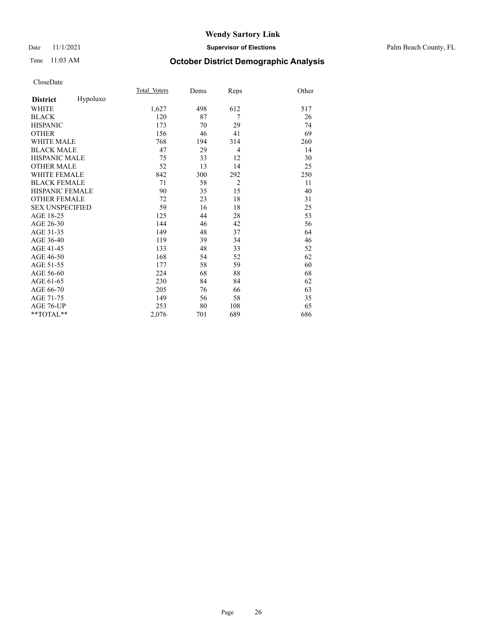### Date 11/1/2021 **Supervisor of Elections** Palm Beach County, FL

## Time 11:03 AM **October District Demographic Analysis**

|                        |          | Total Voters | Dems | Reps           | Other |
|------------------------|----------|--------------|------|----------------|-------|
| <b>District</b>        | Hypoluxo |              |      |                |       |
| WHITE                  |          | 1,627        | 498  | 612            | 517   |
| <b>BLACK</b>           |          | 120          | 87   | 7              | 26    |
| <b>HISPANIC</b>        |          | 173          | 70   | 29             | 74    |
| <b>OTHER</b>           |          | 156          | 46   | 41             | 69    |
| <b>WHITE MALE</b>      |          | 768          | 194  | 314            | 260   |
| <b>BLACK MALE</b>      |          | 47           | 29   | $\overline{4}$ | 14    |
| <b>HISPANIC MALE</b>   |          | 75           | 33   | 12             | 30    |
| <b>OTHER MALE</b>      |          | 52           | 13   | 14             | 25    |
| <b>WHITE FEMALE</b>    |          | 842          | 300  | 292            | 250   |
| <b>BLACK FEMALE</b>    |          | 71           | 58   | $\overline{2}$ | 11    |
| <b>HISPANIC FEMALE</b> |          | 90           | 35   | 15             | 40    |
| <b>OTHER FEMALE</b>    |          | 72           | 23   | 18             | 31    |
| <b>SEX UNSPECIFIED</b> |          | 59           | 16   | 18             | 25    |
| AGE 18-25              |          | 125          | 44   | 28             | 53    |
| AGE 26-30              |          | 144          | 46   | 42             | 56    |
| AGE 31-35              |          | 149          | 48   | 37             | 64    |
| AGE 36-40              |          | 119          | 39   | 34             | 46    |
| AGE 41-45              |          | 133          | 48   | 33             | 52    |
| AGE 46-50              |          | 168          | 54   | 52             | 62    |
| AGE 51-55              |          | 177          | 58   | 59             | 60    |
| AGE 56-60              |          | 224          | 68   | 88             | 68    |
| AGE 61-65              |          | 230          | 84   | 84             | 62    |
| AGE 66-70              |          | 205          | 76   | 66             | 63    |
| AGE 71-75              |          | 149          | 56   | 58             | 35    |
| AGE 76-UP              |          | 253          | 80   | 108            | 65    |
| $*$ $TOTAL**$          |          | 2,076        | 701  | 689            | 686   |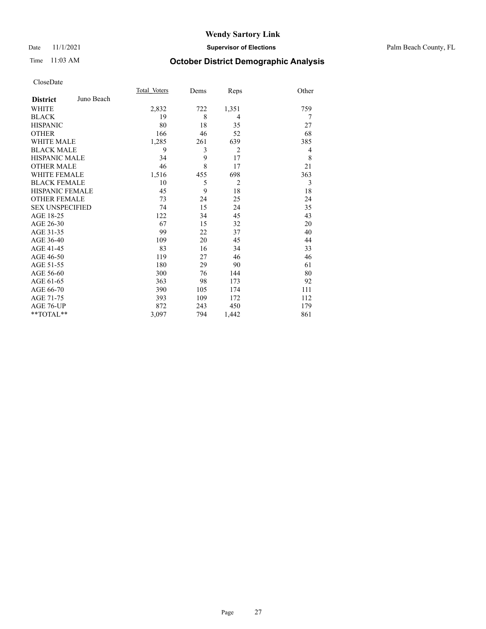Date 11/1/2021 **Supervisor of Elections** Palm Beach County, FL

## Time 11:03 AM **October District Demographic Analysis**

|                        |            | Total Voters | Dems | Reps           | Other |
|------------------------|------------|--------------|------|----------------|-------|
| <b>District</b>        | Juno Beach |              |      |                |       |
| WHITE                  |            | 2,832        | 722  | 1,351          | 759   |
| <b>BLACK</b>           |            | 19           | 8    | 4              | 7     |
| <b>HISPANIC</b>        |            | 80           | 18   | 35             | 27    |
| <b>OTHER</b>           |            | 166          | 46   | 52             | 68    |
| <b>WHITE MALE</b>      |            | 1,285        | 261  | 639            | 385   |
| <b>BLACK MALE</b>      |            | 9            | 3    | $\overline{2}$ | 4     |
| <b>HISPANIC MALE</b>   |            | 34           | 9    | 17             | 8     |
| <b>OTHER MALE</b>      |            | 46           | 8    | 17             | 21    |
| <b>WHITE FEMALE</b>    |            | 1,516        | 455  | 698            | 363   |
| <b>BLACK FEMALE</b>    |            | 10           | 5    | $\overline{2}$ | 3     |
| HISPANIC FEMALE        |            | 45           | 9    | 18             | 18    |
| <b>OTHER FEMALE</b>    |            | 73           | 24   | 25             | 24    |
| <b>SEX UNSPECIFIED</b> |            | 74           | 15   | 24             | 35    |
| AGE 18-25              |            | 122          | 34   | 45             | 43    |
| AGE 26-30              |            | 67           | 15   | 32             | 20    |
| AGE 31-35              |            | 99           | 22   | 37             | 40    |
| AGE 36-40              |            | 109          | 20   | 45             | 44    |
| AGE 41-45              |            | 83           | 16   | 34             | 33    |
| AGE 46-50              |            | 119          | 27   | 46             | 46    |
| AGE 51-55              |            | 180          | 29   | 90             | 61    |
| AGE 56-60              |            | 300          | 76   | 144            | 80    |
| AGE 61-65              |            | 363          | 98   | 173            | 92    |
| AGE 66-70              |            | 390          | 105  | 174            | 111   |
| AGE 71-75              |            | 393          | 109  | 172            | 112   |
| AGE 76-UP              |            | 872          | 243  | 450            | 179   |
| $*$ $TOTAL**$          |            | 3,097        | 794  | 1,442          | 861   |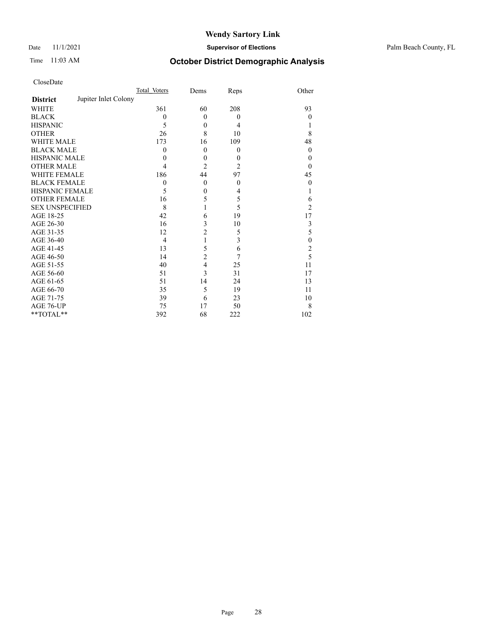### Date 11/1/2021 **Supervisor of Elections** Palm Beach County, FL

## Time 11:03 AM **October District Demographic Analysis**

| CloseDate |
|-----------|
|-----------|

|                        |                      | Total Voters | Dems           | Reps             | Other          |
|------------------------|----------------------|--------------|----------------|------------------|----------------|
| <b>District</b>        | Jupiter Inlet Colony |              |                |                  |                |
| WHITE                  |                      | 361          | 60             | 208              | 93             |
| <b>BLACK</b>           |                      | $\theta$     | $\theta$       | $\mathbf{0}$     | $\theta$       |
| <b>HISPANIC</b>        |                      | 5            | $\mathbf{0}$   | 4                |                |
| <b>OTHER</b>           |                      | 26           | 8              | 10               | 8              |
| <b>WHITE MALE</b>      |                      | 173          | 16             | 109              | 48             |
| <b>BLACK MALE</b>      |                      | $\theta$     | $\mathbf{0}$   | $\mathbf{0}$     | $\theta$       |
| <b>HISPANIC MALE</b>   |                      | 0            | $\mathbf{0}$   | $\boldsymbol{0}$ | 0              |
| <b>OTHER MALE</b>      |                      | 4            | $\overline{2}$ | $\overline{2}$   | 0              |
| <b>WHITE FEMALE</b>    |                      | 186          | 44             | 97               | 45             |
| <b>BLACK FEMALE</b>    |                      | $\theta$     | $\mathbf{0}$   | $\mathbf{0}$     | $\theta$       |
| <b>HISPANIC FEMALE</b> |                      | 5            | $\theta$       | 4                |                |
| <b>OTHER FEMALE</b>    |                      | 16           | 5              | 5                | 6              |
| <b>SEX UNSPECIFIED</b> |                      | 8            |                | 5                | $\overline{c}$ |
| AGE 18-25              |                      | 42           | 6              | 19               | 17             |
| AGE 26-30              |                      | 16           | 3              | 10               | 3              |
| AGE 31-35              |                      | 12           | $\overline{c}$ | 5                | 5              |
| AGE 36-40              |                      | 4            | 1              | 3                | 0              |
| AGE 41-45              |                      | 13           | 5              | 6                | 2              |
| AGE 46-50              |                      | 14           | $\overline{c}$ | 7                | 5              |
| AGE 51-55              |                      | 40           | 4              | 25               | 11             |
| AGE 56-60              |                      | 51           | 3              | 31               | 17             |
| AGE 61-65              |                      | 51           | 14             | 24               | 13             |
| AGE 66-70              |                      | 35           | 5              | 19               | 11             |
| AGE 71-75              |                      | 39           | 6              | 23               | 10             |
| AGE 76-UP              |                      | 75           | 17             | 50               | 8              |
| **TOTAL**              |                      | 392          | 68             | 222              | 102            |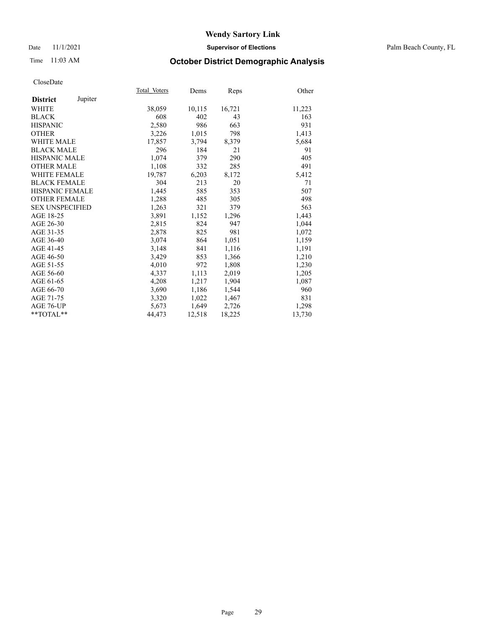### Date 11/1/2021 **Supervisor of Elections** Palm Beach County, FL

## Time 11:03 AM **October District Demographic Analysis**

|                            | Total Voters | Dems   | Reps   | Other  |
|----------------------------|--------------|--------|--------|--------|
| Jupiter<br><b>District</b> |              |        |        |        |
| <b>WHITE</b>               | 38,059       | 10,115 | 16,721 | 11,223 |
| <b>BLACK</b>               | 608          | 402    | 43     | 163    |
| <b>HISPANIC</b>            | 2,580        | 986    | 663    | 931    |
| <b>OTHER</b>               | 3,226        | 1,015  | 798    | 1,413  |
| <b>WHITE MALE</b>          | 17,857       | 3,794  | 8,379  | 5,684  |
| <b>BLACK MALE</b>          | 296          | 184    | 21     | 91     |
| <b>HISPANIC MALE</b>       | 1,074        | 379    | 290    | 405    |
| <b>OTHER MALE</b>          | 1,108        | 332    | 285    | 491    |
| WHITE FEMALE               | 19.787       | 6,203  | 8,172  | 5,412  |
| <b>BLACK FEMALE</b>        | 304          | 213    | 20     | 71     |
| HISPANIC FEMALE            | 1,445        | 585    | 353    | 507    |
| <b>OTHER FEMALE</b>        | 1,288        | 485    | 305    | 498    |
| <b>SEX UNSPECIFIED</b>     | 1,263        | 321    | 379    | 563    |
| AGE 18-25                  | 3,891        | 1,152  | 1,296  | 1,443  |
| AGE 26-30                  | 2,815        | 824    | 947    | 1,044  |
| AGE 31-35                  | 2,878        | 825    | 981    | 1,072  |
| AGE 36-40                  | 3,074        | 864    | 1,051  | 1,159  |
| AGE 41-45                  | 3,148        | 841    | 1,116  | 1,191  |
| AGE 46-50                  | 3,429        | 853    | 1,366  | 1,210  |
| AGE 51-55                  | 4,010        | 972    | 1,808  | 1,230  |
| AGE 56-60                  | 4,337        | 1,113  | 2,019  | 1,205  |
| AGE 61-65                  | 4,208        | 1,217  | 1,904  | 1,087  |
| AGE 66-70                  | 3,690        | 1,186  | 1,544  | 960    |
| AGE 71-75                  | 3,320        | 1,022  | 1,467  | 831    |
| AGE 76-UP                  | 5.673        | 1,649  | 2,726  | 1,298  |
| **TOTAL**                  | 44,473       | 12,518 | 18,225 | 13,730 |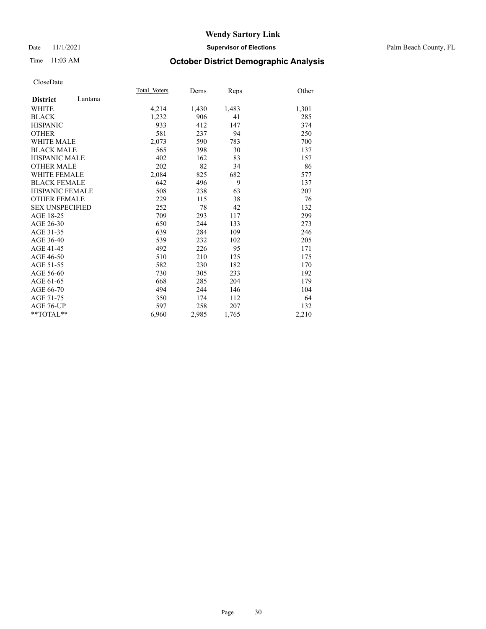### Date 11/1/2021 **Supervisor of Elections** Palm Beach County, FL

## Time 11:03 AM **October District Demographic Analysis**

|                            | Total Voters | Dems  | Reps  | Other |
|----------------------------|--------------|-------|-------|-------|
| Lantana<br><b>District</b> |              |       |       |       |
| <b>WHITE</b>               | 4,214        | 1,430 | 1,483 | 1,301 |
| <b>BLACK</b>               | 1,232        | 906   | 41    | 285   |
| <b>HISPANIC</b>            | 933          | 412   | 147   | 374   |
| <b>OTHER</b>               | 581          | 237   | 94    | 250   |
| <b>WHITE MALE</b>          | 2,073        | 590   | 783   | 700   |
| <b>BLACK MALE</b>          | 565          | 398   | 30    | 137   |
| <b>HISPANIC MALE</b>       | 402          | 162   | 83    | 157   |
| <b>OTHER MALE</b>          | 202          | 82    | 34    | 86    |
| <b>WHITE FEMALE</b>        | 2,084        | 825   | 682   | 577   |
| <b>BLACK FEMALE</b>        | 642          | 496   | 9     | 137   |
| <b>HISPANIC FEMALE</b>     | 508          | 238   | 63    | 207   |
| <b>OTHER FEMALE</b>        | 229          | 115   | 38    | 76    |
| <b>SEX UNSPECIFIED</b>     | 252          | 78    | 42    | 132   |
| AGE 18-25                  | 709          | 293   | 117   | 299   |
| AGE 26-30                  | 650          | 244   | 133   | 273   |
| AGE 31-35                  | 639          | 284   | 109   | 246   |
| AGE 36-40                  | 539          | 232   | 102   | 205   |
| AGE 41-45                  | 492          | 226   | 95    | 171   |
| AGE 46-50                  | 510          | 210   | 125   | 175   |
| AGE 51-55                  | 582          | 230   | 182   | 170   |
| AGE 56-60                  | 730          | 305   | 233   | 192   |
| AGE 61-65                  | 668          | 285   | 204   | 179   |
| AGE 66-70                  | 494          | 244   | 146   | 104   |
| AGE 71-75                  | 350          | 174   | 112   | 64    |
| AGE 76-UP                  | 597          | 258   | 207   | 132   |
| $*$ $TOTAL**$              | 6,960        | 2,985 | 1,765 | 2,210 |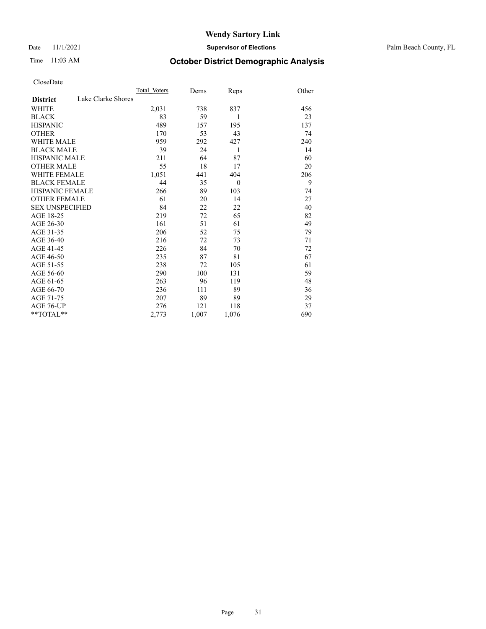Date 11/1/2021 **Supervisor of Elections** Palm Beach County, FL

## Time 11:03 AM **October District Demographic Analysis**

|                        | Total Voters       | Dems  | Reps     | Other |
|------------------------|--------------------|-------|----------|-------|
| <b>District</b>        | Lake Clarke Shores |       |          |       |
| WHITE                  | 2,031              | 738   | 837      | 456   |
| <b>BLACK</b>           | 83                 | 59    | 1        | 23    |
| <b>HISPANIC</b>        | 489                | 157   | 195      | 137   |
| <b>OTHER</b>           | 170                | 53    | 43       | 74    |
| WHITE MALE             | 959                | 292   | 427      | 240   |
| <b>BLACK MALE</b>      | 39                 | 24    | 1        | 14    |
| <b>HISPANIC MALE</b>   | 211                | 64    | 87       | 60    |
| <b>OTHER MALE</b>      | 55                 | 18    | 17       | 20    |
| WHITE FEMALE           | 1,051              | 441   | 404      | 206   |
| <b>BLACK FEMALE</b>    | 44                 | 35    | $\theta$ | 9     |
| <b>HISPANIC FEMALE</b> | 266                | 89    | 103      | 74    |
| <b>OTHER FEMALE</b>    | 61                 | 20    | 14       | 27    |
| <b>SEX UNSPECIFIED</b> | 84                 | 22    | 22       | 40    |
| AGE 18-25              | 219                | 72    | 65       | 82    |
| AGE 26-30              | 161                | 51    | 61       | 49    |
| AGE 31-35              | 206                | 52    | 75       | 79    |
| AGE 36-40              | 216                | 72    | 73       | 71    |
| AGE 41-45              | 226                | 84    | 70       | 72    |
| AGE 46-50              | 235                | 87    | 81       | 67    |
| AGE 51-55              | 238                | 72    | 105      | 61    |
| AGE 56-60              | 290                | 100   | 131      | 59    |
| AGE 61-65              | 263                | 96    | 119      | 48    |
| AGE 66-70              | 236                | 111   | 89       | 36    |
| AGE 71-75              | 207                | 89    | 89       | 29    |
| <b>AGE 76-UP</b>       | 276                | 121   | 118      | 37    |
| $*$ $TOTAL**$          | 2,773              | 1,007 | 1,076    | 690   |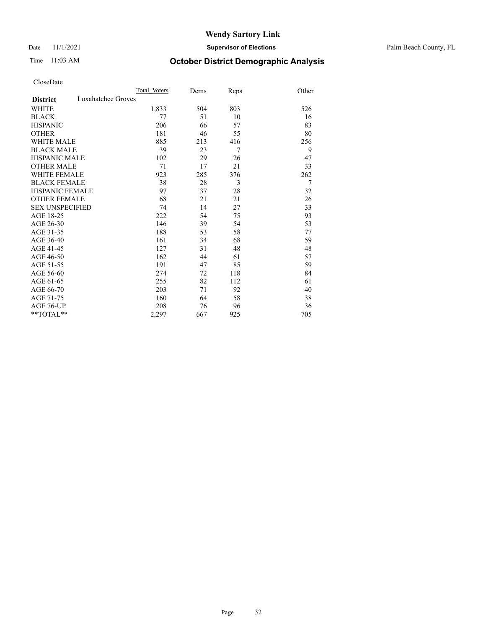Date 11/1/2021 **Supervisor of Elections** Palm Beach County, FL

## Time 11:03 AM **October District Demographic Analysis**

|                                       | Total Voters | Dems | Reps | Other |
|---------------------------------------|--------------|------|------|-------|
| Loxahatchee Groves<br><b>District</b> |              |      |      |       |
| WHITE                                 | 1,833        | 504  | 803  | 526   |
| <b>BLACK</b>                          | 77           | 51   | 10   | 16    |
| <b>HISPANIC</b>                       | 206          | 66   | 57   | 83    |
| <b>OTHER</b>                          | 181          | 46   | 55   | 80    |
| WHITE MALE                            | 885          | 213  | 416  | 256   |
| <b>BLACK MALE</b>                     | 39           | 23   | 7    | 9     |
| <b>HISPANIC MALE</b>                  | 102          | 29   | 26   | 47    |
| <b>OTHER MALE</b>                     | 71           | 17   | 21   | 33    |
| WHITE FEMALE                          | 923          | 285  | 376  | 262   |
| <b>BLACK FEMALE</b>                   | 38           | 28   | 3    | 7     |
| <b>HISPANIC FEMALE</b>                | 97           | 37   | 28   | 32    |
| <b>OTHER FEMALE</b>                   | 68           | 21   | 21   | 26    |
| <b>SEX UNSPECIFIED</b>                | 74           | 14   | 27   | 33    |
| AGE 18-25                             | 222          | 54   | 75   | 93    |
| AGE 26-30                             | 146          | 39   | 54   | 53    |
| AGE 31-35                             | 188          | 53   | 58   | 77    |
| AGE 36-40                             | 161          | 34   | 68   | 59    |
| AGE 41-45                             | 127          | 31   | 48   | 48    |
| AGE 46-50                             | 162          | 44   | 61   | 57    |
| AGE 51-55                             | 191          | 47   | 85   | 59    |
| AGE 56-60                             | 274          | 72   | 118  | 84    |
| AGE 61-65                             | 255          | 82   | 112  | 61    |
| AGE 66-70                             | 203          | 71   | 92   | 40    |
| AGE 71-75                             | 160          | 64   | 58   | 38    |
| AGE 76-UP                             | 208          | 76   | 96   | 36    |
| **TOTAL**                             | 2,297        | 667  | 925  | 705   |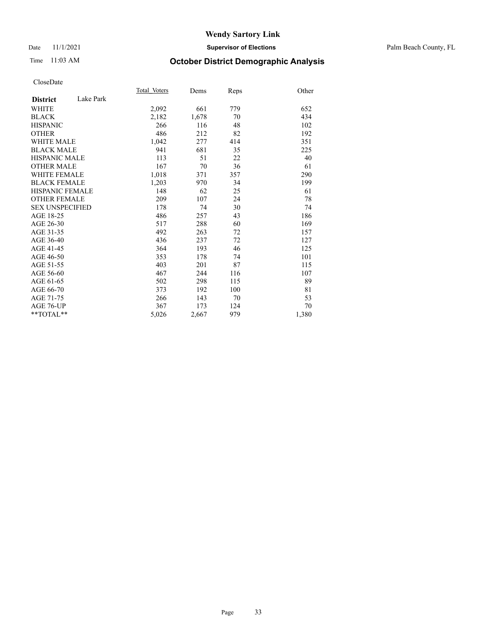### Date 11/1/2021 **Supervisor of Elections** Palm Beach County, FL

## Time 11:03 AM **October District Demographic Analysis**

|                        |           | Total Voters | Dems  | Reps | Other |
|------------------------|-----------|--------------|-------|------|-------|
| <b>District</b>        | Lake Park |              |       |      |       |
| <b>WHITE</b>           |           | 2,092        | 661   | 779  | 652   |
| <b>BLACK</b>           |           | 2,182        | 1,678 | 70   | 434   |
| <b>HISPANIC</b>        |           | 266          | 116   | 48   | 102   |
| <b>OTHER</b>           |           | 486          | 212   | 82   | 192   |
| <b>WHITE MALE</b>      |           | 1,042        | 277   | 414  | 351   |
| <b>BLACK MALE</b>      |           | 941          | 681   | 35   | 225   |
| <b>HISPANIC MALE</b>   |           | 113          | 51    | 22   | 40    |
| <b>OTHER MALE</b>      |           | 167          | 70    | 36   | 61    |
| <b>WHITE FEMALE</b>    |           | 1,018        | 371   | 357  | 290   |
| <b>BLACK FEMALE</b>    |           | 1,203        | 970   | 34   | 199   |
| <b>HISPANIC FEMALE</b> |           | 148          | 62    | 25   | 61    |
| OTHER FEMALE           |           | 209          | 107   | 24   | 78    |
| <b>SEX UNSPECIFIED</b> |           | 178          | 74    | 30   | 74    |
| AGE 18-25              |           | 486          | 257   | 43   | 186   |
| AGE 26-30              |           | 517          | 288   | 60   | 169   |
| AGE 31-35              |           | 492          | 263   | 72   | 157   |
| AGE 36-40              |           | 436          | 237   | 72   | 127   |
| AGE 41-45              |           | 364          | 193   | 46   | 125   |
| AGE 46-50              |           | 353          | 178   | 74   | 101   |
| AGE 51-55              |           | 403          | 201   | 87   | 115   |
| AGE 56-60              |           | 467          | 244   | 116  | 107   |
| AGE 61-65              |           | 502          | 298   | 115  | 89    |
| AGE 66-70              |           | 373          | 192   | 100  | 81    |
| AGE 71-75              |           | 266          | 143   | 70   | 53    |
| AGE 76-UP              |           | 367          | 173   | 124  | 70    |
| $*$ $TOTAL**$          |           | 5,026        | 2,667 | 979  | 1,380 |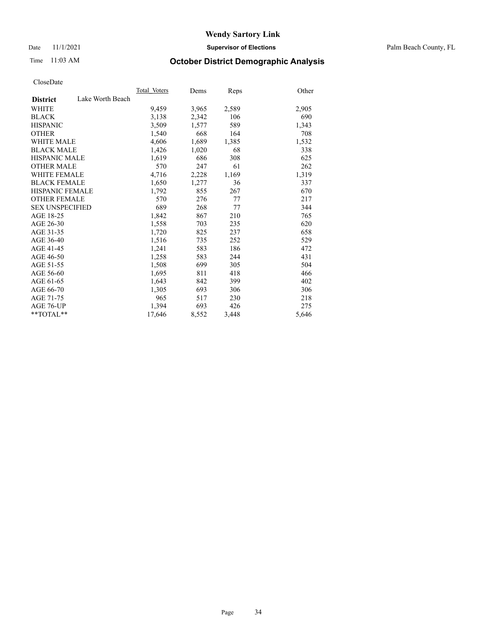Date 11/1/2021 **Supervisor of Elections** Palm Beach County, FL

## Time 11:03 AM **October District Demographic Analysis**

|                        |                  | Total Voters | Dems  | Reps  | Other |
|------------------------|------------------|--------------|-------|-------|-------|
| <b>District</b>        | Lake Worth Beach |              |       |       |       |
| WHITE                  |                  | 9,459        | 3,965 | 2,589 | 2,905 |
| <b>BLACK</b>           |                  | 3,138        | 2,342 | 106   | 690   |
| <b>HISPANIC</b>        |                  | 3,509        | 1,577 | 589   | 1,343 |
| <b>OTHER</b>           |                  | 1,540        | 668   | 164   | 708   |
| <b>WHITE MALE</b>      |                  | 4,606        | 1,689 | 1,385 | 1,532 |
| <b>BLACK MALE</b>      |                  | 1,426        | 1,020 | 68    | 338   |
| <b>HISPANIC MALE</b>   |                  | 1,619        | 686   | 308   | 625   |
| <b>OTHER MALE</b>      |                  | 570          | 247   | 61    | 262   |
| WHITE FEMALE           |                  | 4,716        | 2,228 | 1,169 | 1,319 |
| <b>BLACK FEMALE</b>    |                  | 1,650        | 1,277 | 36    | 337   |
| HISPANIC FEMALE        |                  | 1,792        | 855   | 267   | 670   |
| <b>OTHER FEMALE</b>    |                  | 570          | 276   | 77    | 217   |
| <b>SEX UNSPECIFIED</b> |                  | 689          | 268   | 77    | 344   |
| AGE 18-25              |                  | 1,842        | 867   | 210   | 765   |
| AGE 26-30              |                  | 1,558        | 703   | 235   | 620   |
| AGE 31-35              |                  | 1,720        | 825   | 237   | 658   |
| AGE 36-40              |                  | 1,516        | 735   | 252   | 529   |
| AGE 41-45              |                  | 1,241        | 583   | 186   | 472   |
| AGE 46-50              |                  | 1,258        | 583   | 244   | 431   |
| AGE 51-55              |                  | 1,508        | 699   | 305   | 504   |
| AGE 56-60              |                  | 1,695        | 811   | 418   | 466   |
| AGE 61-65              |                  | 1,643        | 842   | 399   | 402   |
| AGE 66-70              |                  | 1,305        | 693   | 306   | 306   |
| AGE 71-75              |                  | 965          | 517   | 230   | 218   |
| AGE 76-UP              |                  | 1,394        | 693   | 426   | 275   |
| $*$ $TOTAL**$          |                  | 17,646       | 8,552 | 3,448 | 5,646 |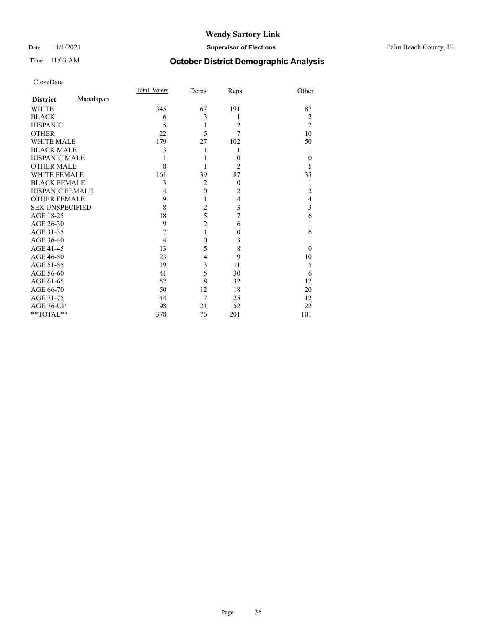## Time 11:03 AM **October District Demographic Analysis**

|                        |           | Total Voters | Dems           | Reps           | Other          |
|------------------------|-----------|--------------|----------------|----------------|----------------|
| <b>District</b>        | Manalapan |              |                |                |                |
| <b>WHITE</b>           |           | 345          | 67             | 191            | 87             |
| <b>BLACK</b>           |           | 6            | 3              | 1              | 2              |
| <b>HISPANIC</b>        |           | 5            | 1              | $\overline{2}$ | $\overline{2}$ |
| <b>OTHER</b>           |           | 22           | 5              | 7              | 10             |
| <b>WHITE MALE</b>      |           | 179          | 27             | 102            | 50             |
| <b>BLACK MALE</b>      |           | 3            | 1              | 1              | 1              |
| <b>HISPANIC MALE</b>   |           |              |                | $\theta$       | $\theta$       |
| <b>OTHER MALE</b>      |           | 8            |                | $\overline{2}$ | 5              |
| <b>WHITE FEMALE</b>    |           | 161          | 39             | 87             | 35             |
| <b>BLACK FEMALE</b>    |           | 3            | $\overline{2}$ | $\mathbf{0}$   |                |
| HISPANIC FEMALE        |           | 4            | $\mathbf{0}$   | 2              | 2              |
| <b>OTHER FEMALE</b>    |           | 9            | 1              | $\overline{4}$ | 4              |
| <b>SEX UNSPECIFIED</b> |           | 8            | $\overline{c}$ | $\mathfrak{Z}$ | 3              |
| AGE 18-25              |           | 18           | 5              | 7              | 6              |
| AGE 26-30              |           | 9            | $\overline{c}$ | 6              |                |
| AGE 31-35              |           | 7            | 1              | $\theta$       | 6              |
| AGE 36-40              |           | 4            | $\theta$       | 3              |                |
| AGE 41-45              |           | 13           | 5              | $\,$ $\,$      | 0              |
| AGE 46-50              |           | 23           | 4              | 9              | 10             |
| AGE 51-55              |           | 19           | $\mathfrak{Z}$ | 11             | 5              |
| AGE 56-60              |           | 41           | 5              | 30             | 6              |
| AGE 61-65              |           | 52           | 8              | 32             | 12             |
| AGE 66-70              |           | 50           | 12             | 18             | 20             |
| AGE 71-75              |           | 44           | 7              | 25             | 12             |
| AGE 76-UP              |           | 98           | 24             | 52             | 22             |
| **TOTAL**              |           | 378          | 76             | 201            | 101            |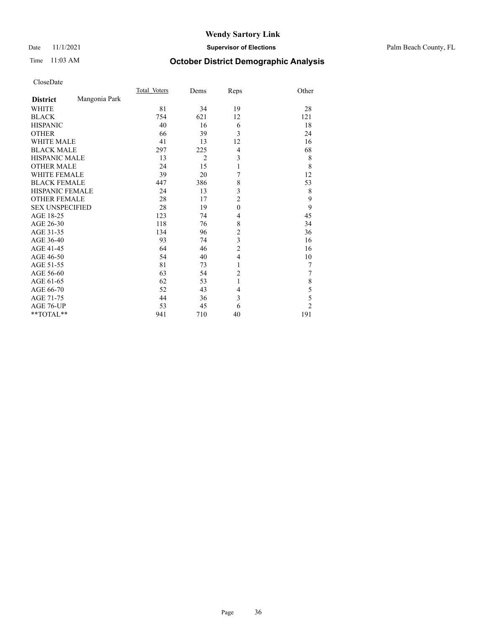### Date 11/1/2021 **Supervisor of Elections** Palm Beach County, FL

## Time 11:03 AM **October District Demographic Analysis**

|                        |               | Total Voters | Dems           | Reps           | Other          |
|------------------------|---------------|--------------|----------------|----------------|----------------|
| <b>District</b>        | Mangonia Park |              |                |                |                |
| WHITE                  |               | 81           | 34             | 19             | 28             |
| <b>BLACK</b>           |               | 754          | 621            | 12             | 121            |
| <b>HISPANIC</b>        |               | 40           | 16             | 6              | 18             |
| <b>OTHER</b>           |               | 66           | 39             | 3              | 24             |
| <b>WHITE MALE</b>      |               | 41           | 13             | 12             | 16             |
| <b>BLACK MALE</b>      |               | 297          | 225            | $\overline{4}$ | 68             |
| <b>HISPANIC MALE</b>   |               | 13           | $\overline{2}$ | 3              | 8              |
| <b>OTHER MALE</b>      |               | 24           | 15             | 1              | 8              |
| <b>WHITE FEMALE</b>    |               | 39           | 20             | 7              | 12             |
| <b>BLACK FEMALE</b>    |               | 447          | 386            | 8              | 53             |
| <b>HISPANIC FEMALE</b> |               | 24           | 13             | 3              | 8              |
| <b>OTHER FEMALE</b>    |               | 28           | 17             | $\overline{2}$ | 9              |
| <b>SEX UNSPECIFIED</b> |               | 28           | 19             | $\mathbf{0}$   | 9              |
| AGE 18-25              |               | 123          | 74             | 4              | 45             |
| AGE 26-30              |               | 118          | 76             | 8              | 34             |
| AGE 31-35              |               | 134          | 96             | $\overline{c}$ | 36             |
| AGE 36-40              |               | 93           | 74             | 3              | 16             |
| AGE 41-45              |               | 64           | 46             | $\overline{c}$ | 16             |
| AGE 46-50              |               | 54           | 40             | $\overline{4}$ | 10             |
| AGE 51-55              |               | 81           | 73             | 1              | 7              |
| AGE 56-60              |               | 63           | 54             | $\overline{c}$ | 7              |
| AGE 61-65              |               | 62           | 53             | 1              | 8              |
| AGE 66-70              |               | 52           | 43             | $\overline{4}$ | 5              |
| AGE 71-75              |               | 44           | 36             | 3              | 5              |
| AGE 76-UP              |               | 53           | 45             | 6              | $\overline{c}$ |
| **TOTAL**              |               | 941          | 710            | 40             | 191            |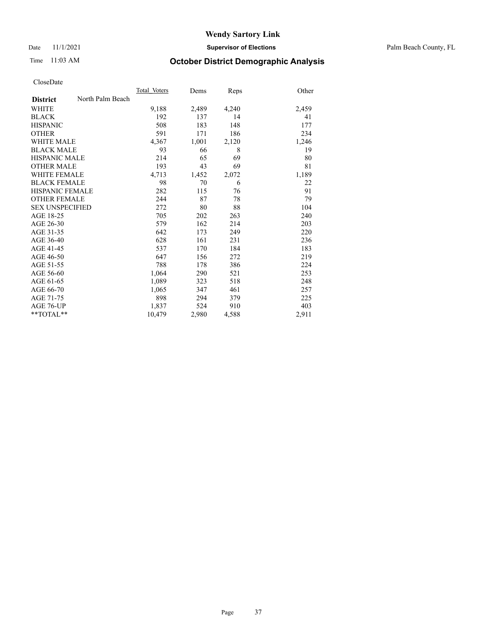Date 11/1/2021 **Supervisor of Elections** Palm Beach County, FL

## Time 11:03 AM **October District Demographic Analysis**

|                        |                  | Total Voters | Dems  | Reps  | Other |
|------------------------|------------------|--------------|-------|-------|-------|
| <b>District</b>        | North Palm Beach |              |       |       |       |
| WHITE                  |                  | 9,188        | 2,489 | 4,240 | 2,459 |
| <b>BLACK</b>           |                  | 192          | 137   | 14    | 41    |
| <b>HISPANIC</b>        |                  | 508          | 183   | 148   | 177   |
| <b>OTHER</b>           |                  | 591          | 171   | 186   | 234   |
| WHITE MALE             |                  | 4,367        | 1,001 | 2,120 | 1,246 |
| <b>BLACK MALE</b>      |                  | 93           | 66    | 8     | 19    |
| <b>HISPANIC MALE</b>   |                  | 214          | 65    | 69    | 80    |
| <b>OTHER MALE</b>      |                  | 193          | 43    | 69    | 81    |
| <b>WHITE FEMALE</b>    |                  | 4,713        | 1,452 | 2,072 | 1,189 |
| <b>BLACK FEMALE</b>    |                  | 98           | 70    | 6     | 22    |
| <b>HISPANIC FEMALE</b> |                  | 282          | 115   | 76    | 91    |
| <b>OTHER FEMALE</b>    |                  | 244          | 87    | 78    | 79    |
| <b>SEX UNSPECIFIED</b> |                  | 272          | 80    | 88    | 104   |
| AGE 18-25              |                  | 705          | 202   | 263   | 240   |
| AGE 26-30              |                  | 579          | 162   | 214   | 203   |
| AGE 31-35              |                  | 642          | 173   | 249   | 220   |
| AGE 36-40              |                  | 628          | 161   | 231   | 236   |
| AGE 41-45              |                  | 537          | 170   | 184   | 183   |
| AGE 46-50              |                  | 647          | 156   | 272   | 219   |
| AGE 51-55              |                  | 788          | 178   | 386   | 224   |
| AGE 56-60              |                  | 1,064        | 290   | 521   | 253   |
| AGE 61-65              |                  | 1,089        | 323   | 518   | 248   |
| AGE 66-70              |                  | 1,065        | 347   | 461   | 257   |
| AGE 71-75              |                  | 898          | 294   | 379   | 225   |
| AGE 76-UP              |                  | 1,837        | 524   | 910   | 403   |
| $*$ $TOTAL**$          |                  | 10,479       | 2,980 | 4,588 | 2,911 |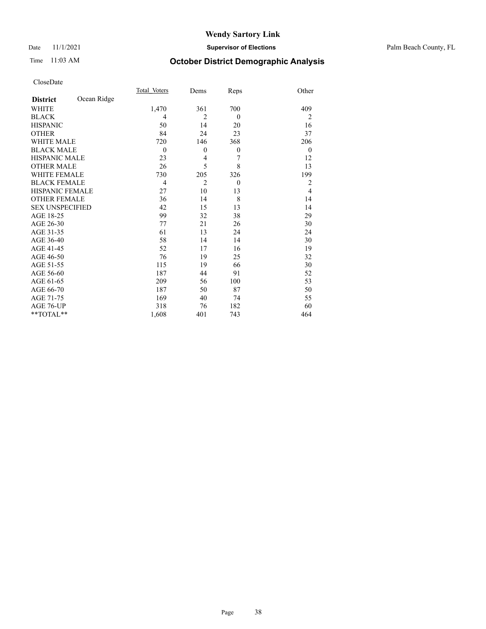Date 11/1/2021 **Supervisor of Elections** Palm Beach County, FL

## Time 11:03 AM **October District Demographic Analysis**

|                        |             | Total Voters   | Dems           | Reps         | Other          |
|------------------------|-------------|----------------|----------------|--------------|----------------|
| <b>District</b>        | Ocean Ridge |                |                |              |                |
| WHITE                  |             | 1,470          | 361            | 700          | 409            |
| <b>BLACK</b>           |             | 4              | $\overline{2}$ | $\theta$     | 2              |
| <b>HISPANIC</b>        |             | 50             | 14             | 20           | 16             |
| <b>OTHER</b>           |             | 84             | 24             | 23           | 37             |
| <b>WHITE MALE</b>      |             | 720            | 146            | 368          | 206            |
| <b>BLACK MALE</b>      |             | $\mathbf{0}$   | $\mathbf{0}$   | $\mathbf{0}$ | $\theta$       |
| <b>HISPANIC MALE</b>   |             | 23             | 4              | 7            | 12             |
| <b>OTHER MALE</b>      |             | 26             | 5              | 8            | 13             |
| WHITE FEMALE           |             | 730            | 205            | 326          | 199            |
| <b>BLACK FEMALE</b>    |             | $\overline{4}$ | $\overline{2}$ | $\theta$     | 2              |
| <b>HISPANIC FEMALE</b> |             | 27             | 10             | 13           | $\overline{4}$ |
| <b>OTHER FEMALE</b>    |             | 36             | 14             | 8            | 14             |
| <b>SEX UNSPECIFIED</b> |             | 42             | 15             | 13           | 14             |
| AGE 18-25              |             | 99             | 32             | 38           | 29             |
| AGE 26-30              |             | 77             | 21             | 26           | 30             |
| AGE 31-35              |             | 61             | 13             | 24           | 24             |
| AGE 36-40              |             | 58             | 14             | 14           | 30             |
| AGE 41-45              |             | 52             | 17             | 16           | 19             |
| AGE 46-50              |             | 76             | 19             | 25           | 32             |
| AGE 51-55              |             | 115            | 19             | 66           | 30             |
| AGE 56-60              |             | 187            | 44             | 91           | 52             |
| AGE 61-65              |             | 209            | 56             | 100          | 53             |
| AGE 66-70              |             | 187            | 50             | 87           | 50             |
| AGE 71-75              |             | 169            | 40             | 74           | 55             |
| AGE 76-UP              |             | 318            | 76             | 182          | 60             |
| $*$ $TOTAL**$          |             | 1,608          | 401            | 743          | 464            |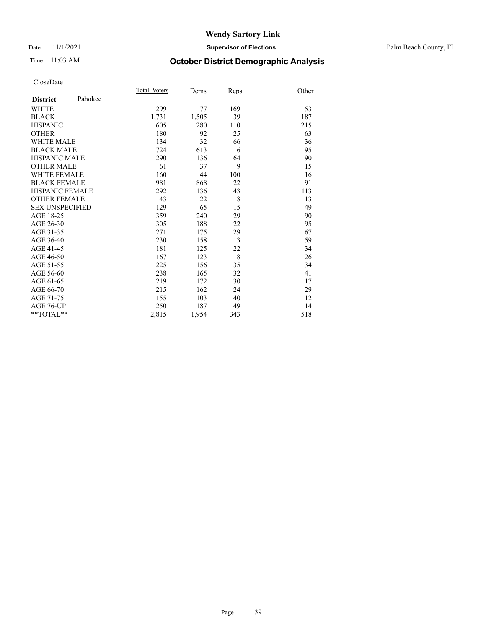#### Date 11/1/2021 **Supervisor of Elections** Palm Beach County, FL

### Time 11:03 AM **October District Demographic Analysis**

|                        |         | Total Voters | Dems  | Reps | Other |
|------------------------|---------|--------------|-------|------|-------|
| <b>District</b>        | Pahokee |              |       |      |       |
| <b>WHITE</b>           |         | 299          | 77    | 169  | 53    |
| <b>BLACK</b>           |         | 1,731        | 1,505 | 39   | 187   |
| <b>HISPANIC</b>        |         | 605          | 280   | 110  | 215   |
| <b>OTHER</b>           |         | 180          | 92    | 25   | 63    |
| WHITE MALE             |         | 134          | 32    | 66   | 36    |
| <b>BLACK MALE</b>      |         | 724          | 613   | 16   | 95    |
| <b>HISPANIC MALE</b>   |         | 290          | 136   | 64   | 90    |
| <b>OTHER MALE</b>      |         | 61           | 37    | 9    | 15    |
| <b>WHITE FEMALE</b>    |         | 160          | 44    | 100  | 16    |
| <b>BLACK FEMALE</b>    |         | 981          | 868   | 22   | 91    |
| <b>HISPANIC FEMALE</b> |         | 292          | 136   | 43   | 113   |
| <b>OTHER FEMALE</b>    |         | 43           | 22    | 8    | 13    |
| <b>SEX UNSPECIFIED</b> |         | 129          | 65    | 15   | 49    |
| AGE 18-25              |         | 359          | 240   | 29   | 90    |
| AGE 26-30              |         | 305          | 188   | 22   | 95    |
| AGE 31-35              |         | 271          | 175   | 29   | 67    |
| AGE 36-40              |         | 230          | 158   | 13   | 59    |
| AGE 41-45              |         | 181          | 125   | 22   | 34    |
| AGE 46-50              |         | 167          | 123   | 18   | 26    |
| AGE 51-55              |         | 225          | 156   | 35   | 34    |
| AGE 56-60              |         | 238          | 165   | 32   | 41    |
| AGE 61-65              |         | 219          | 172   | 30   | 17    |
| AGE 66-70              |         | 215          | 162   | 24   | 29    |
| AGE 71-75              |         | 155          | 103   | 40   | 12    |
| AGE 76-UP              |         | 250          | 187   | 49   | 14    |
| $*$ $TOTAL**$          |         | 2,815        | 1,954 | 343  | 518   |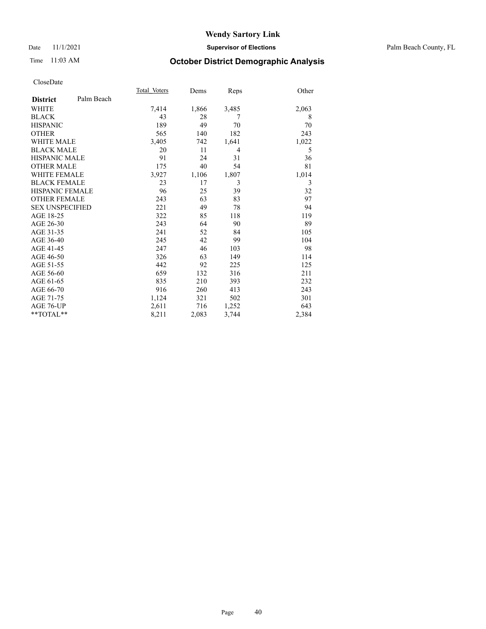Date 11/1/2021 **Supervisor of Elections** Palm Beach County, FL

## Time 11:03 AM **October District Demographic Analysis**

|                        |            | Total Voters | Dems  | Reps           | Other |
|------------------------|------------|--------------|-------|----------------|-------|
| <b>District</b>        | Palm Beach |              |       |                |       |
| <b>WHITE</b>           |            | 7,414        | 1,866 | 3,485          | 2,063 |
| <b>BLACK</b>           |            | 43           | 28    | 7              | 8     |
| <b>HISPANIC</b>        |            | 189          | 49    | 70             | 70    |
| <b>OTHER</b>           |            | 565          | 140   | 182            | 243   |
| <b>WHITE MALE</b>      |            | 3,405        | 742   | 1,641          | 1,022 |
| <b>BLACK MALE</b>      |            | 20           | 11    | $\overline{4}$ | 5     |
| <b>HISPANIC MALE</b>   |            | 91           | 24    | 31             | 36    |
| <b>OTHER MALE</b>      |            | 175          | 40    | 54             | 81    |
| <b>WHITE FEMALE</b>    |            | 3,927        | 1,106 | 1,807          | 1,014 |
| <b>BLACK FEMALE</b>    |            | 23           | 17    | 3              | 3     |
| <b>HISPANIC FEMALE</b> |            | 96           | 25    | 39             | 32    |
| <b>OTHER FEMALE</b>    |            | 243          | 63    | 83             | 97    |
| <b>SEX UNSPECIFIED</b> |            | 221          | 49    | 78             | 94    |
| AGE 18-25              |            | 322          | 85    | 118            | 119   |
| AGE 26-30              |            | 243          | 64    | 90             | 89    |
| AGE 31-35              |            | 241          | 52    | 84             | 105   |
| AGE 36-40              |            | 245          | 42    | 99             | 104   |
| AGE 41-45              |            | 247          | 46    | 103            | 98    |
| AGE 46-50              |            | 326          | 63    | 149            | 114   |
| AGE 51-55              |            | 442          | 92    | 225            | 125   |
| AGE 56-60              |            | 659          | 132   | 316            | 211   |
| AGE 61-65              |            | 835          | 210   | 393            | 232   |
| AGE 66-70              |            | 916          | 260   | 413            | 243   |
| AGE 71-75              |            | 1,124        | 321   | 502            | 301   |
| AGE 76-UP              |            | 2,611        | 716   | 1,252          | 643   |
| $*$ $TOTAL**$          |            | 8,211        | 2,083 | 3,744          | 2,384 |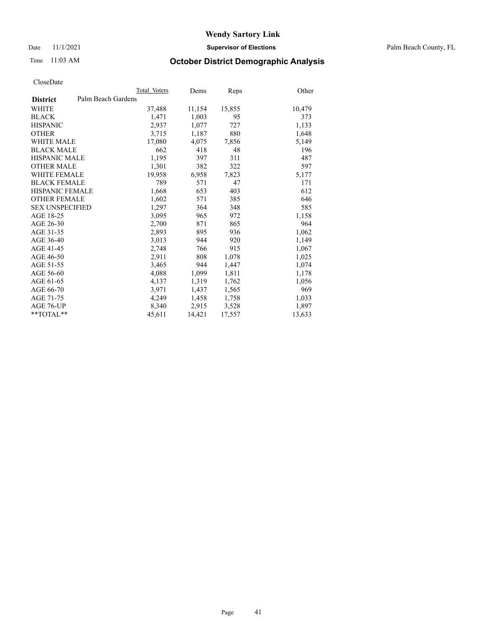Date 11/1/2021 **Supervisor of Elections** Palm Beach County, FL

## Time 11:03 AM **October District Demographic Analysis**

|                        | Total Voters       | Dems   | Reps   | Other  |
|------------------------|--------------------|--------|--------|--------|
| <b>District</b>        | Palm Beach Gardens |        |        |        |
| <b>WHITE</b>           | 37,488             | 11,154 | 15,855 | 10,479 |
| <b>BLACK</b>           | 1,471              | 1,003  | 95     | 373    |
| <b>HISPANIC</b>        | 2,937              | 1,077  | 727    | 1,133  |
| <b>OTHER</b>           | 3,715              | 1,187  | 880    | 1,648  |
| <b>WHITE MALE</b>      | 17,080             | 4,075  | 7,856  | 5,149  |
| <b>BLACK MALE</b>      | 662                | 418    | 48     | 196    |
| <b>HISPANIC MALE</b>   | 1,195              | 397    | 311    | 487    |
| <b>OTHER MALE</b>      | 1,301              | 382    | 322    | 597    |
| <b>WHITE FEMALE</b>    | 19,958             | 6,958  | 7,823  | 5,177  |
| <b>BLACK FEMALE</b>    | 789                | 571    | 47     | 171    |
| <b>HISPANIC FEMALE</b> | 1,668              | 653    | 403    | 612    |
| <b>OTHER FEMALE</b>    | 1,602              | 571    | 385    | 646    |
| <b>SEX UNSPECIFIED</b> | 1,297              | 364    | 348    | 585    |
| AGE 18-25              | 3,095              | 965    | 972    | 1,158  |
| AGE 26-30              | 2,700              | 871    | 865    | 964    |
| AGE 31-35              | 2,893              | 895    | 936    | 1,062  |
| AGE 36-40              | 3,013              | 944    | 920    | 1,149  |
| AGE 41-45              | 2,748              | 766    | 915    | 1,067  |
| AGE 46-50              | 2,911              | 808    | 1,078  | 1,025  |
| AGE 51-55              | 3,465              | 944    | 1,447  | 1,074  |
| AGE 56-60              | 4,088              | 1,099  | 1,811  | 1,178  |
| AGE 61-65              | 4,137              | 1,319  | 1,762  | 1,056  |
| AGE 66-70              | 3,971              | 1,437  | 1,565  | 969    |
| AGE 71-75              | 4,249              | 1,458  | 1,758  | 1,033  |
| AGE 76-UP              | 8,340              | 2,915  | 3,528  | 1,897  |
| $*$ $TOTAL**$          | 45,611             | 14,421 | 17,557 | 13,633 |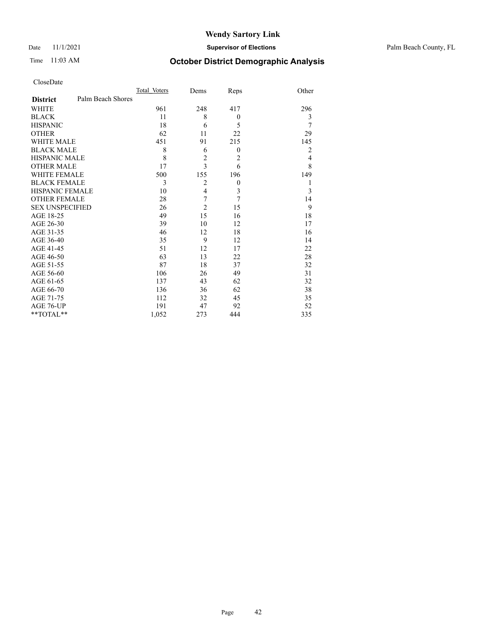### Date 11/1/2021 **Supervisor of Elections** Palm Beach County, FL

## Time 11:03 AM **October District Demographic Analysis**

| CloseDate |
|-----------|
|-----------|

|                        |                   | Total Voters | Dems           | Reps             | Other |
|------------------------|-------------------|--------------|----------------|------------------|-------|
| <b>District</b>        | Palm Beach Shores |              |                |                  |       |
| <b>WHITE</b>           |                   | 961          | 248            | 417              | 296   |
| <b>BLACK</b>           |                   | 11           | 8              | $\boldsymbol{0}$ | 3     |
| <b>HISPANIC</b>        |                   | 18           | 6              | 5                | 7     |
| <b>OTHER</b>           |                   | 62           | 11             | 22               | 29    |
| <b>WHITE MALE</b>      |                   | 451          | 91             | 215              | 145   |
| <b>BLACK MALE</b>      |                   | 8            | 6              | $\boldsymbol{0}$ | 2     |
| <b>HISPANIC MALE</b>   |                   | 8            | $\overline{c}$ | $\overline{2}$   | 4     |
| <b>OTHER MALE</b>      |                   | 17           | 3              | 6                | 8     |
| <b>WHITE FEMALE</b>    |                   | 500          | 155            | 196              | 149   |
| <b>BLACK FEMALE</b>    |                   | 3            | $\overline{2}$ | $\boldsymbol{0}$ | 1     |
| <b>HISPANIC FEMALE</b> |                   | 10           | 4              | 3                | 3     |
| <b>OTHER FEMALE</b>    |                   | 28           | 7              | 7                | 14    |
| <b>SEX UNSPECIFIED</b> |                   | 26           | $\overline{2}$ | 15               | 9     |
| AGE 18-25              |                   | 49           | 15             | 16               | 18    |
| AGE 26-30              |                   | 39           | 10             | 12               | 17    |
| AGE 31-35              |                   | 46           | 12             | 18               | 16    |
| AGE 36-40              |                   | 35           | 9              | 12               | 14    |
| AGE 41-45              |                   | 51           | 12             | 17               | 22    |
| AGE 46-50              |                   | 63           | 13             | 22               | 28    |
| AGE 51-55              |                   | 87           | 18             | 37               | 32    |
| AGE 56-60              |                   | 106          | 26             | 49               | 31    |
| AGE 61-65              |                   | 137          | 43             | 62               | 32    |
| AGE 66-70              |                   | 136          | 36             | 62               | 38    |
| AGE 71-75              |                   | 112          | 32             | 45               | 35    |
| AGE 76-UP              |                   | 191          | 47             | 92               | 52    |
| $*$ $TOTAL**$          |                   | 1,052        | 273            | 444              | 335   |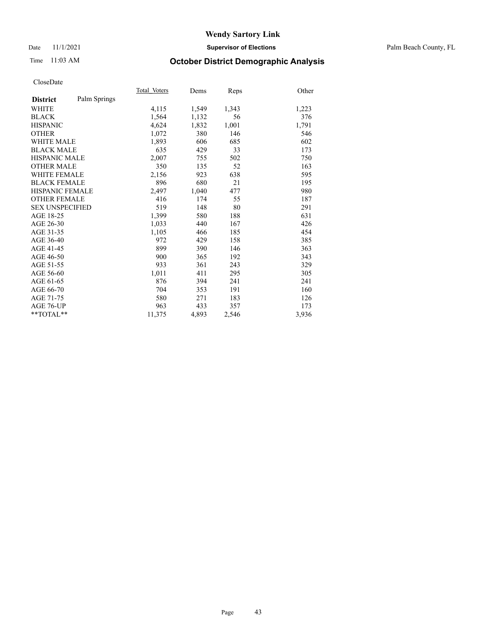Date 11/1/2021 **Supervisor of Elections** Palm Beach County, FL

## Time 11:03 AM **October District Demographic Analysis**

|                        |              | Total Voters | Dems  | Reps  | Other |
|------------------------|--------------|--------------|-------|-------|-------|
| <b>District</b>        | Palm Springs |              |       |       |       |
| WHITE                  |              | 4,115        | 1,549 | 1,343 | 1,223 |
| <b>BLACK</b>           |              | 1,564        | 1,132 | 56    | 376   |
| <b>HISPANIC</b>        |              | 4,624        | 1,832 | 1,001 | 1,791 |
| <b>OTHER</b>           |              | 1,072        | 380   | 146   | 546   |
| <b>WHITE MALE</b>      |              | 1,893        | 606   | 685   | 602   |
| <b>BLACK MALE</b>      |              | 635          | 429   | 33    | 173   |
| HISPANIC MALE          |              | 2,007        | 755   | 502   | 750   |
| <b>OTHER MALE</b>      |              | 350          | 135   | 52    | 163   |
| WHITE FEMALE           |              | 2,156        | 923   | 638   | 595   |
| <b>BLACK FEMALE</b>    |              | 896          | 680   | 21    | 195   |
| <b>HISPANIC FEMALE</b> |              | 2,497        | 1,040 | 477   | 980   |
| <b>OTHER FEMALE</b>    |              | 416          | 174   | 55    | 187   |
| <b>SEX UNSPECIFIED</b> |              | 519          | 148   | 80    | 291   |
| AGE 18-25              |              | 1,399        | 580   | 188   | 631   |
| AGE 26-30              |              | 1,033        | 440   | 167   | 426   |
| AGE 31-35              |              | 1,105        | 466   | 185   | 454   |
| AGE 36-40              |              | 972          | 429   | 158   | 385   |
| AGE 41-45              |              | 899          | 390   | 146   | 363   |
| AGE 46-50              |              | 900          | 365   | 192   | 343   |
| AGE 51-55              |              | 933          | 361   | 243   | 329   |
| AGE 56-60              |              | 1,011        | 411   | 295   | 305   |
| AGE 61-65              |              | 876          | 394   | 241   | 241   |
| AGE 66-70              |              | 704          | 353   | 191   | 160   |
| AGE 71-75              |              | 580          | 271   | 183   | 126   |
| AGE 76-UP              |              | 963          | 433   | 357   | 173   |
| $*$ $TOTAL**$          |              | 11,375       | 4,893 | 2,546 | 3,936 |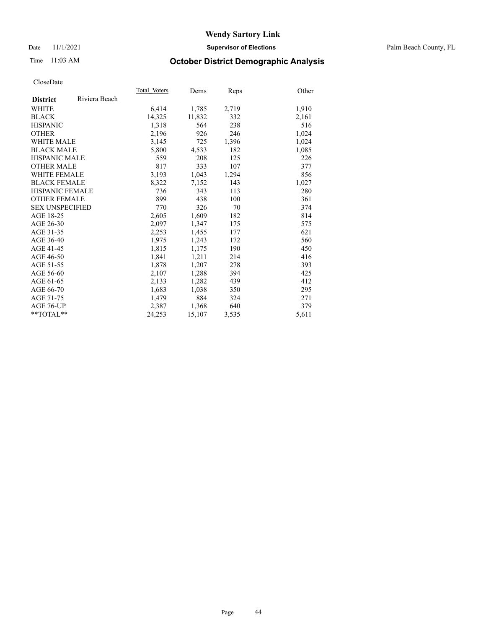Date 11/1/2021 **Supervisor of Elections** Palm Beach County, FL

## Time 11:03 AM **October District Demographic Analysis**

|                        |               | Total Voters | Dems   | Reps  | Other |
|------------------------|---------------|--------------|--------|-------|-------|
| <b>District</b>        | Riviera Beach |              |        |       |       |
| WHITE                  |               | 6,414        | 1,785  | 2,719 | 1,910 |
| <b>BLACK</b>           |               | 14,325       | 11,832 | 332   | 2,161 |
| <b>HISPANIC</b>        |               | 1,318        | 564    | 238   | 516   |
| <b>OTHER</b>           |               | 2,196        | 926    | 246   | 1,024 |
| <b>WHITE MALE</b>      |               | 3,145        | 725    | 1,396 | 1,024 |
| <b>BLACK MALE</b>      |               | 5,800        | 4,533  | 182   | 1,085 |
| <b>HISPANIC MALE</b>   |               | 559          | 208    | 125   | 226   |
| <b>OTHER MALE</b>      |               | 817          | 333    | 107   | 377   |
| <b>WHITE FEMALE</b>    |               | 3,193        | 1,043  | 1,294 | 856   |
| <b>BLACK FEMALE</b>    |               | 8,322        | 7,152  | 143   | 1,027 |
| <b>HISPANIC FEMALE</b> |               | 736          | 343    | 113   | 280   |
| <b>OTHER FEMALE</b>    |               | 899          | 438    | 100   | 361   |
| <b>SEX UNSPECIFIED</b> |               | 770          | 326    | 70    | 374   |
| AGE 18-25              |               | 2,605        | 1,609  | 182   | 814   |
| AGE 26-30              |               | 2,097        | 1,347  | 175   | 575   |
| AGE 31-35              |               | 2,253        | 1,455  | 177   | 621   |
| AGE 36-40              |               | 1,975        | 1,243  | 172   | 560   |
| AGE 41-45              |               | 1,815        | 1,175  | 190   | 450   |
| AGE 46-50              |               | 1,841        | 1,211  | 214   | 416   |
| AGE 51-55              |               | 1,878        | 1,207  | 278   | 393   |
| AGE 56-60              |               | 2,107        | 1,288  | 394   | 425   |
| AGE 61-65              |               | 2,133        | 1,282  | 439   | 412   |
| AGE 66-70              |               | 1,683        | 1,038  | 350   | 295   |
| AGE 71-75              |               | 1,479        | 884    | 324   | 271   |
| AGE 76-UP              |               | 2,387        | 1,368  | 640   | 379   |
| $*$ $TOTAL**$          |               | 24,253       | 15,107 | 3,535 | 5,611 |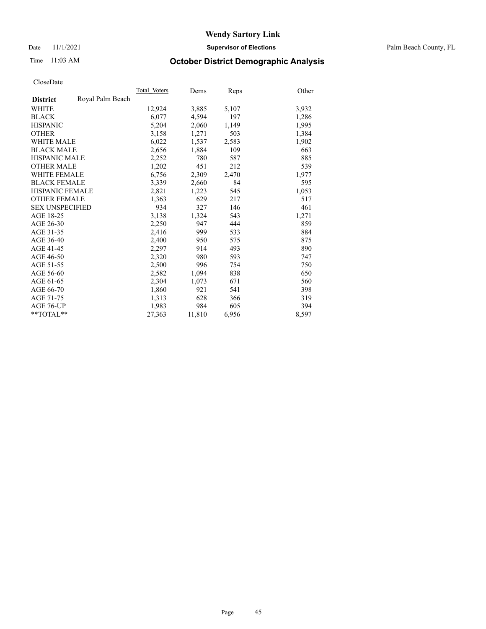Date 11/1/2021 **Supervisor of Elections** Palm Beach County, FL

### Time 11:03 AM **October District Demographic Analysis**

|                        |                  | Total Voters | Dems   | Reps  | Other |
|------------------------|------------------|--------------|--------|-------|-------|
| <b>District</b>        | Royal Palm Beach |              |        |       |       |
| WHITE                  |                  | 12,924       | 3,885  | 5,107 | 3,932 |
| <b>BLACK</b>           |                  | 6,077        | 4,594  | 197   | 1,286 |
| <b>HISPANIC</b>        |                  | 5,204        | 2,060  | 1,149 | 1,995 |
| <b>OTHER</b>           |                  | 3,158        | 1,271  | 503   | 1,384 |
| <b>WHITE MALE</b>      |                  | 6,022        | 1,537  | 2,583 | 1,902 |
| <b>BLACK MALE</b>      |                  | 2,656        | 1,884  | 109   | 663   |
| <b>HISPANIC MALE</b>   |                  | 2,252        | 780    | 587   | 885   |
| <b>OTHER MALE</b>      |                  | 1,202        | 451    | 212   | 539   |
| <b>WHITE FEMALE</b>    |                  | 6,756        | 2,309  | 2,470 | 1,977 |
| <b>BLACK FEMALE</b>    |                  | 3.339        | 2,660  | 84    | 595   |
| <b>HISPANIC FEMALE</b> |                  | 2,821        | 1,223  | 545   | 1,053 |
| <b>OTHER FEMALE</b>    |                  | 1,363        | 629    | 217   | 517   |
| <b>SEX UNSPECIFIED</b> |                  | 934          | 327    | 146   | 461   |
| AGE 18-25              |                  | 3,138        | 1,324  | 543   | 1,271 |
| AGE 26-30              |                  | 2,250        | 947    | 444   | 859   |
| AGE 31-35              |                  | 2,416        | 999    | 533   | 884   |
| AGE 36-40              |                  | 2,400        | 950    | 575   | 875   |
| AGE 41-45              |                  | 2,297        | 914    | 493   | 890   |
| AGE 46-50              |                  | 2,320        | 980    | 593   | 747   |
| AGE 51-55              |                  | 2,500        | 996    | 754   | 750   |
| AGE 56-60              |                  | 2,582        | 1,094  | 838   | 650   |
| AGE 61-65              |                  | 2,304        | 1,073  | 671   | 560   |
| AGE 66-70              |                  | 1,860        | 921    | 541   | 398   |
| AGE 71-75              |                  | 1,313        | 628    | 366   | 319   |
| AGE 76-UP              |                  | 1,983        | 984    | 605   | 394   |
| $*$ $TOTAL**$          |                  | 27,363       | 11,810 | 6,956 | 8,597 |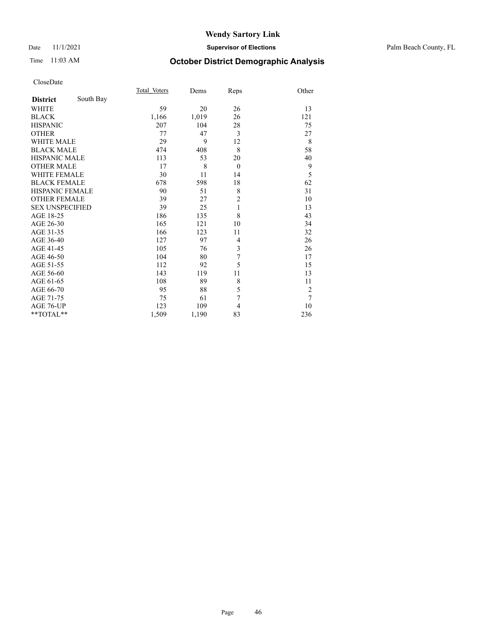### Date 11/1/2021 **Supervisor of Elections** Palm Beach County, FL

## Time 11:03 AM **October District Demographic Analysis**

|                        |           | Total Voters | Dems  | Reps           | Other          |
|------------------------|-----------|--------------|-------|----------------|----------------|
| <b>District</b>        | South Bay |              |       |                |                |
| WHITE                  |           | 59           | 20    | 26             | 13             |
| <b>BLACK</b>           |           | 1,166        | 1,019 | 26             | 121            |
| <b>HISPANIC</b>        |           | 207          | 104   | 28             | 75             |
| <b>OTHER</b>           |           | 77           | 47    | 3              | 27             |
| <b>WHITE MALE</b>      |           | 29           | 9     | 12             | 8              |
| <b>BLACK MALE</b>      |           | 474          | 408   | 8              | 58             |
| <b>HISPANIC MALE</b>   |           | 113          | 53    | 20             | 40             |
| <b>OTHER MALE</b>      |           | 17           | 8     | $\theta$       | 9              |
| <b>WHITE FEMALE</b>    |           | 30           | 11    | 14             | 5              |
| <b>BLACK FEMALE</b>    |           | 678          | 598   | 18             | 62             |
| HISPANIC FEMALE        |           | 90           | 51    | 8              | 31             |
| <b>OTHER FEMALE</b>    |           | 39           | 27    | $\overline{c}$ | 10             |
| <b>SEX UNSPECIFIED</b> |           | 39           | 25    | 1              | 13             |
| AGE 18-25              |           | 186          | 135   | 8              | 43             |
| AGE 26-30              |           | 165          | 121   | 10             | 34             |
| AGE 31-35              |           | 166          | 123   | 11             | 32             |
| AGE 36-40              |           | 127          | 97    | 4              | 26             |
| AGE 41-45              |           | 105          | 76    | 3              | 26             |
| AGE 46-50              |           | 104          | 80    | $\overline{7}$ | 17             |
| AGE 51-55              |           | 112          | 92    | 5              | 15             |
| AGE 56-60              |           | 143          | 119   | 11             | 13             |
| AGE 61-65              |           | 108          | 89    | 8              | 11             |
| AGE 66-70              |           | 95           | 88    | 5              | $\overline{2}$ |
| AGE 71-75              |           | 75           | 61    | 7              | 7              |
| AGE 76-UP              |           | 123          | 109   | 4              | 10             |
| **TOTAL**              |           | 1,509        | 1,190 | 83             | 236            |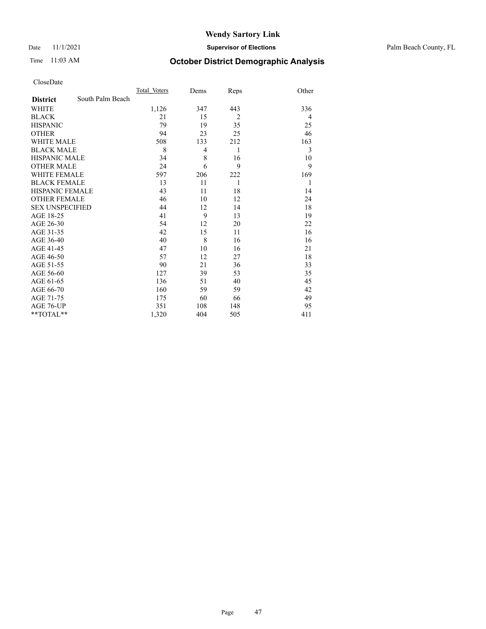Date 11/1/2021 **Supervisor of Elections** Palm Beach County, FL

## Time 11:03 AM **October District Demographic Analysis**

|                        |                  | Total Voters | Dems           | Reps           | Other |
|------------------------|------------------|--------------|----------------|----------------|-------|
| <b>District</b>        | South Palm Beach |              |                |                |       |
| WHITE                  |                  | 1,126        | 347            | 443            | 336   |
| <b>BLACK</b>           |                  | 21           | 15             | $\overline{2}$ | 4     |
| <b>HISPANIC</b>        |                  | 79           | 19             | 35             | 25    |
| <b>OTHER</b>           |                  | 94           | 23             | 25             | 46    |
| <b>WHITE MALE</b>      |                  | 508          | 133            | 212            | 163   |
| <b>BLACK MALE</b>      |                  | 8            | $\overline{4}$ | 1              | 3     |
| <b>HISPANIC MALE</b>   |                  | 34           | 8              | 16             | 10    |
| <b>OTHER MALE</b>      |                  | 24           | 6              | 9              | 9     |
| <b>WHITE FEMALE</b>    |                  | 597          | 206            | 222            | 169   |
| <b>BLACK FEMALE</b>    |                  | 13           | 11             | 1              | 1     |
| <b>HISPANIC FEMALE</b> |                  | 43           | 11             | 18             | 14    |
| <b>OTHER FEMALE</b>    |                  | 46           | 10             | 12             | 24    |
| <b>SEX UNSPECIFIED</b> |                  | 44           | 12             | 14             | 18    |
| AGE 18-25              |                  | 41           | 9              | 13             | 19    |
| AGE 26-30              |                  | 54           | 12             | 20             | 22    |
| AGE 31-35              |                  | 42           | 15             | 11             | 16    |
| AGE 36-40              |                  | 40           | 8              | 16             | 16    |
| AGE 41-45              |                  | 47           | 10             | 16             | 21    |
| AGE 46-50              |                  | 57           | 12             | 27             | 18    |
| AGE 51-55              |                  | 90           | 21             | 36             | 33    |
| AGE 56-60              |                  | 127          | 39             | 53             | 35    |
| AGE 61-65              |                  | 136          | 51             | 40             | 45    |
| AGE 66-70              |                  | 160          | 59             | 59             | 42    |
| AGE 71-75              |                  | 175          | 60             | 66             | 49    |
| AGE 76-UP              |                  | 351          | 108            | 148            | 95    |
| **TOTAL**              |                  | 1,320        | 404            | 505            | 411   |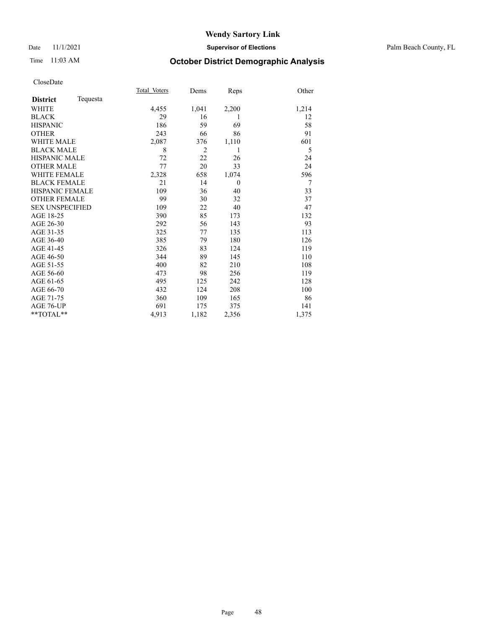Date 11/1/2021 **Supervisor of Elections** Palm Beach County, FL

### Time 11:03 AM **October District Demographic Analysis**

|                        |          | Total Voters | Dems  | Reps         | Other          |
|------------------------|----------|--------------|-------|--------------|----------------|
| <b>District</b>        | Tequesta |              |       |              |                |
| <b>WHITE</b>           |          | 4,455        | 1,041 | 2,200        | 1,214          |
| <b>BLACK</b>           |          | 29           | 16    | 1            | 12             |
| <b>HISPANIC</b>        |          | 186          | 59    | 69           | 58             |
| <b>OTHER</b>           |          | 243          | 66    | 86           | 91             |
| WHITE MALE             |          | 2,087        | 376   | 1,110        | 601            |
| <b>BLACK MALE</b>      |          | 8            | 2     | 1            | 5              |
| <b>HISPANIC MALE</b>   |          | 72           | 22    | 26           | 24             |
| <b>OTHER MALE</b>      |          | 77           | 20    | 33           | 24             |
| WHITE FEMALE           |          | 2,328        | 658   | 1,074        | 596            |
| <b>BLACK FEMALE</b>    |          | 21           | 14    | $\mathbf{0}$ | $\overline{7}$ |
| <b>HISPANIC FEMALE</b> |          | 109          | 36    | 40           | 33             |
| <b>OTHER FEMALE</b>    |          | 99           | 30    | 32           | 37             |
| <b>SEX UNSPECIFIED</b> |          | 109          | 22    | 40           | 47             |
| AGE 18-25              |          | 390          | 85    | 173          | 132            |
| AGE 26-30              |          | 292          | 56    | 143          | 93             |
| AGE 31-35              |          | 325          | 77    | 135          | 113            |
| AGE 36-40              |          | 385          | 79    | 180          | 126            |
| AGE 41-45              |          | 326          | 83    | 124          | 119            |
| AGE 46-50              |          | 344          | 89    | 145          | 110            |
| AGE 51-55              |          | 400          | 82    | 210          | 108            |
| AGE 56-60              |          | 473          | 98    | 256          | 119            |
| AGE 61-65              |          | 495          | 125   | 242          | 128            |
| AGE 66-70              |          | 432          | 124   | 208          | 100            |
| AGE 71-75              |          | 360          | 109   | 165          | 86             |
| AGE 76-UP              |          | 691          | 175   | 375          | 141            |
| $*$ $TOTAL**$          |          | 4,913        | 1,182 | 2,356        | 1,375          |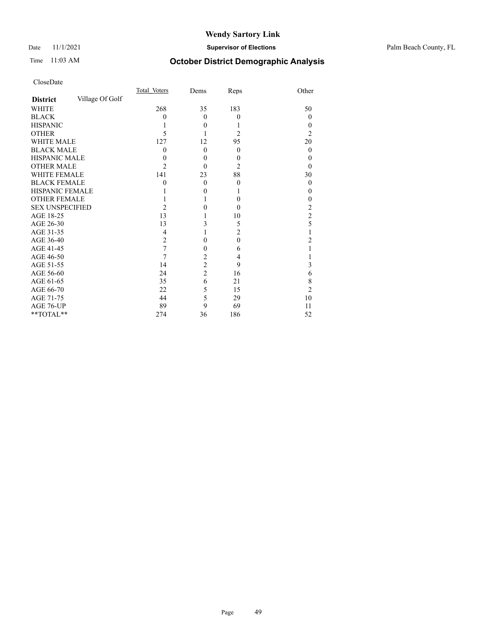Date 11/1/2021 **Supervisor of Elections** Palm Beach County, FL

## Time 11:03 AM **October District Demographic Analysis**

|                                    | Total Voters   | Dems             | Reps           | Other          |
|------------------------------------|----------------|------------------|----------------|----------------|
| Village Of Golf<br><b>District</b> |                |                  |                |                |
| WHITE                              | 268            | 35               | 183            | 50             |
| <b>BLACK</b>                       | 0              | $\mathbf{0}$     | $\theta$       | 0              |
| <b>HISPANIC</b>                    |                | $\theta$         | 1              | $\theta$       |
| <b>OTHER</b>                       | 5              |                  | $\overline{2}$ | 2              |
| <b>WHITE MALE</b>                  | 127            | 12               | 95             | 20             |
| <b>BLACK MALE</b>                  | 0              | $\theta$         | $\theta$       | $\theta$       |
| <b>HISPANIC MALE</b>               | 0              | $\boldsymbol{0}$ | $\theta$       | 0              |
| <b>OTHER MALE</b>                  | 2              | $\theta$         | 2              | 0              |
| WHITE FEMALE                       | 141            | 23               | 88             | 30             |
| <b>BLACK FEMALE</b>                | 0              | $\theta$         | $\theta$       | 0              |
| <b>HISPANIC FEMALE</b>             |                | 0                | 1              | 0              |
| <b>OTHER FEMALE</b>                |                |                  | $\theta$       | 0              |
| <b>SEX UNSPECIFIED</b>             | $\overline{c}$ | 0                | $\theta$       | 2              |
| AGE 18-25                          | 13             |                  | 10             | $\overline{c}$ |
| AGE 26-30                          | 13             | 3                | 5              | 5              |
| AGE 31-35                          | 4              |                  | $\overline{c}$ |                |
| AGE 36-40                          | $\overline{2}$ | 0                | $\mathbf{0}$   | 2              |
| AGE 41-45                          | 7              | 0                | 6              |                |
| AGE 46-50                          | 7              | $\overline{c}$   | 4              |                |
| AGE 51-55                          | 14             | $\overline{2}$   | 9              | 3              |
| AGE 56-60                          | 24             | $\overline{c}$   | 16             | 6              |
| AGE 61-65                          | 35             | 6                | 21             | 8              |
| AGE 66-70                          | 22             | 5                | 15             | 2              |
| AGE 71-75                          | 44             | 5                | 29             | 10             |
| AGE 76-UP                          | 89             | 9                | 69             | 11             |
| **TOTAL**                          | 274            | 36               | 186            | 52             |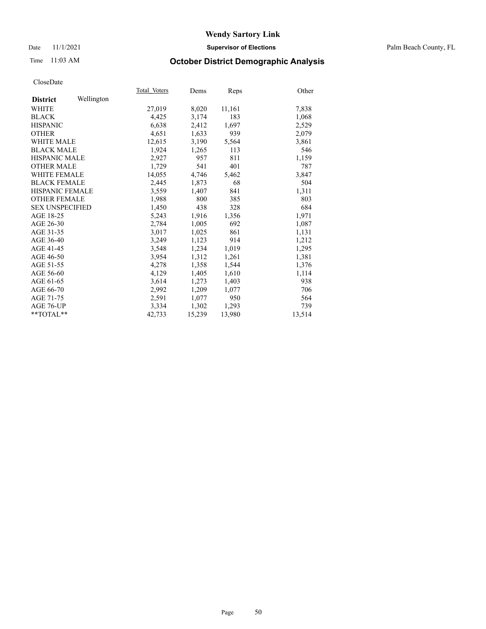#### Date 11/1/2021 **Supervisor of Elections** Palm Beach County, FL

### Time 11:03 AM **October District Demographic Analysis**

|                        |            | Total Voters | Dems   | Reps   | Other  |
|------------------------|------------|--------------|--------|--------|--------|
| <b>District</b>        | Wellington |              |        |        |        |
| WHITE                  |            | 27,019       | 8,020  | 11,161 | 7,838  |
| <b>BLACK</b>           |            | 4,425        | 3,174  | 183    | 1,068  |
| <b>HISPANIC</b>        |            | 6,638        | 2,412  | 1,697  | 2,529  |
| <b>OTHER</b>           |            | 4,651        | 1,633  | 939    | 2,079  |
| <b>WHITE MALE</b>      |            | 12,615       | 3,190  | 5,564  | 3,861  |
| <b>BLACK MALE</b>      |            | 1,924        | 1,265  | 113    | 546    |
| <b>HISPANIC MALE</b>   |            | 2,927        | 957    | 811    | 1,159  |
| <b>OTHER MALE</b>      |            | 1,729        | 541    | 401    | 787    |
| <b>WHITE FEMALE</b>    |            | 14,055       | 4,746  | 5,462  | 3,847  |
| <b>BLACK FEMALE</b>    |            | 2.445        | 1,873  | 68     | 504    |
| <b>HISPANIC FEMALE</b> |            | 3,559        | 1,407  | 841    | 1,311  |
| <b>OTHER FEMALE</b>    |            | 1,988        | 800    | 385    | 803    |
| <b>SEX UNSPECIFIED</b> |            | 1,450        | 438    | 328    | 684    |
| AGE 18-25              |            | 5,243        | 1,916  | 1,356  | 1,971  |
| AGE 26-30              |            | 2,784        | 1,005  | 692    | 1,087  |
| AGE 31-35              |            | 3,017        | 1,025  | 861    | 1,131  |
| AGE 36-40              |            | 3,249        | 1,123  | 914    | 1,212  |
| AGE 41-45              |            | 3,548        | 1,234  | 1,019  | 1,295  |
| AGE 46-50              |            | 3,954        | 1,312  | 1,261  | 1,381  |
| AGE 51-55              |            | 4,278        | 1,358  | 1,544  | 1,376  |
| AGE 56-60              |            | 4,129        | 1,405  | 1,610  | 1,114  |
| AGE 61-65              |            | 3,614        | 1,273  | 1,403  | 938    |
| AGE 66-70              |            | 2.992        | 1,209  | 1,077  | 706    |
| AGE 71-75              |            | 2,591        | 1,077  | 950    | 564    |
| AGE 76-UP              |            | 3,334        | 1,302  | 1,293  | 739    |
| $*$ TOTAL $*$          |            | 42,733       | 15,239 | 13,980 | 13,514 |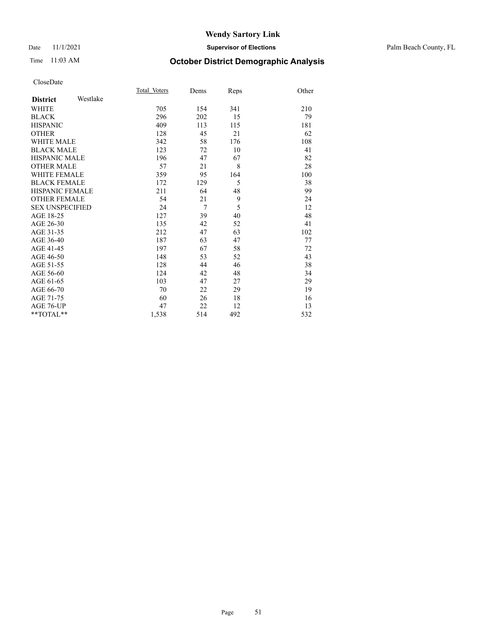#### Date 11/1/2021 **Supervisor of Elections** Palm Beach County, FL

### Time 11:03 AM **October District Demographic Analysis**

|                        |          | Total Voters | Dems   | Reps | Other |
|------------------------|----------|--------------|--------|------|-------|
| <b>District</b>        | Westlake |              |        |      |       |
| WHITE                  |          | 705          | 154    | 341  | 210   |
| <b>BLACK</b>           |          | 296          | 202    | 15   | 79    |
| <b>HISPANIC</b>        |          | 409          | 113    | 115  | 181   |
| <b>OTHER</b>           |          | 128          | 45     | 21   | 62    |
| <b>WHITE MALE</b>      |          | 342          | 58     | 176  | 108   |
| <b>BLACK MALE</b>      |          | 123          | 72     | 10   | 41    |
| <b>HISPANIC MALE</b>   |          | 196          | 47     | 67   | 82    |
| <b>OTHER MALE</b>      |          | 57           | 21     | 8    | 28    |
| <b>WHITE FEMALE</b>    |          | 359          | 95     | 164  | 100   |
| <b>BLACK FEMALE</b>    |          | 172          | 129    | 5    | 38    |
| <b>HISPANIC FEMALE</b> |          | 211          | 64     | 48   | 99    |
| <b>OTHER FEMALE</b>    |          | 54           | 21     | 9    | 24    |
| <b>SEX UNSPECIFIED</b> |          | 24           | $\tau$ | 5    | 12    |
| AGE 18-25              |          | 127          | 39     | 40   | 48    |
| AGE 26-30              |          | 135          | 42     | 52   | 41    |
| AGE 31-35              |          | 212          | 47     | 63   | 102   |
| AGE 36-40              |          | 187          | 63     | 47   | 77    |
| AGE 41-45              |          | 197          | 67     | 58   | 72    |
| AGE 46-50              |          | 148          | 53     | 52   | 43    |
| AGE 51-55              |          | 128          | 44     | 46   | 38    |
| AGE 56-60              |          | 124          | 42     | 48   | 34    |
| AGE 61-65              |          | 103          | 47     | 27   | 29    |
| AGE 66-70              |          | 70           | 22     | 29   | 19    |
| AGE 71-75              |          | 60           | 26     | 18   | 16    |
| <b>AGE 76-UP</b>       |          | 47           | 22     | 12   | 13    |
| $**TOTAL**$            |          | 1,538        | 514    | 492  | 532   |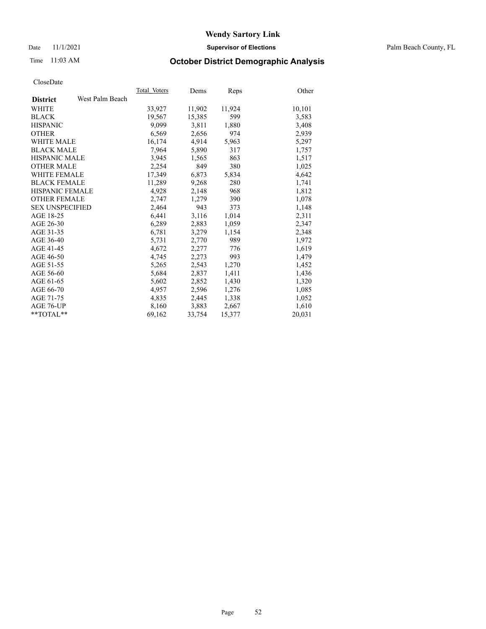Date 11/1/2021 **Supervisor of Elections** Palm Beach County, FL

## Time 11:03 AM **October District Demographic Analysis**

|                        |                 | Total Voters | Dems   | <b>Reps</b> | Other  |
|------------------------|-----------------|--------------|--------|-------------|--------|
| <b>District</b>        | West Palm Beach |              |        |             |        |
| WHITE                  |                 | 33,927       | 11,902 | 11,924      | 10,101 |
| <b>BLACK</b>           |                 | 19,567       | 15,385 | 599         | 3,583  |
| <b>HISPANIC</b>        |                 | 9,099        | 3,811  | 1,880       | 3,408  |
| <b>OTHER</b>           |                 | 6,569        | 2,656  | 974         | 2,939  |
| <b>WHITE MALE</b>      |                 | 16,174       | 4,914  | 5,963       | 5,297  |
| <b>BLACK MALE</b>      |                 | 7,964        | 5,890  | 317         | 1,757  |
| <b>HISPANIC MALE</b>   |                 | 3,945        | 1,565  | 863         | 1,517  |
| <b>OTHER MALE</b>      |                 | 2.254        | 849    | 380         | 1,025  |
| <b>WHITE FEMALE</b>    |                 | 17,349       | 6,873  | 5,834       | 4,642  |
| <b>BLACK FEMALE</b>    |                 | 11,289       | 9,268  | 280         | 1,741  |
| <b>HISPANIC FEMALE</b> |                 | 4,928        | 2,148  | 968         | 1,812  |
| <b>OTHER FEMALE</b>    |                 | 2,747        | 1,279  | 390         | 1,078  |
| <b>SEX UNSPECIFIED</b> |                 | 2,464        | 943    | 373         | 1,148  |
| AGE 18-25              |                 | 6,441        | 3,116  | 1,014       | 2,311  |
| AGE 26-30              |                 | 6,289        | 2,883  | 1,059       | 2,347  |
| AGE 31-35              |                 | 6,781        | 3,279  | 1,154       | 2,348  |
| AGE 36-40              |                 | 5,731        | 2,770  | 989         | 1,972  |
| AGE 41-45              |                 | 4,672        | 2,277  | 776         | 1,619  |
| AGE 46-50              |                 | 4,745        | 2,273  | 993         | 1,479  |
| AGE 51-55              |                 | 5,265        | 2,543  | 1,270       | 1,452  |
| AGE 56-60              |                 | 5,684        | 2,837  | 1,411       | 1,436  |
| AGE 61-65              |                 | 5,602        | 2,852  | 1,430       | 1,320  |
| AGE 66-70              |                 | 4,957        | 2,596  | 1,276       | 1,085  |
| AGE 71-75              |                 | 4,835        | 2,445  | 1,338       | 1,052  |
| AGE 76-UP              |                 | 8,160        | 3,883  | 2,667       | 1,610  |
| **TOTAL**              |                 | 69,162       | 33,754 | 15,377      | 20,031 |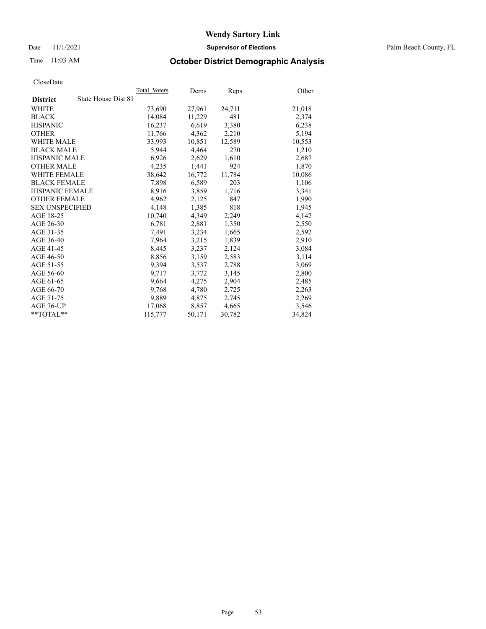Date 11/1/2021 **Supervisor of Elections** Palm Beach County, FL

## Time 11:03 AM **October District Demographic Analysis**

|                                        | Total Voters | Dems   | Reps   | Other  |
|----------------------------------------|--------------|--------|--------|--------|
| State House Dist 81<br><b>District</b> |              |        |        |        |
| WHITE                                  | 73,690       | 27,961 | 24,711 | 21,018 |
| <b>BLACK</b>                           | 14,084       | 11,229 | 481    | 2,374  |
| <b>HISPANIC</b>                        | 16,237       | 6,619  | 3,380  | 6,238  |
| <b>OTHER</b>                           | 11,766       | 4,362  | 2,210  | 5,194  |
| <b>WHITE MALE</b>                      | 33,993       | 10,851 | 12,589 | 10,553 |
| <b>BLACK MALE</b>                      | 5,944        | 4,464  | 270    | 1,210  |
| <b>HISPANIC MALE</b>                   | 6,926        | 2,629  | 1,610  | 2,687  |
| <b>OTHER MALE</b>                      | 4,235        | 1,441  | 924    | 1,870  |
| <b>WHITE FEMALE</b>                    | 38,642       | 16,772 | 11,784 | 10,086 |
| <b>BLACK FEMALE</b>                    | 7,898        | 6,589  | 203    | 1,106  |
| <b>HISPANIC FEMALE</b>                 | 8,916        | 3,859  | 1,716  | 3,341  |
| <b>OTHER FEMALE</b>                    | 4,962        | 2,125  | 847    | 1,990  |
| <b>SEX UNSPECIFIED</b>                 | 4,148        | 1,385  | 818    | 1,945  |
| AGE 18-25                              | 10,740       | 4,349  | 2,249  | 4,142  |
| AGE 26-30                              | 6,781        | 2,881  | 1,350  | 2,550  |
| AGE 31-35                              | 7,491        | 3,234  | 1,665  | 2,592  |
| AGE 36-40                              | 7.964        | 3,215  | 1,839  | 2,910  |
| AGE 41-45                              | 8,445        | 3,237  | 2,124  | 3,084  |
| AGE 46-50                              | 8,856        | 3,159  | 2,583  | 3,114  |
| AGE 51-55                              | 9,394        | 3,537  | 2,788  | 3,069  |
| AGE 56-60                              | 9,717        | 3,772  | 3,145  | 2,800  |
| AGE 61-65                              | 9.664        | 4,275  | 2,904  | 2,485  |
| AGE 66-70                              | 9,768        | 4,780  | 2,725  | 2,263  |
| AGE 71-75                              | 9,889        | 4,875  | 2,745  | 2,269  |
| AGE 76-UP                              | 17,068       | 8,857  | 4,665  | 3,546  |
| $*$ $TOTAL**$                          | 115,777      | 50,171 | 30,782 | 34,824 |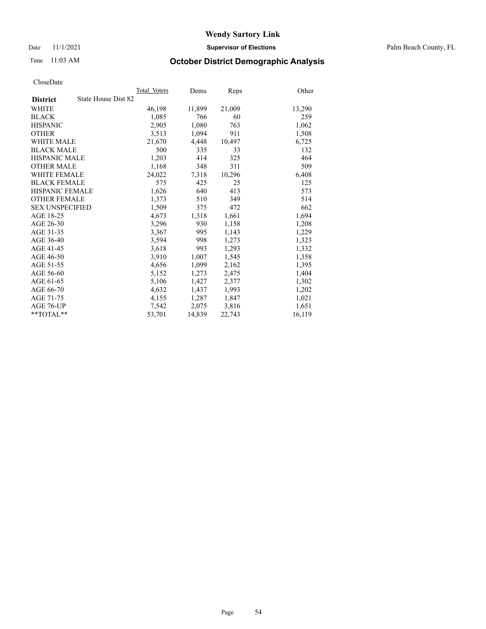Date 11/1/2021 **Supervisor of Elections** Palm Beach County, FL

## Time 11:03 AM **October District Demographic Analysis**

|                                        | Total Voters | Dems   | Reps   | Other  |
|----------------------------------------|--------------|--------|--------|--------|
| State House Dist 82<br><b>District</b> |              |        |        |        |
| WHITE                                  | 46,198       | 11,899 | 21,009 | 13,290 |
| <b>BLACK</b>                           | 1,085        | 766    | 60     | 259    |
| <b>HISPANIC</b>                        | 2.905        | 1,080  | 763    | 1,062  |
| <b>OTHER</b>                           | 3,513        | 1,094  | 911    | 1,508  |
| <b>WHITE MALE</b>                      | 21,670       | 4,448  | 10,497 | 6,725  |
| <b>BLACK MALE</b>                      | 500          | 335    | 33     | 132    |
| <b>HISPANIC MALE</b>                   | 1,203        | 414    | 325    | 464    |
| <b>OTHER MALE</b>                      | 1,168        | 348    | 311    | 509    |
| <b>WHITE FEMALE</b>                    | 24,022       | 7,318  | 10,296 | 6,408  |
| <b>BLACK FEMALE</b>                    | 575          | 425    | 25     | 125    |
| <b>HISPANIC FEMALE</b>                 | 1,626        | 640    | 413    | 573    |
| <b>OTHER FEMALE</b>                    | 1,373        | 510    | 349    | 514    |
| <b>SEX UNSPECIFIED</b>                 | 1,509        | 375    | 472    | 662    |
| AGE 18-25                              | 4,673        | 1,318  | 1,661  | 1,694  |
| AGE 26-30                              | 3,296        | 930    | 1,158  | 1,208  |
| AGE 31-35                              | 3,367        | 995    | 1,143  | 1,229  |
| AGE 36-40                              | 3,594        | 998    | 1,273  | 1,323  |
| AGE 41-45                              | 3,618        | 993    | 1,293  | 1,332  |
| AGE 46-50                              | 3,910        | 1,007  | 1,545  | 1,358  |
| AGE 51-55                              | 4,656        | 1,099  | 2,162  | 1,395  |
| AGE 56-60                              | 5,152        | 1,273  | 2,475  | 1,404  |
| AGE 61-65                              | 5,106        | 1,427  | 2,377  | 1,302  |
| AGE 66-70                              | 4,632        | 1,437  | 1,993  | 1,202  |
| AGE 71-75                              | 4,155        | 1,287  | 1,847  | 1,021  |
| AGE 76-UP                              | 7,542        | 2,075  | 3,816  | 1,651  |
| $*$ $TOTAL**$                          | 53,701       | 14,839 | 22,743 | 16,119 |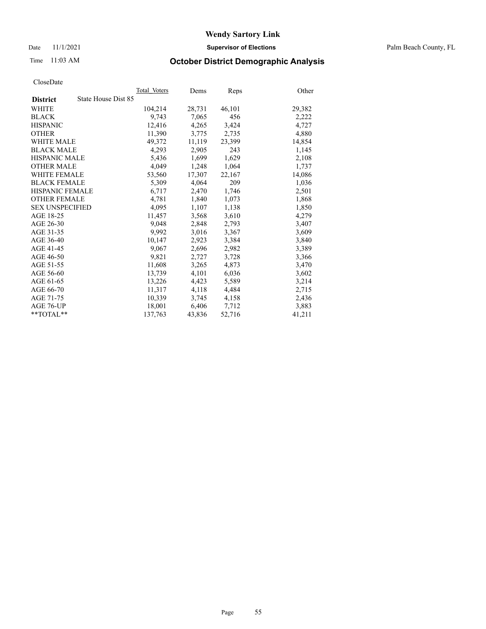Date 11/1/2021 **Supervisor of Elections** Palm Beach County, FL

### Time 11:03 AM **October District Demographic Analysis**

|                        | Total Voters        | Dems   | Reps   | Other  |
|------------------------|---------------------|--------|--------|--------|
| <b>District</b>        | State House Dist 85 |        |        |        |
| WHITE                  | 104,214             | 28,731 | 46,101 | 29,382 |
| <b>BLACK</b>           | 9,743               | 7,065  | 456    | 2,222  |
| <b>HISPANIC</b>        | 12.416              | 4,265  | 3,424  | 4,727  |
| <b>OTHER</b>           | 11,390              | 3,775  | 2,735  | 4,880  |
| <b>WHITE MALE</b>      | 49,372              | 11,119 | 23,399 | 14,854 |
| <b>BLACK MALE</b>      | 4,293               | 2,905  | 243    | 1,145  |
| <b>HISPANIC MALE</b>   | 5,436               | 1,699  | 1,629  | 2,108  |
| <b>OTHER MALE</b>      | 4.049               | 1,248  | 1,064  | 1,737  |
| <b>WHITE FEMALE</b>    | 53,560              | 17,307 | 22,167 | 14,086 |
| <b>BLACK FEMALE</b>    | 5,309               | 4,064  | 209    | 1,036  |
| <b>HISPANIC FEMALE</b> | 6,717               | 2,470  | 1,746  | 2,501  |
| <b>OTHER FEMALE</b>    | 4,781               | 1,840  | 1,073  | 1,868  |
| <b>SEX UNSPECIFIED</b> | 4,095               | 1,107  | 1,138  | 1,850  |
| AGE 18-25              | 11,457              | 3,568  | 3,610  | 4,279  |
| AGE 26-30              | 9,048               | 2,848  | 2,793  | 3,407  |
| AGE 31-35              | 9,992               | 3,016  | 3,367  | 3,609  |
| AGE 36-40              | 10,147              | 2,923  | 3,384  | 3,840  |
| AGE 41-45              | 9,067               | 2,696  | 2,982  | 3,389  |
| AGE 46-50              | 9,821               | 2,727  | 3,728  | 3,366  |
| AGE 51-55              | 11,608              | 3,265  | 4,873  | 3,470  |
| AGE 56-60              | 13,739              | 4,101  | 6,036  | 3,602  |
| AGE 61-65              | 13,226              | 4,423  | 5,589  | 3,214  |
| AGE 66-70              | 11,317              | 4,118  | 4,484  | 2,715  |
| AGE 71-75              | 10,339              | 3,745  | 4,158  | 2,436  |
| AGE 76-UP              | 18.001              | 6,406  | 7,712  | 3,883  |
| **TOTAL**              | 137,763             | 43,836 | 52,716 | 41,211 |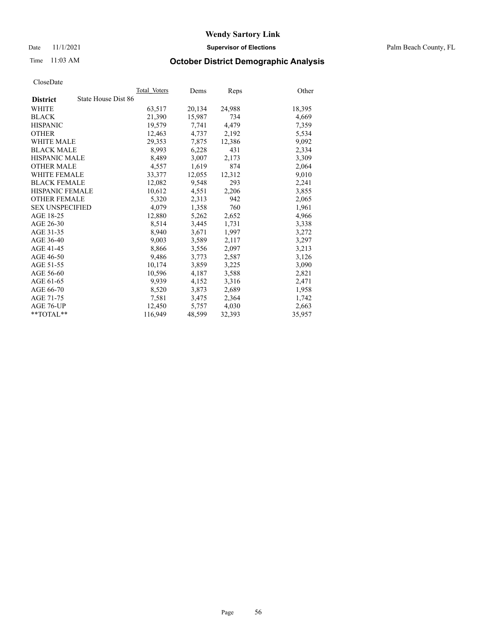Date 11/1/2021 **Supervisor of Elections** Palm Beach County, FL

## Time 11:03 AM **October District Demographic Analysis**

|                                        | Total Voters | Dems   | Reps   | Other  |
|----------------------------------------|--------------|--------|--------|--------|
| State House Dist 86<br><b>District</b> |              |        |        |        |
| WHITE                                  | 63,517       | 20,134 | 24,988 | 18,395 |
| <b>BLACK</b>                           | 21,390       | 15,987 | 734    | 4,669  |
| <b>HISPANIC</b>                        | 19,579       | 7.741  | 4,479  | 7,359  |
| <b>OTHER</b>                           | 12,463       | 4,737  | 2,192  | 5,534  |
| <b>WHITE MALE</b>                      | 29,353       | 7,875  | 12,386 | 9,092  |
| <b>BLACK MALE</b>                      | 8,993        | 6,228  | 431    | 2,334  |
| <b>HISPANIC MALE</b>                   | 8,489        | 3,007  | 2,173  | 3,309  |
| <b>OTHER MALE</b>                      | 4,557        | 1,619  | 874    | 2,064  |
| <b>WHITE FEMALE</b>                    | 33,377       | 12,055 | 12,312 | 9,010  |
| <b>BLACK FEMALE</b>                    | 12,082       | 9,548  | 293    | 2,241  |
| <b>HISPANIC FEMALE</b>                 | 10,612       | 4,551  | 2,206  | 3,855  |
| <b>OTHER FEMALE</b>                    | 5,320        | 2,313  | 942    | 2,065  |
| <b>SEX UNSPECIFIED</b>                 | 4,079        | 1,358  | 760    | 1,961  |
| AGE 18-25                              | 12,880       | 5,262  | 2,652  | 4,966  |
| AGE 26-30                              | 8,514        | 3,445  | 1,731  | 3,338  |
| AGE 31-35                              | 8,940        | 3,671  | 1,997  | 3,272  |
| AGE 36-40                              | 9.003        | 3,589  | 2,117  | 3,297  |
| AGE 41-45                              | 8,866        | 3,556  | 2,097  | 3,213  |
| AGE 46-50                              | 9,486        | 3,773  | 2,587  | 3,126  |
| AGE 51-55                              | 10,174       | 3,859  | 3,225  | 3,090  |
| AGE 56-60                              | 10,596       | 4,187  | 3,588  | 2,821  |
| AGE 61-65                              | 9.939        | 4,152  | 3,316  | 2,471  |
| AGE 66-70                              | 8,520        | 3,873  | 2,689  | 1,958  |
| AGE 71-75                              | 7,581        | 3,475  | 2,364  | 1,742  |
| AGE 76-UP                              | 12.450       | 5,757  | 4,030  | 2,663  |
| $*$ $TOTAL**$                          | 116,949      | 48,599 | 32,393 | 35,957 |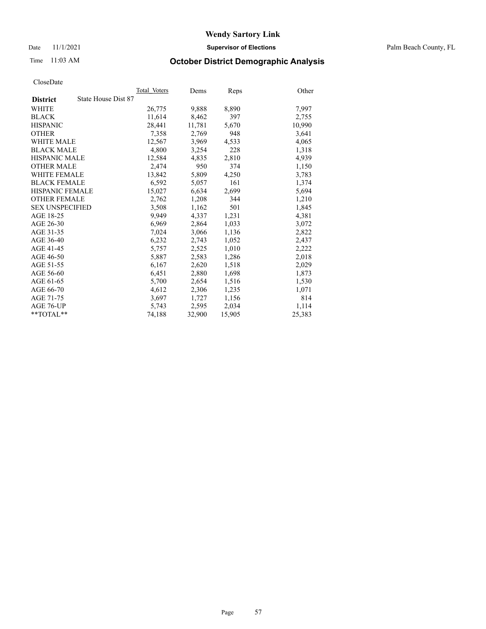Date 11/1/2021 **Supervisor of Elections** Palm Beach County, FL

## Time 11:03 AM **October District Demographic Analysis**

|                                        | Total Voters | Dems   | Reps   | Other  |
|----------------------------------------|--------------|--------|--------|--------|
| State House Dist 87<br><b>District</b> |              |        |        |        |
| WHITE                                  | 26,775       | 9,888  | 8,890  | 7,997  |
| <b>BLACK</b>                           | 11,614       | 8,462  | 397    | 2,755  |
| <b>HISPANIC</b>                        | 28,441       | 11,781 | 5,670  | 10,990 |
| <b>OTHER</b>                           | 7,358        | 2,769  | 948    | 3,641  |
| <b>WHITE MALE</b>                      | 12,567       | 3,969  | 4,533  | 4,065  |
| <b>BLACK MALE</b>                      | 4,800        | 3,254  | 228    | 1,318  |
| <b>HISPANIC MALE</b>                   | 12,584       | 4,835  | 2,810  | 4,939  |
| <b>OTHER MALE</b>                      | 2,474        | 950    | 374    | 1,150  |
| <b>WHITE FEMALE</b>                    | 13,842       | 5,809  | 4,250  | 3,783  |
| <b>BLACK FEMALE</b>                    | 6,592        | 5,057  | 161    | 1,374  |
| HISPANIC FEMALE                        | 15,027       | 6,634  | 2,699  | 5,694  |
| <b>OTHER FEMALE</b>                    | 2,762        | 1,208  | 344    | 1,210  |
| <b>SEX UNSPECIFIED</b>                 | 3,508        | 1,162  | 501    | 1,845  |
| AGE 18-25                              | 9,949        | 4,337  | 1,231  | 4,381  |
| AGE 26-30                              | 6,969        | 2,864  | 1,033  | 3,072  |
| AGE 31-35                              | 7,024        | 3,066  | 1,136  | 2,822  |
| AGE 36-40                              | 6,232        | 2,743  | 1,052  | 2,437  |
| AGE 41-45                              | 5,757        | 2,525  | 1,010  | 2,222  |
| AGE 46-50                              | 5,887        | 2,583  | 1,286  | 2,018  |
| AGE 51-55                              | 6,167        | 2,620  | 1,518  | 2,029  |
| AGE 56-60                              | 6,451        | 2,880  | 1,698  | 1,873  |
| AGE 61-65                              | 5,700        | 2,654  | 1,516  | 1,530  |
| AGE 66-70                              | 4,612        | 2,306  | 1,235  | 1,071  |
| AGE 71-75                              | 3,697        | 1,727  | 1,156  | 814    |
| AGE 76-UP                              | 5,743        | 2,595  | 2,034  | 1,114  |
| $*$ $TOTAL**$                          | 74,188       | 32,900 | 15,905 | 25,383 |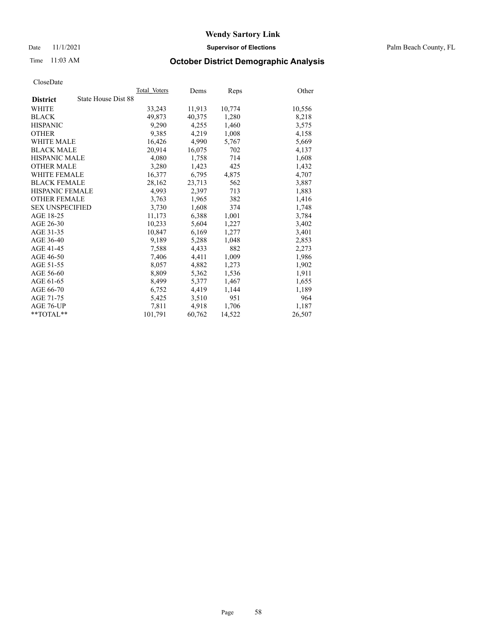Date 11/1/2021 **Supervisor of Elections** Palm Beach County, FL

## Time 11:03 AM **October District Demographic Analysis**

|                        | Total Voters        | Dems   | Reps   | Other  |
|------------------------|---------------------|--------|--------|--------|
| <b>District</b>        | State House Dist 88 |        |        |        |
| WHITE                  | 33,243              | 11,913 | 10,774 | 10,556 |
| <b>BLACK</b>           | 49,873              | 40,375 | 1,280  | 8,218  |
| <b>HISPANIC</b>        | 9.290               | 4,255  | 1,460  | 3,575  |
| <b>OTHER</b>           | 9,385               | 4,219  | 1,008  | 4,158  |
| <b>WHITE MALE</b>      | 16,426              | 4,990  | 5,767  | 5,669  |
| <b>BLACK MALE</b>      | 20.914              | 16,075 | 702    | 4,137  |
| <b>HISPANIC MALE</b>   | 4,080               | 1,758  | 714    | 1,608  |
| <b>OTHER MALE</b>      | 3,280               | 1,423  | 425    | 1,432  |
| <b>WHITE FEMALE</b>    | 16,377              | 6,795  | 4,875  | 4,707  |
| <b>BLACK FEMALE</b>    | 28,162              | 23,713 | 562    | 3,887  |
| HISPANIC FEMALE        | 4,993               | 2,397  | 713    | 1,883  |
| <b>OTHER FEMALE</b>    | 3,763               | 1,965  | 382    | 1,416  |
| <b>SEX UNSPECIFIED</b> | 3,730               | 1,608  | 374    | 1,748  |
| AGE 18-25              | 11,173              | 6,388  | 1,001  | 3,784  |
| AGE 26-30              | 10,233              | 5,604  | 1,227  | 3,402  |
| AGE 31-35              | 10,847              | 6,169  | 1,277  | 3,401  |
| AGE 36-40              | 9,189               | 5,288  | 1,048  | 2,853  |
| AGE 41-45              | 7,588               | 4,433  | 882    | 2,273  |
| AGE 46-50              | 7,406               | 4,411  | 1,009  | 1,986  |
| AGE 51-55              | 8,057               | 4,882  | 1,273  | 1,902  |
| AGE 56-60              | 8,809               | 5,362  | 1,536  | 1,911  |
| AGE 61-65              | 8,499               | 5,377  | 1,467  | 1,655  |
| AGE 66-70              | 6,752               | 4,419  | 1,144  | 1,189  |
| AGE 71-75              | 5,425               | 3,510  | 951    | 964    |
| AGE 76-UP              | 7,811               | 4,918  | 1,706  | 1,187  |
| $*$ $TOTAL**$          | 101,791             | 60,762 | 14,522 | 26,507 |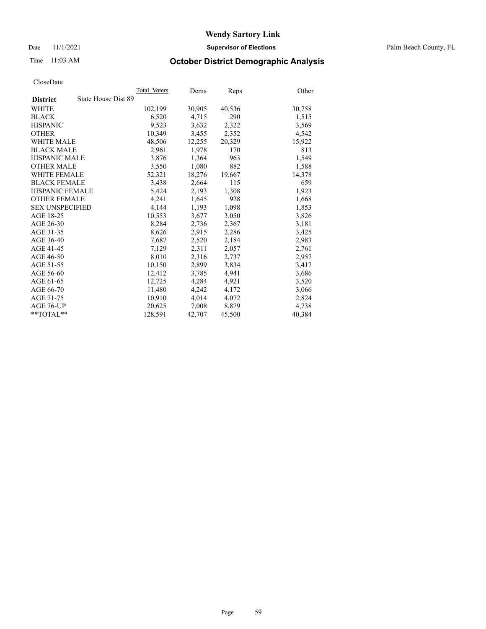Date 11/1/2021 **Supervisor of Elections** Palm Beach County, FL

### Time 11:03 AM **October District Demographic Analysis**

|                                        | Total Voters | Dems   | Reps   | Other  |
|----------------------------------------|--------------|--------|--------|--------|
| State House Dist 89<br><b>District</b> |              |        |        |        |
| WHITE                                  | 102,199      | 30,905 | 40,536 | 30,758 |
| <b>BLACK</b>                           | 6,520        | 4,715  | 290    | 1,515  |
| <b>HISPANIC</b>                        | 9,523        | 3,632  | 2,322  | 3,569  |
| <b>OTHER</b>                           | 10,349       | 3,455  | 2,352  | 4,542  |
| <b>WHITE MALE</b>                      | 48,506       | 12,255 | 20,329 | 15,922 |
| <b>BLACK MALE</b>                      | 2,961        | 1,978  | 170    | 813    |
| <b>HISPANIC MALE</b>                   | 3,876        | 1,364  | 963    | 1,549  |
| <b>OTHER MALE</b>                      | 3,550        | 1,080  | 882    | 1,588  |
| <b>WHITE FEMALE</b>                    | 52,321       | 18,276 | 19,667 | 14,378 |
| <b>BLACK FEMALE</b>                    | 3,438        | 2,664  | 115    | 659    |
| HISPANIC FEMALE                        | 5,424        | 2,193  | 1,308  | 1,923  |
| <b>OTHER FEMALE</b>                    | 4,241        | 1,645  | 928    | 1,668  |
| <b>SEX UNSPECIFIED</b>                 | 4,144        | 1,193  | 1,098  | 1,853  |
| AGE 18-25                              | 10,553       | 3,677  | 3,050  | 3,826  |
| AGE 26-30                              | 8,284        | 2,736  | 2,367  | 3,181  |
| AGE 31-35                              | 8,626        | 2,915  | 2,286  | 3,425  |
| AGE 36-40                              | 7,687        | 2,520  | 2,184  | 2,983  |
| AGE 41-45                              | 7,129        | 2,311  | 2,057  | 2,761  |
| AGE 46-50                              | 8,010        | 2,316  | 2,737  | 2,957  |
| AGE 51-55                              | 10,150       | 2,899  | 3,834  | 3,417  |
| AGE 56-60                              | 12,412       | 3,785  | 4,941  | 3,686  |
| AGE 61-65                              | 12,725       | 4,284  | 4,921  | 3,520  |
| AGE 66-70                              | 11,480       | 4,242  | 4,172  | 3,066  |
| AGE 71-75                              | 10,910       | 4,014  | 4,072  | 2,824  |
| AGE 76-UP                              | 20.625       | 7,008  | 8,879  | 4,738  |
| $*$ $TOTAL**$                          | 128,591      | 42,707 | 45,500 | 40,384 |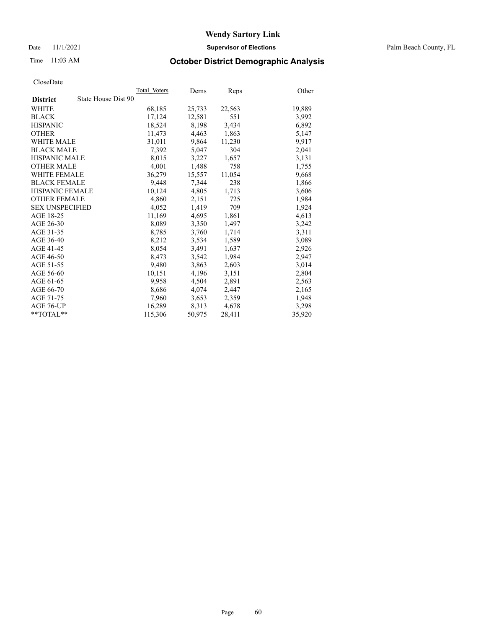Date 11/1/2021 **Supervisor of Elections** Palm Beach County, FL

### Time 11:03 AM **October District Demographic Analysis**

|                                        | Total Voters | Dems   | Reps   | Other  |
|----------------------------------------|--------------|--------|--------|--------|
| State House Dist 90<br><b>District</b> |              |        |        |        |
| WHITE                                  | 68,185       | 25,733 | 22,563 | 19,889 |
| <b>BLACK</b>                           | 17,124       | 12,581 | 551    | 3,992  |
| <b>HISPANIC</b>                        | 18,524       | 8,198  | 3,434  | 6,892  |
| <b>OTHER</b>                           | 11,473       | 4,463  | 1,863  | 5,147  |
| <b>WHITE MALE</b>                      | 31,011       | 9,864  | 11,230 | 9,917  |
| <b>BLACK MALE</b>                      | 7,392        | 5,047  | 304    | 2,041  |
| <b>HISPANIC MALE</b>                   | 8,015        | 3,227  | 1,657  | 3,131  |
| <b>OTHER MALE</b>                      | 4,001        | 1,488  | 758    | 1,755  |
| <b>WHITE FEMALE</b>                    | 36,279       | 15,557 | 11,054 | 9,668  |
| <b>BLACK FEMALE</b>                    | 9,448        | 7,344  | 238    | 1,866  |
| <b>HISPANIC FEMALE</b>                 | 10,124       | 4,805  | 1,713  | 3,606  |
| <b>OTHER FEMALE</b>                    | 4,860        | 2,151  | 725    | 1,984  |
| <b>SEX UNSPECIFIED</b>                 | 4,052        | 1,419  | 709    | 1,924  |
| AGE 18-25                              | 11,169       | 4,695  | 1,861  | 4,613  |
| AGE 26-30                              | 8,089        | 3,350  | 1,497  | 3,242  |
| AGE 31-35                              | 8,785        | 3,760  | 1,714  | 3,311  |
| AGE 36-40                              | 8,212        | 3,534  | 1,589  | 3,089  |
| AGE 41-45                              | 8,054        | 3,491  | 1,637  | 2,926  |
| AGE 46-50                              | 8,473        | 3,542  | 1,984  | 2,947  |
| AGE 51-55                              | 9,480        | 3,863  | 2,603  | 3,014  |
| AGE 56-60                              | 10,151       | 4,196  | 3,151  | 2,804  |
| AGE 61-65                              | 9.958        | 4,504  | 2,891  | 2,563  |
| AGE 66-70                              | 8,686        | 4,074  | 2,447  | 2,165  |
| AGE 71-75                              | 7,960        | 3,653  | 2,359  | 1,948  |
| AGE 76-UP                              | 16,289       | 8,313  | 4,678  | 3,298  |
| $*$ $TOTAL**$                          | 115,306      | 50,975 | 28,411 | 35,920 |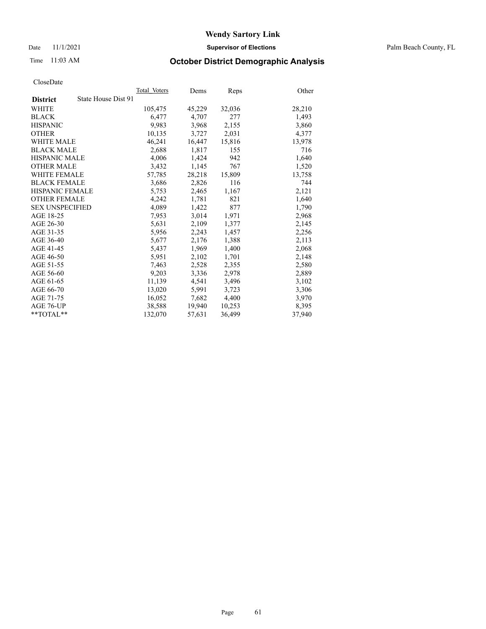Date 11/1/2021 **Supervisor of Elections** Palm Beach County, FL

## Time 11:03 AM **October District Demographic Analysis**

|                                        | Total Voters | Dems   | Reps   | Other  |
|----------------------------------------|--------------|--------|--------|--------|
| State House Dist 91<br><b>District</b> |              |        |        |        |
| WHITE                                  | 105,475      | 45,229 | 32,036 | 28,210 |
| <b>BLACK</b>                           | 6,477        | 4,707  | 277    | 1,493  |
| <b>HISPANIC</b>                        | 9,983        | 3,968  | 2,155  | 3,860  |
| <b>OTHER</b>                           | 10,135       | 3,727  | 2,031  | 4,377  |
| <b>WHITE MALE</b>                      | 46,241       | 16,447 | 15,816 | 13,978 |
| <b>BLACK MALE</b>                      | 2,688        | 1,817  | 155    | 716    |
| <b>HISPANIC MALE</b>                   | 4,006        | 1,424  | 942    | 1,640  |
| <b>OTHER MALE</b>                      | 3,432        | 1,145  | 767    | 1,520  |
| <b>WHITE FEMALE</b>                    | 57,785       | 28,218 | 15,809 | 13,758 |
| <b>BLACK FEMALE</b>                    | 3,686        | 2.826  | 116    | 744    |
| <b>HISPANIC FEMALE</b>                 | 5,753        | 2,465  | 1,167  | 2,121  |
| <b>OTHER FEMALE</b>                    | 4,242        | 1,781  | 821    | 1,640  |
| <b>SEX UNSPECIFIED</b>                 | 4,089        | 1,422  | 877    | 1,790  |
| AGE 18-25                              | 7,953        | 3,014  | 1,971  | 2,968  |
| AGE 26-30                              | 5,631        | 2,109  | 1,377  | 2,145  |
| AGE 31-35                              | 5,956        | 2,243  | 1,457  | 2,256  |
| AGE 36-40                              | 5,677        | 2,176  | 1,388  | 2,113  |
| AGE 41-45                              | 5,437        | 1,969  | 1,400  | 2,068  |
| AGE 46-50                              | 5,951        | 2,102  | 1,701  | 2,148  |
| AGE 51-55                              | 7,463        | 2,528  | 2,355  | 2,580  |
| AGE 56-60                              | 9,203        | 3,336  | 2,978  | 2,889  |
| AGE 61-65                              | 11,139       | 4,541  | 3,496  | 3,102  |
| AGE 66-70                              | 13,020       | 5,991  | 3,723  | 3,306  |
| AGE 71-75                              | 16,052       | 7,682  | 4,400  | 3,970  |
| AGE 76-UP                              | 38,588       | 19,940 | 10,253 | 8,395  |
| $*$ $TOTAL**$                          | 132,070      | 57,631 | 36,499 | 37,940 |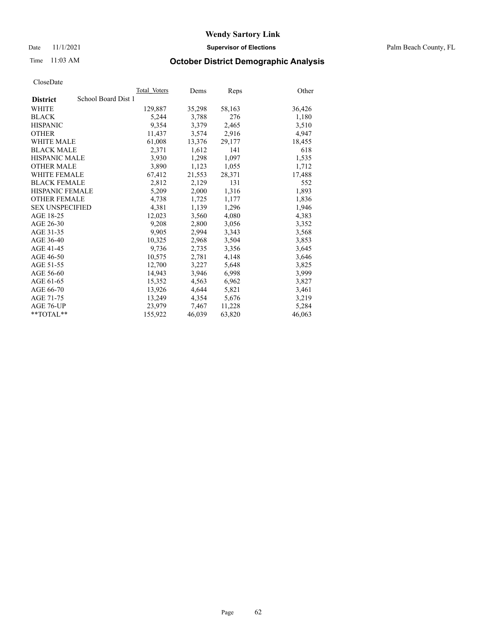Date 11/1/2021 **Supervisor of Elections** Palm Beach County, FL

## Time 11:03 AM **October District Demographic Analysis**

|                                        | Total Voters | Dems   | Reps   | Other  |
|----------------------------------------|--------------|--------|--------|--------|
| School Board Dist 1<br><b>District</b> |              |        |        |        |
| WHITE                                  | 129,887      | 35,298 | 58,163 | 36,426 |
| <b>BLACK</b>                           | 5,244        | 3,788  | 276    | 1,180  |
| <b>HISPANIC</b>                        | 9,354        | 3,379  | 2,465  | 3,510  |
| <b>OTHER</b>                           | 11,437       | 3,574  | 2,916  | 4,947  |
| <b>WHITE MALE</b>                      | 61,008       | 13,376 | 29,177 | 18,455 |
| <b>BLACK MALE</b>                      | 2,371        | 1,612  | 141    | 618    |
| <b>HISPANIC MALE</b>                   | 3,930        | 1,298  | 1,097  | 1,535  |
| <b>OTHER MALE</b>                      | 3,890        | 1,123  | 1,055  | 1,712  |
| <b>WHITE FEMALE</b>                    | 67,412       | 21,553 | 28,371 | 17,488 |
| <b>BLACK FEMALE</b>                    | 2,812        | 2,129  | 131    | 552    |
| HISPANIC FEMALE                        | 5,209        | 2,000  | 1,316  | 1,893  |
| <b>OTHER FEMALE</b>                    | 4,738        | 1,725  | 1,177  | 1,836  |
| <b>SEX UNSPECIFIED</b>                 | 4,381        | 1,139  | 1,296  | 1,946  |
| AGE 18-25                              | 12,023       | 3,560  | 4,080  | 4,383  |
| AGE 26-30                              | 9,208        | 2,800  | 3,056  | 3,352  |
| AGE 31-35                              | 9,905        | 2,994  | 3,343  | 3,568  |
| AGE 36-40                              | 10,325       | 2,968  | 3,504  | 3,853  |
| AGE 41-45                              | 9,736        | 2,735  | 3,356  | 3,645  |
| AGE 46-50                              | 10,575       | 2,781  | 4,148  | 3,646  |
| AGE 51-55                              | 12,700       | 3,227  | 5,648  | 3,825  |
| AGE 56-60                              | 14,943       | 3,946  | 6,998  | 3,999  |
| AGE 61-65                              | 15,352       | 4,563  | 6,962  | 3,827  |
| AGE 66-70                              | 13,926       | 4,644  | 5,821  | 3,461  |
| AGE 71-75                              | 13,249       | 4,354  | 5,676  | 3,219  |
| AGE 76-UP                              | 23,979       | 7,467  | 11,228 | 5,284  |
| $*$ $TOTAL**$                          | 155,922      | 46,039 | 63,820 | 46,063 |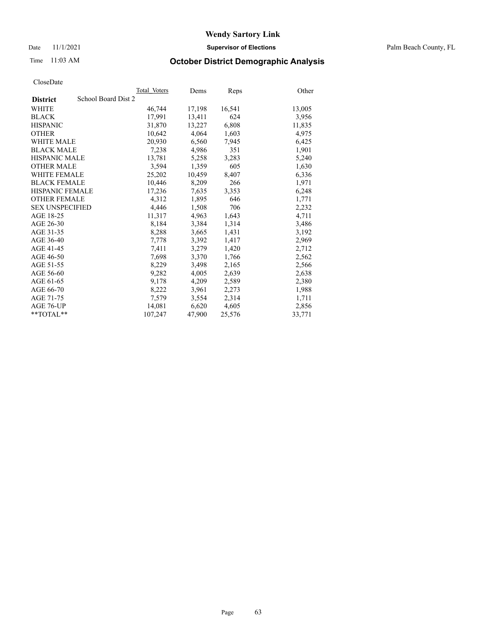Date 11/1/2021 **Supervisor of Elections** Palm Beach County, FL

## Time 11:03 AM **October District Demographic Analysis**

|                        | Total Voters        | Dems   | <b>Reps</b> | Other  |
|------------------------|---------------------|--------|-------------|--------|
| <b>District</b>        | School Board Dist 2 |        |             |        |
| WHITE                  | 46,744              | 17,198 | 16,541      | 13,005 |
| <b>BLACK</b>           | 17,991              | 13,411 | 624         | 3,956  |
| <b>HISPANIC</b>        | 31,870              | 13,227 | 6,808       | 11,835 |
| <b>OTHER</b>           | 10,642              | 4,064  | 1,603       | 4,975  |
| <b>WHITE MALE</b>      | 20,930              | 6,560  | 7,945       | 6,425  |
| <b>BLACK MALE</b>      | 7,238               | 4,986  | 351         | 1,901  |
| <b>HISPANIC MALE</b>   | 13,781              | 5,258  | 3,283       | 5,240  |
| <b>OTHER MALE</b>      | 3.594               | 1,359  | 605         | 1,630  |
| <b>WHITE FEMALE</b>    | 25,202              | 10,459 | 8,407       | 6,336  |
| <b>BLACK FEMALE</b>    | 10,446              | 8,209  | 266         | 1,971  |
| <b>HISPANIC FEMALE</b> | 17,236              | 7,635  | 3,353       | 6,248  |
| <b>OTHER FEMALE</b>    | 4,312               | 1,895  | 646         | 1,771  |
| <b>SEX UNSPECIFIED</b> | 4,446               | 1,508  | 706         | 2,232  |
| AGE 18-25              | 11,317              | 4,963  | 1,643       | 4,711  |
| AGE 26-30              | 8,184               | 3,384  | 1,314       | 3,486  |
| AGE 31-35              | 8,288               | 3,665  | 1,431       | 3,192  |
| AGE 36-40              | 7,778               | 3,392  | 1,417       | 2,969  |
| AGE 41-45              | 7,411               | 3,279  | 1,420       | 2,712  |
| AGE 46-50              | 7,698               | 3,370  | 1,766       | 2,562  |
| AGE 51-55              | 8,229               | 3,498  | 2,165       | 2,566  |
| AGE 56-60              | 9,282               | 4,005  | 2,639       | 2,638  |
| AGE 61-65              | 9,178               | 4,209  | 2,589       | 2,380  |
| AGE 66-70              | 8,222               | 3,961  | 2,273       | 1,988  |
| AGE 71-75              | 7,579               | 3,554  | 2,314       | 1,711  |
| AGE 76-UP              | 14.081              | 6,620  | 4,605       | 2,856  |
| **TOTAL**              | 107,247             | 47,900 | 25,576      | 33,771 |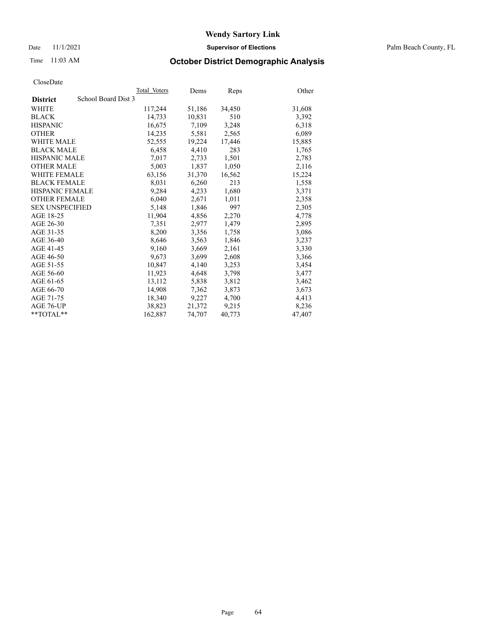Date 11/1/2021 **Supervisor of Elections** Palm Beach County, FL

### Time 11:03 AM **October District Demographic Analysis**

|         |                                     |        | Other  |
|---------|-------------------------------------|--------|--------|
|         |                                     |        |        |
| 117,244 | 51,186                              | 34,450 | 31,608 |
| 14,733  | 10,831                              | 510    | 3,392  |
| 16,675  | 7,109                               | 3,248  | 6,318  |
| 14,235  | 5,581                               | 2,565  | 6,089  |
| 52,555  | 19,224                              | 17,446 | 15,885 |
| 6,458   | 4,410                               | 283    | 1,765  |
| 7,017   | 2,733                               | 1,501  | 2,783  |
| 5.003   | 1,837                               | 1,050  | 2,116  |
| 63,156  | 31,370                              | 16,562 | 15,224 |
| 8,031   | 6,260                               | 213    | 1,558  |
| 9,284   | 4,233                               | 1,680  | 3,371  |
| 6,040   | 2,671                               | 1,011  | 2,358  |
| 5,148   | 1,846                               | 997    | 2,305  |
| 11,904  | 4,856                               | 2,270  | 4,778  |
| 7,351   | 2,977                               | 1,479  | 2,895  |
| 8,200   | 3,356                               | 1,758  | 3,086  |
| 8,646   | 3,563                               | 1,846  | 3,237  |
| 9,160   | 3,669                               | 2,161  | 3,330  |
| 9,673   | 3,699                               | 2,608  | 3,366  |
| 10,847  | 4,140                               | 3,253  | 3,454  |
| 11,923  | 4,648                               | 3,798  | 3,477  |
| 13,112  | 5,838                               | 3,812  | 3,462  |
| 14,908  | 7,362                               | 3,873  | 3,673  |
| 18,340  | 9,227                               | 4,700  | 4,413  |
| 38.823  | 21,372                              | 9,215  | 8,236  |
| 162,887 | 74,707                              | 40,773 | 47,407 |
|         | Total Voters<br>School Board Dist 3 | Dems   | Reps   |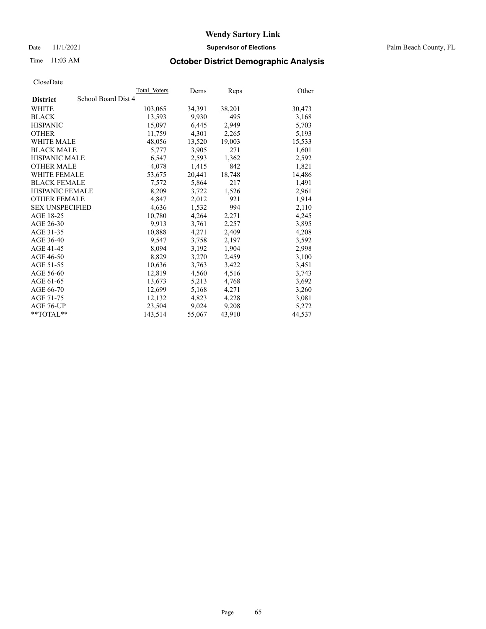Date 11/1/2021 **Supervisor of Elections** Palm Beach County, FL

### Time 11:03 AM **October District Demographic Analysis**

|                                        | Total Voters | Dems   | Reps   | Other  |
|----------------------------------------|--------------|--------|--------|--------|
| School Board Dist 4<br><b>District</b> |              |        |        |        |
| WHITE                                  | 103,065      | 34,391 | 38,201 | 30,473 |
| <b>BLACK</b>                           | 13,593       | 9,930  | 495    | 3,168  |
| <b>HISPANIC</b>                        | 15,097       | 6,445  | 2,949  | 5,703  |
| <b>OTHER</b>                           | 11,759       | 4,301  | 2,265  | 5,193  |
| WHITE MALE                             | 48,056       | 13,520 | 19,003 | 15,533 |
| <b>BLACK MALE</b>                      | 5,777        | 3,905  | 271    | 1,601  |
| <b>HISPANIC MALE</b>                   | 6,547        | 2,593  | 1,362  | 2,592  |
| <b>OTHER MALE</b>                      | 4,078        | 1,415  | 842    | 1,821  |
| <b>WHITE FEMALE</b>                    | 53,675       | 20,441 | 18,748 | 14,486 |
| <b>BLACK FEMALE</b>                    | 7,572        | 5,864  | 217    | 1,491  |
| HISPANIC FEMALE                        | 8,209        | 3,722  | 1,526  | 2,961  |
| <b>OTHER FEMALE</b>                    | 4,847        | 2,012  | 921    | 1,914  |
| <b>SEX UNSPECIFIED</b>                 | 4,636        | 1,532  | 994    | 2,110  |
| AGE 18-25                              | 10,780       | 4,264  | 2,271  | 4,245  |
| AGE 26-30                              | 9,913        | 3,761  | 2,257  | 3,895  |
| AGE 31-35                              | 10,888       | 4,271  | 2,409  | 4,208  |
| AGE 36-40                              | 9,547        | 3,758  | 2,197  | 3,592  |
| AGE 41-45                              | 8,094        | 3,192  | 1,904  | 2,998  |
| AGE 46-50                              | 8,829        | 3,270  | 2,459  | 3,100  |
| AGE 51-55                              | 10,636       | 3,763  | 3,422  | 3,451  |
| AGE 56-60                              | 12,819       | 4,560  | 4,516  | 3,743  |
| AGE 61-65                              | 13,673       | 5,213  | 4,768  | 3,692  |
| AGE 66-70                              | 12,699       | 5,168  | 4,271  | 3,260  |
| AGE 71-75                              | 12,132       | 4,823  | 4,228  | 3,081  |
| AGE 76-UP                              | 23.504       | 9,024  | 9,208  | 5,272  |
| $*$ $TOTAL**$                          | 143,514      | 55,067 | 43,910 | 44,537 |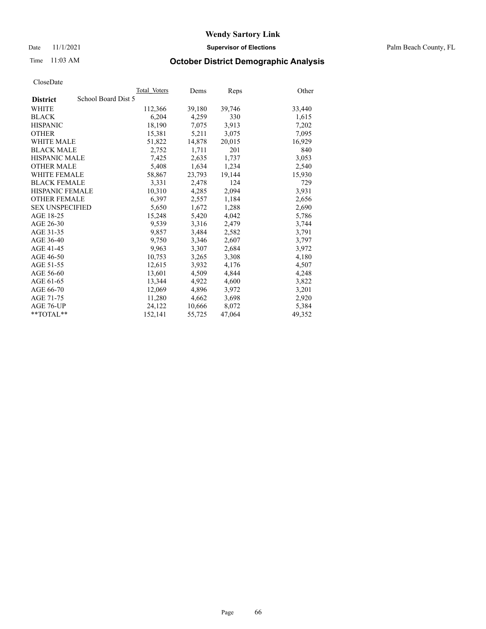Date 11/1/2021 **Supervisor of Elections** Palm Beach County, FL

## Time 11:03 AM **October District Demographic Analysis**

|                                        | Total Voters | Dems   | Reps   | Other  |
|----------------------------------------|--------------|--------|--------|--------|
| School Board Dist 5<br><b>District</b> |              |        |        |        |
| WHITE                                  | 112,366      | 39,180 | 39,746 | 33,440 |
| <b>BLACK</b>                           | 6,204        | 4,259  | 330    | 1,615  |
| <b>HISPANIC</b>                        | 18,190       | 7,075  | 3,913  | 7,202  |
| <b>OTHER</b>                           | 15,381       | 5,211  | 3,075  | 7,095  |
| <b>WHITE MALE</b>                      | 51,822       | 14,878 | 20,015 | 16,929 |
| <b>BLACK MALE</b>                      | 2,752        | 1,711  | 201    | 840    |
| <b>HISPANIC MALE</b>                   | 7,425        | 2,635  | 1,737  | 3,053  |
| <b>OTHER MALE</b>                      | 5.408        | 1,634  | 1,234  | 2,540  |
| <b>WHITE FEMALE</b>                    | 58,867       | 23,793 | 19,144 | 15,930 |
| <b>BLACK FEMALE</b>                    | 3,331        | 2,478  | 124    | 729    |
| <b>HISPANIC FEMALE</b>                 | 10,310       | 4,285  | 2,094  | 3,931  |
| <b>OTHER FEMALE</b>                    | 6,397        | 2,557  | 1,184  | 2,656  |
| <b>SEX UNSPECIFIED</b>                 | 5,650        | 1,672  | 1,288  | 2,690  |
| AGE 18-25                              | 15,248       | 5,420  | 4,042  | 5,786  |
| AGE 26-30                              | 9,539        | 3,316  | 2,479  | 3,744  |
| AGE 31-35                              | 9,857        | 3,484  | 2,582  | 3,791  |
| AGE 36-40                              | 9,750        | 3,346  | 2,607  | 3,797  |
| AGE 41-45                              | 9,963        | 3,307  | 2,684  | 3,972  |
| AGE 46-50                              | 10.753       | 3,265  | 3,308  | 4,180  |
| AGE 51-55                              | 12,615       | 3,932  | 4,176  | 4,507  |
| AGE 56-60                              | 13,601       | 4,509  | 4,844  | 4,248  |
| AGE 61-65                              | 13,344       | 4,922  | 4,600  | 3,822  |
| AGE 66-70                              | 12,069       | 4,896  | 3,972  | 3,201  |
| AGE 71-75                              | 11,280       | 4,662  | 3,698  | 2,920  |
| AGE 76-UP                              | 24.122       | 10,666 | 8,072  | 5,384  |
| **TOTAL**                              | 152,141      | 55,725 | 47,064 | 49,352 |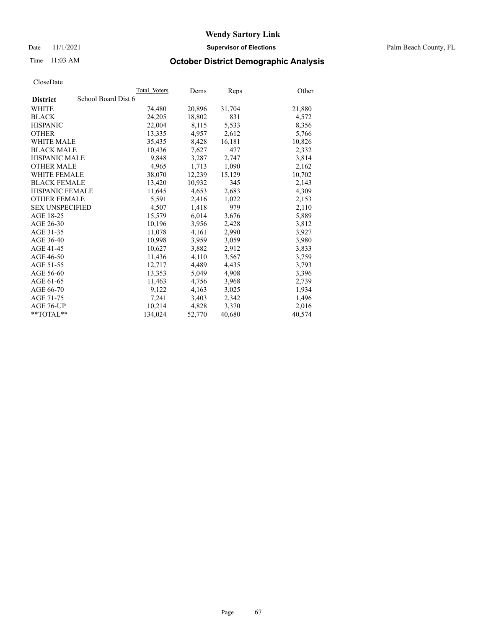Date 11/1/2021 **Supervisor of Elections** Palm Beach County, FL

### Time 11:03 AM **October District Demographic Analysis**

|                        | Total Voters        | Dems   | Reps   | Other  |
|------------------------|---------------------|--------|--------|--------|
| <b>District</b>        | School Board Dist 6 |        |        |        |
| <b>WHITE</b>           | 74,480              | 20,896 | 31,704 | 21,880 |
| <b>BLACK</b>           | 24,205              | 18,802 | 831    | 4,572  |
| <b>HISPANIC</b>        | 22,004              | 8,115  | 5,533  | 8,356  |
| <b>OTHER</b>           | 13,335              | 4,957  | 2,612  | 5,766  |
| <b>WHITE MALE</b>      | 35,435              | 8,428  | 16,181 | 10,826 |
| <b>BLACK MALE</b>      | 10,436              | 7,627  | 477    | 2,332  |
| <b>HISPANIC MALE</b>   | 9,848               | 3,287  | 2,747  | 3,814  |
| <b>OTHER MALE</b>      | 4,965               | 1,713  | 1,090  | 2,162  |
| <b>WHITE FEMALE</b>    | 38,070              | 12,239 | 15,129 | 10,702 |
| <b>BLACK FEMALE</b>    | 13,420              | 10,932 | 345    | 2,143  |
| HISPANIC FEMALE        | 11,645              | 4,653  | 2,683  | 4,309  |
| <b>OTHER FEMALE</b>    | 5,591               | 2,416  | 1,022  | 2,153  |
| <b>SEX UNSPECIFIED</b> | 4,507               | 1,418  | 979    | 2,110  |
| AGE 18-25              | 15,579              | 6,014  | 3,676  | 5,889  |
| AGE 26-30              | 10,196              | 3,956  | 2,428  | 3,812  |
| AGE 31-35              | 11,078              | 4,161  | 2,990  | 3,927  |
| AGE 36-40              | 10.998              | 3,959  | 3,059  | 3,980  |
| AGE 41-45              | 10,627              | 3,882  | 2,912  | 3,833  |
| AGE 46-50              | 11,436              | 4,110  | 3,567  | 3,759  |
| AGE 51-55              | 12,717              | 4,489  | 4,435  | 3,793  |
| AGE 56-60              | 13,353              | 5,049  | 4,908  | 3,396  |
| AGE 61-65              | 11,463              | 4,756  | 3,968  | 2,739  |
| AGE 66-70              | 9,122               | 4,163  | 3,025  | 1,934  |
| AGE 71-75              | 7,241               | 3,403  | 2,342  | 1,496  |
| AGE 76-UP              | 10,214              | 4,828  | 3,370  | 2,016  |
| $*$ $TOTAL**$          | 134,024             | 52,770 | 40,680 | 40,574 |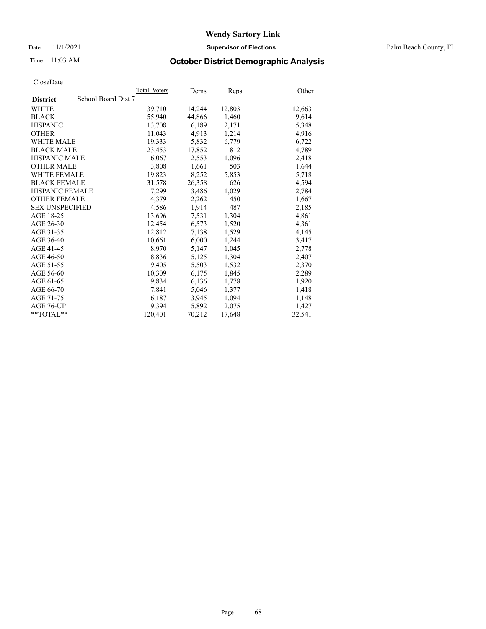Date 11/1/2021 **Supervisor of Elections** Palm Beach County, FL

### Time 11:03 AM **October District Demographic Analysis**

|                        | Total Voters        | Dems   | Reps   | Other  |
|------------------------|---------------------|--------|--------|--------|
| <b>District</b>        | School Board Dist 7 |        |        |        |
| WHITE                  | 39,710              | 14,244 | 12,803 | 12,663 |
| <b>BLACK</b>           | 55,940              | 44,866 | 1,460  | 9,614  |
| <b>HISPANIC</b>        | 13.708              | 6,189  | 2,171  | 5,348  |
| <b>OTHER</b>           | 11,043              | 4,913  | 1,214  | 4,916  |
| <b>WHITE MALE</b>      | 19,333              | 5,832  | 6,779  | 6,722  |
| <b>BLACK MALE</b>      | 23,453              | 17,852 | 812    | 4,789  |
| <b>HISPANIC MALE</b>   | 6,067               | 2,553  | 1,096  | 2,418  |
| <b>OTHER MALE</b>      | 3,808               | 1,661  | 503    | 1,644  |
| <b>WHITE FEMALE</b>    | 19,823              | 8,252  | 5,853  | 5,718  |
| <b>BLACK FEMALE</b>    | 31,578              | 26,358 | 626    | 4,594  |
| <b>HISPANIC FEMALE</b> | 7,299               | 3,486  | 1,029  | 2,784  |
| <b>OTHER FEMALE</b>    | 4,379               | 2,262  | 450    | 1,667  |
| <b>SEX UNSPECIFIED</b> | 4,586               | 1,914  | 487    | 2,185  |
| AGE 18-25              | 13,696              | 7,531  | 1,304  | 4,861  |
| AGE 26-30              | 12,454              | 6,573  | 1,520  | 4,361  |
| AGE 31-35              | 12,812              | 7,138  | 1,529  | 4,145  |
| AGE 36-40              | 10,661              | 6,000  | 1,244  | 3,417  |
| AGE 41-45              | 8,970               | 5,147  | 1,045  | 2,778  |
| AGE 46-50              | 8,836               | 5,125  | 1,304  | 2,407  |
| AGE 51-55              | 9,405               | 5,503  | 1,532  | 2,370  |
| AGE 56-60              | 10,309              | 6,175  | 1,845  | 2,289  |
| AGE 61-65              | 9.834               | 6,136  | 1,778  | 1,920  |
| AGE 66-70              | 7,841               | 5,046  | 1,377  | 1,418  |
| AGE 71-75              | 6,187               | 3,945  | 1,094  | 1,148  |
| AGE 76-UP              | 9.394               | 5,892  | 2,075  | 1,427  |
| $*$ $TOTAL**$          | 120.401             | 70,212 | 17,648 | 32,541 |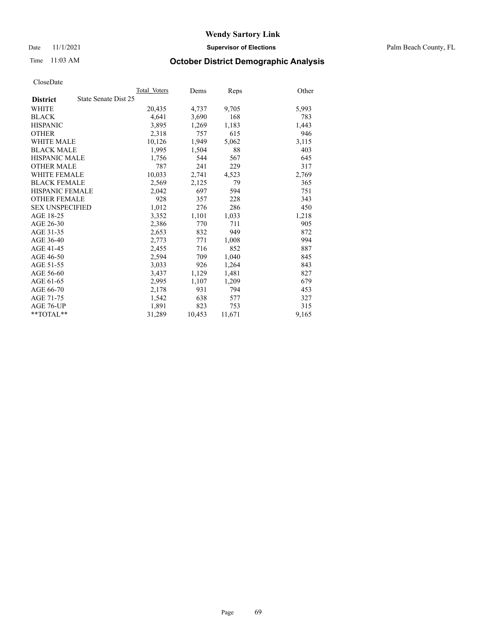Date 11/1/2021 **Supervisor of Elections** Palm Beach County, FL

### Time 11:03 AM **October District Demographic Analysis**

|                                         | Total Voters | Dems   | Reps   | Other |
|-----------------------------------------|--------------|--------|--------|-------|
| State Senate Dist 25<br><b>District</b> |              |        |        |       |
| WHITE                                   | 20,435       | 4,737  | 9,705  | 5,993 |
| <b>BLACK</b>                            | 4,641        | 3,690  | 168    | 783   |
| <b>HISPANIC</b>                         | 3,895        | 1,269  | 1,183  | 1,443 |
| <b>OTHER</b>                            | 2,318        | 757    | 615    | 946   |
| <b>WHITE MALE</b>                       | 10,126       | 1,949  | 5,062  | 3,115 |
| <b>BLACK MALE</b>                       | 1,995        | 1,504  | 88     | 403   |
| <b>HISPANIC MALE</b>                    | 1,756        | 544    | 567    | 645   |
| <b>OTHER MALE</b>                       | 787          | 241    | 229    | 317   |
| WHITE FEMALE                            | 10,033       | 2,741  | 4,523  | 2,769 |
| <b>BLACK FEMALE</b>                     | 2.569        | 2,125  | 79     | 365   |
| <b>HISPANIC FEMALE</b>                  | 2,042        | 697    | 594    | 751   |
| <b>OTHER FEMALE</b>                     | 928          | 357    | 228    | 343   |
| <b>SEX UNSPECIFIED</b>                  | 1,012        | 276    | 286    | 450   |
| AGE 18-25                               | 3,352        | 1,101  | 1,033  | 1,218 |
| AGE 26-30                               | 2,386        | 770    | 711    | 905   |
| AGE 31-35                               | 2,653        | 832    | 949    | 872   |
| AGE 36-40                               | 2,773        | 771    | 1,008  | 994   |
| AGE 41-45                               | 2,455        | 716    | 852    | 887   |
| AGE 46-50                               | 2,594        | 709    | 1,040  | 845   |
| AGE 51-55                               | 3,033        | 926    | 1,264  | 843   |
| AGE 56-60                               | 3,437        | 1,129  | 1,481  | 827   |
| AGE 61-65                               | 2,995        | 1,107  | 1,209  | 679   |
| AGE 66-70                               | 2,178        | 931    | 794    | 453   |
| AGE 71-75                               | 1,542        | 638    | 577    | 327   |
| AGE 76-UP                               | 1,891        | 823    | 753    | 315   |
| $*$ $TOTAL**$                           | 31,289       | 10,453 | 11,671 | 9,165 |
|                                         |              |        |        |       |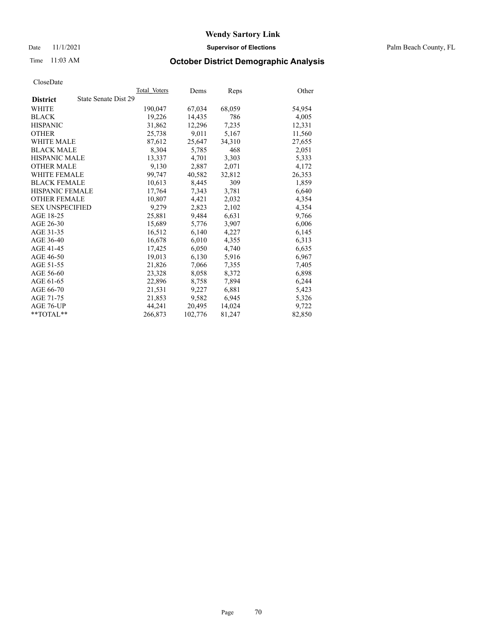Date 11/1/2021 **Supervisor of Elections** Palm Beach County, FL

### Time 11:03 AM **October District Demographic Analysis**

|                                         | Total Voters | Dems    | Reps   | Other  |
|-----------------------------------------|--------------|---------|--------|--------|
| State Senate Dist 29<br><b>District</b> |              |         |        |        |
| WHITE                                   | 190,047      | 67,034  | 68,059 | 54,954 |
| <b>BLACK</b>                            | 19,226       | 14,435  | 786    | 4,005  |
| <b>HISPANIC</b>                         | 31,862       | 12,296  | 7,235  | 12,331 |
| <b>OTHER</b>                            | 25,738       | 9,011   | 5,167  | 11,560 |
| <b>WHITE MALE</b>                       | 87,612       | 25,647  | 34,310 | 27,655 |
| <b>BLACK MALE</b>                       | 8,304        | 5,785   | 468    | 2,051  |
| <b>HISPANIC MALE</b>                    | 13,337       | 4,701   | 3,303  | 5,333  |
| <b>OTHER MALE</b>                       | 9.130        | 2,887   | 2,071  | 4,172  |
| <b>WHITE FEMALE</b>                     | 99.747       | 40,582  | 32,812 | 26,353 |
| <b>BLACK FEMALE</b>                     | 10,613       | 8,445   | 309    | 1,859  |
| HISPANIC FEMALE                         | 17,764       | 7,343   | 3,781  | 6,640  |
| <b>OTHER FEMALE</b>                     | 10,807       | 4,421   | 2,032  | 4,354  |
| <b>SEX UNSPECIFIED</b>                  | 9,279        | 2,823   | 2,102  | 4,354  |
| AGE 18-25                               | 25,881       | 9,484   | 6,631  | 9,766  |
| AGE 26-30                               | 15,689       | 5,776   | 3,907  | 6,006  |
| AGE 31-35                               | 16,512       | 6,140   | 4,227  | 6,145  |
| AGE 36-40                               | 16,678       | 6,010   | 4,355  | 6,313  |
| AGE 41-45                               | 17,425       | 6,050   | 4,740  | 6,635  |
| AGE 46-50                               | 19,013       | 6,130   | 5,916  | 6,967  |
| AGE 51-55                               | 21,826       | 7,066   | 7,355  | 7,405  |
| AGE 56-60                               | 23,328       | 8,058   | 8,372  | 6,898  |
| AGE 61-65                               | 22,896       | 8,758   | 7,894  | 6,244  |
| AGE 66-70                               | 21,531       | 9,227   | 6,881  | 5,423  |
| AGE 71-75                               | 21,853       | 9,582   | 6,945  | 5,326  |
| AGE 76-UP                               | 44.241       | 20,495  | 14,024 | 9,722  |
| $*$ $TOTAL**$                           | 266,873      | 102,776 | 81,247 | 82,850 |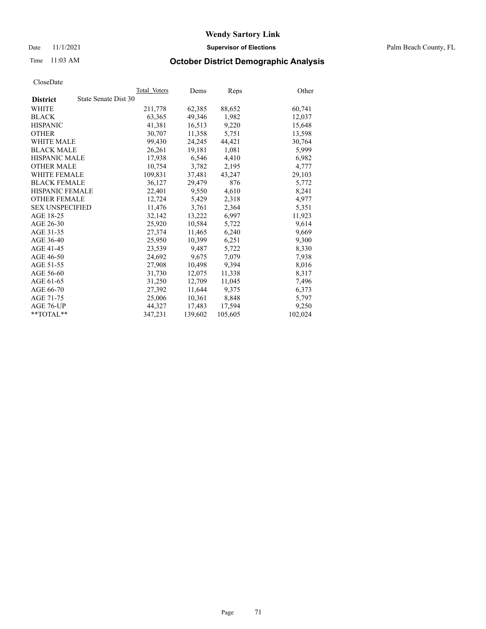Date 11/1/2021 **Supervisor of Elections** Palm Beach County, FL

## Time 11:03 AM **October District Demographic Analysis**

|                                         | Total Voters | Dems    | Reps    | Other   |
|-----------------------------------------|--------------|---------|---------|---------|
| State Senate Dist 30<br><b>District</b> |              |         |         |         |
| WHITE                                   | 211,778      | 62,385  | 88,652  | 60,741  |
| <b>BLACK</b>                            | 63,365       | 49,346  | 1,982   | 12,037  |
| <b>HISPANIC</b>                         | 41,381       | 16,513  | 9,220   | 15,648  |
| <b>OTHER</b>                            | 30,707       | 11,358  | 5,751   | 13,598  |
| <b>WHITE MALE</b>                       | 99,430       | 24,245  | 44,421  | 30,764  |
| <b>BLACK MALE</b>                       | 26,261       | 19,181  | 1,081   | 5,999   |
| <b>HISPANIC MALE</b>                    | 17,938       | 6,546   | 4,410   | 6,982   |
| <b>OTHER MALE</b>                       | 10.754       | 3,782   | 2,195   | 4,777   |
| <b>WHITE FEMALE</b>                     | 109.831      | 37,481  | 43,247  | 29,103  |
| <b>BLACK FEMALE</b>                     | 36,127       | 29,479  | 876     | 5,772   |
| <b>HISPANIC FEMALE</b>                  | 22,401       | 9,550   | 4,610   | 8,241   |
| <b>OTHER FEMALE</b>                     | 12,724       | 5,429   | 2,318   | 4,977   |
| <b>SEX UNSPECIFIED</b>                  | 11,476       | 3,761   | 2,364   | 5,351   |
| AGE 18-25                               | 32,142       | 13,222  | 6,997   | 11,923  |
| AGE 26-30                               | 25,920       | 10,584  | 5,722   | 9,614   |
| AGE 31-35                               | 27,374       | 11,465  | 6,240   | 9,669   |
| AGE 36-40                               | 25,950       | 10,399  | 6,251   | 9,300   |
| AGE 41-45                               | 23,539       | 9,487   | 5,722   | 8,330   |
| AGE 46-50                               | 24,692       | 9,675   | 7,079   | 7,938   |
| AGE 51-55                               | 27,908       | 10,498  | 9,394   | 8,016   |
| AGE 56-60                               | 31,730       | 12,075  | 11,338  | 8,317   |
| AGE 61-65                               | 31,250       | 12,709  | 11,045  | 7,496   |
| AGE 66-70                               | 27,392       | 11,644  | 9,375   | 6,373   |
| AGE 71-75                               | 25,006       | 10,361  | 8,848   | 5,797   |
| AGE 76-UP                               | 44,327       | 17,483  | 17,594  | 9,250   |
| **TOTAL**                               | 347,231      | 139,602 | 105,605 | 102,024 |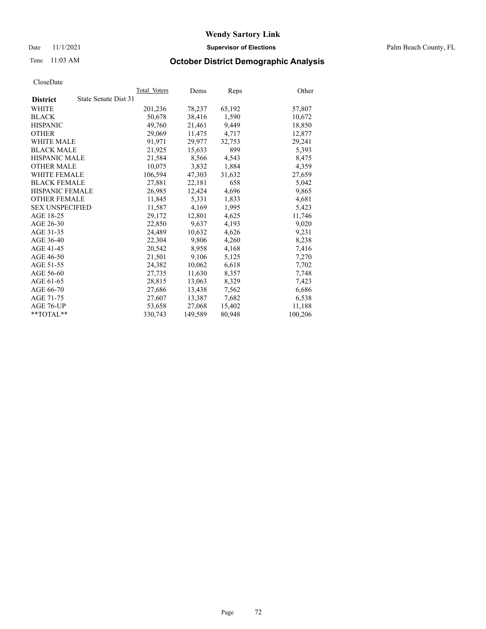Date 11/1/2021 **Supervisor of Elections** Palm Beach County, FL

## Time 11:03 AM **October District Demographic Analysis**

| Cioscizate             |                      |              |         |        |         |
|------------------------|----------------------|--------------|---------|--------|---------|
|                        |                      | Total Voters | Dems    | Reps   | Other   |
| <b>District</b>        | State Senate Dist 31 |              |         |        |         |
| WHITE                  |                      | 201,236      | 78,237  | 65,192 | 57,807  |
| <b>BLACK</b>           |                      | 50,678       | 38,416  | 1,590  | 10,672  |
| <b>HISPANIC</b>        |                      | 49,760       | 21,461  | 9,449  | 18,850  |
| <b>OTHER</b>           |                      | 29,069       | 11,475  | 4,717  | 12,877  |
| <b>WHITE MALE</b>      |                      | 91,971       | 29,977  | 32,753 | 29,241  |
| <b>BLACK MALE</b>      |                      | 21,925       | 15,633  | 899    | 5,393   |
| <b>HISPANIC MALE</b>   |                      | 21,584       | 8,566   | 4,543  | 8,475   |
| <b>OTHER MALE</b>      |                      | 10,075       | 3,832   | 1,884  | 4,359   |
| <b>WHITE FEMALE</b>    |                      | 106,594      | 47,303  | 31,632 | 27,659  |
| <b>BLACK FEMALE</b>    |                      | 27,881       | 22,181  | 658    | 5,042   |
| <b>HISPANIC FEMALE</b> |                      | 26,985       | 12,424  | 4,696  | 9,865   |
| <b>OTHER FEMALE</b>    |                      | 11,845       | 5,331   | 1,833  | 4,681   |
| <b>SEX UNSPECIFIED</b> |                      | 11,587       | 4,169   | 1,995  | 5,423   |
| AGE 18-25              |                      | 29,172       | 12,801  | 4,625  | 11,746  |
| AGE 26-30              |                      | 22,850       | 9,637   | 4,193  | 9,020   |
| AGE 31-35              |                      | 24,489       | 10,632  | 4,626  | 9,231   |
| AGE 36-40              |                      | 22,304       | 9,806   | 4,260  | 8,238   |
| AGE 41-45              |                      | 20,542       | 8,958   | 4,168  | 7,416   |
| AGE 46-50              |                      | 21,501       | 9,106   | 5,125  | 7,270   |
| AGE 51-55              |                      | 24,382       | 10,062  | 6,618  | 7,702   |
| AGE 56-60              |                      | 27,735       | 11,630  | 8,357  | 7,748   |
| AGE 61-65              |                      | 28,815       | 13,063  | 8,329  | 7,423   |
| AGE 66-70              |                      | 27,686       | 13,438  | 7,562  | 6,686   |
| AGE 71-75              |                      | 27,607       | 13,387  | 7,682  | 6,538   |
| AGE 76-UP              |                      | 53.658       | 27,068  | 15.402 | 11,188  |
| $*$ $TOTAL**$          |                      | 330,743      | 149,589 | 80,948 | 100,206 |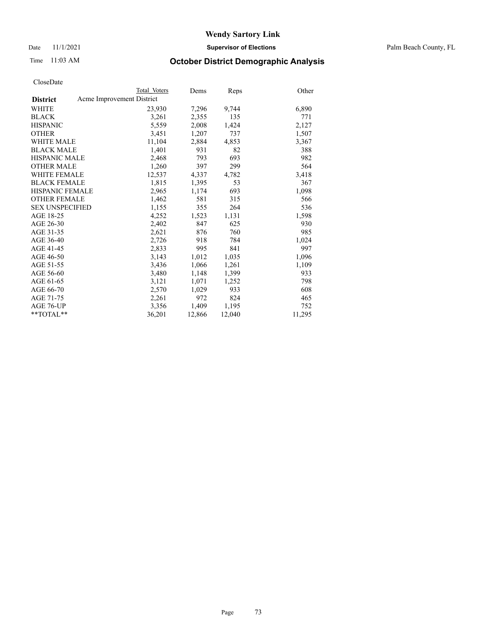Date 11/1/2021 **Supervisor of Elections** Palm Beach County, FL

# Time 11:03 AM **October District Demographic Analysis**

|                                              | Total Voters | Dems   | Reps   | Other  |
|----------------------------------------------|--------------|--------|--------|--------|
| Acme Improvement District<br><b>District</b> |              |        |        |        |
| WHITE                                        | 23,930       | 7,296  | 9,744  | 6,890  |
| <b>BLACK</b>                                 | 3,261        | 2,355  | 135    | 771    |
| <b>HISPANIC</b>                              | 5,559        | 2,008  | 1,424  | 2,127  |
| <b>OTHER</b>                                 | 3,451        | 1,207  | 737    | 1,507  |
| <b>WHITE MALE</b>                            | 11,104       | 2,884  | 4,853  | 3,367  |
| <b>BLACK MALE</b>                            | 1,401        | 931    | 82     | 388    |
| <b>HISPANIC MALE</b>                         | 2,468        | 793    | 693    | 982    |
| <b>OTHER MALE</b>                            | 1,260        | 397    | 299    | 564    |
| <b>WHITE FEMALE</b>                          | 12,537       | 4,337  | 4,782  | 3,418  |
| <b>BLACK FEMALE</b>                          | 1,815        | 1,395  | 53     | 367    |
| <b>HISPANIC FEMALE</b>                       | 2,965        | 1,174  | 693    | 1,098  |
| <b>OTHER FEMALE</b>                          | 1,462        | 581    | 315    | 566    |
| <b>SEX UNSPECIFIED</b>                       | 1,155        | 355    | 264    | 536    |
| AGE 18-25                                    | 4,252        | 1,523  | 1,131  | 1,598  |
| AGE 26-30                                    | 2,402        | 847    | 625    | 930    |
| AGE 31-35                                    | 2,621        | 876    | 760    | 985    |
| AGE 36-40                                    | 2,726        | 918    | 784    | 1,024  |
| AGE 41-45                                    | 2,833        | 995    | 841    | 997    |
| AGE 46-50                                    | 3,143        | 1,012  | 1,035  | 1,096  |
| AGE 51-55                                    | 3,436        | 1,066  | 1,261  | 1,109  |
| AGE 56-60                                    | 3,480        | 1,148  | 1,399  | 933    |
| AGE 61-65                                    | 3,121        | 1,071  | 1,252  | 798    |
| AGE 66-70                                    | 2,570        | 1,029  | 933    | 608    |
| AGE 71-75                                    | 2,261        | 972    | 824    | 465    |
| AGE 76-UP                                    | 3,356        | 1,409  | 1,195  | 752    |
| **TOTAL**                                    | 36,201       | 12,866 | 12,040 | 11,295 |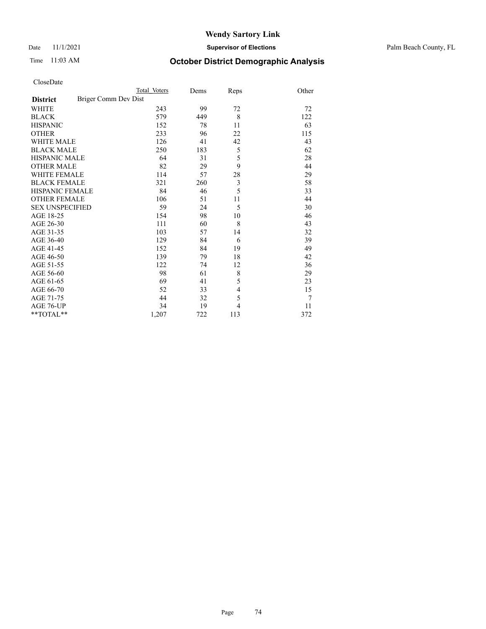Date 11/1/2021 **Supervisor of Elections** Palm Beach County, FL

# Time 11:03 AM **October District Demographic Analysis**

|                                         | Total Voters | Dems | Reps           | Other |
|-----------------------------------------|--------------|------|----------------|-------|
| Briger Comm Dev Dist<br><b>District</b> |              |      |                |       |
| <b>WHITE</b>                            | 243          | 99   | 72             | 72    |
| <b>BLACK</b>                            | 579          | 449  | 8              | 122   |
| <b>HISPANIC</b>                         | 152          | 78   | 11             | 63    |
| <b>OTHER</b>                            | 233          | 96   | 22             | 115   |
| <b>WHITE MALE</b>                       | 126          | 41   | 42             | 43    |
| <b>BLACK MALE</b>                       | 250          | 183  | 5              | 62    |
| <b>HISPANIC MALE</b>                    | 64           | 31   | 5              | 28    |
| <b>OTHER MALE</b>                       | 82           | 29   | 9              | 44    |
| WHITE FEMALE                            | 114          | 57   | 28             | 29    |
| <b>BLACK FEMALE</b>                     | 321          | 260  | $\mathfrak{Z}$ | 58    |
| <b>HISPANIC FEMALE</b>                  | 84           | 46   | 5              | 33    |
| <b>OTHER FEMALE</b>                     | 106          | 51   | 11             | 44    |
| <b>SEX UNSPECIFIED</b>                  | 59           | 24   | 5              | 30    |
| AGE 18-25                               | 154          | 98   | 10             | 46    |
| AGE 26-30                               | 111          | 60   | 8              | 43    |
| AGE 31-35                               | 103          | 57   | 14             | 32    |
| AGE 36-40                               | 129          | 84   | 6              | 39    |
| AGE 41-45                               | 152          | 84   | 19             | 49    |
| AGE 46-50                               | 139          | 79   | 18             | 42    |
| AGE 51-55                               | 122          | 74   | 12             | 36    |
| AGE 56-60                               | 98           | 61   | 8              | 29    |
| AGE 61-65                               | 69           | 41   | 5              | 23    |
| AGE 66-70                               | 52           | 33   | 4              | 15    |
| AGE 71-75                               | 44           | 32   | 5              | 7     |
| AGE 76-UP                               | 34           | 19   | 4              | 11    |
| **TOTAL**                               | 1,207        | 722  | 113            | 372   |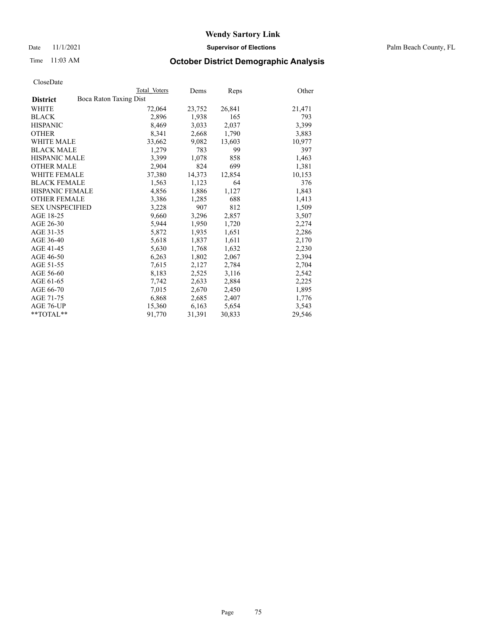Date 11/1/2021 **Supervisor of Elections** Palm Beach County, FL

# Time 11:03 AM **October District Demographic Analysis**

|                                           | Total Voters | Dems   | <u>Reps</u> | Other  |
|-------------------------------------------|--------------|--------|-------------|--------|
| Boca Raton Taxing Dist<br><b>District</b> |              |        |             |        |
| WHITE                                     | 72,064       | 23,752 | 26,841      | 21,471 |
| <b>BLACK</b>                              | 2,896        | 1,938  | 165         | 793    |
| <b>HISPANIC</b>                           | 8,469        | 3,033  | 2,037       | 3,399  |
| <b>OTHER</b>                              | 8,341        | 2,668  | 1,790       | 3,883  |
| <b>WHITE MALE</b>                         | 33,662       | 9,082  | 13,603      | 10,977 |
| <b>BLACK MALE</b>                         | 1,279        | 783    | 99          | 397    |
| <b>HISPANIC MALE</b>                      | 3,399        | 1,078  | 858         | 1,463  |
| <b>OTHER MALE</b>                         | 2,904        | 824    | 699         | 1,381  |
| <b>WHITE FEMALE</b>                       | 37,380       | 14,373 | 12,854      | 10,153 |
| <b>BLACK FEMALE</b>                       | 1,563        | 1,123  | 64          | 376    |
| HISPANIC FEMALE                           | 4,856        | 1,886  | 1,127       | 1,843  |
| <b>OTHER FEMALE</b>                       | 3,386        | 1,285  | 688         | 1,413  |
| <b>SEX UNSPECIFIED</b>                    | 3,228        | 907    | 812         | 1,509  |
| AGE 18-25                                 | 9,660        | 3,296  | 2,857       | 3,507  |
| AGE 26-30                                 | 5,944        | 1,950  | 1,720       | 2,274  |
| AGE 31-35                                 | 5,872        | 1,935  | 1,651       | 2,286  |
| AGE 36-40                                 | 5,618        | 1,837  | 1,611       | 2,170  |
| AGE 41-45                                 | 5,630        | 1,768  | 1,632       | 2,230  |
| AGE 46-50                                 | 6,263        | 1,802  | 2,067       | 2,394  |
| AGE 51-55                                 | 7,615        | 2,127  | 2,784       | 2,704  |
| AGE 56-60                                 | 8,183        | 2,525  | 3,116       | 2,542  |
| AGE 61-65                                 | 7,742        | 2,633  | 2,884       | 2,225  |
| AGE 66-70                                 | 7,015        | 2,670  | 2,450       | 1,895  |
| AGE 71-75                                 | 6,868        | 2,685  | 2,407       | 1,776  |
| AGE 76-UP                                 | 15,360       | 6,163  | 5,654       | 3,543  |
| $*$ $TOTAL**$                             | 91,770       | 31,391 | 30,833      | 29,546 |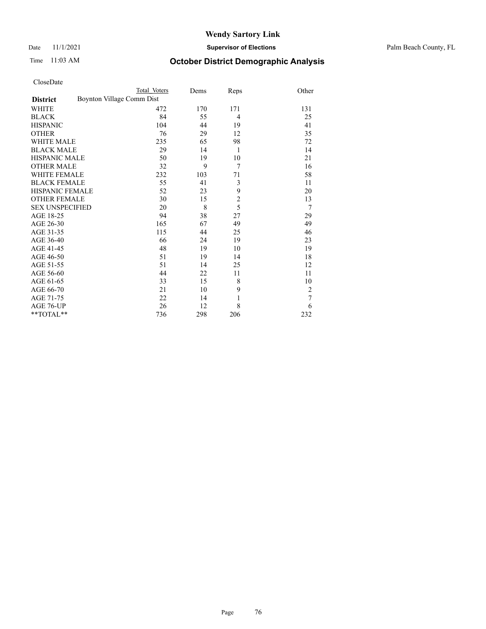### Date 11/1/2021 **Supervisor of Elections** Palm Beach County, FL

| CloseDate |
|-----------|
|-----------|

|                        |                           | Total Voters | Dems | Reps           | Other          |
|------------------------|---------------------------|--------------|------|----------------|----------------|
| <b>District</b>        | Boynton Village Comm Dist |              |      |                |                |
| WHITE                  |                           | 472          | 170  | 171            | 131            |
| BLACK                  |                           | 84           | 55   | $\overline{4}$ | 25             |
| <b>HISPANIC</b>        |                           | 104          | 44   | 19             | 41             |
| OTHER                  |                           | 76           | 29   | 12             | 35             |
| WHITE MALE             |                           | 235          | 65   | 98             | 72             |
| <b>BLACK MALE</b>      |                           | 29           | 14   | 1              | 14             |
| HISPANIC MALE          |                           | 50           | 19   | 10             | 21             |
| OTHER MALE             |                           | 32           | 9    | 7              | 16             |
| WHITE FEMALE           |                           | 232          | 103  | 71             | 58             |
| <b>BLACK FEMALE</b>    |                           | 55           | 41   | 3              | 11             |
| HISPANIC FEMALE        |                           | 52           | 23   | 9              | 20             |
| <b>OTHER FEMALE</b>    |                           | 30           | 15   | $\overline{c}$ | 13             |
| <b>SEX UNSPECIFIED</b> |                           | 20           | 8    | 5              | 7              |
| AGE 18-25              |                           | 94           | 38   | 27             | 29             |
| AGE 26-30              |                           | 165          | 67   | 49             | 49             |
| AGE 31-35              |                           | 115          | 44   | 25             | 46             |
| AGE 36-40              |                           | 66           | 24   | 19             | 23             |
| AGE 41-45              |                           | 48           | 19   | 10             | 19             |
| AGE 46-50              |                           | 51           | 19   | 14             | 18             |
| AGE 51-55              |                           | 51           | 14   | 25             | 12             |
| AGE 56-60              |                           | 44           | 22   | 11             | 11             |
| AGE 61-65              |                           | 33           | 15   | 8              | 10             |
| AGE 66-70              |                           | 21           | 10   | 9              | $\overline{2}$ |
| AGE 71-75              |                           | 22           | 14   | $\mathbf{1}$   | $\overline{7}$ |
| AGE 76-UP              |                           | 26           | 12   | 8              | 6              |
| $*$ $TOTAL**$          |                           | 736          | 298  | 206            | 232            |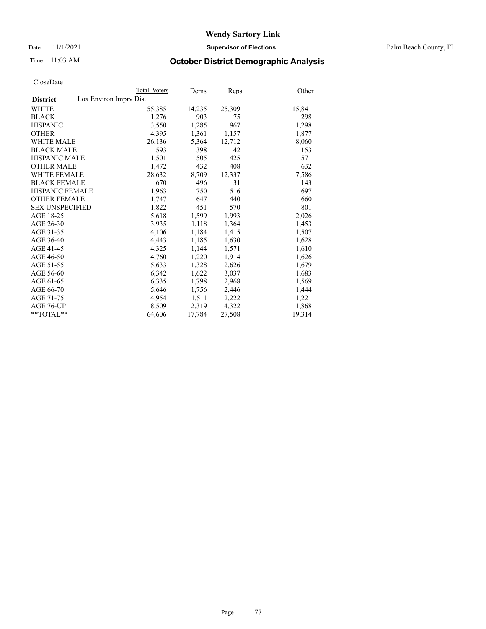Date 11/1/2021 **Supervisor of Elections** Palm Beach County, FL

# Time 11:03 AM **October District Demographic Analysis**

|                                           | Total Voters | Dems   | Reps   | Other  |
|-------------------------------------------|--------------|--------|--------|--------|
| Lox Environ Imprv Dist<br><b>District</b> |              |        |        |        |
| <b>WHITE</b>                              | 55,385       | 14,235 | 25,309 | 15,841 |
| <b>BLACK</b>                              | 1,276        | 903    | 75     | 298    |
| <b>HISPANIC</b>                           | 3,550        | 1,285  | 967    | 1,298  |
| <b>OTHER</b>                              | 4,395        | 1,361  | 1,157  | 1,877  |
| <b>WHITE MALE</b>                         | 26,136       | 5,364  | 12,712 | 8,060  |
| <b>BLACK MALE</b>                         | 593          | 398    | 42     | 153    |
| <b>HISPANIC MALE</b>                      | 1,501        | 505    | 425    | 571    |
| <b>OTHER MALE</b>                         | 1,472        | 432    | 408    | 632    |
| <b>WHITE FEMALE</b>                       | 28,632       | 8,709  | 12,337 | 7,586  |
| <b>BLACK FEMALE</b>                       | 670          | 496    | 31     | 143    |
| HISPANIC FEMALE                           | 1,963        | 750    | 516    | 697    |
| <b>OTHER FEMALE</b>                       | 1,747        | 647    | 440    | 660    |
| <b>SEX UNSPECIFIED</b>                    | 1,822        | 451    | 570    | 801    |
| AGE 18-25                                 | 5,618        | 1,599  | 1,993  | 2,026  |
| AGE 26-30                                 | 3,935        | 1,118  | 1,364  | 1,453  |
| AGE 31-35                                 | 4,106        | 1,184  | 1,415  | 1,507  |
| AGE 36-40                                 | 4,443        | 1,185  | 1,630  | 1,628  |
| AGE 41-45                                 | 4,325        | 1,144  | 1,571  | 1,610  |
| AGE 46-50                                 | 4,760        | 1,220  | 1,914  | 1,626  |
| AGE 51-55                                 | 5,633        | 1,328  | 2,626  | 1,679  |
| AGE 56-60                                 | 6,342        | 1,622  | 3,037  | 1,683  |
| AGE 61-65                                 | 6,335        | 1,798  | 2,968  | 1,569  |
| AGE 66-70                                 | 5,646        | 1,756  | 2,446  | 1,444  |
| AGE 71-75                                 | 4,954        | 1,511  | 2,222  | 1,221  |
| AGE 76-UP                                 | 8,509        | 2,319  | 4,322  | 1,868  |
| $*$ $TOTAL**$                             | 64,606       | 17,784 | 27,508 | 19,314 |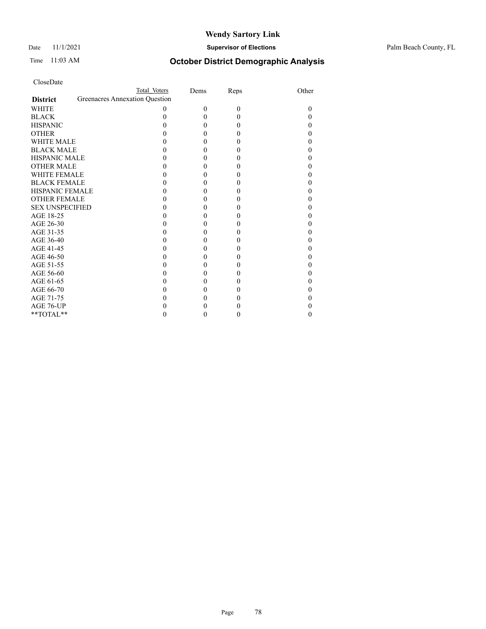Date 11/1/2021 **Supervisor of Elections** Palm Beach County, FL

| CloseDate |
|-----------|
|-----------|

|                        | <b>Total Voters</b>            | Dems     | Reps     | Other |
|------------------------|--------------------------------|----------|----------|-------|
| <b>District</b>        | Greenacres Annexation Question |          |          |       |
| WHITE                  | $\Omega$                       | $\Omega$ | $\theta$ | 0     |
| BLACK                  |                                | 0        | 0        |       |
| <b>HISPANIC</b>        |                                |          | 0        |       |
| OTHER                  |                                |          |          |       |
| WHITE MALE             |                                |          | 0        |       |
| <b>BLACK MALE</b>      |                                |          |          |       |
| HISPANIC MALE          |                                |          |          |       |
| OTHER MALE             |                                |          | 0        |       |
| WHITE FEMALE           |                                |          |          |       |
| <b>BLACK FEMALE</b>    |                                |          |          |       |
| HISPANIC FEMALE        |                                |          | 0        |       |
| <b>OTHER FEMALE</b>    |                                |          |          |       |
| <b>SEX UNSPECIFIED</b> |                                |          |          |       |
| AGE 18-25              |                                |          | 0        |       |
| AGE 26-30              |                                |          |          |       |
| AGE 31-35              |                                |          |          |       |
| AGE 36-40              |                                |          |          |       |
| AGE 41-45              |                                |          |          |       |
| AGE 46-50              |                                |          |          |       |
| AGE 51-55              |                                |          |          |       |
| AGE 56-60              |                                |          |          |       |
| AGE 61-65              |                                |          |          |       |
| AGE 66-70              |                                |          |          |       |
| AGE 71-75              |                                |          |          |       |
| AGE 76-UP              |                                |          |          |       |
| $*$ TOTAL $*$          |                                |          |          |       |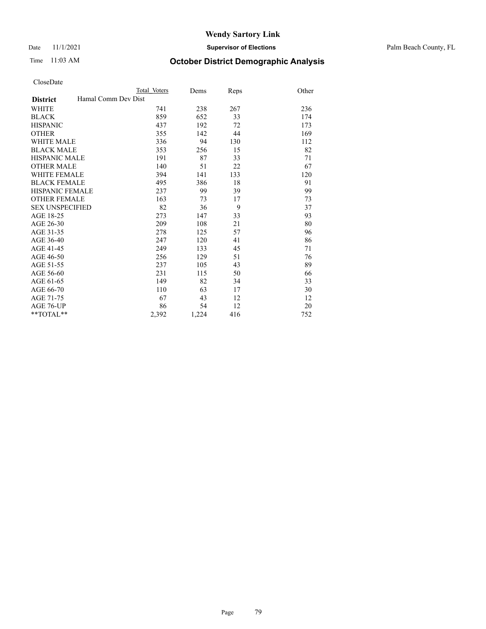Date 11/1/2021 **Supervisor of Elections** Palm Beach County, FL

| CloseDate |
|-----------|
|-----------|

|                        |                     | Total Voters | Dems  | <b>Reps</b> | Other |
|------------------------|---------------------|--------------|-------|-------------|-------|
| <b>District</b>        | Hamal Comm Dev Dist |              |       |             |       |
| <b>WHITE</b>           |                     | 741          | 238   | 267         | 236   |
| <b>BLACK</b>           |                     | 859          | 652   | 33          | 174   |
| <b>HISPANIC</b>        |                     | 437          | 192   | 72          | 173   |
| <b>OTHER</b>           |                     | 355          | 142   | 44          | 169   |
| <b>WHITE MALE</b>      |                     | 336          | 94    | 130         | 112   |
| <b>BLACK MALE</b>      |                     | 353          | 256   | 15          | 82    |
| <b>HISPANIC MALE</b>   |                     | 191          | 87    | 33          | 71    |
| <b>OTHER MALE</b>      |                     | 140          | 51    | 22          | 67    |
| <b>WHITE FEMALE</b>    |                     | 394          | 141   | 133         | 120   |
| <b>BLACK FEMALE</b>    |                     | 495          | 386   | 18          | 91    |
| <b>HISPANIC FEMALE</b> |                     | 237          | 99    | 39          | 99    |
| <b>OTHER FEMALE</b>    |                     | 163          | 73    | 17          | 73    |
| <b>SEX UNSPECIFIED</b> |                     | 82           | 36    | 9           | 37    |
| AGE 18-25              |                     | 273          | 147   | 33          | 93    |
| AGE 26-30              |                     | 209          | 108   | 21          | 80    |
| AGE 31-35              |                     | 278          | 125   | 57          | 96    |
| AGE 36-40              |                     | 247          | 120   | 41          | 86    |
| AGE 41-45              |                     | 249          | 133   | 45          | 71    |
| AGE 46-50              |                     | 256          | 129   | 51          | 76    |
| AGE 51-55              |                     | 237          | 105   | 43          | 89    |
| AGE 56-60              |                     | 231          | 115   | 50          | 66    |
| AGE 61-65              |                     | 149          | 82    | 34          | 33    |
| AGE 66-70              |                     | 110          | 63    | 17          | 30    |
| AGE 71-75              |                     | 67           | 43    | 12          | 12    |
| AGE 76-UP              |                     | 86           | 54    | 12          | 20    |
| $*$ $TOTAL**$          |                     | 2,392        | 1,224 | 416         | 752   |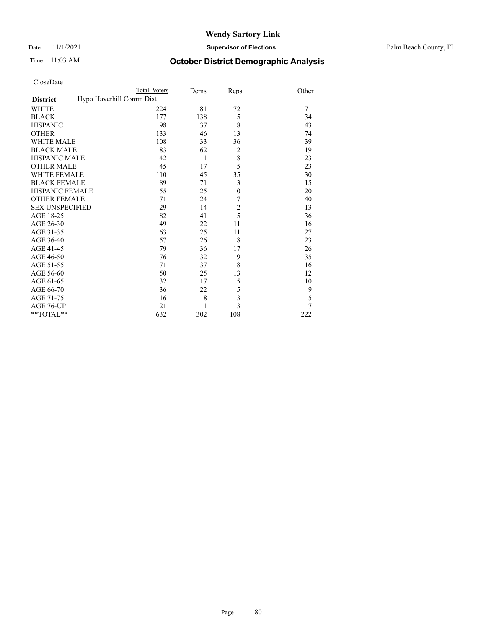Date 11/1/2021 **Supervisor of Elections** Palm Beach County, FL

| CloseDate |
|-----------|
|-----------|

|                        |                          | Total Voters | Dems | Reps           | Other |
|------------------------|--------------------------|--------------|------|----------------|-------|
| <b>District</b>        | Hypo Haverhill Comm Dist |              |      |                |       |
| WHITE                  |                          | 224          | 81   | 72             | 71    |
| BLACK                  |                          | 177          | 138  | 5              | 34    |
| HISPANIC               |                          | 98           | 37   | 18             | 43    |
| OTHER                  |                          | 133          | 46   | 13             | 74    |
| <b>WHITE MALE</b>      |                          | 108          | 33   | 36             | 39    |
| <b>BLACK MALE</b>      |                          | 83           | 62   | $\overline{2}$ | 19    |
| HISPANIC MALE          |                          | 42           | 11   | $\,$ 8 $\,$    | 23    |
| <b>OTHER MALE</b>      |                          | 45           | 17   | 5              | 23    |
| WHITE FEMALE           |                          | 110          | 45   | 35             | 30    |
| <b>BLACK FEMALE</b>    |                          | 89           | 71   | 3              | 15    |
| HISPANIC FEMALE        |                          | 55           | 25   | 10             | 20    |
| <b>OTHER FEMALE</b>    |                          | 71           | 24   | $\overline{7}$ | 40    |
| <b>SEX UNSPECIFIED</b> |                          | 29           | 14   | $\overline{c}$ | 13    |
| AGE 18-25              |                          | 82           | 41   | 5              | 36    |
| AGE 26-30              |                          | 49           | 22   | 11             | 16    |
| AGE 31-35              |                          | 63           | 25   | 11             | 27    |
| AGE 36-40              |                          | 57           | 26   | 8              | 23    |
| AGE 41-45              |                          | 79           | 36   | 17             | 26    |
| AGE 46-50              |                          | 76           | 32   | 9              | 35    |
| AGE 51-55              |                          | 71           | 37   | 18             | 16    |
| AGE 56-60              |                          | 50           | 25   | 13             | 12    |
| AGE 61-65              |                          | 32           | 17   | 5              | 10    |
| AGE 66-70              |                          | 36           | 22   | 5              | 9     |
| AGE 71-75              |                          | 16           | 8    | 3              | 5     |
| AGE 76-UP              |                          | 21           | 11   | 3              | 7     |
| $*$ $TOTAL**$          |                          | 632          | 302  | 108            | 222   |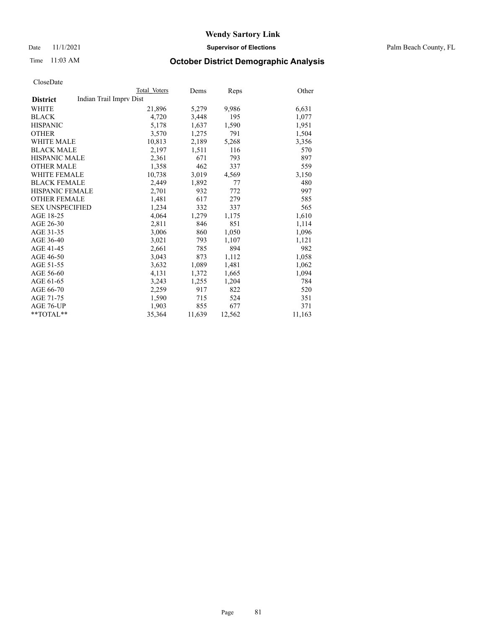Date 11/1/2021 **Supervisor of Elections** Palm Beach County, FL

# Time 11:03 AM **October District Demographic Analysis**

|                                            | Total Voters | Dems   | Reps   | Other  |
|--------------------------------------------|--------------|--------|--------|--------|
| Indian Trail Imprv Dist<br><b>District</b> |              |        |        |        |
| WHITE                                      | 21,896       | 5,279  | 9,986  | 6,631  |
| <b>BLACK</b>                               | 4,720        | 3,448  | 195    | 1,077  |
| <b>HISPANIC</b>                            | 5,178        | 1,637  | 1,590  | 1,951  |
| <b>OTHER</b>                               | 3,570        | 1,275  | 791    | 1,504  |
| <b>WHITE MALE</b>                          | 10,813       | 2,189  | 5,268  | 3,356  |
| <b>BLACK MALE</b>                          | 2,197        | 1,511  | 116    | 570    |
| <b>HISPANIC MALE</b>                       | 2,361        | 671    | 793    | 897    |
| <b>OTHER MALE</b>                          | 1,358        | 462    | 337    | 559    |
| <b>WHITE FEMALE</b>                        | 10,738       | 3,019  | 4,569  | 3,150  |
| <b>BLACK FEMALE</b>                        | 2,449        | 1,892  | 77     | 480    |
| <b>HISPANIC FEMALE</b>                     | 2,701        | 932    | 772    | 997    |
| <b>OTHER FEMALE</b>                        | 1,481        | 617    | 279    | 585    |
| <b>SEX UNSPECIFIED</b>                     | 1,234        | 332    | 337    | 565    |
| AGE 18-25                                  | 4,064        | 1,279  | 1,175  | 1,610  |
| AGE 26-30                                  | 2,811        | 846    | 851    | 1,114  |
| AGE 31-35                                  | 3,006        | 860    | 1,050  | 1,096  |
| AGE 36-40                                  | 3,021        | 793    | 1,107  | 1,121  |
| AGE 41-45                                  | 2,661        | 785    | 894    | 982    |
| AGE 46-50                                  | 3,043        | 873    | 1,112  | 1,058  |
| AGE 51-55                                  | 3,632        | 1,089  | 1,481  | 1,062  |
| AGE 56-60                                  | 4,131        | 1,372  | 1,665  | 1,094  |
| AGE 61-65                                  | 3,243        | 1,255  | 1,204  | 784    |
| AGE 66-70                                  | 2,259        | 917    | 822    | 520    |
| AGE 71-75                                  | 1,590        | 715    | 524    | 351    |
| AGE 76-UP                                  | 1,903        | 855    | 677    | 371    |
| $*$ $TOTAL**$                              | 35,364       | 11,639 | 12,562 | 11,163 |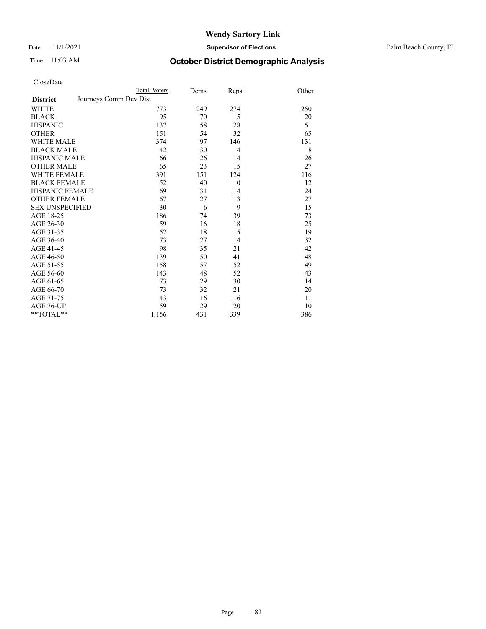### Date 11/1/2021 **Supervisor of Elections** Palm Beach County, FL

| CloseDate |
|-----------|
|-----------|

|                        | Total Voters           | Dems | Reps           | Other |
|------------------------|------------------------|------|----------------|-------|
| <b>District</b>        | Journeys Comm Dev Dist |      |                |       |
| WHITE                  | 773                    | 249  | 274            | 250   |
| BLACK                  | 95                     | 70   | 5              | 20    |
| HISPANIC               | 137                    | 58   | 28             | 51    |
| OTHER                  | 151                    | 54   | 32             | 65    |
| WHITE MALE             | 374                    | 97   | 146            | 131   |
| <b>BLACK MALE</b>      | 42                     | 30   | $\overline{4}$ | 8     |
| HISPANIC MALE          | 66                     | 26   | 14             | 26    |
| <b>OTHER MALE</b>      | 65                     | 23   | 15             | 27    |
| WHITE FEMALE           | 391                    | 151  | 124            | 116   |
| <b>BLACK FEMALE</b>    | 52                     | 40   | $\theta$       | 12    |
| HISPANIC FEMALE        | 69                     | 31   | 14             | 24    |
| <b>OTHER FEMALE</b>    | 67                     | 27   | 13             | 27    |
| <b>SEX UNSPECIFIED</b> | 30                     | 6    | 9              | 15    |
| AGE 18-25              | 186                    | 74   | 39             | 73    |
| AGE 26-30              | 59                     | 16   | 18             | 25    |
| AGE 31-35              | 52                     | 18   | 15             | 19    |
| AGE 36-40              | 73                     | 27   | 14             | 32    |
| AGE 41-45              | 98                     | 35   | 21             | 42    |
| AGE 46-50              | 139                    | 50   | 41             | 48    |
| AGE 51-55              | 158                    | 57   | 52             | 49    |
| AGE 56-60              | 143                    | 48   | 52             | 43    |
| AGE 61-65              | 73                     | 29   | 30             | 14    |
| AGE 66-70              | 73                     | 32   | 21             | 20    |
| AGE 71-75              | 43                     | 16   | 16             | 11    |
| AGE 76-UP              | 59                     | 29   | 20             | 10    |
| $*$ $TOTAL**$          | 1,156                  | 431  | 339            | 386   |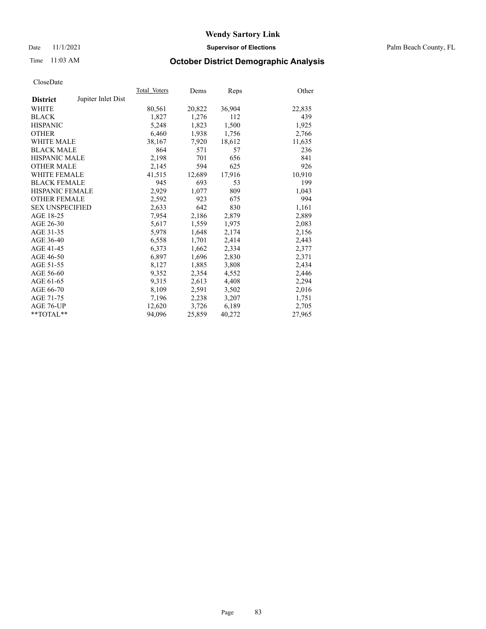Date 11/1/2021 **Supervisor of Elections** Palm Beach County, FL

# Time 11:03 AM **October District Demographic Analysis**

|                        |                    | Total Voters | Dems   | Reps   | Other  |
|------------------------|--------------------|--------------|--------|--------|--------|
| <b>District</b>        | Jupiter Inlet Dist |              |        |        |        |
| <b>WHITE</b>           |                    | 80,561       | 20,822 | 36,904 | 22,835 |
| <b>BLACK</b>           |                    | 1,827        | 1,276  | 112    | 439    |
| <b>HISPANIC</b>        |                    | 5,248        | 1,823  | 1,500  | 1,925  |
| <b>OTHER</b>           |                    | 6,460        | 1,938  | 1,756  | 2,766  |
| <b>WHITE MALE</b>      |                    | 38,167       | 7,920  | 18,612 | 11,635 |
| <b>BLACK MALE</b>      |                    | 864          | 571    | 57     | 236    |
| <b>HISPANIC MALE</b>   |                    | 2,198        | 701    | 656    | 841    |
| <b>OTHER MALE</b>      |                    | 2,145        | 594    | 625    | 926    |
| <b>WHITE FEMALE</b>    |                    | 41,515       | 12,689 | 17,916 | 10,910 |
| <b>BLACK FEMALE</b>    |                    | 945          | 693    | 53     | 199    |
| <b>HISPANIC FEMALE</b> |                    | 2,929        | 1,077  | 809    | 1,043  |
| <b>OTHER FEMALE</b>    |                    | 2,592        | 923    | 675    | 994    |
| <b>SEX UNSPECIFIED</b> |                    | 2,633        | 642    | 830    | 1,161  |
| AGE 18-25              |                    | 7,954        | 2,186  | 2,879  | 2,889  |
| AGE 26-30              |                    | 5,617        | 1,559  | 1,975  | 2,083  |
| AGE 31-35              |                    | 5,978        | 1,648  | 2,174  | 2,156  |
| AGE 36-40              |                    | 6,558        | 1,701  | 2,414  | 2,443  |
| AGE 41-45              |                    | 6,373        | 1,662  | 2,334  | 2,377  |
| AGE 46-50              |                    | 6,897        | 1,696  | 2,830  | 2,371  |
| AGE 51-55              |                    | 8,127        | 1,885  | 3,808  | 2,434  |
| AGE 56-60              |                    | 9,352        | 2,354  | 4,552  | 2,446  |
| AGE 61-65              |                    | 9,315        | 2,613  | 4,408  | 2,294  |
| AGE 66-70              |                    | 8,109        | 2,591  | 3,502  | 2,016  |
| AGE 71-75              |                    | 7,196        | 2,238  | 3,207  | 1,751  |
| AGE 76-UP              |                    | 12,620       | 3,726  | 6,189  | 2,705  |
| $*$ $TOTAL**$          |                    | 94,096       | 25,859 | 40,272 | 27,965 |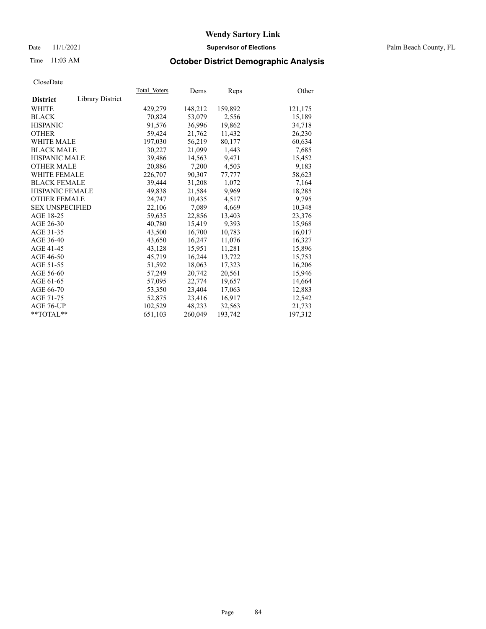Date 11/1/2021 **Supervisor of Elections** Palm Beach County, FL

# Time 11:03 AM **October District Demographic Analysis**

| Cioscizate             |                         |              |         |         |         |
|------------------------|-------------------------|--------------|---------|---------|---------|
|                        |                         | Total Voters | Dems    | Reps    | Other   |
| <b>District</b>        | <b>Library District</b> |              |         |         |         |
| WHITE                  |                         | 429,279      | 148,212 | 159,892 | 121,175 |
| <b>BLACK</b>           |                         | 70,824       | 53,079  | 2,556   | 15,189  |
| <b>HISPANIC</b>        |                         | 91,576       | 36.996  | 19,862  | 34,718  |
| <b>OTHER</b>           |                         | 59,424       | 21,762  | 11,432  | 26,230  |
| <b>WHITE MALE</b>      |                         | 197,030      | 56,219  | 80,177  | 60,634  |
| <b>BLACK MALE</b>      |                         | 30,227       | 21,099  | 1,443   | 7,685   |
| <b>HISPANIC MALE</b>   |                         | 39,486       | 14,563  | 9,471   | 15,452  |
| <b>OTHER MALE</b>      |                         | 20,886       | 7,200   | 4,503   | 9,183   |
| <b>WHITE FEMALE</b>    |                         | 226,707      | 90,307  | 77,777  | 58,623  |
| <b>BLACK FEMALE</b>    |                         | 39.444       | 31,208  | 1.072   | 7,164   |
| <b>HISPANIC FEMALE</b> |                         | 49,838       | 21,584  | 9,969   | 18,285  |
| <b>OTHER FEMALE</b>    |                         | 24,747       | 10,435  | 4,517   | 9,795   |
| <b>SEX UNSPECIFIED</b> |                         | 22,106       | 7,089   | 4,669   | 10,348  |
| AGE 18-25              |                         | 59,635       | 22,856  | 13,403  | 23,376  |
| AGE 26-30              |                         | 40,780       | 15,419  | 9,393   | 15,968  |
| AGE 31-35              |                         | 43,500       | 16,700  | 10,783  | 16,017  |
| AGE 36-40              |                         | 43,650       | 16,247  | 11,076  | 16,327  |
| AGE 41-45              |                         | 43,128       | 15,951  | 11,281  | 15,896  |
| AGE 46-50              |                         | 45,719       | 16,244  | 13,722  | 15,753  |
| AGE 51-55              |                         | 51,592       | 18,063  | 17,323  | 16,206  |
| AGE 56-60              |                         | 57,249       | 20,742  | 20,561  | 15,946  |
| AGE 61-65              |                         | 57,095       | 22,774  | 19,657  | 14,664  |
| AGE 66-70              |                         | 53,350       | 23,404  | 17,063  | 12,883  |
| AGE 71-75              |                         | 52,875       | 23,416  | 16,917  | 12,542  |
| AGE 76-UP              |                         | 102,529      | 48,233  | 32,563  | 21,733  |
| $*$ $TOTAL**$          |                         | 651,103      | 260,049 | 193,742 | 197,312 |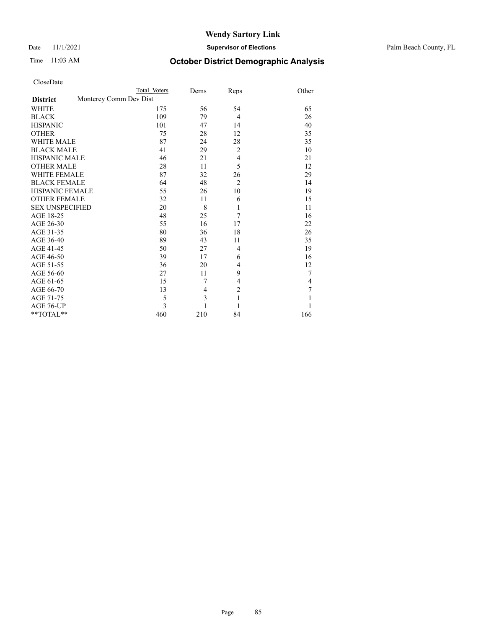Date 11/1/2021 **Supervisor of Elections** Palm Beach County, FL

| CloseDate |
|-----------|
|-----------|

|                        |                        | Total Voters | Dems | Reps           | Other          |
|------------------------|------------------------|--------------|------|----------------|----------------|
| <b>District</b>        | Monterey Comm Dev Dist |              |      |                |                |
| WHITE                  |                        | 175          | 56   | 54             | 65             |
| BLACK                  |                        | 109          | 79   | $\overline{4}$ | 26             |
| <b>HISPANIC</b>        |                        | 101          | 47   | 14             | 40             |
| OTHER                  |                        | 75           | 28   | 12             | 35             |
| WHITE MALE             |                        | 87           | 24   | 28             | 35             |
| <b>BLACK MALE</b>      |                        | 41           | 29   | $\overline{2}$ | 10             |
| HISPANIC MALE          |                        | 46           | 21   | $\overline{4}$ | 21             |
| <b>OTHER MALE</b>      |                        | 28           | 11   | 5              | 12             |
| WHITE FEMALE           |                        | 87           | 32   | 26             | 29             |
| <b>BLACK FEMALE</b>    |                        | 64           | 48   | $\overline{2}$ | 14             |
| HISPANIC FEMALE        |                        | 55           | 26   | 10             | 19             |
| <b>OTHER FEMALE</b>    |                        | 32           | 11   | 6              | 15             |
| <b>SEX UNSPECIFIED</b> |                        | 20           | 8    | 1              | 11             |
| AGE 18-25              |                        | 48           | 25   | $\overline{7}$ | 16             |
| AGE 26-30              |                        | 55           | 16   | 17             | 22             |
| AGE 31-35              |                        | 80           | 36   | 18             | 26             |
| AGE 36-40              |                        | 89           | 43   | 11             | 35             |
| AGE 41-45              |                        | 50           | 27   | $\overline{4}$ | 19             |
| AGE 46-50              |                        | 39           | 17   | 6              | 16             |
| AGE 51-55              |                        | 36           | 20   | 4              | 12             |
| AGE 56-60              |                        | 27           | 11   | 9              | 7              |
| AGE 61-65              |                        | 15           | 7    | $\overline{4}$ | $\overline{4}$ |
| AGE 66-70              |                        | 13           | 4    | $\overline{c}$ | 7              |
| AGE 71-75              |                        | 5            | 3    | $\mathbf{1}$   |                |
| AGE 76-UP              |                        | 3            |      | 1              |                |
| $*$ $TOTAL**$          |                        | 460          | 210  | 84             | 166            |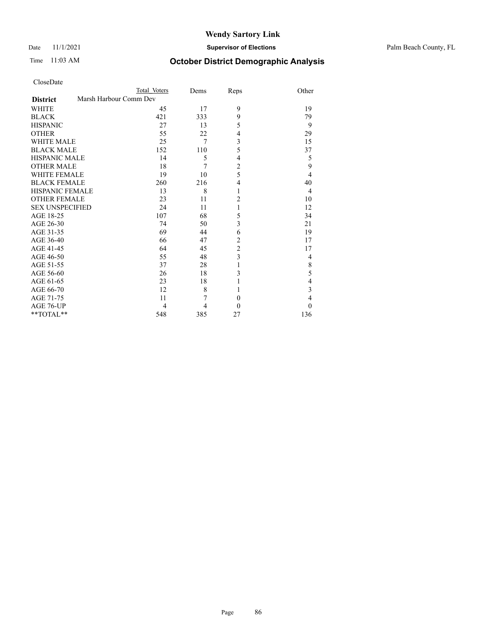Date 11/1/2021 **Supervisor of Elections** Palm Beach County, FL

# Time 11:03 AM **October District Demographic Analysis**

 $^{\ast\ast}\mathsf{TOTAL}^{\ast\ast}$ 

|                        | Total Voters           | Dems | Reps           | Other          |
|------------------------|------------------------|------|----------------|----------------|
| <b>District</b>        | Marsh Harbour Comm Dev |      |                |                |
| <b>WHITE</b>           | 45                     | 17   | 9              | 19             |
| <b>BLACK</b>           | 421                    | 333  | 9              | 79             |
| <b>HISPANIC</b>        | 27                     | 13   | 5              | 9              |
| <b>OTHER</b>           | 55                     | 22   | 4              | 29             |
| <b>WHITE MALE</b>      | 25                     | 7    | 3              | 15             |
| <b>BLACK MALE</b>      | 152                    | 110  | 5              | 37             |
| <b>HISPANIC MALE</b>   | 14                     | 5    | 4              | 5              |
| <b>OTHER MALE</b>      | 18                     | 7    | $\overline{c}$ | 9              |
| <b>WHITE FEMALE</b>    | 19                     | 10   | 5              | $\overline{4}$ |
| <b>BLACK FEMALE</b>    | 260                    | 216  | $\overline{4}$ | 40             |
| <b>HISPANIC FEMALE</b> | 13                     | 8    | 1              | 4              |
| <b>OTHER FEMALE</b>    | 23                     | 11   | $\overline{2}$ | 10             |
| <b>SEX UNSPECIFIED</b> | 24                     | 11   | 1              | 12             |
| AGE 18-25              | 107                    | 68   | 5              | 34             |
| AGE 26-30              | 74                     | 50   | 3              | 21             |
| AGE 31-35              | 69                     | 44   | 6              | 19             |
| AGE 36-40              | 66                     | 47   | $\overline{2}$ | 17             |
| AGE 41-45              | 64                     | 45   | $\overline{c}$ | 17             |
| AGE 46-50              | 55                     | 48   | $\overline{3}$ | $\overline{4}$ |
| AGE 51-55              | 37                     | 28   | 1              | 8              |
| AGE 56-60              | 26                     | 18   | 3              | 5              |
| AGE 61-65              | 23                     | 18   |                | 4              |
| AGE 66-70              | 12                     | 8    |                | 3              |

AGE 71-75 11 7 0 4<br>AGE 76-UP 4 4 0 0  $\begin{array}{cccccccccc} \text{AGE 76-UP} & & & & 4 & & 4 & & 0 & & 0 \\ \text{**TOTAL*} & & & & & 548 & & 385 & & 27 & & & 136 \end{array}$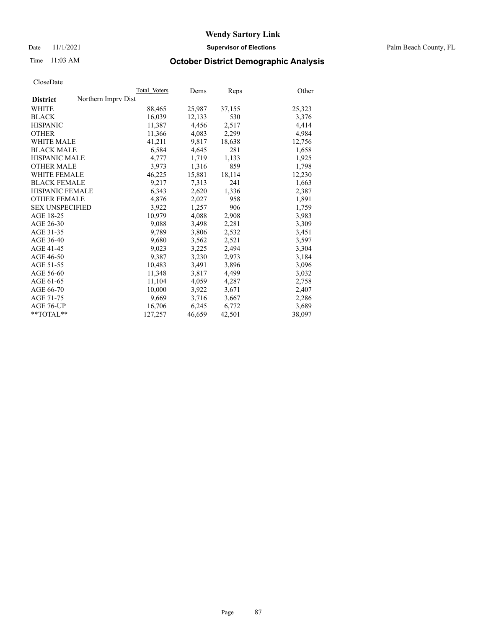Date 11/1/2021 **Supervisor of Elections** Palm Beach County, FL

# Time 11:03 AM **October District Demographic Analysis**

|                                        | Total Voters | Dems   | Reps   | Other  |
|----------------------------------------|--------------|--------|--------|--------|
| Northern Impry Dist<br><b>District</b> |              |        |        |        |
| <b>WHITE</b>                           | 88,465       | 25,987 | 37,155 | 25,323 |
| <b>BLACK</b>                           | 16,039       | 12,133 | 530    | 3,376  |
| <b>HISPANIC</b>                        | 11,387       | 4,456  | 2,517  | 4,414  |
| <b>OTHER</b>                           | 11,366       | 4,083  | 2,299  | 4,984  |
| <b>WHITE MALE</b>                      | 41,211       | 9,817  | 18,638 | 12,756 |
| <b>BLACK MALE</b>                      | 6,584        | 4,645  | 281    | 1,658  |
| <b>HISPANIC MALE</b>                   | 4,777        | 1,719  | 1,133  | 1,925  |
| <b>OTHER MALE</b>                      | 3.973        | 1,316  | 859    | 1,798  |
| <b>WHITE FEMALE</b>                    | 46,225       | 15,881 | 18,114 | 12,230 |
| <b>BLACK FEMALE</b>                    | 9,217        | 7,313  | 241    | 1,663  |
| <b>HISPANIC FEMALE</b>                 | 6,343        | 2,620  | 1,336  | 2,387  |
| <b>OTHER FEMALE</b>                    | 4,876        | 2,027  | 958    | 1,891  |
| <b>SEX UNSPECIFIED</b>                 | 3,922        | 1,257  | 906    | 1,759  |
| AGE 18-25                              | 10,979       | 4,088  | 2,908  | 3,983  |
| AGE 26-30                              | 9,088        | 3,498  | 2,281  | 3,309  |
| AGE 31-35                              | 9,789        | 3,806  | 2,532  | 3,451  |
| AGE 36-40                              | 9,680        | 3,562  | 2,521  | 3,597  |
| AGE 41-45                              | 9,023        | 3,225  | 2,494  | 3,304  |
| AGE 46-50                              | 9,387        | 3,230  | 2,973  | 3,184  |
| AGE 51-55                              | 10,483       | 3,491  | 3,896  | 3,096  |
| AGE 56-60                              | 11,348       | 3,817  | 4,499  | 3,032  |
| AGE 61-65                              | 11.104       | 4,059  | 4,287  | 2,758  |
| AGE 66-70                              | 10,000       | 3,922  | 3,671  | 2,407  |
| AGE 71-75                              | 9,669        | 3,716  | 3,667  | 2,286  |
| AGE 76-UP                              | 16,706       | 6,245  | 6,772  | 3,689  |
| $*$ $TOTAL**$                          | 127,257      | 46,659 | 42,501 | 38,097 |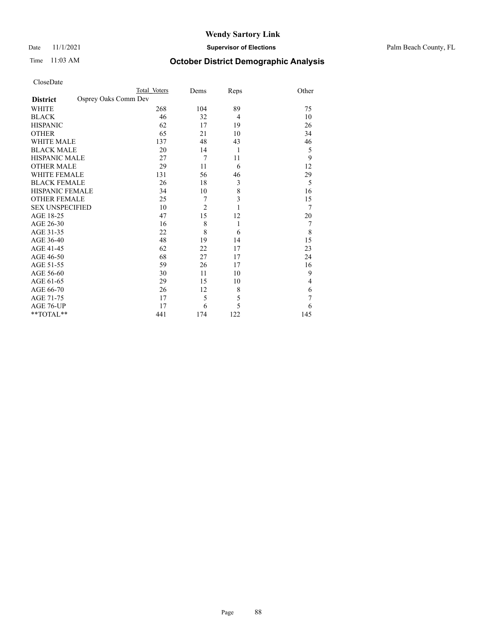Date 11/1/2021 **Supervisor of Elections** Palm Beach County, FL

| CloseDate |
|-----------|
|-----------|

|                        |                      | Total Voters | Dems           | Reps           | Other |
|------------------------|----------------------|--------------|----------------|----------------|-------|
| <b>District</b>        | Osprey Oaks Comm Dev |              |                |                |       |
| WHITE                  |                      | 268          | 104            | 89             | 75    |
| BLACK                  |                      | 46           | 32             | $\overline{4}$ | 10    |
| <b>HISPANIC</b>        |                      | 62           | 17             | 19             | 26    |
| OTHER                  |                      | 65           | 21             | 10             | 34    |
| <b>WHITE MALE</b>      |                      | 137          | 48             | 43             | 46    |
| <b>BLACK MALE</b>      |                      | 20           | 14             | 1              | 5     |
| HISPANIC MALE          |                      | 27           | 7              | 11             | 9     |
| OTHER MALE             |                      | 29           | 11             | 6              | 12    |
| WHITE FEMALE           |                      | 131          | 56             | 46             | 29    |
| BLACK FEMALE           |                      | 26           | 18             | 3              | 5     |
| HISPANIC FEMALE        |                      | 34           | 10             | 8              | 16    |
| <b>OTHER FEMALE</b>    |                      | 25           | 7              | 3              | 15    |
| <b>SEX UNSPECIFIED</b> |                      | 10           | $\overline{c}$ | 1              | 7     |
| AGE 18-25              |                      | 47           | 15             | 12             | 20    |
| AGE 26-30              |                      | 16           | 8              | 1              | 7     |
| AGE 31-35              |                      | 22           | 8              | 6              | 8     |
| AGE 36-40              |                      | 48           | 19             | 14             | 15    |
| AGE 41-45              |                      | 62           | 22             | 17             | 23    |
| AGE 46-50              |                      | 68           | 27             | 17             | 24    |
| AGE 51-55              |                      | 59           | 26             | 17             | 16    |
| AGE 56-60              |                      | 30           | 11             | 10             | 9     |
| AGE 61-65              |                      | 29           | 15             | 10             | 4     |
| AGE 66-70              |                      | 26           | 12             | 8              | 6     |
| AGE 71-75              |                      | 17           | 5              | 5              | 7     |
| AGE 76-UP              |                      | 17           | 6              | 5              | 6     |
| $*$ TOTAL $*$          |                      | 441          | 174            | 122            | 145   |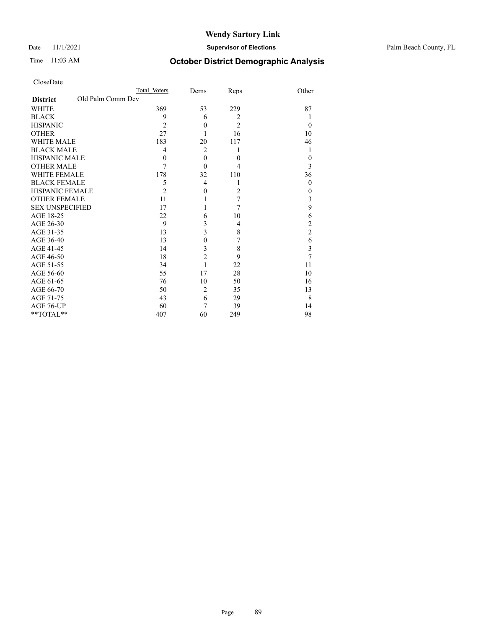### Date 11/1/2021 **Supervisor of Elections** Palm Beach County, FL

| CloseDate |
|-----------|
|-----------|

|                        |                   | Total Voters   | Dems           | Reps             | Other          |
|------------------------|-------------------|----------------|----------------|------------------|----------------|
| <b>District</b>        | Old Palm Comm Dev |                |                |                  |                |
| WHITE                  |                   | 369            | 53             | 229              | 87             |
| BLACK                  |                   | 9              | 6              | $\overline{2}$   |                |
| HISPANIC               |                   | $\overline{2}$ | $\theta$       | $\overline{2}$   | $\Omega$       |
| <b>OTHER</b>           |                   | 27             |                | 16               | 10             |
| WHITE MALE             |                   | 183            | 20             | 117              | 46             |
| <b>BLACK MALE</b>      |                   | $\overline{4}$ | $\overline{2}$ | 1                | 1              |
| HISPANIC MALE          |                   | $\theta$       | $\theta$       | $\mathbf{0}$     | $\theta$       |
| OTHER MALE             |                   | 7              | $\theta$       | 4                | 3              |
| WHITE FEMALE           |                   | 178            | 32             | 110              | 36             |
| <b>BLACK FEMALE</b>    |                   | 5              | 4              | 1                | $\theta$       |
| HISPANIC FEMALE        |                   | $\overline{2}$ | $\mathbf{0}$   | $\overline{2}$   | $\theta$       |
| <b>OTHER FEMALE</b>    |                   | 11             |                | $\boldsymbol{7}$ | 3              |
| <b>SEX UNSPECIFIED</b> |                   | 17             |                | 7                | 9              |
| AGE 18-25              |                   | 22             | 6              | 10               | 6              |
| AGE 26-30              |                   | 9              | 3              | $\overline{4}$   | 2              |
| AGE 31-35              |                   | 13             | 3              | 8                | $\overline{c}$ |
| AGE 36-40              |                   | 13             | 0              | 7                | 6              |
| AGE 41-45              |                   | 14             | 3              | 8                | 3              |
| AGE 46-50              |                   | 18             | $\overline{2}$ | 9                | 7              |
| AGE 51-55              |                   | 34             |                | 22               | 11             |
| AGE 56-60              |                   | 55             | 17             | 28               | 10             |
| AGE 61-65              |                   | 76             | 10             | 50               | 16             |
| AGE 66-70              |                   | 50             | 2              | 35               | 13             |
| AGE 71-75              |                   | 43             | 6              | 29               | 8              |
| AGE 76-UP              |                   | 60             | 7              | 39               | 14             |
| $*$ TOTAL $*$          |                   | 407            | 60             | 249              | 98             |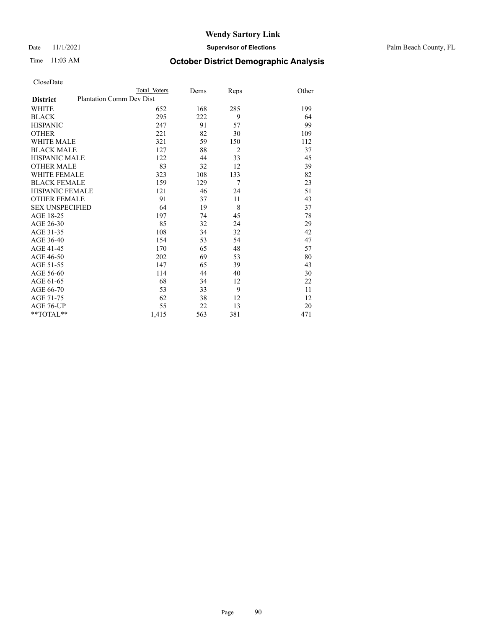Date 11/1/2021 **Supervisor of Elections** Palm Beach County, FL

| CloseDate |
|-----------|
|-----------|

|                        |                                 | Total Voters | Dems | Reps           | Other |
|------------------------|---------------------------------|--------------|------|----------------|-------|
| <b>District</b>        | <b>Plantation Comm Dev Dist</b> |              |      |                |       |
| WHITE                  |                                 | 652          | 168  | 285            | 199   |
| BLACK                  |                                 | 295          | 222  | 9              | 64    |
| HISPANIC               |                                 | 247          | 91   | 57             | 99    |
| OTHER                  |                                 | 221          | 82   | 30             | 109   |
| WHITE MALE             |                                 | 321          | 59   | 150            | 112   |
| <b>BLACK MALE</b>      |                                 | 127          | 88   | $\overline{2}$ | 37    |
| HISPANIC MALE          |                                 | 122          | 44   | 33             | 45    |
| OTHER MALE             |                                 | 83           | 32   | 12             | 39    |
| WHITE FEMALE           |                                 | 323          | 108  | 133            | 82    |
| <b>BLACK FEMALE</b>    |                                 | 159          | 129  | $\overline{7}$ | 23    |
| HISPANIC FEMALE        |                                 | 121          | 46   | 24             | 51    |
| OTHER FEMALE           |                                 | 91           | 37   | 11             | 43    |
| <b>SEX UNSPECIFIED</b> |                                 | 64           | 19   | 8              | 37    |
| AGE 18-25              |                                 | 197          | 74   | 45             | 78    |
| AGE 26-30              |                                 | 85           | 32   | 24             | 29    |
| AGE 31-35              |                                 | 108          | 34   | 32             | 42    |
| AGE 36-40              |                                 | 154          | 53   | 54             | 47    |
| AGE 41-45              |                                 | 170          | 65   | 48             | 57    |
| AGE 46-50              |                                 | 202          | 69   | 53             | 80    |
| AGE 51-55              |                                 | 147          | 65   | 39             | 43    |
| AGE 56-60              |                                 | 114          | 44   | 40             | 30    |
| AGE 61-65              |                                 | 68           | 34   | 12             | 22    |
| AGE 66-70              |                                 | 53           | 33   | 9              | 11    |
| AGE 71-75              |                                 | 62           | 38   | 12             | 12    |
| AGE 76-UP              |                                 | 55           | 22   | 13             | 20    |
| $*$ TOTAL $*$          |                                 | 1,415        | 563  | 381            | 471   |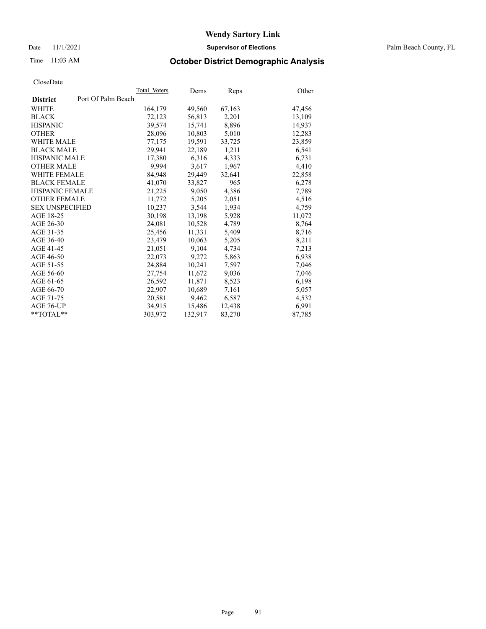Date 11/1/2021 **Supervisor of Elections** Palm Beach County, FL

# Time 11:03 AM **October District Demographic Analysis**

| Cioscizate             |                    |              |         |        |        |
|------------------------|--------------------|--------------|---------|--------|--------|
|                        |                    | Total Voters | Dems    | Reps   | Other  |
| <b>District</b>        | Port Of Palm Beach |              |         |        |        |
| WHITE                  |                    | 164,179      | 49,560  | 67,163 | 47,456 |
| <b>BLACK</b>           |                    | 72,123       | 56,813  | 2,201  | 13,109 |
| <b>HISPANIC</b>        |                    | 39,574       | 15,741  | 8,896  | 14,937 |
| <b>OTHER</b>           |                    | 28,096       | 10,803  | 5,010  | 12,283 |
| <b>WHITE MALE</b>      |                    | 77,175       | 19,591  | 33,725 | 23,859 |
| <b>BLACK MALE</b>      |                    | 29,941       | 22,189  | 1,211  | 6,541  |
| <b>HISPANIC MALE</b>   |                    | 17,380       | 6,316   | 4,333  | 6,731  |
| <b>OTHER MALE</b>      |                    | 9.994        | 3,617   | 1,967  | 4,410  |
| <b>WHITE FEMALE</b>    |                    | 84,948       | 29,449  | 32.641 | 22,858 |
| <b>BLACK FEMALE</b>    |                    | 41,070       | 33,827  | 965    | 6,278  |
| <b>HISPANIC FEMALE</b> |                    | 21,225       | 9,050   | 4,386  | 7,789  |
| <b>OTHER FEMALE</b>    |                    | 11,772       | 5,205   | 2,051  | 4,516  |
| <b>SEX UNSPECIFIED</b> |                    | 10,237       | 3,544   | 1,934  | 4,759  |
| AGE 18-25              |                    | 30,198       | 13,198  | 5,928  | 11,072 |
| AGE 26-30              |                    | 24,081       | 10,528  | 4,789  | 8,764  |
| AGE 31-35              |                    | 25,456       | 11,331  | 5,409  | 8,716  |
| AGE 36-40              |                    | 23,479       | 10,063  | 5,205  | 8,211  |
| AGE 41-45              |                    | 21,051       | 9,104   | 4,734  | 7,213  |
| AGE 46-50              |                    | 22,073       | 9,272   | 5,863  | 6,938  |
| AGE 51-55              |                    | 24,884       | 10,241  | 7,597  | 7,046  |
| AGE 56-60              |                    | 27,754       | 11,672  | 9,036  | 7,046  |
| AGE 61-65              |                    | 26,592       | 11,871  | 8,523  | 6,198  |
| AGE 66-70              |                    | 22,907       | 10,689  | 7,161  | 5,057  |
| AGE 71-75              |                    | 20,581       | 9,462   | 6,587  | 4,532  |
| AGE 76-UP              |                    | 34.915       | 15,486  | 12,438 | 6,991  |
| $*$ $TOTAL**$          |                    | 303,972      | 132,917 | 83,270 | 87,785 |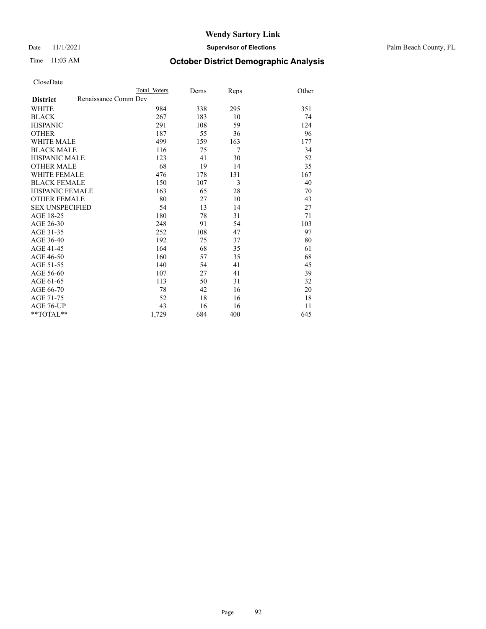Date 11/1/2021 **Supervisor of Elections** Palm Beach County, FL

# Time 11:03 AM **October District Demographic Analysis**

|                                         | Total Voters | Dems | Reps | Other |
|-----------------------------------------|--------------|------|------|-------|
| Renaissance Comm Dev<br><b>District</b> |              |      |      |       |
| WHITE                                   | 984          | 338  | 295  | 351   |
| <b>BLACK</b>                            | 267          | 183  | 10   | 74    |
| <b>HISPANIC</b>                         | 291          | 108  | 59   | 124   |
| <b>OTHER</b>                            | 187          | 55   | 36   | 96    |
| WHITE MALE                              | 499          | 159  | 163  | 177   |
| <b>BLACK MALE</b>                       | 116          | 75   | 7    | 34    |
| <b>HISPANIC MALE</b>                    | 123          | 41   | 30   | 52    |
| <b>OTHER MALE</b>                       | 68           | 19   | 14   | 35    |
| WHITE FEMALE                            | 476          | 178  | 131  | 167   |
| <b>BLACK FEMALE</b>                     | 150          | 107  | 3    | 40    |
| HISPANIC FEMALE                         | 163          | 65   | 28   | 70    |
| <b>OTHER FEMALE</b>                     | 80           | 27   | 10   | 43    |
| <b>SEX UNSPECIFIED</b>                  | 54           | 13   | 14   | 27    |
| AGE 18-25                               | 180          | 78   | 31   | 71    |
| AGE 26-30                               | 248          | 91   | 54   | 103   |
| AGE 31-35                               | 252          | 108  | 47   | 97    |
| AGE 36-40                               | 192          | 75   | 37   | 80    |
| AGE 41-45                               | 164          | 68   | 35   | 61    |
| AGE 46-50                               | 160          | 57   | 35   | 68    |
| AGE 51-55                               | 140          | 54   | 41   | 45    |
| AGE 56-60                               | 107          | 27   | 41   | 39    |
| AGE 61-65                               | 113          | 50   | 31   | 32    |
| AGE 66-70                               | 78           | 42   | 16   | 20    |
| AGE 71-75                               | 52           | 18   | 16   | 18    |
| AGE 76-UP                               | 43           | 16   | 16   | 11    |
| $*$ $TOTAL**$                           | 1,729        | 684  | 400  | 645   |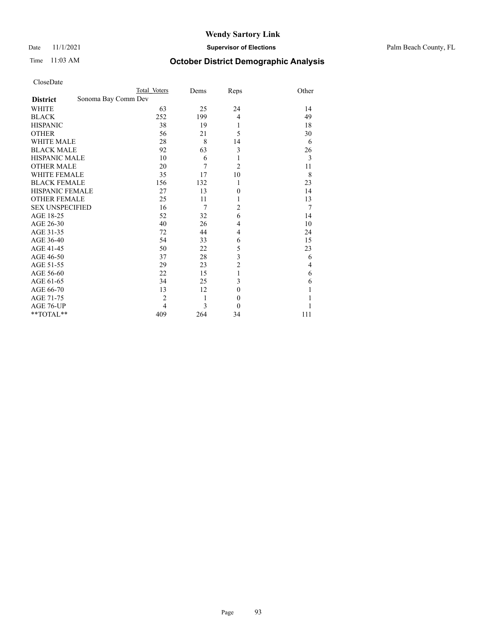Date 11/1/2021 **Supervisor of Elections** Palm Beach County, FL

| CloseDate |
|-----------|
|-----------|

|                                        | Total Voters   | Dems           | Reps             | Other |
|----------------------------------------|----------------|----------------|------------------|-------|
| Sonoma Bay Comm Dev<br><b>District</b> |                |                |                  |       |
| <b>WHITE</b>                           | 63             | 25             | 24               | 14    |
| <b>BLACK</b>                           | 252            | 199            | 4                | 49    |
| <b>HISPANIC</b>                        | 38             | 19             | 1                | 18    |
| <b>OTHER</b>                           | 56             | 21             | 5                | 30    |
| <b>WHITE MALE</b>                      | 28             | 8              | 14               | 6     |
| <b>BLACK MALE</b>                      | 92             | 63             | 3                | 26    |
| <b>HISPANIC MALE</b>                   | 10             | 6              | 1                | 3     |
| <b>OTHER MALE</b>                      | 20             | 7              | $\overline{2}$   | 11    |
| <b>WHITE FEMALE</b>                    | 35             | 17             | 10               | 8     |
| <b>BLACK FEMALE</b>                    | 156            | 132            | 1                | 23    |
| <b>HISPANIC FEMALE</b>                 | 27             | 13             | $\theta$         | 14    |
| <b>OTHER FEMALE</b>                    | 25             | 11             | 1                | 13    |
| <b>SEX UNSPECIFIED</b>                 | 16             | $\overline{7}$ | $\overline{c}$   | 7     |
| AGE 18-25                              | 52             | 32             | 6                | 14    |
| AGE 26-30                              | 40             | 26             | 4                | 10    |
| AGE 31-35                              | 72             | 44             | 4                | 24    |
| AGE 36-40                              | 54             | 33             | 6                | 15    |
| AGE 41-45                              | 50             | 22             | 5                | 23    |
| AGE 46-50                              | 37             | 28             | 3                | 6     |
| AGE 51-55                              | 29             | 23             | $\overline{c}$   | 4     |
| AGE 56-60                              | 22             | 15             | 1                | 6     |
| AGE 61-65                              | 34             | 25             | 3                | 6     |
| AGE 66-70                              | 13             | 12             | $\mathbf{0}$     |       |
| AGE 71-75                              | $\overline{2}$ | 1              | $\boldsymbol{0}$ |       |
| AGE 76-UP                              | 4              | 3              | $\theta$         |       |
| **TOTAL**                              | 409            | 264            | 34               | 111   |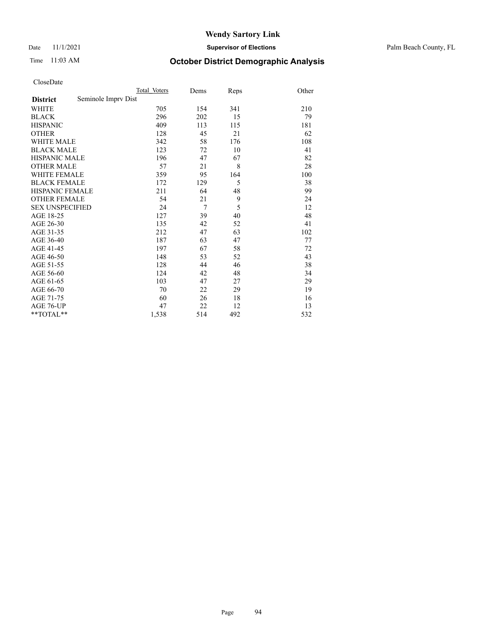### Date 11/1/2021 **Supervisor of Elections** Palm Beach County, FL

| CloseDate |
|-----------|
|-----------|

|                        |                     | Total Voters | Dems | Reps | Other |
|------------------------|---------------------|--------------|------|------|-------|
| <b>District</b>        | Seminole Imprv Dist |              |      |      |       |
| WHITE                  |                     | 705          | 154  | 341  | 210   |
| BLACK                  |                     | 296          | 202  | 15   | 79    |
| HISPANIC               |                     | 409          | 113  | 115  | 181   |
| <b>OTHER</b>           |                     | 128          | 45   | 21   | 62    |
| WHITE MALE             |                     | 342          | 58   | 176  | 108   |
| <b>BLACK MALE</b>      |                     | 123          | 72   | 10   | 41    |
| HISPANIC MALE          |                     | 196          | 47   | 67   | 82    |
| OTHER MALE             |                     | 57           | 21   | 8    | 28    |
| <b>WHITE FEMALE</b>    |                     | 359          | 95   | 164  | 100   |
| <b>BLACK FEMALE</b>    |                     | 172          | 129  | 5    | 38    |
| HISPANIC FEMALE        |                     | 211          | 64   | 48   | 99    |
| OTHER FEMALE           |                     | 54           | 21   | 9    | 24    |
| <b>SEX UNSPECIFIED</b> |                     | 24           | 7    | 5    | 12    |
| AGE 18-25              |                     | 127          | 39   | 40   | 48    |
| AGE 26-30              |                     | 135          | 42   | 52   | 41    |
| AGE 31-35              |                     | 212          | 47   | 63   | 102   |
| AGE 36-40              |                     | 187          | 63   | 47   | 77    |
| AGE 41-45              |                     | 197          | 67   | 58   | 72    |
| AGE 46-50              |                     | 148          | 53   | 52   | 43    |
| AGE 51-55              |                     | 128          | 44   | 46   | 38    |
| AGE 56-60              |                     | 124          | 42   | 48   | 34    |
| AGE 61-65              |                     | 103          | 47   | 27   | 29    |
| AGE 66-70              |                     | 70           | 22   | 29   | 19    |
| AGE 71-75              |                     | 60           | 26   | 18   | 16    |
| AGE 76-UP              |                     | 47           | 22   | 12   | 13    |
| $*$ $TOTAL**$          |                     | 1,538        | 514  | 492  | 532   |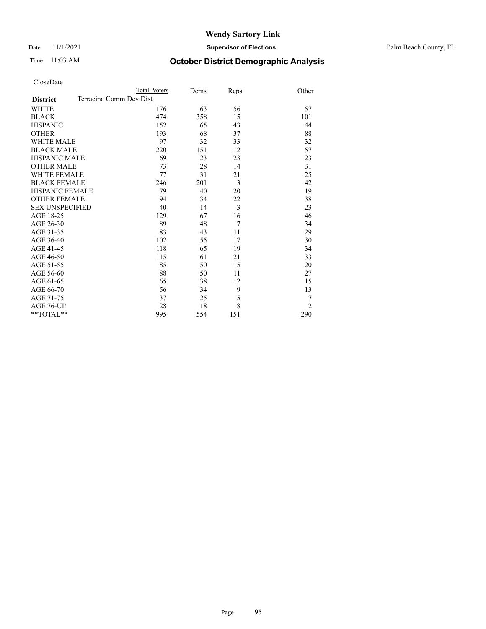Date 11/1/2021 **Supervisor of Elections** Palm Beach County, FL

| CloseDate |
|-----------|
|-----------|

|                        | Total Voters            | Dems | Reps           | Other          |
|------------------------|-------------------------|------|----------------|----------------|
| <b>District</b>        | Terracina Comm Dev Dist |      |                |                |
| WHITE                  | 176                     | 63   | 56             | 57             |
| <b>BLACK</b>           | 474                     | 358  | 15             | 101            |
| <b>HISPANIC</b>        | 152                     | 65   | 43             | 44             |
| <b>OTHER</b>           | 193                     | 68   | 37             | 88             |
| <b>WHITE MALE</b>      | 97                      | 32   | 33             | 32             |
| <b>BLACK MALE</b>      | 220                     | 151  | 12             | 57             |
| <b>HISPANIC MALE</b>   | 69                      | 23   | 23             | 23             |
| <b>OTHER MALE</b>      | 73                      | 28   | 14             | 31             |
| <b>WHITE FEMALE</b>    | 77                      | 31   | 21             | 25             |
| <b>BLACK FEMALE</b>    | 246                     | 201  | 3              | 42             |
| <b>HISPANIC FEMALE</b> | 79                      | 40   | 20             | 19             |
| <b>OTHER FEMALE</b>    | 94                      | 34   | 22             | 38             |
| <b>SEX UNSPECIFIED</b> | 40                      | 14   | 3              | 23             |
| AGE 18-25              | 129                     | 67   | 16             | 46             |
| AGE 26-30              | 89                      | 48   | $\overline{7}$ | 34             |
| AGE 31-35              | 83                      | 43   | 11             | 29             |
| AGE 36-40              | 102                     | 55   | 17             | 30             |
| AGE 41-45              | 118                     | 65   | 19             | 34             |
| AGE 46-50              | 115                     | 61   | 21             | 33             |
| AGE 51-55              | 85                      | 50   | 15             | 20             |
| AGE 56-60              | 88                      | 50   | 11             | 27             |
| AGE 61-65              | 65                      | 38   | 12             | 15             |
| AGE 66-70              | 56                      | 34   | 9              | 13             |
| AGE 71-75              | 37                      | 25   | 5              | 7              |
| AGE 76-UP              | 28                      | 18   | 8              | $\overline{2}$ |
| **TOTAL**              | 995                     | 554  | 151            | 290            |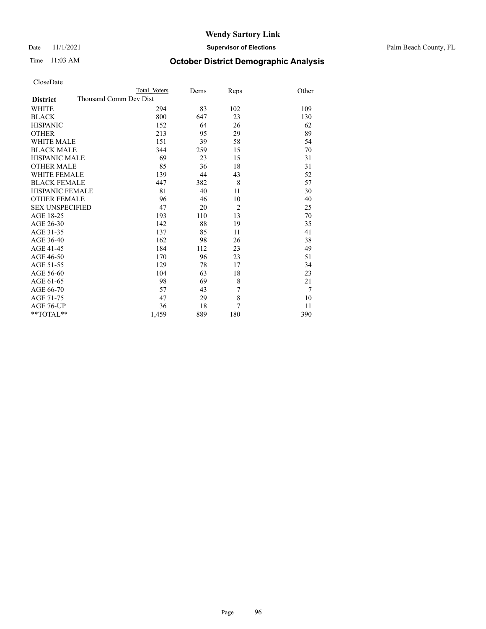Date 11/1/2021 **Supervisor of Elections** Palm Beach County, FL

| CloseDate |
|-----------|
|-----------|

|                        | Total Voters           | Dems | Reps           | Other |
|------------------------|------------------------|------|----------------|-------|
| <b>District</b>        | Thousand Comm Dev Dist |      |                |       |
| <b>WHITE</b>           | 294                    | 83   | 102            | 109   |
| <b>BLACK</b>           | 800                    | 647  | 23             | 130   |
| <b>HISPANIC</b>        | 152                    | 64   | 26             | 62    |
| <b>OTHER</b>           | 213                    | 95   | 29             | 89    |
| <b>WHITE MALE</b>      | 151                    | 39   | 58             | 54    |
| <b>BLACK MALE</b>      | 344                    | 259  | 15             | 70    |
| <b>HISPANIC MALE</b>   | 69                     | 23   | 15             | 31    |
| <b>OTHER MALE</b>      | 85                     | 36   | 18             | 31    |
| <b>WHITE FEMALE</b>    | 139                    | 44   | 43             | 52    |
| <b>BLACK FEMALE</b>    | 447                    | 382  | 8              | 57    |
| <b>HISPANIC FEMALE</b> | 81                     | 40   | 11             | 30    |
| <b>OTHER FEMALE</b>    | 96                     | 46   | 10             | 40    |
| <b>SEX UNSPECIFIED</b> | 47                     | 20   | $\mathfrak{2}$ | 25    |
| AGE 18-25              | 193                    | 110  | 13             | 70    |
| AGE 26-30              | 142                    | 88   | 19             | 35    |
| AGE 31-35              | 137                    | 85   | 11             | 41    |
| AGE 36-40              | 162                    | 98   | 26             | 38    |
| AGE 41-45              | 184                    | 112  | 23             | 49    |
| AGE 46-50              | 170                    | 96   | 23             | 51    |
| AGE 51-55              | 129                    | 78   | 17             | 34    |
| AGE 56-60              | 104                    | 63   | 18             | 23    |
| AGE 61-65              | 98                     | 69   | 8              | 21    |
| AGE 66-70              | 57                     | 43   | 7              | 7     |
| AGE 71-75              | 47                     | 29   | 8              | 10    |
| AGE 76-UP              | 36                     | 18   | $\overline{7}$ | 11    |
| $*$ $TOTAL**$          | 1,459                  | 889  | 180            | 390   |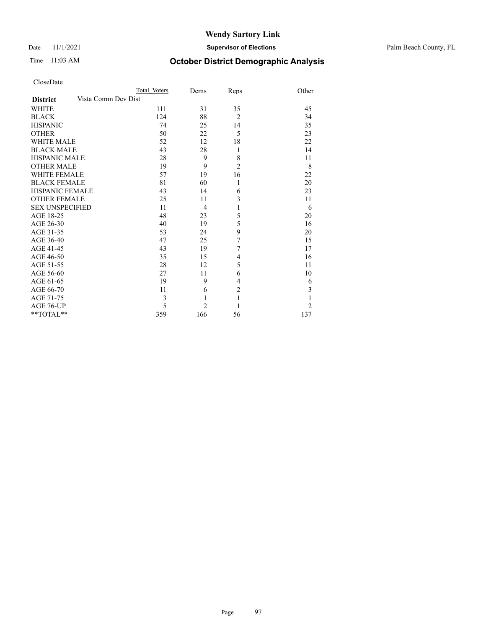### Date 11/1/2021 **Supervisor of Elections** Palm Beach County, FL

| CloseDate |
|-----------|
|-----------|

|                        | Total Voters        | Dems           | Reps           | Other          |
|------------------------|---------------------|----------------|----------------|----------------|
| <b>District</b>        | Vista Comm Dev Dist |                |                |                |
| WHITE                  | 111                 | 31             | 35             | 45             |
| BLACK                  | 124                 | 88             | $\overline{2}$ | 34             |
| HISPANIC               | 74                  | 25             | 14             | 35             |
| OTHER                  | 50                  | 22             | 5              | 23             |
| WHITE MALE             | 52                  | 12             | 18             | 22             |
| <b>BLACK MALE</b>      | 43                  | 28             | 1              | 14             |
| HISPANIC MALE          | 28                  | 9              | 8              | 11             |
| OTHER MALE             | 19                  | 9              | $\overline{2}$ | 8              |
| WHITE FEMALE           | 57                  | 19             | 16             | 22             |
| <b>BLACK FEMALE</b>    | 81                  | 60             | $\mathbf{1}$   | 20             |
| HISPANIC FEMALE        | 43                  | 14             | 6              | 23             |
| OTHER FEMALE           | 25                  | 11             | 3              | 11             |
| <b>SEX UNSPECIFIED</b> | 11                  | $\overline{4}$ | $\mathbf{1}$   | 6              |
| AGE 18-25              | 48                  | 23             | 5              | 20             |
| AGE 26-30              | 40                  | 19             | 5              | 16             |
| AGE 31-35              | 53                  | 24             | 9              | 20             |
| AGE 36-40              | 47                  | 25             | 7              | 15             |
| AGE 41-45              | 43                  | 19             | 7              | 17             |
| AGE 46-50              | 35                  | 15             | 4              | 16             |
| AGE 51-55              | 28                  | 12             | 5              | 11             |
| AGE 56-60              | 27                  | 11             | 6              | 10             |
| AGE 61-65              | 19                  | 9              | $\overline{4}$ | 6              |
| AGE 66-70              | 11                  | 6              | $\overline{c}$ | 3              |
| AGE 71-75              | 3                   | 1              | $\mathbf{1}$   |                |
| AGE 76-UP              | 5                   | $\mathfrak{D}$ | 1              | $\mathfrak{D}$ |
| $*$ $TOTAL**$          | 359                 | 166            | 56             | 137            |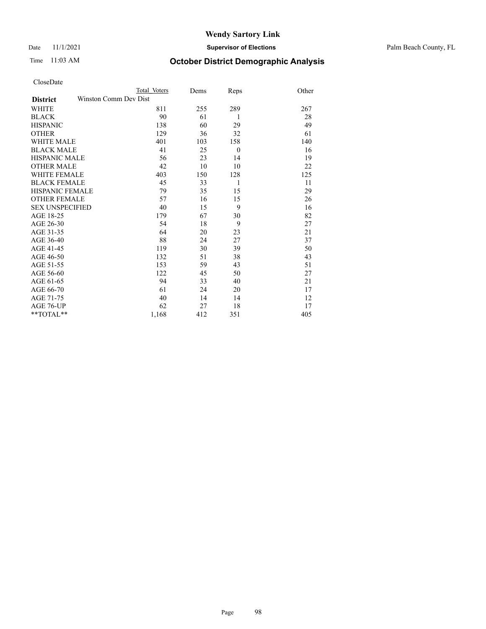Date 11/1/2021 **Supervisor of Elections** Palm Beach County, FL

| CloseDate |
|-----------|
|-----------|

|                        |                       | Total Voters | Dems | Reps         | Other |
|------------------------|-----------------------|--------------|------|--------------|-------|
| <b>District</b>        | Winston Comm Dev Dist |              |      |              |       |
| WHITE                  |                       | 811          | 255  | 289          | 267   |
| BLACK                  |                       | 90           | 61   | 1            | 28    |
| HISPANIC               |                       | 138          | 60   | 29           | 49    |
| OTHER                  |                       | 129          | 36   | 32           | 61    |
| WHITE MALE             |                       | 401          | 103  | 158          | 140   |
| <b>BLACK MALE</b>      |                       | 41           | 25   | $\theta$     | 16    |
| HISPANIC MALE          |                       | 56           | 23   | 14           | 19    |
| OTHER MALE             |                       | 42           | 10   | 10           | 22    |
| <b>WHITE FEMALE</b>    |                       | 403          | 150  | 128          | 125   |
| <b>BLACK FEMALE</b>    |                       | 45           | 33   | $\mathbf{1}$ | 11    |
| HISPANIC FEMALE        |                       | 79           | 35   | 15           | 29    |
| OTHER FEMALE           |                       | 57           | 16   | 15           | 26    |
| <b>SEX UNSPECIFIED</b> |                       | 40           | 15   | 9            | 16    |
| AGE 18-25              |                       | 179          | 67   | 30           | 82    |
| AGE 26-30              |                       | 54           | 18   | 9            | 27    |
| AGE 31-35              |                       | 64           | 20   | 23           | 21    |
| AGE 36-40              |                       | 88           | 24   | 27           | 37    |
| AGE 41-45              |                       | 119          | 30   | 39           | 50    |
| AGE 46-50              |                       | 132          | 51   | 38           | 43    |
| AGE 51-55              |                       | 153          | 59   | 43           | 51    |
| AGE 56-60              |                       | 122          | 45   | 50           | 27    |
| AGE 61-65              |                       | 94           | 33   | 40           | 21    |
| AGE 66-70              |                       | 61           | 24   | 20           | 17    |
| AGE 71-75              |                       | 40           | 14   | 14           | 12    |
| AGE 76-UP              |                       | 62           | 27   | 18           | 17    |
| **TOTAL**              |                       | 1,168        | 412  | 351          | 405   |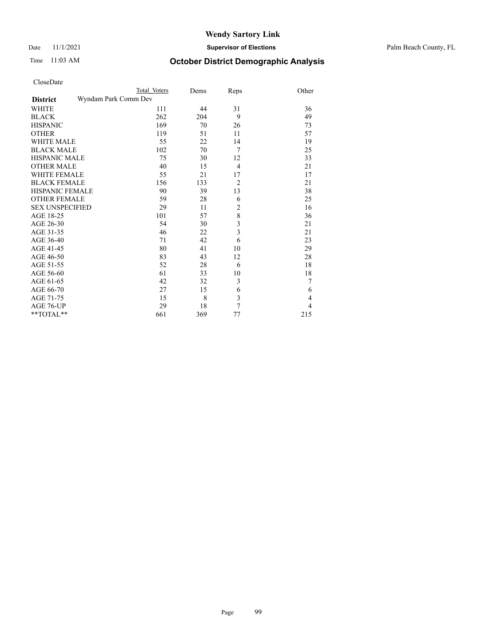Date 11/1/2021 **Supervisor of Elections** Palm Beach County, FL

|                        |                      | Total Voters | Dems | Reps                    | Other |
|------------------------|----------------------|--------------|------|-------------------------|-------|
| <b>District</b>        | Wyndam Park Comm Dev |              |      |                         |       |
| WHITE                  |                      | 111          | 44   | 31                      | 36    |
| BLACK                  |                      | 262          | 204  | 9                       | 49    |
| <b>HISPANIC</b>        |                      | 169          | 70   | 26                      | 73    |
| OTHER                  |                      | 119          | 51   | 11                      | 57    |
| WHITE MALE             |                      | 55           | 22   | 14                      | 19    |
| <b>BLACK MALE</b>      |                      | 102          | 70   | 7                       | 25    |
| HISPANIC MALE          |                      | 75           | 30   | 12                      | 33    |
| <b>OTHER MALE</b>      |                      | 40           | 15   | $\overline{4}$          | 21    |
| WHITE FEMALE           |                      | 55           | 21   | 17                      | 17    |
| <b>BLACK FEMALE</b>    |                      | 156          | 133  | $\overline{2}$          | 21    |
| HISPANIC FEMALE        |                      | 90           | 39   | 13                      | 38    |
| <b>OTHER FEMALE</b>    |                      | 59           | 28   | 6                       | 25    |
| <b>SEX UNSPECIFIED</b> |                      | 29           | 11   | $\overline{c}$          | 16    |
| AGE 18-25              |                      | 101          | 57   | 8                       | 36    |
| AGE 26-30              |                      | 54           | 30   | $\overline{\mathbf{3}}$ | 21    |
| AGE 31-35              |                      | 46           | 22   | 3                       | 21    |
| AGE 36-40              |                      | 71           | 42   | 6                       | 23    |
| AGE 41-45              |                      | 80           | 41   | 10                      | 29    |
| AGE 46-50              |                      | 83           | 43   | 12                      | 28    |
| AGE 51-55              |                      | 52           | 28   | 6                       | 18    |
| AGE 56-60              |                      | 61           | 33   | 10                      | 18    |
| AGE 61-65              |                      | 42           | 32   | 3                       | 7     |
| AGE 66-70              |                      | 27           | 15   | 6                       | 6     |
| AGE 71-75              |                      | 15           | 8    | 3                       | 4     |
| AGE 76-UP              |                      | 29           | 18   | 7                       | 4     |
| $*$ $TOTAL**$          |                      | 661          | 369  | 77                      | 215   |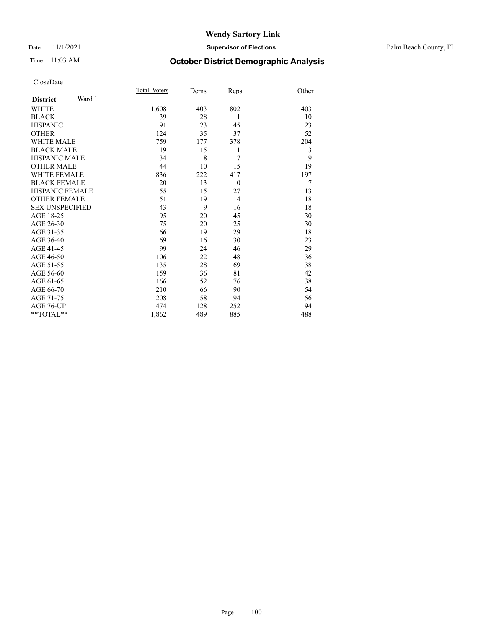### Date 11/1/2021 **Supervisor of Elections** Palm Beach County, FL

# Time 11:03 AM **October District Demographic Analysis**

|                           | Total Voters | Dems | Reps     | Other |
|---------------------------|--------------|------|----------|-------|
| Ward 1<br><b>District</b> |              |      |          |       |
| WHITE                     | 1,608        | 403  | 802      | 403   |
| <b>BLACK</b>              | 39           | 28   | 1        | 10    |
| <b>HISPANIC</b>           | 91           | 23   | 45       | 23    |
| <b>OTHER</b>              | 124          | 35   | 37       | 52    |
| <b>WHITE MALE</b>         | 759          | 177  | 378      | 204   |
| <b>BLACK MALE</b>         | 19           | 15   | 1        | 3     |
| <b>HISPANIC MALE</b>      | 34           | 8    | 17       | 9     |
| <b>OTHER MALE</b>         | 44           | 10   | 15       | 19    |
| <b>WHITE FEMALE</b>       | 836          | 222  | 417      | 197   |
| <b>BLACK FEMALE</b>       | 20           | 13   | $\theta$ | 7     |
| <b>HISPANIC FEMALE</b>    | 55           | 15   | 27       | 13    |
| <b>OTHER FEMALE</b>       | 51           | 19   | 14       | 18    |
| <b>SEX UNSPECIFIED</b>    | 43           | 9    | 16       | 18    |
| AGE 18-25                 | 95           | 20   | 45       | 30    |
| AGE 26-30                 | 75           | 20   | 25       | 30    |
| AGE 31-35                 | 66           | 19   | 29       | 18    |
| AGE 36-40                 | 69           | 16   | 30       | 23    |
| AGE 41-45                 | 99           | 24   | 46       | 29    |
| AGE 46-50                 | 106          | 22   | 48       | 36    |
| AGE 51-55                 | 135          | 28   | 69       | 38    |
| AGE 56-60                 | 159          | 36   | 81       | 42    |
| AGE 61-65                 | 166          | 52   | 76       | 38    |
| AGE 66-70                 | 210          | 66   | 90       | 54    |
| AGE 71-75                 | 208          | 58   | 94       | 56    |
| AGE 76-UP                 | 474          | 128  | 252      | 94    |
| **TOTAL**                 | 1,862        | 489  | 885      | 488   |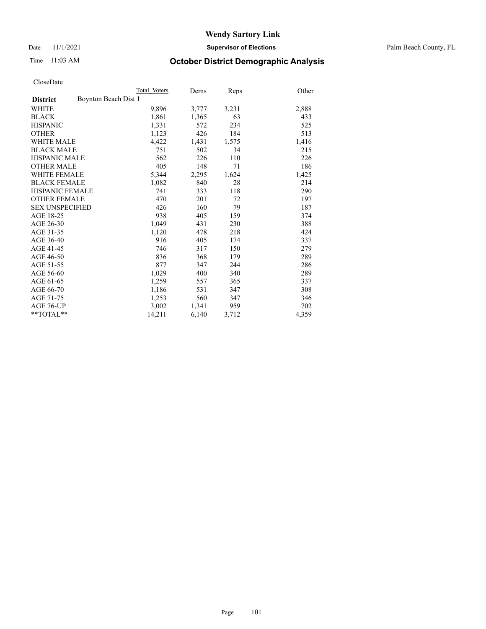Date 11/1/2021 **Supervisor of Elections** Palm Beach County, FL

# Time 11:03 AM **October District Demographic Analysis**

|                                         | Total Voters | Dems  | <b>Reps</b> | Other |
|-----------------------------------------|--------------|-------|-------------|-------|
| Boynton Beach Dist 1<br><b>District</b> |              |       |             |       |
| WHITE                                   | 9,896        | 3,777 | 3,231       | 2,888 |
| <b>BLACK</b>                            | 1,861        | 1,365 | 63          | 433   |
| <b>HISPANIC</b>                         | 1,331        | 572   | 234         | 525   |
| <b>OTHER</b>                            | 1,123        | 426   | 184         | 513   |
| <b>WHITE MALE</b>                       | 4,422        | 1,431 | 1,575       | 1,416 |
| <b>BLACK MALE</b>                       | 751          | 502   | 34          | 215   |
| <b>HISPANIC MALE</b>                    | 562          | 226   | 110         | 226   |
| <b>OTHER MALE</b>                       | 405          | 148   | 71          | 186   |
| <b>WHITE FEMALE</b>                     | 5,344        | 2,295 | 1,624       | 1,425 |
| <b>BLACK FEMALE</b>                     | 1,082        | 840   | 28          | 214   |
| HISPANIC FEMALE                         | 741          | 333   | 118         | 290   |
| <b>OTHER FEMALE</b>                     | 470          | 201   | 72          | 197   |
| <b>SEX UNSPECIFIED</b>                  | 426          | 160   | 79          | 187   |
| AGE 18-25                               | 938          | 405   | 159         | 374   |
| AGE 26-30                               | 1,049        | 431   | 230         | 388   |
| AGE 31-35                               | 1,120        | 478   | 218         | 424   |
| AGE 36-40                               | 916          | 405   | 174         | 337   |
| AGE 41-45                               | 746          | 317   | 150         | 279   |
| AGE 46-50                               | 836          | 368   | 179         | 289   |
| AGE 51-55                               | 877          | 347   | 244         | 286   |
| AGE 56-60                               | 1,029        | 400   | 340         | 289   |
| AGE 61-65                               | 1,259        | 557   | 365         | 337   |
| AGE 66-70                               | 1,186        | 531   | 347         | 308   |
| AGE 71-75                               | 1,253        | 560   | 347         | 346   |
| AGE 76-UP                               | 3,002        | 1,341 | 959         | 702   |
| $*$ $TOTAL**$                           | 14,211       | 6,140 | 3,712       | 4,359 |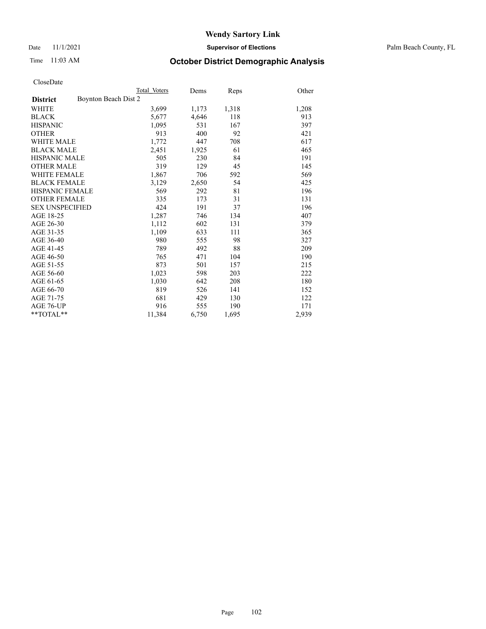Date 11/1/2021 **Supervisor of Elections** Palm Beach County, FL

# Time 11:03 AM **October District Demographic Analysis**

|                                         | Total Voters | Dems  | Reps  | Other |
|-----------------------------------------|--------------|-------|-------|-------|
| Boynton Beach Dist 2<br><b>District</b> |              |       |       |       |
| WHITE                                   | 3,699        | 1,173 | 1,318 | 1,208 |
| <b>BLACK</b>                            | 5,677        | 4,646 | 118   | 913   |
| <b>HISPANIC</b>                         | 1,095        | 531   | 167   | 397   |
| <b>OTHER</b>                            | 913          | 400   | 92    | 421   |
| <b>WHITE MALE</b>                       | 1,772        | 447   | 708   | 617   |
| <b>BLACK MALE</b>                       | 2,451        | 1,925 | 61    | 465   |
| <b>HISPANIC MALE</b>                    | 505          | 230   | 84    | 191   |
| <b>OTHER MALE</b>                       | 319          | 129   | 45    | 145   |
| <b>WHITE FEMALE</b>                     | 1,867        | 706   | 592   | 569   |
| <b>BLACK FEMALE</b>                     | 3,129        | 2,650 | 54    | 425   |
| <b>HISPANIC FEMALE</b>                  | 569          | 292   | 81    | 196   |
| <b>OTHER FEMALE</b>                     | 335          | 173   | 31    | 131   |
| <b>SEX UNSPECIFIED</b>                  | 424          | 191   | 37    | 196   |
| AGE 18-25                               | 1,287        | 746   | 134   | 407   |
| AGE 26-30                               | 1,112        | 602   | 131   | 379   |
| AGE 31-35                               | 1,109        | 633   | 111   | 365   |
| AGE 36-40                               | 980          | 555   | 98    | 327   |
| AGE 41-45                               | 789          | 492   | 88    | 209   |
| AGE 46-50                               | 765          | 471   | 104   | 190   |
| AGE 51-55                               | 873          | 501   | 157   | 215   |
| AGE 56-60                               | 1,023        | 598   | 203   | 222   |
| AGE 61-65                               | 1,030        | 642   | 208   | 180   |
| AGE 66-70                               | 819          | 526   | 141   | 152   |
| AGE 71-75                               | 681          | 429   | 130   | 122   |
| AGE 76-UP                               | 916          | 555   | 190   | 171   |
| $*$ $TOTAL**$                           | 11,384       | 6,750 | 1,695 | 2,939 |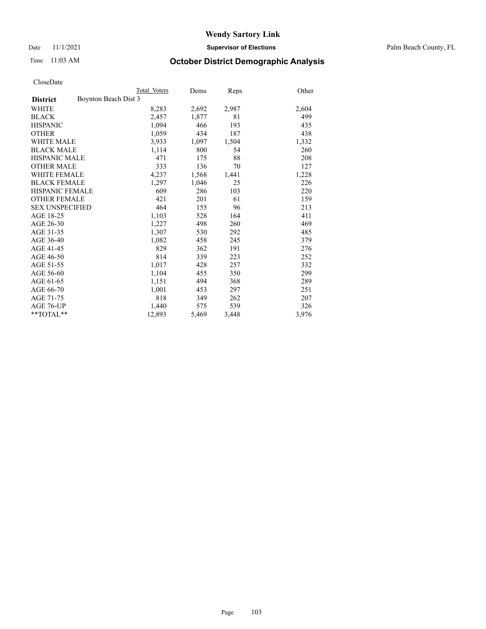Date 11/1/2021 **Supervisor of Elections** Palm Beach County, FL

# Time 11:03 AM **October District Demographic Analysis**

|                                         | Total Voters | Dems  | Reps  | Other |
|-----------------------------------------|--------------|-------|-------|-------|
| Boynton Beach Dist 3<br><b>District</b> |              |       |       |       |
| WHITE                                   | 8,283        | 2,692 | 2,987 | 2,604 |
| <b>BLACK</b>                            | 2,457        | 1,877 | 81    | 499   |
| <b>HISPANIC</b>                         | 1,094        | 466   | 193   | 435   |
| <b>OTHER</b>                            | 1,059        | 434   | 187   | 438   |
| <b>WHITE MALE</b>                       | 3,933        | 1,097 | 1,504 | 1,332 |
| <b>BLACK MALE</b>                       | 1,114        | 800   | 54    | 260   |
| <b>HISPANIC MALE</b>                    | 471          | 175   | 88    | 208   |
| <b>OTHER MALE</b>                       | 333          | 136   | 70    | 127   |
| <b>WHITE FEMALE</b>                     | 4,237        | 1,568 | 1,441 | 1,228 |
| <b>BLACK FEMALE</b>                     | 1,297        | 1,046 | 25    | 226   |
| <b>HISPANIC FEMALE</b>                  | 609          | 286   | 103   | 220   |
| <b>OTHER FEMALE</b>                     | 421          | 201   | 61    | 159   |
| <b>SEX UNSPECIFIED</b>                  | 464          | 155   | 96    | 213   |
| AGE 18-25                               | 1,103        | 528   | 164   | 411   |
| AGE 26-30                               | 1,227        | 498   | 260   | 469   |
| AGE 31-35                               | 1,307        | 530   | 292   | 485   |
| AGE 36-40                               | 1,082        | 458   | 245   | 379   |
| AGE 41-45                               | 829          | 362   | 191   | 276   |
| AGE 46-50                               | 814          | 339   | 223   | 252   |
| AGE 51-55                               | 1,017        | 428   | 257   | 332   |
| AGE 56-60                               | 1,104        | 455   | 350   | 299   |
| AGE 61-65                               | 1,151        | 494   | 368   | 289   |
| AGE 66-70                               | 1,001        | 453   | 297   | 251   |
| AGE 71-75                               | 818          | 349   | 262   | 207   |
| AGE 76-UP                               | 1,440        | 575   | 539   | 326   |
| $*$ $TOTAL**$                           | 12,893       | 5,469 | 3,448 | 3,976 |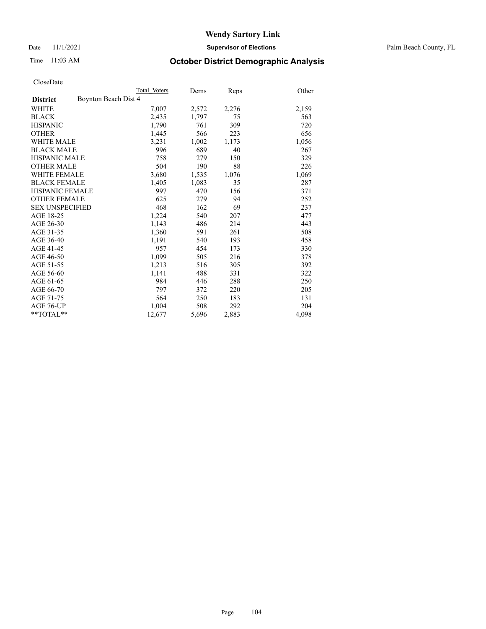Date 11/1/2021 **Supervisor of Elections** Palm Beach County, FL

# Time 11:03 AM **October District Demographic Analysis**

|                                         | Total Voters | Dems  | Reps  | Other |
|-----------------------------------------|--------------|-------|-------|-------|
| Boynton Beach Dist 4<br><b>District</b> |              |       |       |       |
| WHITE                                   | 7,007        | 2,572 | 2,276 | 2,159 |
| <b>BLACK</b>                            | 2,435        | 1,797 | 75    | 563   |
| <b>HISPANIC</b>                         | 1,790        | 761   | 309   | 720   |
| <b>OTHER</b>                            | 1,445        | 566   | 223   | 656   |
| <b>WHITE MALE</b>                       | 3,231        | 1,002 | 1,173 | 1,056 |
| <b>BLACK MALE</b>                       | 996          | 689   | 40    | 267   |
| HISPANIC MALE                           | 758          | 279   | 150   | 329   |
| <b>OTHER MALE</b>                       | 504          | 190   | 88    | 226   |
| WHITE FEMALE                            | 3,680        | 1,535 | 1,076 | 1,069 |
| <b>BLACK FEMALE</b>                     | 1,405        | 1,083 | 35    | 287   |
| <b>HISPANIC FEMALE</b>                  | 997          | 470   | 156   | 371   |
| <b>OTHER FEMALE</b>                     | 625          | 279   | 94    | 252   |
| <b>SEX UNSPECIFIED</b>                  | 468          | 162   | 69    | 237   |
| AGE 18-25                               | 1,224        | 540   | 207   | 477   |
| AGE 26-30                               | 1,143        | 486   | 214   | 443   |
| AGE 31-35                               | 1,360        | 591   | 261   | 508   |
| AGE 36-40                               | 1,191        | 540   | 193   | 458   |
| AGE 41-45                               | 957          | 454   | 173   | 330   |
| AGE 46-50                               | 1,099        | 505   | 216   | 378   |
| AGE 51-55                               | 1,213        | 516   | 305   | 392   |
| AGE 56-60                               | 1,141        | 488   | 331   | 322   |
| AGE 61-65                               | 984          | 446   | 288   | 250   |
| AGE 66-70                               | 797          | 372   | 220   | 205   |
| AGE 71-75                               | 564          | 250   | 183   | 131   |
| AGE 76-UP                               | 1,004        | 508   | 292   | 204   |
| $*$ $TOTAL**$                           | 12,677       | 5,696 | 2,883 | 4,098 |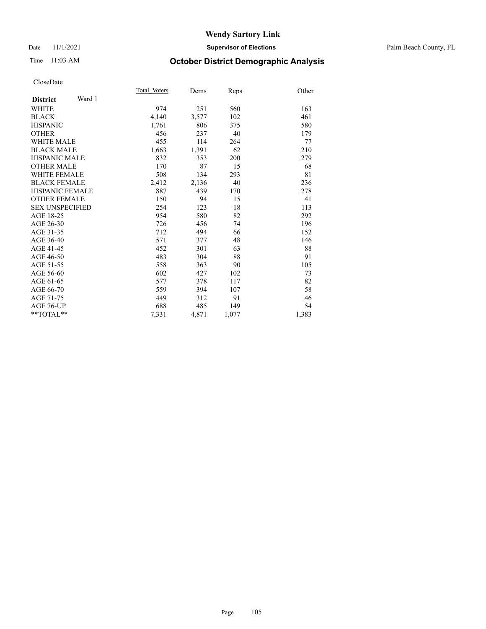### Date 11/1/2021 **Supervisor of Elections** Palm Beach County, FL

# Time 11:03 AM **October District Demographic Analysis**

|                           | Total Voters | Dems  | Reps  | Other |
|---------------------------|--------------|-------|-------|-------|
| Ward 1<br><b>District</b> |              |       |       |       |
| WHITE                     | 974          | 251   | 560   | 163   |
| <b>BLACK</b>              | 4,140        | 3,577 | 102   | 461   |
| <b>HISPANIC</b>           | 1,761        | 806   | 375   | 580   |
| <b>OTHER</b>              | 456          | 237   | 40    | 179   |
| <b>WHITE MALE</b>         | 455          | 114   | 264   | 77    |
| <b>BLACK MALE</b>         | 1,663        | 1,391 | 62    | 210   |
| HISPANIC MALE             | 832          | 353   | 200   | 279   |
| <b>OTHER MALE</b>         | 170          | 87    | 15    | 68    |
| <b>WHITE FEMALE</b>       | 508          | 134   | 293   | 81    |
| <b>BLACK FEMALE</b>       | 2,412        | 2,136 | 40    | 236   |
| <b>HISPANIC FEMALE</b>    | 887          | 439   | 170   | 278   |
| <b>OTHER FEMALE</b>       | 150          | 94    | 15    | 41    |
| <b>SEX UNSPECIFIED</b>    | 254          | 123   | 18    | 113   |
| AGE 18-25                 | 954          | 580   | 82    | 292   |
| AGE 26-30                 | 726          | 456   | 74    | 196   |
| AGE 31-35                 | 712          | 494   | 66    | 152   |
| AGE 36-40                 | 571          | 377   | 48    | 146   |
| AGE 41-45                 | 452          | 301   | 63    | 88    |
| AGE 46-50                 | 483          | 304   | 88    | 91    |
| AGE 51-55                 | 558          | 363   | 90    | 105   |
| AGE 56-60                 | 602          | 427   | 102   | 73    |
| AGE 61-65                 | 577          | 378   | 117   | 82    |
| AGE 66-70                 | 559          | 394   | 107   | 58    |
| AGE 71-75                 | 449          | 312   | 91    | 46    |
| <b>AGE 76-UP</b>          | 688          | 485   | 149   | 54    |
| $*$ $TOTAL**$             | 7,331        | 4,871 | 1,077 | 1,383 |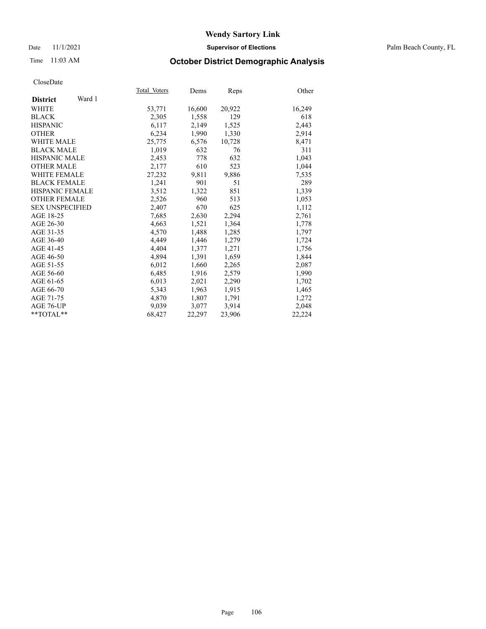### Date 11/1/2021 **Supervisor of Elections** Palm Beach County, FL

# Time 11:03 AM **October District Demographic Analysis**

|                           | Total Voters | Dems   | Reps   | Other  |
|---------------------------|--------------|--------|--------|--------|
| Ward 1<br><b>District</b> |              |        |        |        |
| WHITE                     | 53,771       | 16,600 | 20,922 | 16,249 |
| <b>BLACK</b>              | 2,305        | 1,558  | 129    | 618    |
| <b>HISPANIC</b>           | 6,117        | 2,149  | 1,525  | 2,443  |
| <b>OTHER</b>              | 6,234        | 1,990  | 1,330  | 2,914  |
| <b>WHITE MALE</b>         | 25,775       | 6,576  | 10,728 | 8,471  |
| <b>BLACK MALE</b>         | 1,019        | 632    | 76     | 311    |
| <b>HISPANIC MALE</b>      | 2,453        | 778    | 632    | 1,043  |
| <b>OTHER MALE</b>         | 2,177        | 610    | 523    | 1,044  |
| <b>WHITE FEMALE</b>       | 27,232       | 9,811  | 9,886  | 7,535  |
| <b>BLACK FEMALE</b>       | 1,241        | 901    | 51     | 289    |
| <b>HISPANIC FEMALE</b>    | 3,512        | 1,322  | 851    | 1,339  |
| <b>OTHER FEMALE</b>       | 2,526        | 960    | 513    | 1,053  |
| <b>SEX UNSPECIFIED</b>    | 2,407        | 670    | 625    | 1,112  |
| AGE 18-25                 | 7,685        | 2,630  | 2,294  | 2,761  |
| AGE 26-30                 | 4,663        | 1,521  | 1,364  | 1,778  |
| AGE 31-35                 | 4,570        | 1,488  | 1,285  | 1,797  |
| AGE 36-40                 | 4.449        | 1,446  | 1,279  | 1,724  |
| AGE 41-45                 | 4,404        | 1,377  | 1,271  | 1,756  |
| AGE 46-50                 | 4,894        | 1,391  | 1,659  | 1,844  |
| AGE 51-55                 | 6,012        | 1,660  | 2,265  | 2,087  |
| AGE 56-60                 | 6,485        | 1,916  | 2,579  | 1,990  |
| AGE 61-65                 | 6,013        | 2,021  | 2,290  | 1,702  |
| AGE 66-70                 | 5,343        | 1,963  | 1,915  | 1,465  |
| AGE 71-75                 | 4,870        | 1,807  | 1,791  | 1,272  |
| AGE 76-UP                 | 9.039        | 3,077  | 3,914  | 2,048  |
| $*$ $TOTAL**$             | 68,427       | 22,297 | 23,906 | 22,224 |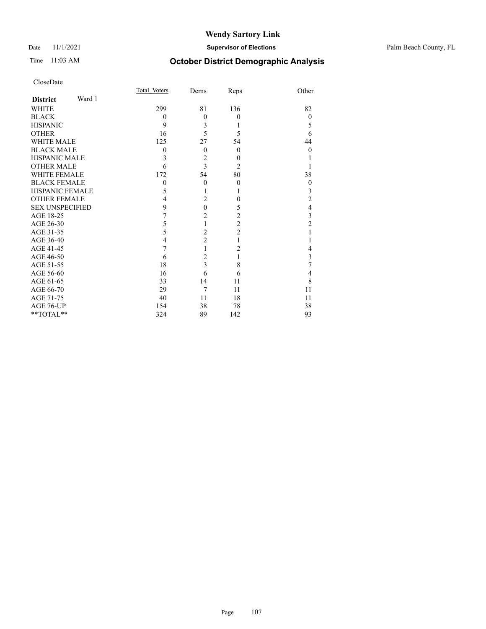### Date 11/1/2021 **Supervisor of Elections** Palm Beach County, FL

# Time 11:03 AM **October District Demographic Analysis**

|                           | Total Voters     | Dems           | Reps           | Other            |
|---------------------------|------------------|----------------|----------------|------------------|
| Ward 1<br><b>District</b> |                  |                |                |                  |
| <b>WHITE</b>              | 299              | 81             | 136            | 82               |
| <b>BLACK</b>              | $\boldsymbol{0}$ | $\theta$       | $\mathbf{0}$   | $\theta$         |
| <b>HISPANIC</b>           | 9                | 3              |                | 5                |
| <b>OTHER</b>              | 16               | 5              | 5              | 6                |
| <b>WHITE MALE</b>         | 125              | 27             | 54             | 44               |
| <b>BLACK MALE</b>         | $\mathbf{0}$     | $\theta$       | $\mathbf{0}$   | $\boldsymbol{0}$ |
| <b>HISPANIC MALE</b>      | 3                | $\overline{c}$ | 0              |                  |
| <b>OTHER MALE</b>         | 6                | $\overline{3}$ | 2              |                  |
| <b>WHITE FEMALE</b>       | 172              | 54             | 80             | 38               |
| <b>BLACK FEMALE</b>       | $\boldsymbol{0}$ | $\theta$       | $\mathbf{0}$   | $\theta$         |
| <b>HISPANIC FEMALE</b>    | 5                | 1              | 1              | 3                |
| <b>OTHER FEMALE</b>       | 4                | $\overline{c}$ | $\theta$       | 2                |
| <b>SEX UNSPECIFIED</b>    | 9                | $\overline{0}$ | 5              | 4                |
| AGE 18-25                 | 7                | $\overline{c}$ | $\overline{c}$ | 3                |
| AGE 26-30                 | 5                | $\mathbf{1}$   | $\overline{c}$ | $\overline{c}$   |
| AGE 31-35                 | 5                | $\overline{c}$ | $\overline{c}$ |                  |
| AGE 36-40                 | 4                | $\overline{2}$ | 1              |                  |
| AGE 41-45                 | 7                | 1              | 2              | 4                |
| AGE 46-50                 | 6                | $\overline{c}$ | 1              | 3                |
| AGE 51-55                 | 18               | $\overline{3}$ | 8              | 7                |
| AGE 56-60                 | 16               | 6              | 6              | 4                |
| AGE 61-65                 | 33               | 14             | 11             | 8                |
| AGE 66-70                 | 29               | 7              | 11             | 11               |
| AGE 71-75                 | 40               | 11             | 18             | 11               |
| AGE 76-UP                 | 154              | 38             | 78             | 38               |
| **TOTAL**                 | 324              | 89             | 142            | 93               |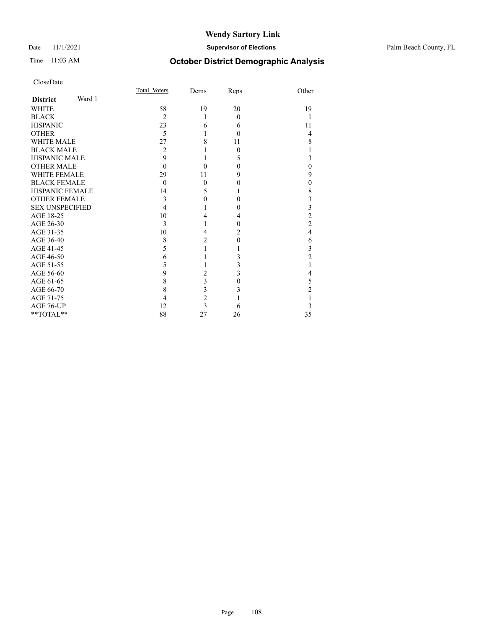# Time 11:03 AM **October District Demographic Analysis**

|                           | Total Voters   | Dems                    | Reps     | Other                   |
|---------------------------|----------------|-------------------------|----------|-------------------------|
| Ward 1<br><b>District</b> |                |                         |          |                         |
| <b>WHITE</b>              | 58             | 19                      | 20       | 19                      |
| <b>BLACK</b>              | $\overline{2}$ | 1                       | $\theta$ |                         |
| <b>HISPANIC</b>           | 23             | 6                       | 6        | 11                      |
| <b>OTHER</b>              | 5              | 1                       | $\Omega$ | 4                       |
| WHITE MALE                | 27             | 8                       | 11       | 8                       |
| <b>BLACK MALE</b>         | 2              |                         | $\Omega$ |                         |
| <b>HISPANIC MALE</b>      | 9              |                         | 5        | 3                       |
| <b>OTHER MALE</b>         | $\theta$       | $\theta$                | 0        | $\mathbf{0}$            |
| <b>WHITE FEMALE</b>       | 29             | 11                      | 9        | 9                       |
| <b>BLACK FEMALE</b>       | $\theta$       | $\mathbf{0}$            | 0        | $\boldsymbol{0}$        |
| <b>HISPANIC FEMALE</b>    | 14             | 5                       | 1        | $\,$ $\,$               |
| <b>OTHER FEMALE</b>       | 3              | $\theta$                | 0        | 3                       |
| <b>SEX UNSPECIFIED</b>    | 4              |                         | 0        | $\overline{\mathbf{3}}$ |
| AGE 18-25                 | 10             | 4                       | 4        | $\overline{c}$          |
| AGE 26-30                 | 3              | 1                       | 0        | $\overline{c}$          |
| AGE 31-35                 | 10             | 4                       | 2        | $\overline{4}$          |
| AGE 36-40                 | 8              | 2                       | $\Omega$ | 6                       |
| AGE 41-45                 | 5              |                         |          | 3                       |
| AGE 46-50                 | 6              |                         | 3        | $\overline{c}$          |
| AGE 51-55                 | 5              |                         | 3        |                         |
| AGE 56-60                 | 9              | $\overline{c}$          | 3        | $\overline{4}$          |
| AGE 61-65                 | 8              | 3                       | $\theta$ | 5                       |
| AGE 66-70                 | 8              | $\overline{\mathbf{3}}$ | 3        | $\overline{2}$          |
| AGE 71-75                 | 4              | $\overline{c}$          |          | 1                       |
| AGE 76-UP                 | 12             | $\overline{\mathbf{3}}$ | 6        | 3                       |
| **TOTAL**                 | 88             | 27                      | 26       | 35                      |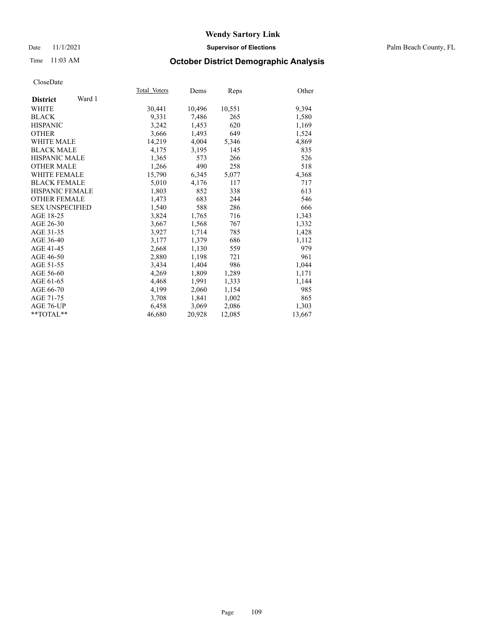#### Date 11/1/2021 **Supervisor of Elections** Palm Beach County, FL

## Time 11:03 AM **October District Demographic Analysis**

| Total Voters | Dems   | Reps   | Other  |
|--------------|--------|--------|--------|
|              |        |        |        |
| 30,441       | 10,496 | 10,551 | 9,394  |
| 9,331        | 7,486  | 265    | 1,580  |
| 3,242        | 1,453  | 620    | 1,169  |
| 3,666        | 1,493  | 649    | 1,524  |
| 14,219       | 4,004  | 5,346  | 4,869  |
| 4,175        | 3,195  | 145    | 835    |
| 1,365        | 573    | 266    | 526    |
| 1,266        | 490    | 258    | 518    |
| 15,790       | 6,345  | 5,077  | 4,368  |
| 5,010        | 4,176  | 117    | 717    |
| 1,803        | 852    | 338    | 613    |
| 1,473        | 683    | 244    | 546    |
| 1.540        | 588    | 286    | 666    |
| 3,824        | 1,765  | 716    | 1,343  |
| 3,667        | 1,568  | 767    | 1,332  |
| 3,927        | 1,714  | 785    | 1,428  |
| 3,177        | 1,379  | 686    | 1,112  |
| 2,668        | 1,130  | 559    | 979    |
| 2,880        | 1,198  | 721    | 961    |
| 3,434        | 1,404  | 986    | 1,044  |
| 4,269        | 1,809  | 1,289  | 1,171  |
| 4,468        | 1,991  | 1,333  | 1,144  |
| 4,199        | 2,060  | 1,154  | 985    |
| 3,708        | 1,841  | 1,002  | 865    |
| 6,458        | 3,069  | 2,086  | 1,303  |
| 46,680       | 20,928 | 12,085 | 13,667 |
|              |        |        |        |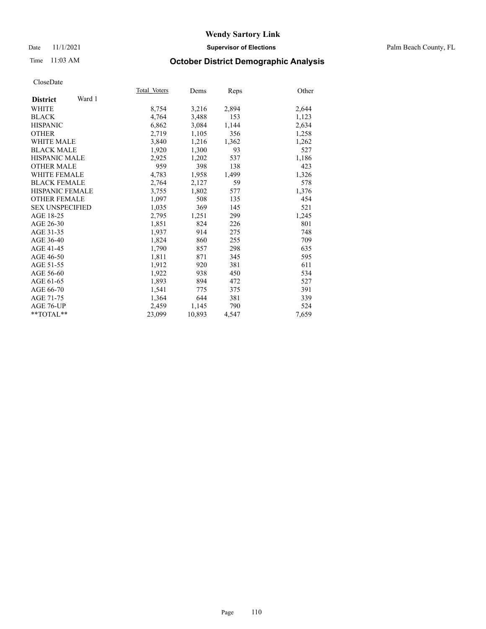#### Date 11/1/2021 **Supervisor of Elections** Palm Beach County, FL

## Time 11:03 AM **October District Demographic Analysis**

|                           | Total Voters | Dems   | Reps  | Other |
|---------------------------|--------------|--------|-------|-------|
| Ward 1<br><b>District</b> |              |        |       |       |
| WHITE                     | 8,754        | 3,216  | 2,894 | 2,644 |
| <b>BLACK</b>              | 4,764        | 3,488  | 153   | 1,123 |
| <b>HISPANIC</b>           | 6,862        | 3,084  | 1,144 | 2,634 |
| <b>OTHER</b>              | 2,719        | 1,105  | 356   | 1,258 |
| <b>WHITE MALE</b>         | 3,840        | 1,216  | 1,362 | 1,262 |
| <b>BLACK MALE</b>         | 1,920        | 1,300  | 93    | 527   |
| <b>HISPANIC MALE</b>      | 2,925        | 1,202  | 537   | 1,186 |
| <b>OTHER MALE</b>         | 959          | 398    | 138   | 423   |
| <b>WHITE FEMALE</b>       | 4,783        | 1,958  | 1,499 | 1,326 |
| <b>BLACK FEMALE</b>       | 2,764        | 2,127  | 59    | 578   |
| <b>HISPANIC FEMALE</b>    | 3,755        | 1,802  | 577   | 1,376 |
| <b>OTHER FEMALE</b>       | 1,097        | 508    | 135   | 454   |
| <b>SEX UNSPECIFIED</b>    | 1,035        | 369    | 145   | 521   |
| AGE 18-25                 | 2,795        | 1,251  | 299   | 1,245 |
| AGE 26-30                 | 1,851        | 824    | 226   | 801   |
| AGE 31-35                 | 1,937        | 914    | 275   | 748   |
| AGE 36-40                 | 1,824        | 860    | 255   | 709   |
| AGE 41-45                 | 1,790        | 857    | 298   | 635   |
| AGE 46-50                 | 1,811        | 871    | 345   | 595   |
| AGE 51-55                 | 1,912        | 920    | 381   | 611   |
| AGE 56-60                 | 1,922        | 938    | 450   | 534   |
| AGE 61-65                 | 1,893        | 894    | 472   | 527   |
| AGE 66-70                 | 1,541        | 775    | 375   | 391   |
| AGE 71-75                 | 1,364        | 644    | 381   | 339   |
| AGE 76-UP                 | 2.459        | 1,145  | 790   | 524   |
| $*$ $TOTAL**$             | 23,099       | 10,893 | 4,547 | 7,659 |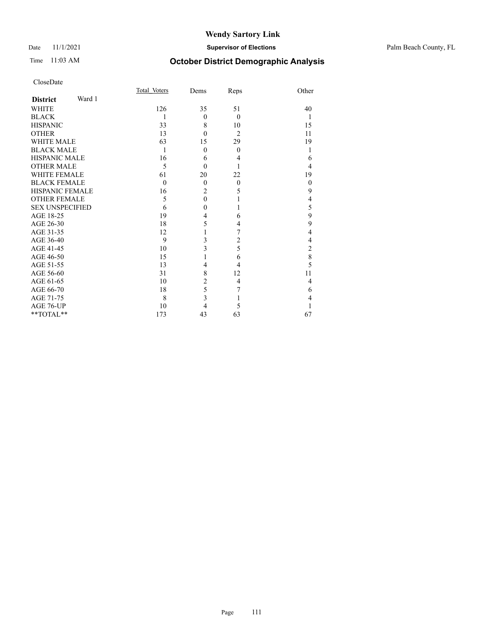#### Date 11/1/2021 **Supervisor of Elections** Palm Beach County, FL

## Time 11:03 AM **October District Demographic Analysis**

|                           | Total Voters | Dems             | Reps           | Other          |
|---------------------------|--------------|------------------|----------------|----------------|
| Ward 1<br><b>District</b> |              |                  |                |                |
| <b>WHITE</b>              | 126          | 35               | 51             | 40             |
| <b>BLACK</b>              | 1            | $\theta$         | $\theta$       | 1              |
| <b>HISPANIC</b>           | 33           | 8                | 10             | 15             |
| <b>OTHER</b>              | 13           | $\theta$         | $\overline{2}$ | 11             |
| <b>WHITE MALE</b>         | 63           | 15               | 29             | 19             |
| <b>BLACK MALE</b>         | 1            | $\theta$         | $\mathbf{0}$   |                |
| <b>HISPANIC MALE</b>      | 16           | 6                | 4              | 6              |
| <b>OTHER MALE</b>         | 5            | $\theta$         |                | 4              |
| WHITE FEMALE              | 61           | 20               | 22             | 19             |
| <b>BLACK FEMALE</b>       | $\theta$     | $\theta$         | $\mathbf{0}$   | $\mathbf{0}$   |
| <b>HISPANIC FEMALE</b>    | 16           | $\overline{2}$   | 5              | 9              |
| <b>OTHER FEMALE</b>       | 5            | $\mathbf{0}$     |                | 4              |
| <b>SEX UNSPECIFIED</b>    | 6            | $\boldsymbol{0}$ |                | 5              |
| AGE 18-25                 | 19           | 4                | 6              | 9              |
| AGE 26-30                 | 18           | 5                | 4              | 9              |
| AGE 31-35                 | 12           | 1                | 7              | 4              |
| AGE 36-40                 | 9            | 3                | $\overline{c}$ | 4              |
| AGE 41-45                 | 10           | 3                | 5              | $\overline{2}$ |
| AGE 46-50                 | 15           | 1                | 6              | 8              |
| AGE 51-55                 | 13           | 4                | 4              | 5              |
| AGE 56-60                 | 31           | 8                | 12             | 11             |
| AGE 61-65                 | 10           | $\overline{c}$   | 4              | 4              |
| AGE 66-70                 | 18           | 5                | 7              | 6              |
| AGE 71-75                 | 8            | 3                |                | 4              |
| AGE 76-UP                 | 10           | 4                | 5              |                |
| $**TOTAL**$               | 173          | 43               | 63             | 67             |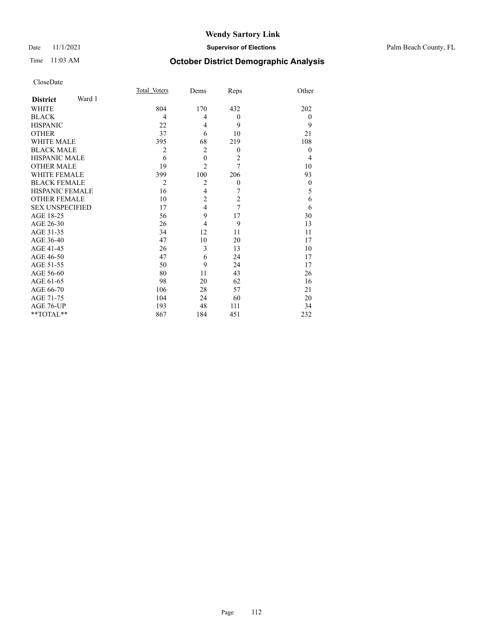#### Date 11/1/2021 **Supervisor of Elections** Palm Beach County, FL

## Time 11:03 AM **October District Demographic Analysis**

|                           | Total Voters   | Dems           | Reps             | Other          |
|---------------------------|----------------|----------------|------------------|----------------|
| Ward 1<br><b>District</b> |                |                |                  |                |
| WHITE                     | 804            | 170            | 432              | 202            |
| <b>BLACK</b>              | 4              | 4              | $\boldsymbol{0}$ | $\theta$       |
| <b>HISPANIC</b>           | 22             | 4              | 9                | 9              |
| <b>OTHER</b>              | 37             | 6              | 10               | 21             |
| <b>WHITE MALE</b>         | 395            | 68             | 219              | 108            |
| <b>BLACK MALE</b>         | $\overline{c}$ | $\overline{2}$ | $\mathbf{0}$     | $\overline{0}$ |
| <b>HISPANIC MALE</b>      | 6              | $\mathbf{0}$   | $\overline{2}$   | 4              |
| <b>OTHER MALE</b>         | 19             | $\overline{2}$ | $\overline{7}$   | 10             |
| <b>WHITE FEMALE</b>       | 399            | 100            | 206              | 93             |
| <b>BLACK FEMALE</b>       | $\overline{2}$ | $\overline{2}$ | $\boldsymbol{0}$ | 0              |
| <b>HISPANIC FEMALE</b>    | 16             | $\overline{4}$ | 7                | 5              |
| <b>OTHER FEMALE</b>       | 10             | $\overline{c}$ | $\overline{c}$   | 6              |
| <b>SEX UNSPECIFIED</b>    | 17             | $\overline{4}$ | 7                | 6              |
| AGE 18-25                 | 56             | 9              | 17               | 30             |
| AGE 26-30                 | 26             | $\overline{4}$ | 9                | 13             |
| AGE 31-35                 | 34             | 12             | 11               | 11             |
| AGE 36-40                 | 47             | 10             | 20               | 17             |
| AGE 41-45                 | 26             | 3              | 13               | 10             |
| AGE 46-50                 | 47             | 6              | 24               | 17             |
| AGE 51-55                 | 50             | 9              | 24               | 17             |
| AGE 56-60                 | 80             | 11             | 43               | 26             |
| AGE 61-65                 | 98             | 20             | 62               | 16             |
| AGE 66-70                 | 106            | 28             | 57               | 21             |
| AGE 71-75                 | 104            | 24             | 60               | 20             |
| AGE 76-UP                 | 193            | 48             | 111              | 34             |
| **TOTAL**                 | 867            | 184            | 451              | 232            |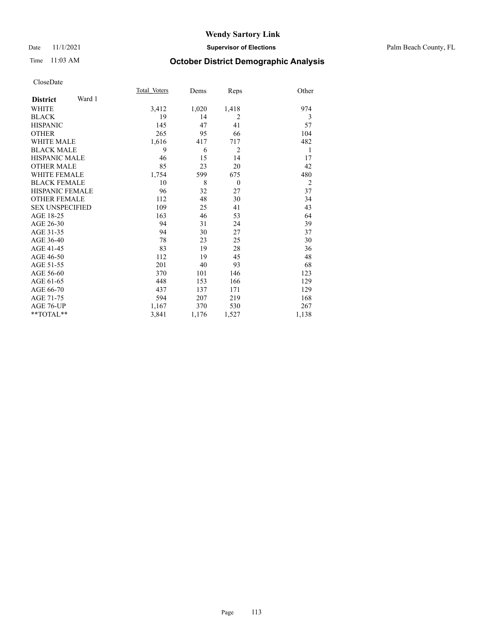### Date 11/1/2021 **Supervisor of Elections** Palm Beach County, FL

## Time 11:03 AM **October District Demographic Analysis**

|                           | Total Voters | Dems  | Reps           | Other          |
|---------------------------|--------------|-------|----------------|----------------|
| Ward 1<br><b>District</b> |              |       |                |                |
| <b>WHITE</b>              | 3,412        | 1,020 | 1,418          | 974            |
| <b>BLACK</b>              | 19           | 14    | $\overline{2}$ | 3              |
| <b>HISPANIC</b>           | 145          | 47    | 41             | 57             |
| <b>OTHER</b>              | 265          | 95    | 66             | 104            |
| <b>WHITE MALE</b>         | 1,616        | 417   | 717            | 482            |
| <b>BLACK MALE</b>         | 9            | 6     | $\overline{2}$ | 1              |
| <b>HISPANIC MALE</b>      | 46           | 15    | 14             | 17             |
| <b>OTHER MALE</b>         | 85           | 23    | 20             | 42             |
| <b>WHITE FEMALE</b>       | 1,754        | 599   | 675            | 480            |
| <b>BLACK FEMALE</b>       | 10           | 8     | $\theta$       | $\overline{2}$ |
| HISPANIC FEMALE           | 96           | 32    | 27             | 37             |
| <b>OTHER FEMALE</b>       | 112          | 48    | 30             | 34             |
| <b>SEX UNSPECIFIED</b>    | 109          | 25    | 41             | 43             |
| AGE 18-25                 | 163          | 46    | 53             | 64             |
| AGE 26-30                 | 94           | 31    | 24             | 39             |
| AGE 31-35                 | 94           | 30    | 27             | 37             |
| AGE 36-40                 | 78           | 23    | 25             | 30             |
| AGE 41-45                 | 83           | 19    | 28             | 36             |
| AGE 46-50                 | 112          | 19    | 45             | 48             |
| AGE 51-55                 | 201          | 40    | 93             | 68             |
| AGE 56-60                 | 370          | 101   | 146            | 123            |
| AGE 61-65                 | 448          | 153   | 166            | 129            |
| AGE 66-70                 | 437          | 137   | 171            | 129            |
| AGE 71-75                 | 594          | 207   | 219            | 168            |
| AGE 76-UP                 | 1,167        | 370   | 530            | 267            |
| $*$ $TOTAL**$             | 3,841        | 1,176 | 1,527          | 1,138          |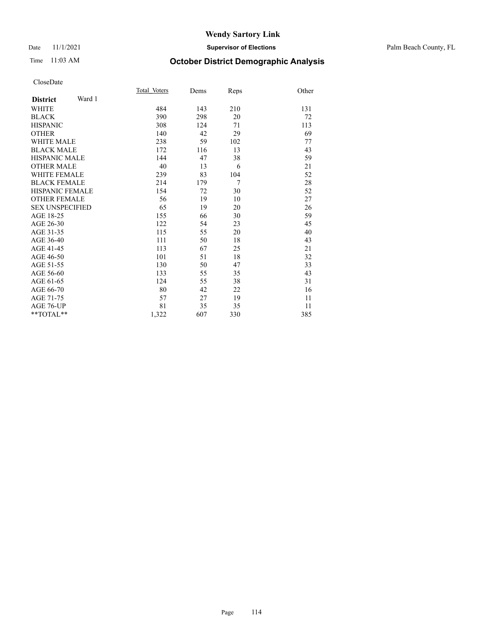## Date 11/1/2021 **Supervisor of Elections** Palm Beach County, FL

## Time 11:03 AM **October District Demographic Analysis**

|                        |        | Total Voters | Dems | Reps | Other |
|------------------------|--------|--------------|------|------|-------|
| <b>District</b>        | Ward 1 |              |      |      |       |
| <b>WHITE</b>           |        | 484          | 143  | 210  | 131   |
| <b>BLACK</b>           |        | 390          | 298  | 20   | 72    |
| <b>HISPANIC</b>        |        | 308          | 124  | 71   | 113   |
| <b>OTHER</b>           |        | 140          | 42   | 29   | 69    |
| <b>WHITE MALE</b>      |        | 238          | 59   | 102  | 77    |
| <b>BLACK MALE</b>      |        | 172          | 116  | 13   | 43    |
| <b>HISPANIC MALE</b>   |        | 144          | 47   | 38   | 59    |
| <b>OTHER MALE</b>      |        | 40           | 13   | 6    | 21    |
| <b>WHITE FEMALE</b>    |        | 239          | 83   | 104  | 52    |
| <b>BLACK FEMALE</b>    |        | 214          | 179  | 7    | 28    |
| HISPANIC FEMALE        |        | 154          | 72   | 30   | 52    |
| <b>OTHER FEMALE</b>    |        | 56           | 19   | 10   | 27    |
| <b>SEX UNSPECIFIED</b> |        | 65           | 19   | 20   | 26    |
| AGE 18-25              |        | 155          | 66   | 30   | 59    |
| AGE 26-30              |        | 122          | 54   | 23   | 45    |
| AGE 31-35              |        | 115          | 55   | 20   | 40    |
| AGE 36-40              |        | 111          | 50   | 18   | 43    |
| AGE 41-45              |        | 113          | 67   | 25   | 21    |
| AGE 46-50              |        | 101          | 51   | 18   | 32    |
| AGE 51-55              |        | 130          | 50   | 47   | 33    |
| AGE 56-60              |        | 133          | 55   | 35   | 43    |
| AGE 61-65              |        | 124          | 55   | 38   | 31    |
| AGE 66-70              |        | 80           | 42   | 22   | 16    |
| AGE 71-75              |        | 57           | 27   | 19   | 11    |
| AGE 76-UP              |        | 81           | 35   | 35   | 11    |
| $*$ $TOTAL**$          |        | 1,322        | 607  | 330  | 385   |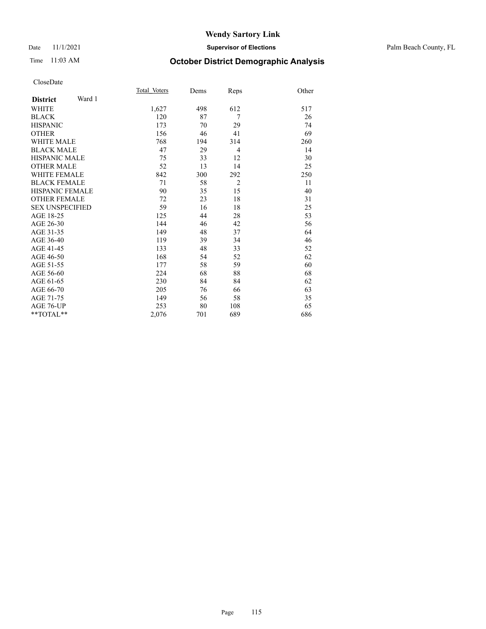#### Date 11/1/2021 **Supervisor of Elections** Palm Beach County, FL

## Time 11:03 AM **October District Demographic Analysis**

|                           | Total Voters | Dems | Reps           | Other |
|---------------------------|--------------|------|----------------|-------|
| Ward 1<br><b>District</b> |              |      |                |       |
| WHITE                     | 1,627        | 498  | 612            | 517   |
| <b>BLACK</b>              | 120          | 87   | 7              | 26    |
| <b>HISPANIC</b>           | 173          | 70   | 29             | 74    |
| <b>OTHER</b>              | 156          | 46   | 41             | 69    |
| <b>WHITE MALE</b>         | 768          | 194  | 314            | 260   |
| <b>BLACK MALE</b>         | 47           | 29   | $\overline{4}$ | 14    |
| <b>HISPANIC MALE</b>      | 75           | 33   | 12             | 30    |
| <b>OTHER MALE</b>         | 52           | 13   | 14             | 25    |
| <b>WHITE FEMALE</b>       | 842          | 300  | 292            | 250   |
| <b>BLACK FEMALE</b>       | 71           | 58   | $\overline{2}$ | 11    |
| <b>HISPANIC FEMALE</b>    | 90           | 35   | 15             | 40    |
| <b>OTHER FEMALE</b>       | 72           | 23   | 18             | 31    |
| <b>SEX UNSPECIFIED</b>    | 59           | 16   | 18             | 25    |
| AGE 18-25                 | 125          | 44   | 28             | 53    |
| AGE 26-30                 | 144          | 46   | 42             | 56    |
| AGE 31-35                 | 149          | 48   | 37             | 64    |
| AGE 36-40                 | 119          | 39   | 34             | 46    |
| AGE 41-45                 | 133          | 48   | 33             | 52    |
| AGE 46-50                 | 168          | 54   | 52             | 62    |
| AGE 51-55                 | 177          | 58   | 59             | 60    |
| AGE 56-60                 | 224          | 68   | 88             | 68    |
| AGE 61-65                 | 230          | 84   | 84             | 62    |
| AGE 66-70                 | 205          | 76   | 66             | 63    |
| AGE 71-75                 | 149          | 56   | 58             | 35    |
| <b>AGE 76-UP</b>          | 253          | 80   | 108            | 65    |
| $*$ $TOTAL**$             | 2,076        | 701  | 689            | 686   |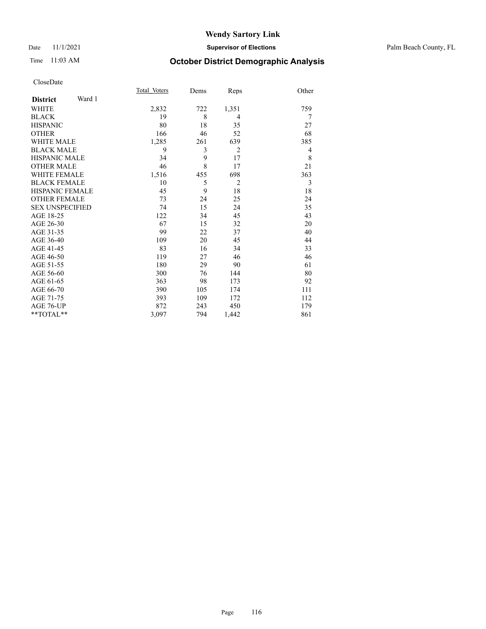## Time 11:03 AM **October District Demographic Analysis**

|                           | Total Voters | Dems | Reps           | Other |
|---------------------------|--------------|------|----------------|-------|
| Ward 1<br><b>District</b> |              |      |                |       |
| WHITE                     | 2,832        | 722  | 1,351          | 759   |
| <b>BLACK</b>              | 19           | 8    | $\overline{4}$ | 7     |
| <b>HISPANIC</b>           | 80           | 18   | 35             | 27    |
| <b>OTHER</b>              | 166          | 46   | 52             | 68    |
| <b>WHITE MALE</b>         | 1,285        | 261  | 639            | 385   |
| <b>BLACK MALE</b>         | 9            | 3    | $\overline{2}$ | 4     |
| HISPANIC MALE             | 34           | 9    | 17             | 8     |
| <b>OTHER MALE</b>         | 46           | 8    | 17             | 21    |
| <b>WHITE FEMALE</b>       | 1,516        | 455  | 698            | 363   |
| <b>BLACK FEMALE</b>       | 10           | 5    | $\overline{2}$ | 3     |
| <b>HISPANIC FEMALE</b>    | 45           | 9    | 18             | 18    |
| <b>OTHER FEMALE</b>       | 73           | 24   | 25             | 24    |
| <b>SEX UNSPECIFIED</b>    | 74           | 15   | 24             | 35    |
| AGE 18-25                 | 122          | 34   | 45             | 43    |
| AGE 26-30                 | 67           | 15   | 32             | 20    |
| AGE 31-35                 | 99           | 22   | 37             | 40    |
| AGE 36-40                 | 109          | 20   | 45             | 44    |
| AGE 41-45                 | 83           | 16   | 34             | 33    |
| AGE 46-50                 | 119          | 27   | 46             | 46    |
| AGE 51-55                 | 180          | 29   | 90             | 61    |
| AGE 56-60                 | 300          | 76   | 144            | 80    |
| AGE 61-65                 | 363          | 98   | 173            | 92    |
| AGE 66-70                 | 390          | 105  | 174            | 111   |
| AGE 71-75                 | 393          | 109  | 172            | 112   |
| AGE 76-UP                 | 872          | 243  | 450            | 179   |
| **TOTAL**                 | 3,097        | 794  | 1,442          | 861   |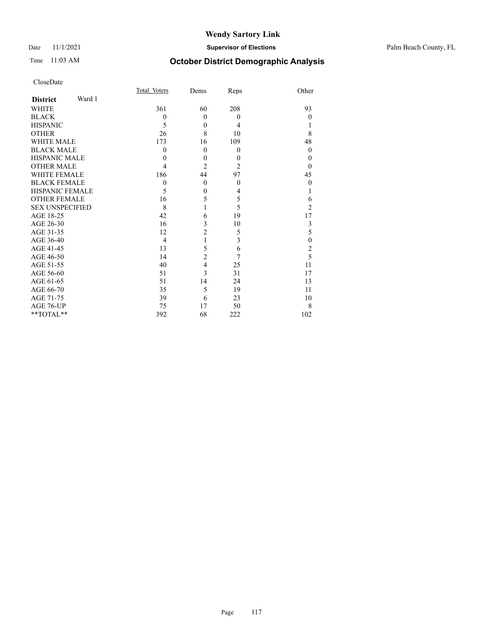#### Date 11/1/2021 **Supervisor of Elections** Palm Beach County, FL

## Time 11:03 AM **October District Demographic Analysis**

|                           | Total Voters     | Dems           | Reps             | Other            |
|---------------------------|------------------|----------------|------------------|------------------|
| Ward 1<br><b>District</b> |                  |                |                  |                  |
| WHITE                     | 361              | 60             | 208              | 93               |
| <b>BLACK</b>              | $\overline{0}$   | $\theta$       | $\mathbf{0}$     | 0                |
| <b>HISPANIC</b>           | 5                | $\mathbf{0}$   | 4                |                  |
| <b>OTHER</b>              | 26               | 8              | 10               | 8                |
| <b>WHITE MALE</b>         | 173              | 16             | 109              | 48               |
| <b>BLACK MALE</b>         | $\theta$         | $\Omega$       | $\mathbf{0}$     | $\boldsymbol{0}$ |
| <b>HISPANIC MALE</b>      | $\boldsymbol{0}$ | $\mathbf{0}$   | $\theta$         | $\boldsymbol{0}$ |
| <b>OTHER MALE</b>         | 4                | $\overline{2}$ | $\overline{2}$   | $\theta$         |
| WHITE FEMALE              | 186              | 44             | 97               | 45               |
| <b>BLACK FEMALE</b>       | $\overline{0}$   | $\theta$       | $\boldsymbol{0}$ | $\boldsymbol{0}$ |
| <b>HISPANIC FEMALE</b>    | 5                | $\mathbf{0}$   | 4                |                  |
| <b>OTHER FEMALE</b>       | 16               | 5              | 5                | 6                |
| <b>SEX UNSPECIFIED</b>    | 8                | 1              | 5                | 2                |
| AGE 18-25                 | 42               | 6              | 19               | 17               |
| AGE 26-30                 | 16               | 3              | 10               | 3                |
| AGE 31-35                 | 12               | $\overline{c}$ | 5                | 5                |
| AGE 36-40                 | $\overline{4}$   | $\mathbf{1}$   | 3                | $\mathbf{0}$     |
| AGE 41-45                 | 13               | 5              | 6                | $\overline{2}$   |
| AGE 46-50                 | 14               | $\overline{c}$ | 7                | 5                |
| AGE 51-55                 | 40               | $\overline{4}$ | 25               | 11               |
| AGE 56-60                 | 51               | 3              | 31               | 17               |
| AGE 61-65                 | 51               | 14             | 24               | 13               |
| AGE 66-70                 | 35               | 5              | 19               | 11               |
| AGE 71-75                 | 39               | 6              | 23               | 10               |
| AGE 76-UP                 | 75               | 17             | 50               | 8                |
| **TOTAL**                 | 392              | 68             | 222              | 102              |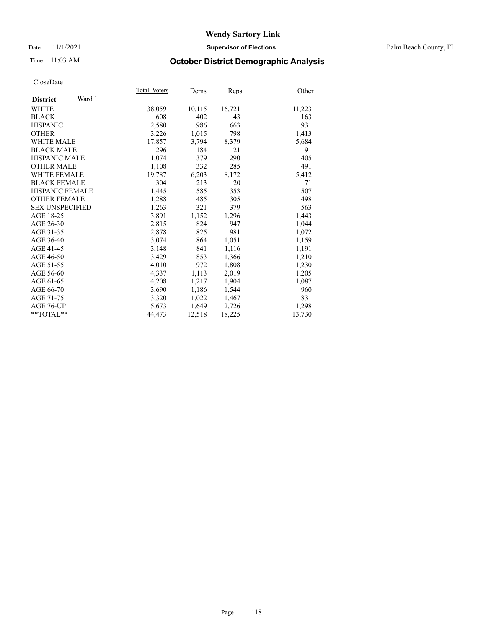#### Date 11/1/2021 **Supervisor of Elections** Palm Beach County, FL

## Time 11:03 AM **October District Demographic Analysis**

|                           | Total Voters | Dems   | Reps   | Other  |
|---------------------------|--------------|--------|--------|--------|
| Ward 1<br><b>District</b> |              |        |        |        |
| <b>WHITE</b>              | 38,059       | 10,115 | 16,721 | 11,223 |
| <b>BLACK</b>              | 608          | 402    | 43     | 163    |
| <b>HISPANIC</b>           | 2,580        | 986    | 663    | 931    |
| <b>OTHER</b>              | 3,226        | 1,015  | 798    | 1,413  |
| <b>WHITE MALE</b>         | 17,857       | 3,794  | 8,379  | 5,684  |
| <b>BLACK MALE</b>         | 296          | 184    | 21     | 91     |
| <b>HISPANIC MALE</b>      | 1,074        | 379    | 290    | 405    |
| <b>OTHER MALE</b>         | 1,108        | 332    | 285    | 491    |
| <b>WHITE FEMALE</b>       | 19,787       | 6,203  | 8,172  | 5,412  |
| <b>BLACK FEMALE</b>       | 304          | 213    | 20     | 71     |
| HISPANIC FEMALE           | 1,445        | 585    | 353    | 507    |
| <b>OTHER FEMALE</b>       | 1,288        | 485    | 305    | 498    |
| <b>SEX UNSPECIFIED</b>    | 1,263        | 321    | 379    | 563    |
| AGE 18-25                 | 3,891        | 1,152  | 1,296  | 1,443  |
| AGE 26-30                 | 2,815        | 824    | 947    | 1,044  |
| AGE 31-35                 | 2,878        | 825    | 981    | 1,072  |
| AGE 36-40                 | 3,074        | 864    | 1,051  | 1,159  |
| AGE 41-45                 | 3,148        | 841    | 1,116  | 1,191  |
| AGE 46-50                 | 3,429        | 853    | 1,366  | 1,210  |
| AGE 51-55                 | 4,010        | 972    | 1,808  | 1,230  |
| AGE 56-60                 | 4,337        | 1,113  | 2,019  | 1,205  |
| AGE 61-65                 | 4,208        | 1,217  | 1,904  | 1,087  |
| AGE 66-70                 | 3,690        | 1,186  | 1,544  | 960    |
| AGE 71-75                 | 3,320        | 1,022  | 1,467  | 831    |
| AGE 76-UP                 | 5.673        | 1,649  | 2,726  | 1,298  |
| **TOTAL**                 | 44,473       | 12,518 | 18,225 | 13,730 |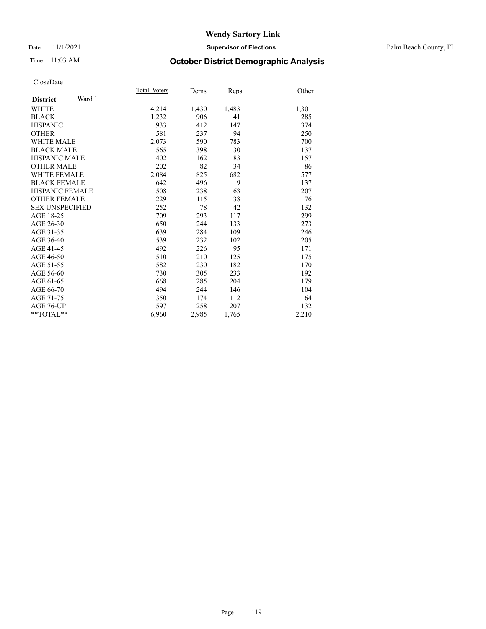#### Date 11/1/2021 **Supervisor of Elections** Palm Beach County, FL

## Time 11:03 AM **October District Demographic Analysis**

|                           | Total Voters | Dems  | Reps  | Other |
|---------------------------|--------------|-------|-------|-------|
| Ward 1<br><b>District</b> |              |       |       |       |
| <b>WHITE</b>              | 4,214        | 1,430 | 1,483 | 1,301 |
| <b>BLACK</b>              | 1,232        | 906   | 41    | 285   |
| <b>HISPANIC</b>           | 933          | 412   | 147   | 374   |
| <b>OTHER</b>              | 581          | 237   | 94    | 250   |
| WHITE MALE                | 2,073        | 590   | 783   | 700   |
| <b>BLACK MALE</b>         | 565          | 398   | 30    | 137   |
| <b>HISPANIC MALE</b>      | 402          | 162   | 83    | 157   |
| <b>OTHER MALE</b>         | 202          | 82    | 34    | 86    |
| <b>WHITE FEMALE</b>       | 2,084        | 825   | 682   | 577   |
| <b>BLACK FEMALE</b>       | 642          | 496   | 9     | 137   |
| <b>HISPANIC FEMALE</b>    | 508          | 238   | 63    | 207   |
| <b>OTHER FEMALE</b>       | 229          | 115   | 38    | 76    |
| <b>SEX UNSPECIFIED</b>    | 252          | 78    | 42    | 132   |
| AGE 18-25                 | 709          | 293   | 117   | 299   |
| AGE 26-30                 | 650          | 244   | 133   | 273   |
| AGE 31-35                 | 639          | 284   | 109   | 246   |
| AGE 36-40                 | 539          | 232   | 102   | 205   |
| AGE 41-45                 | 492          | 226   | 95    | 171   |
| AGE 46-50                 | 510          | 210   | 125   | 175   |
| AGE 51-55                 | 582          | 230   | 182   | 170   |
| AGE 56-60                 | 730          | 305   | 233   | 192   |
| AGE 61-65                 | 668          | 285   | 204   | 179   |
| AGE 66-70                 | 494          | 244   | 146   | 104   |
| AGE 71-75                 | 350          | 174   | 112   | 64    |
| AGE 76-UP                 | 597          | 258   | 207   | 132   |
| $*$ $TOTAL**$             | 6,960        | 2,985 | 1,765 | 2,210 |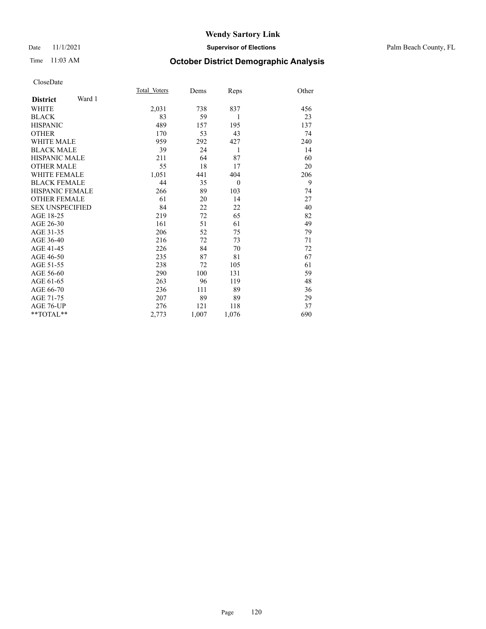### Date 11/1/2021 **Supervisor of Elections** Palm Beach County, FL

## Time 11:03 AM **October District Demographic Analysis**

|                           | Total Voters | Dems  | Reps     | Other |
|---------------------------|--------------|-------|----------|-------|
| Ward 1<br><b>District</b> |              |       |          |       |
| <b>WHITE</b>              | 2,031        | 738   | 837      | 456   |
| <b>BLACK</b>              | 83           | 59    | 1        | 23    |
| <b>HISPANIC</b>           | 489          | 157   | 195      | 137   |
| <b>OTHER</b>              | 170          | 53    | 43       | 74    |
| WHITE MALE                | 959          | 292   | 427      | 240   |
| <b>BLACK MALE</b>         | 39           | 24    | 1        | 14    |
| <b>HISPANIC MALE</b>      | 211          | 64    | 87       | 60    |
| <b>OTHER MALE</b>         | 55           | 18    | 17       | 20    |
| <b>WHITE FEMALE</b>       | 1,051        | 441   | 404      | 206   |
| <b>BLACK FEMALE</b>       | 44           | 35    | $\theta$ | 9     |
| <b>HISPANIC FEMALE</b>    | 266          | 89    | 103      | 74    |
| <b>OTHER FEMALE</b>       | 61           | 20    | 14       | 27    |
| <b>SEX UNSPECIFIED</b>    | 84           | 22    | 22       | 40    |
| AGE 18-25                 | 219          | 72    | 65       | 82    |
| AGE 26-30                 | 161          | 51    | 61       | 49    |
| AGE 31-35                 | 206          | 52    | 75       | 79    |
| AGE 36-40                 | 216          | 72    | 73       | 71    |
| AGE 41-45                 | 226          | 84    | 70       | 72    |
| AGE 46-50                 | 235          | 87    | 81       | 67    |
| AGE 51-55                 | 238          | 72    | 105      | 61    |
| AGE 56-60                 | 290          | 100   | 131      | 59    |
| AGE 61-65                 | 263          | 96    | 119      | 48    |
| AGE 66-70                 | 236          | 111   | 89       | 36    |
| AGE 71-75                 | 207          | 89    | 89       | 29    |
| AGE 76-UP                 | 276          | 121   | 118      | 37    |
| $*$ $TOTAL**$             | 2,773        | 1,007 | 1,076    | 690   |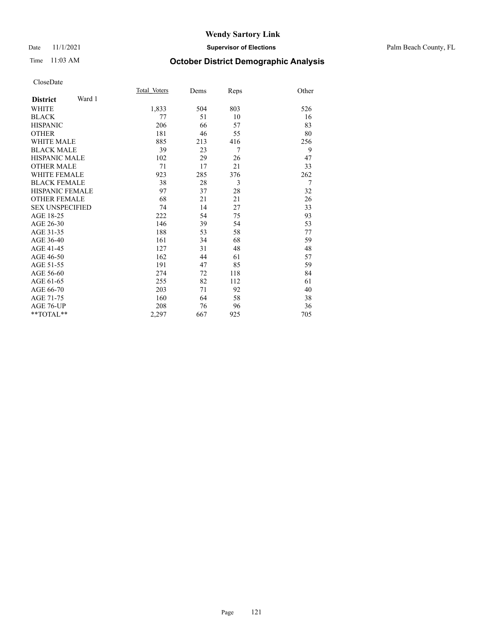#### Date 11/1/2021 **Supervisor of Elections** Palm Beach County, FL

## Time 11:03 AM **October District Demographic Analysis**

|                           | Total Voters | Dems | Reps | Other |
|---------------------------|--------------|------|------|-------|
| Ward 1<br><b>District</b> |              |      |      |       |
| WHITE                     | 1,833        | 504  | 803  | 526   |
| <b>BLACK</b>              | 77           | 51   | 10   | 16    |
| <b>HISPANIC</b>           | 206          | 66   | 57   | 83    |
| <b>OTHER</b>              | 181          | 46   | 55   | 80    |
| <b>WHITE MALE</b>         | 885          | 213  | 416  | 256   |
| <b>BLACK MALE</b>         | 39           | 23   | 7    | 9     |
| <b>HISPANIC MALE</b>      | 102          | 29   | 26   | 47    |
| <b>OTHER MALE</b>         | 71           | 17   | 21   | 33    |
| <b>WHITE FEMALE</b>       | 923          | 285  | 376  | 262   |
| <b>BLACK FEMALE</b>       | 38           | 28   | 3    | 7     |
| <b>HISPANIC FEMALE</b>    | 97           | 37   | 28   | 32    |
| <b>OTHER FEMALE</b>       | 68           | 21   | 21   | 26    |
| <b>SEX UNSPECIFIED</b>    | 74           | 14   | 27   | 33    |
| AGE 18-25                 | 222          | 54   | 75   | 93    |
| AGE 26-30                 | 146          | 39   | 54   | 53    |
| AGE 31-35                 | 188          | 53   | 58   | 77    |
| AGE 36-40                 | 161          | 34   | 68   | 59    |
| AGE 41-45                 | 127          | 31   | 48   | 48    |
| AGE 46-50                 | 162          | 44   | 61   | 57    |
| AGE 51-55                 | 191          | 47   | 85   | 59    |
| AGE 56-60                 | 274          | 72   | 118  | 84    |
| AGE 61-65                 | 255          | 82   | 112  | 61    |
| AGE 66-70                 | 203          | 71   | 92   | 40    |
| AGE 71-75                 | 160          | 64   | 58   | 38    |
| <b>AGE 76-UP</b>          | 208          | 76   | 96   | 36    |
| $*$ $TOTAL**$             | 2,297        | 667  | 925  | 705   |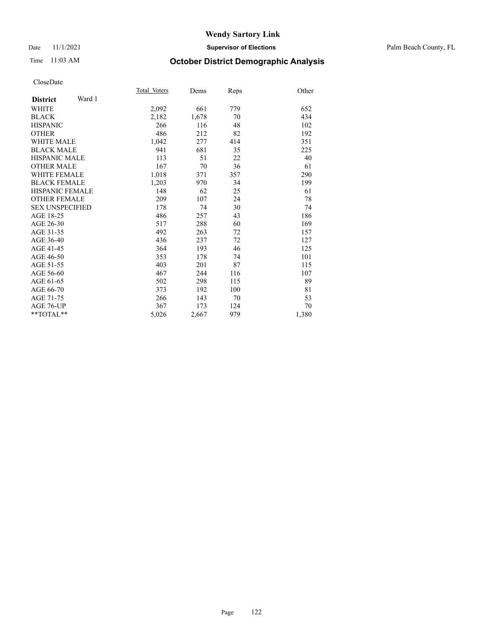#### Date 11/1/2021 **Supervisor of Elections** Palm Beach County, FL

## Time 11:03 AM **October District Demographic Analysis**

|                           | Total Voters | Dems  | Reps | Other |
|---------------------------|--------------|-------|------|-------|
| Ward 1<br><b>District</b> |              |       |      |       |
| <b>WHITE</b>              | 2,092        | 661   | 779  | 652   |
| <b>BLACK</b>              | 2,182        | 1,678 | 70   | 434   |
| <b>HISPANIC</b>           | 266          | 116   | 48   | 102   |
| <b>OTHER</b>              | 486          | 212   | 82   | 192   |
| <b>WHITE MALE</b>         | 1,042        | 277   | 414  | 351   |
| <b>BLACK MALE</b>         | 941          | 681   | 35   | 225   |
| <b>HISPANIC MALE</b>      | 113          | 51    | 22   | 40    |
| <b>OTHER MALE</b>         | 167          | 70    | 36   | 61    |
| WHITE FEMALE              | 1,018        | 371   | 357  | 290   |
| <b>BLACK FEMALE</b>       | 1,203        | 970   | 34   | 199   |
| <b>HISPANIC FEMALE</b>    | 148          | 62    | 25   | 61    |
| <b>OTHER FEMALE</b>       | 209          | 107   | 24   | 78    |
| <b>SEX UNSPECIFIED</b>    | 178          | 74    | 30   | 74    |
| AGE 18-25                 | 486          | 257   | 43   | 186   |
| AGE 26-30                 | 517          | 288   | 60   | 169   |
| AGE 31-35                 | 492          | 263   | 72   | 157   |
| AGE 36-40                 | 436          | 237   | 72   | 127   |
| AGE 41-45                 | 364          | 193   | 46   | 125   |
| AGE 46-50                 | 353          | 178   | 74   | 101   |
| AGE 51-55                 | 403          | 201   | 87   | 115   |
| AGE 56-60                 | 467          | 244   | 116  | 107   |
| AGE 61-65                 | 502          | 298   | 115  | 89    |
| AGE 66-70                 | 373          | 192   | 100  | 81    |
| AGE 71-75                 | 266          | 143   | 70   | 53    |
| AGE 76-UP                 | 367          | 173   | 124  | 70    |
| $*$ $TOTAL**$             | 5,026        | 2,667 | 979  | 1,380 |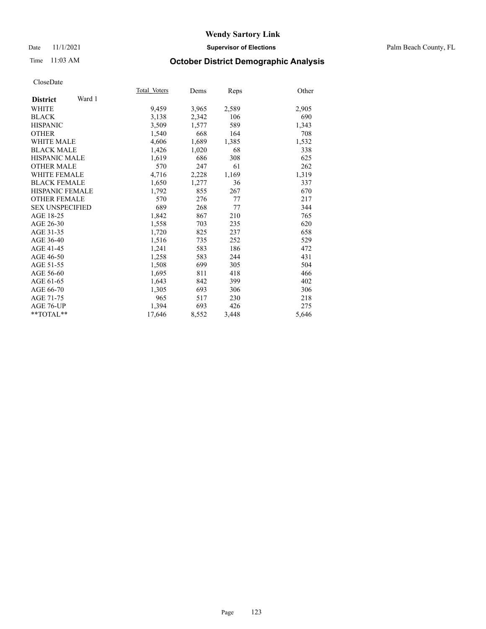## Date 11/1/2021 **Supervisor of Elections** Palm Beach County, FL

## Time 11:03 AM **October District Demographic Analysis**

|                           | Total Voters | Dems  | Reps  | Other |
|---------------------------|--------------|-------|-------|-------|
| Ward 1<br><b>District</b> |              |       |       |       |
| WHITE                     | 9,459        | 3,965 | 2,589 | 2,905 |
| <b>BLACK</b>              | 3,138        | 2,342 | 106   | 690   |
| <b>HISPANIC</b>           | 3,509        | 1,577 | 589   | 1,343 |
| <b>OTHER</b>              | 1,540        | 668   | 164   | 708   |
| <b>WHITE MALE</b>         | 4,606        | 1,689 | 1,385 | 1,532 |
| <b>BLACK MALE</b>         | 1,426        | 1,020 | 68    | 338   |
| <b>HISPANIC MALE</b>      | 1,619        | 686   | 308   | 625   |
| <b>OTHER MALE</b>         | 570          | 247   | 61    | 262   |
| <b>WHITE FEMALE</b>       | 4,716        | 2,228 | 1,169 | 1,319 |
| <b>BLACK FEMALE</b>       | 1,650        | 1,277 | 36    | 337   |
| <b>HISPANIC FEMALE</b>    | 1,792        | 855   | 267   | 670   |
| <b>OTHER FEMALE</b>       | 570          | 276   | 77    | 217   |
| <b>SEX UNSPECIFIED</b>    | 689          | 268   | 77    | 344   |
| AGE 18-25                 | 1,842        | 867   | 210   | 765   |
| AGE 26-30                 | 1,558        | 703   | 235   | 620   |
| AGE 31-35                 | 1,720        | 825   | 237   | 658   |
| AGE 36-40                 | 1,516        | 735   | 252   | 529   |
| AGE 41-45                 | 1,241        | 583   | 186   | 472   |
| AGE 46-50                 | 1,258        | 583   | 244   | 431   |
| AGE 51-55                 | 1,508        | 699   | 305   | 504   |
| AGE 56-60                 | 1,695        | 811   | 418   | 466   |
| AGE 61-65                 | 1,643        | 842   | 399   | 402   |
| AGE 66-70                 | 1,305        | 693   | 306   | 306   |
| AGE 71-75                 | 965          | 517   | 230   | 218   |
| AGE 76-UP                 | 1,394        | 693   | 426   | 275   |
| $*$ $TOTAL**$             | 17,646       | 8,552 | 3,448 | 5,646 |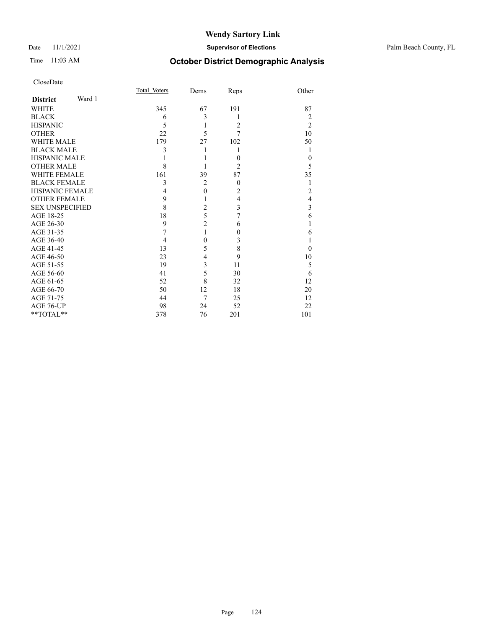### Date 11/1/2021 **Supervisor of Elections** Palm Beach County, FL

## Time 11:03 AM **October District Demographic Analysis**

| Total Voters | Dems           | Reps                     | Other            |
|--------------|----------------|--------------------------|------------------|
|              |                |                          |                  |
| 345          | 67             | 191                      | 87               |
| 6            | 3              | 1                        | 2                |
| 5            | 1              | $\overline{2}$           | $\overline{2}$   |
| 22           | 5              | 7                        | 10               |
| 179          | 27             | 102                      | 50               |
| 3            | 1              |                          |                  |
|              |                | $\theta$                 | $\boldsymbol{0}$ |
| 8            |                | 2                        | 5                |
| 161          | 39             | 87                       | 35               |
| 3            | $\overline{2}$ | $\mathbf{0}$             | 1                |
| 4            | $\mathbf{0}$   | $\overline{2}$           | 2                |
| 9            | 1              | 4                        | 4                |
| 8            | $\overline{c}$ | 3                        | 3                |
| 18           |                | 7                        | 6                |
| 9            |                | 6                        |                  |
| 7            | $\mathbf{1}$   | $\mathbf{0}$             | 6                |
| 4            | $\overline{0}$ | 3                        |                  |
| 13           | 5              | 8                        | $\theta$         |
| 23           | $\overline{4}$ |                          | 10               |
| 19           | 3              | 11                       | 5                |
| 41           | 5              | 30                       | 6                |
| 52           |                | 32                       | 12               |
| 50           | 12             | 18                       | 20               |
| 44           | 7              | 25                       | 12               |
| 98           | 24             | 52                       | 22               |
| 378          | 76             | 201                      | 101              |
|              |                | 5<br>$\overline{c}$<br>8 | 9                |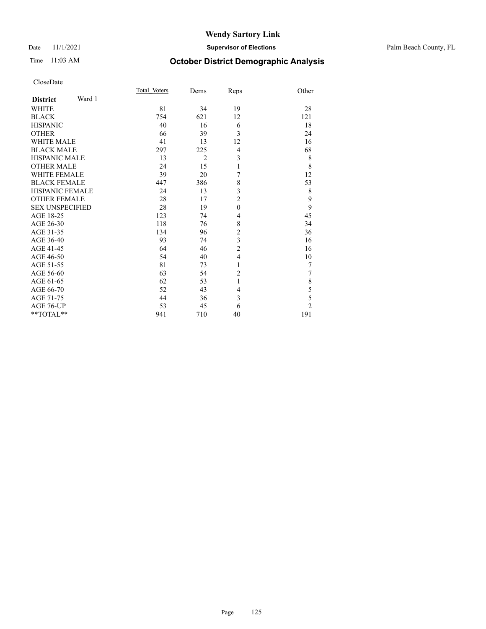#### Date 11/1/2021 **Supervisor of Elections** Palm Beach County, FL

## Time 11:03 AM **October District Demographic Analysis**

|                           | Total Voters | Dems           | Reps           | Other          |
|---------------------------|--------------|----------------|----------------|----------------|
| Ward 1<br><b>District</b> |              |                |                |                |
| <b>WHITE</b>              | 81           | 34             | 19             | 28             |
| <b>BLACK</b>              | 754          | 621            | 12             | 121            |
| <b>HISPANIC</b>           | 40           | 16             | 6              | 18             |
| <b>OTHER</b>              | 66           | 39             | 3              | 24             |
| <b>WHITE MALE</b>         | 41           | 13             | 12             | 16             |
| <b>BLACK MALE</b>         | 297          | 225            | $\overline{4}$ | 68             |
| HISPANIC MALE             | 13           | $\overline{2}$ | 3              | 8              |
| <b>OTHER MALE</b>         | 24           | 15             | $\mathbf{1}$   | 8              |
| <b>WHITE FEMALE</b>       | 39           | 20             | 7              | 12             |
| <b>BLACK FEMALE</b>       | 447          | 386            | 8              | 53             |
| <b>HISPANIC FEMALE</b>    | 24           | 13             | 3              | 8              |
| <b>OTHER FEMALE</b>       | 28           | 17             | $\overline{c}$ | 9              |
| <b>SEX UNSPECIFIED</b>    | 28           | 19             | $\mathbf{0}$   | 9              |
| AGE 18-25                 | 123          | 74             | 4              | 45             |
| AGE 26-30                 | 118          | 76             | 8              | 34             |
| AGE 31-35                 | 134          | 96             | $\overline{c}$ | 36             |
| AGE 36-40                 | 93           | 74             | 3              | 16             |
| AGE 41-45                 | 64           | 46             | $\overline{c}$ | 16             |
| AGE 46-50                 | 54           | 40             | 4              | 10             |
| AGE 51-55                 | 81           | 73             | 1              | 7              |
| AGE 56-60                 | 63           | 54             | $\overline{c}$ | 7              |
| AGE 61-65                 | 62           | 53             | 1              | 8              |
| AGE 66-70                 | 52           | 43             | 4              | 5              |
| AGE 71-75                 | 44           | 36             | 3              | 5              |
| AGE 76-UP                 | 53           | 45             | 6              | $\overline{c}$ |
| **TOTAL**                 | 941          | 710            | 40             | 191            |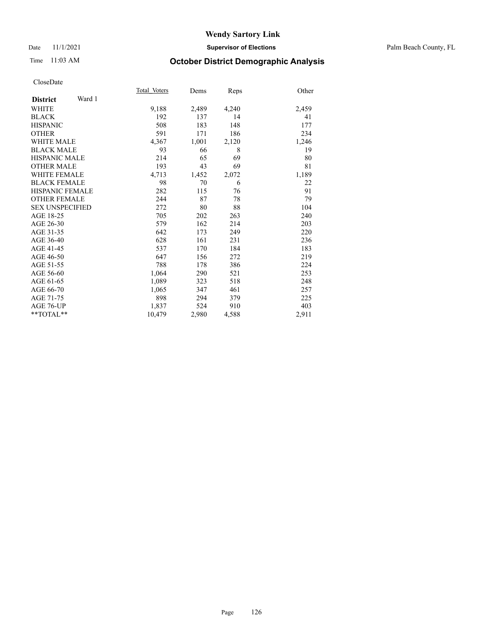#### Date 11/1/2021 **Supervisor of Elections** Palm Beach County, FL

## Time 11:03 AM **October District Demographic Analysis**

|                           | Total Voters | Dems  | Reps  | Other |
|---------------------------|--------------|-------|-------|-------|
| Ward 1<br><b>District</b> |              |       |       |       |
| <b>WHITE</b>              | 9,188        | 2,489 | 4,240 | 2,459 |
| <b>BLACK</b>              | 192          | 137   | 14    | 41    |
| <b>HISPANIC</b>           | 508          | 183   | 148   | 177   |
| <b>OTHER</b>              | 591          | 171   | 186   | 234   |
| <b>WHITE MALE</b>         | 4,367        | 1,001 | 2,120 | 1,246 |
| <b>BLACK MALE</b>         | 93           | 66    | 8     | 19    |
| <b>HISPANIC MALE</b>      | 214          | 65    | 69    | 80    |
| <b>OTHER MALE</b>         | 193          | 43    | 69    | 81    |
| <b>WHITE FEMALE</b>       | 4,713        | 1,452 | 2,072 | 1,189 |
| <b>BLACK FEMALE</b>       | 98           | 70    | 6     | 22    |
| <b>HISPANIC FEMALE</b>    | 282          | 115   | 76    | 91    |
| <b>OTHER FEMALE</b>       | 244          | 87    | 78    | 79    |
| <b>SEX UNSPECIFIED</b>    | 272          | 80    | 88    | 104   |
| AGE 18-25                 | 705          | 202   | 263   | 240   |
| AGE 26-30                 | 579          | 162   | 214   | 203   |
| AGE 31-35                 | 642          | 173   | 249   | 220   |
| AGE 36-40                 | 628          | 161   | 231   | 236   |
| AGE 41-45                 | 537          | 170   | 184   | 183   |
| AGE 46-50                 | 647          | 156   | 272   | 219   |
| AGE 51-55                 | 788          | 178   | 386   | 224   |
| AGE 56-60                 | 1,064        | 290   | 521   | 253   |
| AGE 61-65                 | 1,089        | 323   | 518   | 248   |
| AGE 66-70                 | 1,065        | 347   | 461   | 257   |
| AGE 71-75                 | 898          | 294   | 379   | 225   |
| AGE 76-UP                 | 1,837        | 524   | 910   | 403   |
| $*$ $TOTAL**$             | 10,479       | 2,980 | 4,588 | 2,911 |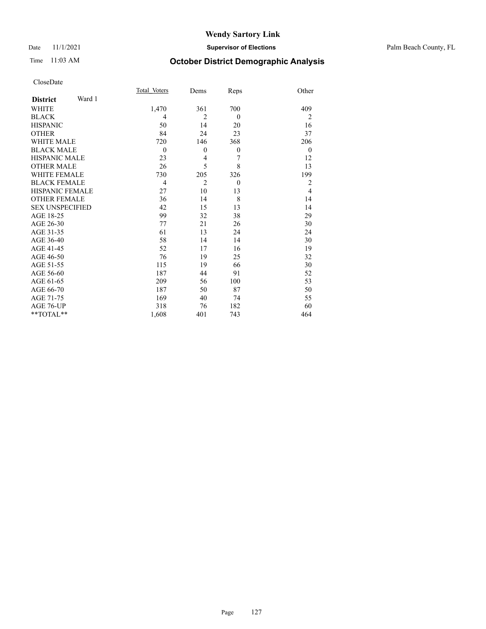#### Date 11/1/2021 **Supervisor of Elections** Palm Beach County, FL

## Time 11:03 AM **October District Demographic Analysis**

|                           | Total Voters   | Dems           | Reps     | Other          |
|---------------------------|----------------|----------------|----------|----------------|
| Ward 1<br><b>District</b> |                |                |          |                |
| WHITE                     | 1,470          | 361            | 700      | 409            |
| <b>BLACK</b>              | 4              | $\overline{2}$ | $\theta$ | $\overline{2}$ |
| <b>HISPANIC</b>           | 50             | 14             | 20       | 16             |
| <b>OTHER</b>              | 84             | 24             | 23       | 37             |
| <b>WHITE MALE</b>         | 720            | 146            | 368      | 206            |
| <b>BLACK MALE</b>         | $\mathbf{0}$   | $\theta$       | $\theta$ | $\theta$       |
| <b>HISPANIC MALE</b>      | 23             | 4              | 7        | 12             |
| <b>OTHER MALE</b>         | 26             | 5              | 8        | 13             |
| <b>WHITE FEMALE</b>       | 730            | 205            | 326      | 199            |
| <b>BLACK FEMALE</b>       | $\overline{4}$ | 2              | $\theta$ | 2              |
| <b>HISPANIC FEMALE</b>    | 27             | 10             | 13       | $\overline{4}$ |
| <b>OTHER FEMALE</b>       | 36             | 14             | 8        | 14             |
| <b>SEX UNSPECIFIED</b>    | 42             | 15             | 13       | 14             |
| AGE 18-25                 | 99             | 32             | 38       | 29             |
| AGE 26-30                 | 77             | 21             | 26       | 30             |
| AGE 31-35                 | 61             | 13             | 24       | 24             |
| AGE 36-40                 | 58             | 14             | 14       | 30             |
| AGE 41-45                 | 52             | 17             | 16       | 19             |
| AGE 46-50                 | 76             | 19             | 25       | 32             |
| AGE 51-55                 | 115            | 19             | 66       | 30             |
| AGE 56-60                 | 187            | 44             | 91       | 52             |
| AGE 61-65                 | 209            | 56             | 100      | 53             |
| AGE 66-70                 | 187            | 50             | 87       | 50             |
| AGE 71-75                 | 169            | 40             | 74       | 55             |
| AGE 76-UP                 | 318            | 76             | 182      | 60             |
| **TOTAL**                 | 1,608          | 401            | 743      | 464            |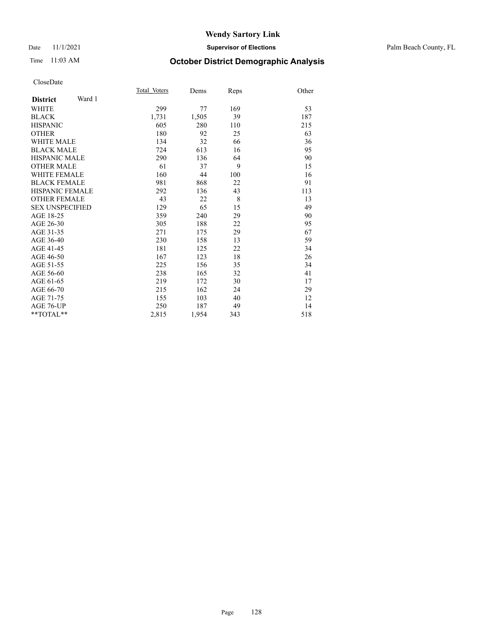#### Date 11/1/2021 **Supervisor of Elections** Palm Beach County, FL

## Time 11:03 AM **October District Demographic Analysis**

| Total Voters | Dems  | Reps | Other |
|--------------|-------|------|-------|
|              |       |      |       |
| 299          | 77    | 169  | 53    |
| 1,731        | 1,505 | 39   | 187   |
| 605          | 280   | 110  | 215   |
| 180          | 92    | 25   | 63    |
| 134          | 32    | 66   | 36    |
| 724          | 613   | 16   | 95    |
| 290          | 136   | 64   | 90    |
| 61           | 37    | 9    | 15    |
| 160          | 44    | 100  | 16    |
| 981          | 868   | 22   | 91    |
| 292          | 136   | 43   | 113   |
| 43           | 22    | 8    | 13    |
| 129          | 65    | 15   | 49    |
| 359          | 240   | 29   | 90    |
| 305          | 188   | 22   | 95    |
| 271          | 175   | 29   | 67    |
| 230          | 158   | 13   | 59    |
| 181          | 125   | 22   | 34    |
| 167          | 123   | 18   | 26    |
| 225          | 156   | 35   | 34    |
| 238          | 165   | 32   | 41    |
| 219          | 172   | 30   | 17    |
| 215          | 162   | 24   | 29    |
| 155          | 103   | 40   | 12    |
| 250          | 187   | 49   | 14    |
| 2,815        | 1,954 | 343  | 518   |
|              |       |      |       |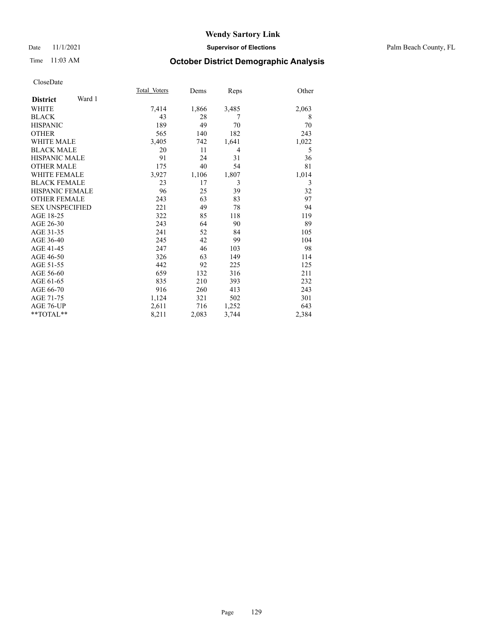### Date 11/1/2021 **Supervisor of Elections** Palm Beach County, FL

## Time 11:03 AM **October District Demographic Analysis**

|                        |        | Total Voters | Dems  | Reps  | Other |
|------------------------|--------|--------------|-------|-------|-------|
| <b>District</b>        | Ward 1 |              |       |       |       |
| <b>WHITE</b>           |        | 7,414        | 1,866 | 3,485 | 2,063 |
| <b>BLACK</b>           |        | 43           | 28    | 7     | 8     |
| <b>HISPANIC</b>        |        | 189          | 49    | 70    | 70    |
| <b>OTHER</b>           |        | 565          | 140   | 182   | 243   |
| <b>WHITE MALE</b>      |        | 3,405        | 742   | 1,641 | 1,022 |
| <b>BLACK MALE</b>      |        | 20           | 11    | 4     | 5     |
| <b>HISPANIC MALE</b>   |        | 91           | 24    | 31    | 36    |
| <b>OTHER MALE</b>      |        | 175          | 40    | 54    | 81    |
| <b>WHITE FEMALE</b>    |        | 3,927        | 1,106 | 1,807 | 1,014 |
| <b>BLACK FEMALE</b>    |        | 23           | 17    | 3     | 3     |
| <b>HISPANIC FEMALE</b> |        | 96           | 25    | 39    | 32    |
| <b>OTHER FEMALE</b>    |        | 243          | 63    | 83    | 97    |
| <b>SEX UNSPECIFIED</b> |        | 221          | 49    | 78    | 94    |
| AGE 18-25              |        | 322          | 85    | 118   | 119   |
| AGE 26-30              |        | 243          | 64    | 90    | 89    |
| AGE 31-35              |        | 241          | 52    | 84    | 105   |
| AGE 36-40              |        | 245          | 42    | 99    | 104   |
| AGE 41-45              |        | 247          | 46    | 103   | 98    |
| AGE 46-50              |        | 326          | 63    | 149   | 114   |
| AGE 51-55              |        | 442          | 92    | 225   | 125   |
| AGE 56-60              |        | 659          | 132   | 316   | 211   |
| AGE 61-65              |        | 835          | 210   | 393   | 232   |
| AGE 66-70              |        | 916          | 260   | 413   | 243   |
| AGE 71-75              |        | 1,124        | 321   | 502   | 301   |
| AGE 76-UP              |        | 2,611        | 716   | 1,252 | 643   |
| **TOTAL**              |        | 8,211        | 2,083 | 3,744 | 2,384 |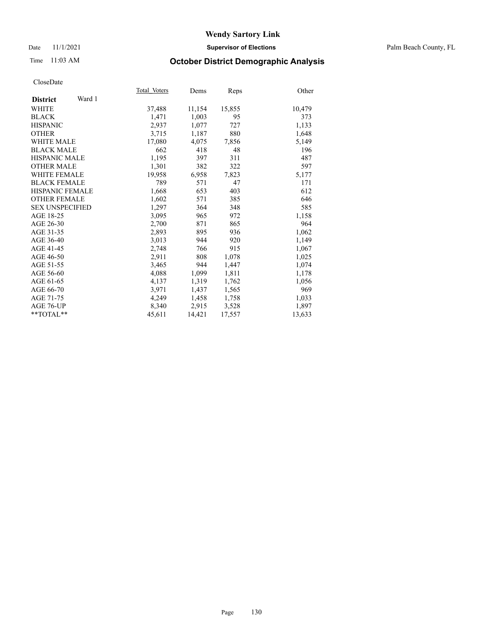## Time 11:03 AM **October District Demographic Analysis**

|                           | Total Voters | Dems   | <b>Reps</b> | Other  |
|---------------------------|--------------|--------|-------------|--------|
| Ward 1<br><b>District</b> |              |        |             |        |
| <b>WHITE</b>              | 37,488       | 11,154 | 15,855      | 10,479 |
| <b>BLACK</b>              | 1,471        | 1,003  | 95          | 373    |
| <b>HISPANIC</b>           | 2,937        | 1,077  | 727         | 1,133  |
| <b>OTHER</b>              | 3,715        | 1,187  | 880         | 1,648  |
| <b>WHITE MALE</b>         | 17,080       | 4,075  | 7,856       | 5,149  |
| <b>BLACK MALE</b>         | 662          | 418    | 48          | 196    |
| <b>HISPANIC MALE</b>      | 1,195        | 397    | 311         | 487    |
| <b>OTHER MALE</b>         | 1,301        | 382    | 322         | 597    |
| <b>WHITE FEMALE</b>       | 19,958       | 6,958  | 7,823       | 5,177  |
| <b>BLACK FEMALE</b>       | 789          | 571    | 47          | 171    |
| HISPANIC FEMALE           | 1,668        | 653    | 403         | 612    |
| <b>OTHER FEMALE</b>       | 1,602        | 571    | 385         | 646    |
| <b>SEX UNSPECIFIED</b>    | 1,297        | 364    | 348         | 585    |
| AGE 18-25                 | 3,095        | 965    | 972         | 1,158  |
| AGE 26-30                 | 2,700        | 871    | 865         | 964    |
| AGE 31-35                 | 2,893        | 895    | 936         | 1,062  |
| AGE 36-40                 | 3,013        | 944    | 920         | 1,149  |
| AGE 41-45                 | 2,748        | 766    | 915         | 1,067  |
| AGE 46-50                 | 2,911        | 808    | 1,078       | 1,025  |
| AGE 51-55                 | 3,465        | 944    | 1,447       | 1,074  |
| AGE 56-60                 | 4,088        | 1,099  | 1,811       | 1,178  |
| AGE 61-65                 | 4,137        | 1,319  | 1,762       | 1,056  |
| AGE 66-70                 | 3,971        | 1,437  | 1,565       | 969    |
| AGE 71-75                 | 4,249        | 1,458  | 1,758       | 1,033  |
| AGE 76-UP                 | 8,340        | 2,915  | 3,528       | 1,897  |
| $*$ $TOTAL**$             | 45,611       | 14,421 | 17,557      | 13,633 |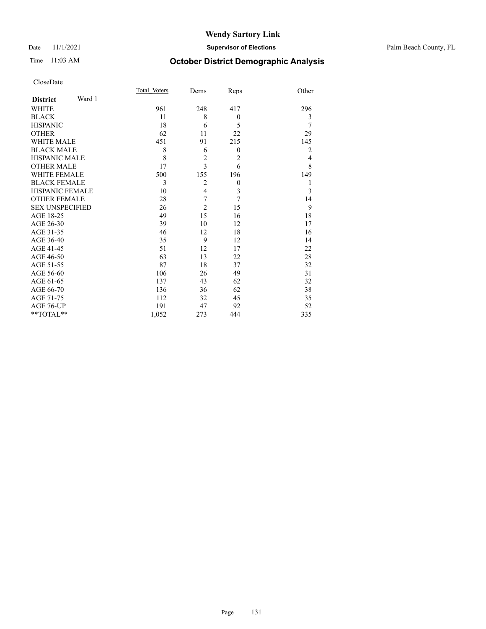### Date 11/1/2021 **Supervisor of Elections** Palm Beach County, FL

## Time 11:03 AM **October District Demographic Analysis**

|                           | Total Voters | Dems           | Reps             | Other          |
|---------------------------|--------------|----------------|------------------|----------------|
| Ward 1<br><b>District</b> |              |                |                  |                |
| <b>WHITE</b>              | 961          | 248            | 417              | 296            |
| <b>BLACK</b>              | 11           | 8              | $\theta$         | 3              |
| <b>HISPANIC</b>           | 18           | 6              | 5                | 7              |
| <b>OTHER</b>              | 62           | 11             | 22               | 29             |
| <b>WHITE MALE</b>         | 451          | 91             | 215              | 145            |
| <b>BLACK MALE</b>         | 8            | 6              | $\theta$         | $\overline{2}$ |
| <b>HISPANIC MALE</b>      | 8            | $\overline{c}$ | $\overline{2}$   | $\overline{4}$ |
| <b>OTHER MALE</b>         | 17           | $\overline{3}$ | 6                | 8              |
| <b>WHITE FEMALE</b>       | 500          | 155            | 196              | 149            |
| <b>BLACK FEMALE</b>       | 3            | $\overline{2}$ | $\boldsymbol{0}$ | 1              |
| HISPANIC FEMALE           | 10           | $\overline{4}$ | 3                | 3              |
| <b>OTHER FEMALE</b>       | 28           | 7              | 7                | 14             |
| <b>SEX UNSPECIFIED</b>    | 26           | $\overline{2}$ | 15               | 9              |
| AGE 18-25                 | 49           | 15             | 16               | 18             |
| AGE 26-30                 | 39           | 10             | 12               | 17             |
| AGE 31-35                 | 46           | 12             | 18               | 16             |
| AGE 36-40                 | 35           | 9              | 12               | 14             |
| AGE 41-45                 | 51           | 12             | 17               | 22             |
| AGE 46-50                 | 63           | 13             | 22               | 28             |
| AGE 51-55                 | 87           | 18             | 37               | 32             |
| AGE 56-60                 | 106          | 26             | 49               | 31             |
| AGE 61-65                 | 137          | 43             | 62               | 32             |
| AGE 66-70                 | 136          | 36             | 62               | 38             |
| AGE 71-75                 | 112          | 32             | 45               | 35             |
| AGE 76-UP                 | 191          | 47             | 92               | 52             |
| **TOTAL**                 | 1,052        | 273            | 444              | 335            |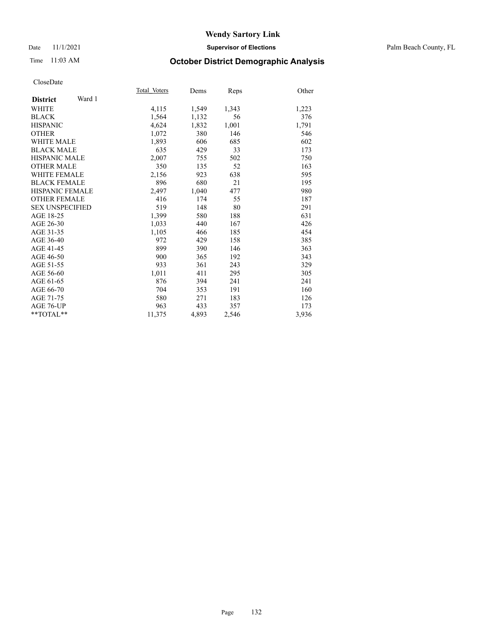### Date 11/1/2021 **Supervisor of Elections** Palm Beach County, FL

## Time 11:03 AM **October District Demographic Analysis**

|                           | Total Voters | Dems  | Reps  | Other |
|---------------------------|--------------|-------|-------|-------|
| Ward 1<br><b>District</b> |              |       |       |       |
| WHITE                     | 4,115        | 1,549 | 1,343 | 1,223 |
| <b>BLACK</b>              | 1,564        | 1,132 | 56    | 376   |
| <b>HISPANIC</b>           | 4,624        | 1,832 | 1,001 | 1,791 |
| <b>OTHER</b>              | 1,072        | 380   | 146   | 546   |
| <b>WHITE MALE</b>         | 1,893        | 606   | 685   | 602   |
| <b>BLACK MALE</b>         | 635          | 429   | 33    | 173   |
| <b>HISPANIC MALE</b>      | 2,007        | 755   | 502   | 750   |
| <b>OTHER MALE</b>         | 350          | 135   | 52    | 163   |
| WHITE FEMALE              | 2,156        | 923   | 638   | 595   |
| <b>BLACK FEMALE</b>       | 896          | 680   | 21    | 195   |
| <b>HISPANIC FEMALE</b>    | 2,497        | 1,040 | 477   | 980   |
| <b>OTHER FEMALE</b>       | 416          | 174   | 55    | 187   |
| <b>SEX UNSPECIFIED</b>    | 519          | 148   | 80    | 291   |
| AGE 18-25                 | 1,399        | 580   | 188   | 631   |
| AGE 26-30                 | 1,033        | 440   | 167   | 426   |
| AGE 31-35                 | 1,105        | 466   | 185   | 454   |
| AGE 36-40                 | 972          | 429   | 158   | 385   |
| AGE 41-45                 | 899          | 390   | 146   | 363   |
| AGE 46-50                 | 900          | 365   | 192   | 343   |
| AGE 51-55                 | 933          | 361   | 243   | 329   |
| AGE 56-60                 | 1,011        | 411   | 295   | 305   |
| AGE 61-65                 | 876          | 394   | 241   | 241   |
| AGE 66-70                 | 704          | 353   | 191   | 160   |
| AGE 71-75                 | 580          | 271   | 183   | 126   |
| AGE 76-UP                 | 963          | 433   | 357   | 173   |
| $*$ $TOTAL**$             | 11,375       | 4,893 | 2,546 | 3,936 |
|                           |              |       |       |       |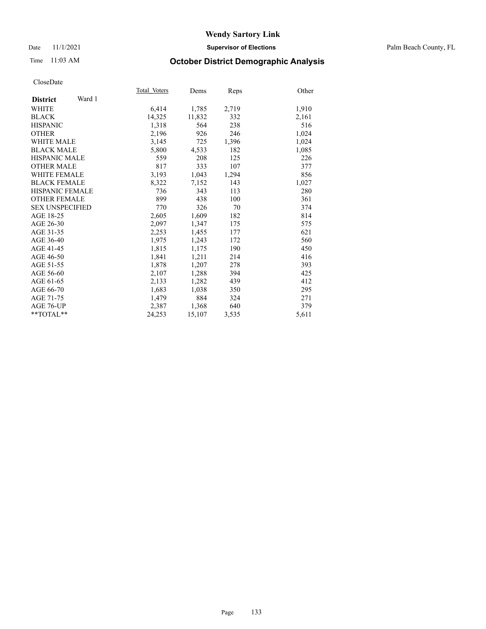#### Date 11/1/2021 **Supervisor of Elections** Palm Beach County, FL

## Time 11:03 AM **October District Demographic Analysis**

|                           | Total Voters | Dems   | Reps  | Other |
|---------------------------|--------------|--------|-------|-------|
| Ward 1<br><b>District</b> |              |        |       |       |
| WHITE                     | 6,414        | 1,785  | 2,719 | 1,910 |
| <b>BLACK</b>              | 14,325       | 11,832 | 332   | 2,161 |
| <b>HISPANIC</b>           | 1,318        | 564    | 238   | 516   |
| <b>OTHER</b>              | 2,196        | 926    | 246   | 1,024 |
| <b>WHITE MALE</b>         | 3,145        | 725    | 1,396 | 1,024 |
| <b>BLACK MALE</b>         | 5,800        | 4,533  | 182   | 1,085 |
| <b>HISPANIC MALE</b>      | 559          | 208    | 125   | 226   |
| <b>OTHER MALE</b>         | 817          | 333    | 107   | 377   |
| <b>WHITE FEMALE</b>       | 3,193        | 1,043  | 1,294 | 856   |
| <b>BLACK FEMALE</b>       | 8,322        | 7,152  | 143   | 1,027 |
| <b>HISPANIC FEMALE</b>    | 736          | 343    | 113   | 280   |
| <b>OTHER FEMALE</b>       | 899          | 438    | 100   | 361   |
| <b>SEX UNSPECIFIED</b>    | 770          | 326    | 70    | 374   |
| AGE 18-25                 | 2,605        | 1,609  | 182   | 814   |
| AGE 26-30                 | 2,097        | 1,347  | 175   | 575   |
| AGE 31-35                 | 2,253        | 1,455  | 177   | 621   |
| AGE 36-40                 | 1,975        | 1,243  | 172   | 560   |
| AGE 41-45                 | 1,815        | 1,175  | 190   | 450   |
| AGE 46-50                 | 1,841        | 1,211  | 214   | 416   |
| AGE 51-55                 | 1,878        | 1,207  | 278   | 393   |
| AGE 56-60                 | 2,107        | 1,288  | 394   | 425   |
| AGE 61-65                 | 2,133        | 1,282  | 439   | 412   |
| AGE 66-70                 | 1,683        | 1,038  | 350   | 295   |
| AGE 71-75                 | 1,479        | 884    | 324   | 271   |
| AGE 76-UP                 | 2.387        | 1,368  | 640   | 379   |
| $*$ $TOTAL**$             | 24,253       | 15,107 | 3,535 | 5,611 |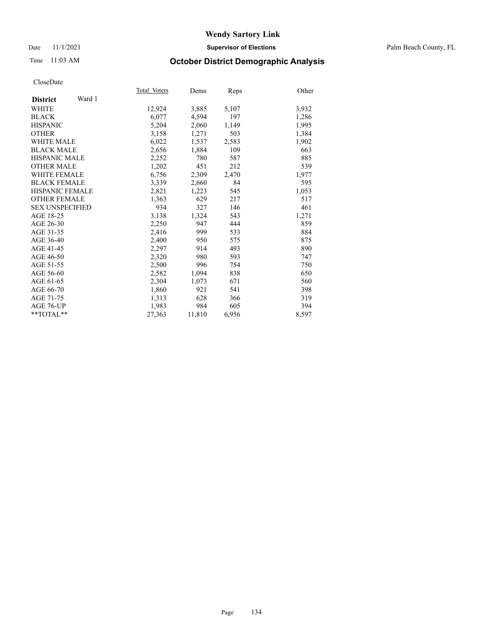Date 11/1/2021 **Supervisor of Elections** Palm Beach County, FL

## Time 11:03 AM **October District Demographic Analysis**

| Total Voters | Dems   | Reps  | Other |
|--------------|--------|-------|-------|
|              |        |       |       |
| 12,924       | 3,885  | 5,107 | 3,932 |
| 6,077        | 4,594  | 197   | 1,286 |
| 5,204        | 2,060  | 1,149 | 1,995 |
| 3,158        | 1,271  | 503   | 1,384 |
| 6,022        | 1,537  | 2,583 | 1,902 |
| 2,656        | 1,884  | 109   | 663   |
| 2,252        | 780    | 587   | 885   |
| 1,202        | 451    | 212   | 539   |
| 6,756        | 2,309  | 2,470 | 1,977 |
| 3,339        | 2,660  | 84    | 595   |
| 2,821        | 1,223  | 545   | 1,053 |
| 1,363        | 629    | 217   | 517   |
| 934          | 327    | 146   | 461   |
| 3,138        | 1,324  | 543   | 1,271 |
| 2,250        | 947    | 444   | 859   |
| 2,416        | 999    | 533   | 884   |
| 2,400        | 950    | 575   | 875   |
| 2,297        | 914    | 493   | 890   |
| 2,320        | 980    | 593   | 747   |
| 2,500        | 996    | 754   | 750   |
| 2,582        | 1,094  | 838   | 650   |
| 2,304        | 1,073  | 671   | 560   |
| 1,860        | 921    | 541   | 398   |
| 1,313        | 628    | 366   | 319   |
| 1,983        | 984    | 605   | 394   |
| 27,363       | 11,810 | 6,956 | 8,597 |
|              |        |       |       |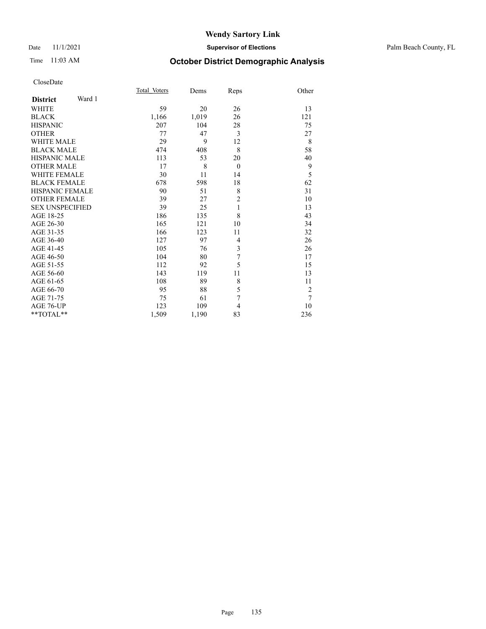#### Date 11/1/2021 **Supervisor of Elections** Palm Beach County, FL

## Time 11:03 AM **October District Demographic Analysis**

|                           | Total Voters | Dems  | Reps           | Other          |
|---------------------------|--------------|-------|----------------|----------------|
| Ward 1<br><b>District</b> |              |       |                |                |
| WHITE                     | 59           | 20    | 26             | 13             |
| <b>BLACK</b>              | 1,166        | 1,019 | 26             | 121            |
| <b>HISPANIC</b>           | 207          | 104   | 28             | 75             |
| <b>OTHER</b>              | 77           | 47    | 3              | 27             |
| <b>WHITE MALE</b>         | 29           | 9     | 12             | 8              |
| <b>BLACK MALE</b>         | 474          | 408   | 8              | 58             |
| <b>HISPANIC MALE</b>      | 113          | 53    | 20             | 40             |
| <b>OTHER MALE</b>         | 17           | 8     | $\mathbf{0}$   | 9              |
| <b>WHITE FEMALE</b>       | 30           | 11    | 14             | 5              |
| <b>BLACK FEMALE</b>       | 678          | 598   | 18             | 62             |
| <b>HISPANIC FEMALE</b>    | 90           | 51    | 8              | 31             |
| <b>OTHER FEMALE</b>       | 39           | 27    | $\overline{c}$ | 10             |
| <b>SEX UNSPECIFIED</b>    | 39           | 25    | 1              | 13             |
| AGE 18-25                 | 186          | 135   | 8              | 43             |
| AGE 26-30                 | 165          | 121   | 10             | 34             |
| AGE 31-35                 | 166          | 123   | 11             | 32             |
| AGE 36-40                 | 127          | 97    | 4              | 26             |
| AGE 41-45                 | 105          | 76    | 3              | 26             |
| AGE 46-50                 | 104          | 80    | $\overline{7}$ | 17             |
| AGE 51-55                 | 112          | 92    | 5              | 15             |
| AGE 56-60                 | 143          | 119   | 11             | 13             |
| AGE 61-65                 | 108          | 89    | 8              | 11             |
| AGE 66-70                 | 95           | 88    | 5              | $\overline{2}$ |
| AGE 71-75                 | 75           | 61    | $\overline{7}$ | 7              |
| AGE 76-UP                 | 123          | 109   | 4              | 10             |
| **TOTAL**                 | 1,509        | 1,190 | 83             | 236            |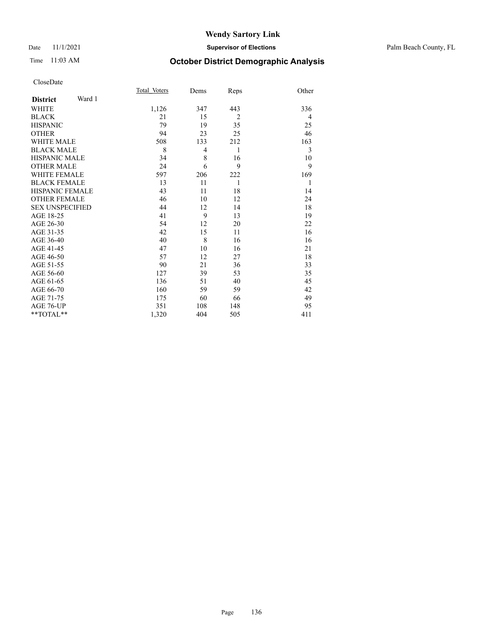### Date 11/1/2021 **Supervisor of Elections** Palm Beach County, FL

## Time 11:03 AM **October District Demographic Analysis**

|                           | Total Voters | Dems           | Reps           | Other |
|---------------------------|--------------|----------------|----------------|-------|
| Ward 1<br><b>District</b> |              |                |                |       |
| <b>WHITE</b>              | 1,126        | 347            | 443            | 336   |
| <b>BLACK</b>              | 21           | 15             | $\overline{2}$ | 4     |
| <b>HISPANIC</b>           | 79           | 19             | 35             | 25    |
| <b>OTHER</b>              | 94           | 23             | 25             | 46    |
| <b>WHITE MALE</b>         | 508          | 133            | 212            | 163   |
| <b>BLACK MALE</b>         | 8            | $\overline{4}$ | 1              | 3     |
| HISPANIC MALE             | 34           | 8              | 16             | 10    |
| <b>OTHER MALE</b>         | 24           | 6              | 9              | 9     |
| <b>WHITE FEMALE</b>       | 597          | 206            | 222            | 169   |
| <b>BLACK FEMALE</b>       | 13           | 11             | 1              | 1     |
| HISPANIC FEMALE           | 43           | 11             | 18             | 14    |
| <b>OTHER FEMALE</b>       | 46           | 10             | 12             | 24    |
| <b>SEX UNSPECIFIED</b>    | 44           | 12             | 14             | 18    |
| AGE 18-25                 | 41           | 9              | 13             | 19    |
| AGE 26-30                 | 54           | 12             | 20             | 22    |
| AGE 31-35                 | 42           | 15             | 11             | 16    |
| AGE 36-40                 | 40           | 8              | 16             | 16    |
| AGE 41-45                 | 47           | 10             | 16             | 21    |
| AGE 46-50                 | 57           | 12             | 27             | 18    |
| AGE 51-55                 | 90           | 21             | 36             | 33    |
| AGE 56-60                 | 127          | 39             | 53             | 35    |
| AGE 61-65                 | 136          | 51             | 40             | 45    |
| AGE 66-70                 | 160          | 59             | 59             | 42    |
| AGE 71-75                 | 175          | 60             | 66             | 49    |
| AGE 76-UP                 | 351          | 108            | 148            | 95    |
| **TOTAL**                 | 1,320        | 404            | 505            | 411   |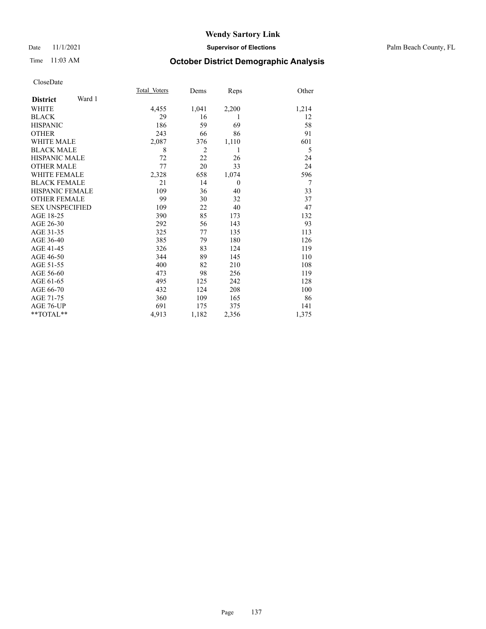#### Date 11/1/2021 **Supervisor of Elections** Palm Beach County, FL

## Time 11:03 AM **October District Demographic Analysis**

|                           | Total Voters | Dems           | Reps           | Other |
|---------------------------|--------------|----------------|----------------|-------|
| Ward 1<br><b>District</b> |              |                |                |       |
| WHITE                     | 4,455        | 1,041          | 2,200          | 1,214 |
| <b>BLACK</b>              | 29           | 16             | 1              | 12    |
| <b>HISPANIC</b>           | 186          | 59             | 69             | 58    |
| <b>OTHER</b>              | 243          | 66             | 86             | 91    |
| <b>WHITE MALE</b>         | 2,087        | 376            | 1,110          | 601   |
| <b>BLACK MALE</b>         | 8            | $\overline{2}$ | 1              | 5     |
| <b>HISPANIC MALE</b>      | 72           | 22             | 26             | 24    |
| <b>OTHER MALE</b>         | 77           | 20             | 33             | 24    |
| <b>WHITE FEMALE</b>       | 2,328        | 658            | 1,074          | 596   |
| <b>BLACK FEMALE</b>       | 21           | 14             | $\overline{0}$ | 7     |
| <b>HISPANIC FEMALE</b>    | 109          | 36             | 40             | 33    |
| <b>OTHER FEMALE</b>       | 99           | 30             | 32             | 37    |
| <b>SEX UNSPECIFIED</b>    | 109          | 22             | 40             | 47    |
| AGE 18-25                 | 390          | 85             | 173            | 132   |
| AGE 26-30                 | 292          | 56             | 143            | 93    |
| AGE 31-35                 | 325          | 77             | 135            | 113   |
| AGE 36-40                 | 385          | 79             | 180            | 126   |
| AGE 41-45                 | 326          | 83             | 124            | 119   |
| AGE 46-50                 | 344          | 89             | 145            | 110   |
| AGE 51-55                 | 400          | 82             | 210            | 108   |
| AGE 56-60                 | 473          | 98             | 256            | 119   |
| AGE 61-65                 | 495          | 125            | 242            | 128   |
| AGE 66-70                 | 432          | 124            | 208            | 100   |
| AGE 71-75                 | 360          | 109            | 165            | 86    |
| AGE 76-UP                 | 691          | 175            | 375            | 141   |
| $*$ $TOTAL**$             | 4,913        | 1,182          | 2,356          | 1,375 |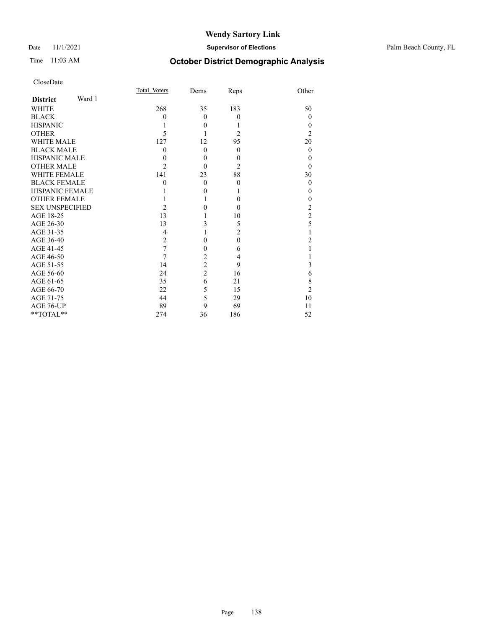### Date 11/1/2021 **Supervisor of Elections** Palm Beach County, FL

## Time 11:03 AM **October District Demographic Analysis**

|                           | Total Voters   | Dems             | Reps             | Other            |
|---------------------------|----------------|------------------|------------------|------------------|
| Ward 1<br><b>District</b> |                |                  |                  |                  |
| <b>WHITE</b>              | 268            | 35               | 183              | 50               |
| <b>BLACK</b>              | 0              | $\theta$         | $\overline{0}$   | $\theta$         |
| <b>HISPANIC</b>           |                | $\theta$         |                  | $\theta$         |
| <b>OTHER</b>              | 5              |                  | $\overline{2}$   | $\overline{2}$   |
| <b>WHITE MALE</b>         | 127            | 12               | 95               | 20               |
| <b>BLACK MALE</b>         | $\theta$       | $\theta$         | $\mathbf{0}$     | $\theta$         |
| <b>HISPANIC MALE</b>      | 0              | $\boldsymbol{0}$ | $\boldsymbol{0}$ | $\boldsymbol{0}$ |
| <b>OTHER MALE</b>         | $\overline{c}$ | $\theta$         | 2                | $\theta$         |
| <b>WHITE FEMALE</b>       | 141            | 23               | 88               | 30               |
| <b>BLACK FEMALE</b>       | 0              | $\theta$         | $\overline{0}$   | $\theta$         |
| <b>HISPANIC FEMALE</b>    |                | $\theta$         | 1                | $\theta$         |
| <b>OTHER FEMALE</b>       |                |                  | $\theta$         | 0                |
| <b>SEX UNSPECIFIED</b>    | 2              | $\theta$         | $\theta$         | 2                |
| AGE 18-25                 | 13             |                  | 10               | $\overline{c}$   |
| AGE 26-30                 | 13             | 3                | 5                | 5                |
| AGE 31-35                 | 4              | 1                | $\overline{2}$   |                  |
| AGE 36-40                 | $\overline{2}$ | $\theta$         | $\mathbf{0}$     | 2                |
| AGE 41-45                 | 7              | $\theta$         | 6                |                  |
| AGE 46-50                 | 7              | $\overline{c}$   | 4                |                  |
| AGE 51-55                 | 14             | $\overline{c}$   | 9                | 3                |
| AGE 56-60                 | 24             | $\overline{c}$   | 16               | 6                |
| AGE 61-65                 | 35             | 6                | 21               | 8                |
| AGE 66-70                 | 22             | 5                | 15               | $\overline{2}$   |
| AGE 71-75                 | 44             | 5                | 29               | 10               |
| AGE 76-UP                 | 89             | 9                | 69               | 11               |
| **TOTAL**                 | 274            | 36               | 186              | 52               |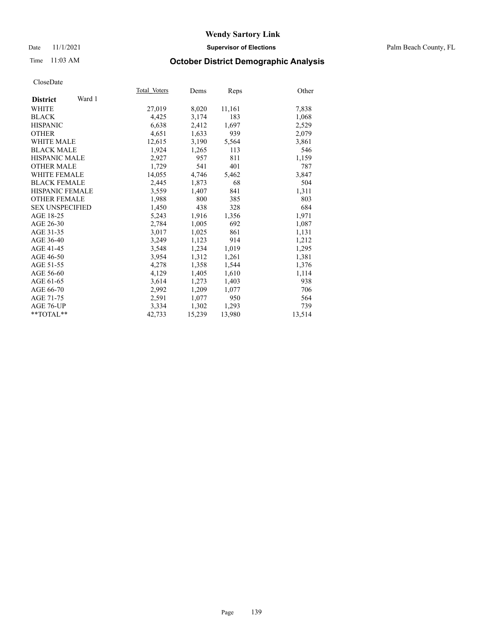#### Date 11/1/2021 **Supervisor of Elections** Palm Beach County, FL

## Time 11:03 AM **October District Demographic Analysis**

|                           | Total Voters | Dems   | Reps   | Other  |
|---------------------------|--------------|--------|--------|--------|
| Ward 1<br><b>District</b> |              |        |        |        |
| WHITE                     | 27,019       | 8,020  | 11,161 | 7,838  |
| <b>BLACK</b>              | 4,425        | 3,174  | 183    | 1,068  |
| <b>HISPANIC</b>           | 6,638        | 2,412  | 1,697  | 2,529  |
| <b>OTHER</b>              | 4,651        | 1,633  | 939    | 2,079  |
| <b>WHITE MALE</b>         | 12,615       | 3,190  | 5,564  | 3,861  |
| <b>BLACK MALE</b>         | 1,924        | 1,265  | 113    | 546    |
| <b>HISPANIC MALE</b>      | 2,927        | 957    | 811    | 1,159  |
| <b>OTHER MALE</b>         | 1,729        | 541    | 401    | 787    |
| <b>WHITE FEMALE</b>       | 14,055       | 4,746  | 5,462  | 3,847  |
| <b>BLACK FEMALE</b>       | 2,445        | 1,873  | 68     | 504    |
| <b>HISPANIC FEMALE</b>    | 3,559        | 1,407  | 841    | 1,311  |
| <b>OTHER FEMALE</b>       | 1,988        | 800    | 385    | 803    |
| <b>SEX UNSPECIFIED</b>    | 1,450        | 438    | 328    | 684    |
| AGE 18-25                 | 5,243        | 1,916  | 1,356  | 1,971  |
| AGE 26-30                 | 2,784        | 1,005  | 692    | 1,087  |
| AGE 31-35                 | 3,017        | 1,025  | 861    | 1,131  |
| AGE 36-40                 | 3,249        | 1,123  | 914    | 1,212  |
| AGE 41-45                 | 3,548        | 1,234  | 1,019  | 1,295  |
| AGE 46-50                 | 3,954        | 1,312  | 1,261  | 1,381  |
| AGE 51-55                 | 4,278        | 1,358  | 1,544  | 1,376  |
| AGE 56-60                 | 4,129        | 1,405  | 1,610  | 1,114  |
| AGE 61-65                 | 3,614        | 1,273  | 1,403  | 938    |
| AGE 66-70                 | 2,992        | 1,209  | 1,077  | 706    |
| AGE 71-75                 | 2,591        | 1,077  | 950    | 564    |
| AGE 76-UP                 | 3.334        | 1,302  | 1,293  | 739    |
| **TOTAL**                 | 42,733       | 15,239 | 13,980 | 13,514 |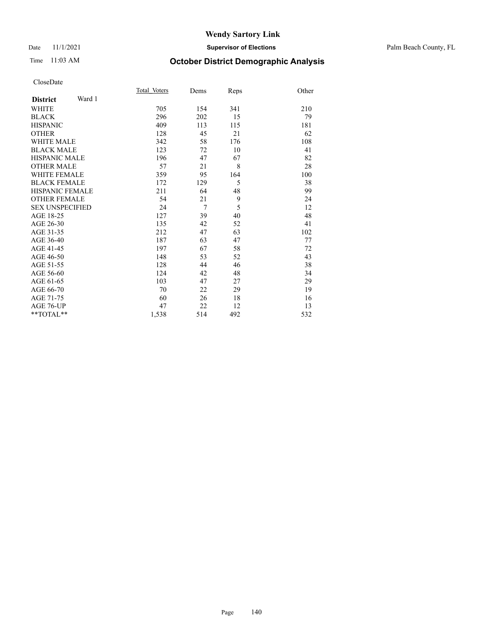#### Date 11/1/2021 **Supervisor of Elections** Palm Beach County, FL

## Time 11:03 AM **October District Demographic Analysis**

|                           | Total Voters | Dems           | Reps | Other |
|---------------------------|--------------|----------------|------|-------|
| Ward 1<br><b>District</b> |              |                |      |       |
| <b>WHITE</b>              | 705          | 154            | 341  | 210   |
| <b>BLACK</b>              | 296          | 202            | 15   | 79    |
| <b>HISPANIC</b>           | 409          | 113            | 115  | 181   |
| <b>OTHER</b>              | 128          | 45             | 21   | 62    |
| <b>WHITE MALE</b>         | 342          | 58             | 176  | 108   |
| <b>BLACK MALE</b>         | 123          | 72             | 10   | 41    |
| <b>HISPANIC MALE</b>      | 196          | 47             | 67   | 82    |
| <b>OTHER MALE</b>         | 57           | 21             | 8    | 28    |
| WHITE FEMALE              | 359          | 95             | 164  | 100   |
| <b>BLACK FEMALE</b>       | 172          | 129            | 5    | 38    |
| <b>HISPANIC FEMALE</b>    | 211          | 64             | 48   | 99    |
| <b>OTHER FEMALE</b>       | 54           | 21             | 9    | 24    |
| <b>SEX UNSPECIFIED</b>    | 24           | $\overline{7}$ | 5    | 12    |
| AGE 18-25                 | 127          | 39             | 40   | 48    |
| AGE 26-30                 | 135          | 42             | 52   | 41    |
| AGE 31-35                 | 212          | 47             | 63   | 102   |
| AGE 36-40                 | 187          | 63             | 47   | 77    |
| AGE 41-45                 | 197          | 67             | 58   | 72    |
| AGE 46-50                 | 148          | 53             | 52   | 43    |
| AGE 51-55                 | 128          | 44             | 46   | 38    |
| AGE 56-60                 | 124          | 42             | 48   | 34    |
| AGE 61-65                 | 103          | 47             | 27   | 29    |
| AGE 66-70                 | 70           | 22             | 29   | 19    |
| AGE 71-75                 | 60           | 26             | 18   | 16    |
| <b>AGE 76-UP</b>          | 47           | 22             | 12   | 13    |
| **TOTAL**                 | 1,538        | 514            | 492  | 532   |